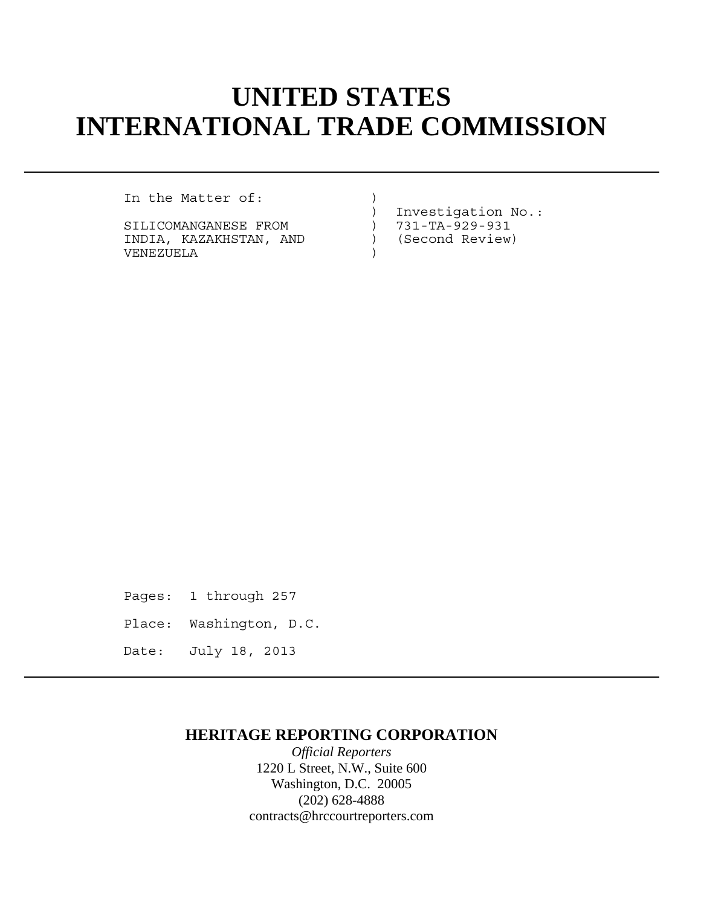# **UNITED STATES INTERNATIONAL TRADE COMMISSION**

In the Matter of:

SILICOMANGANESE FROM  $731-TA-929-931$ INDIA, KAZAKHSTAN, AND ) (Second Review) VENEZUELA )

) Investigation No.:

Pages: 1 through 257

- Place: Washington, D.C.
- Date: July 18, 2013

## **HERITAGE REPORTING CORPORATION**

*Official Reporters* 1220 L Street, N.W., Suite 600 Washington, D.C. 20005 (202) 628-4888 contracts@hrccourtreporters.com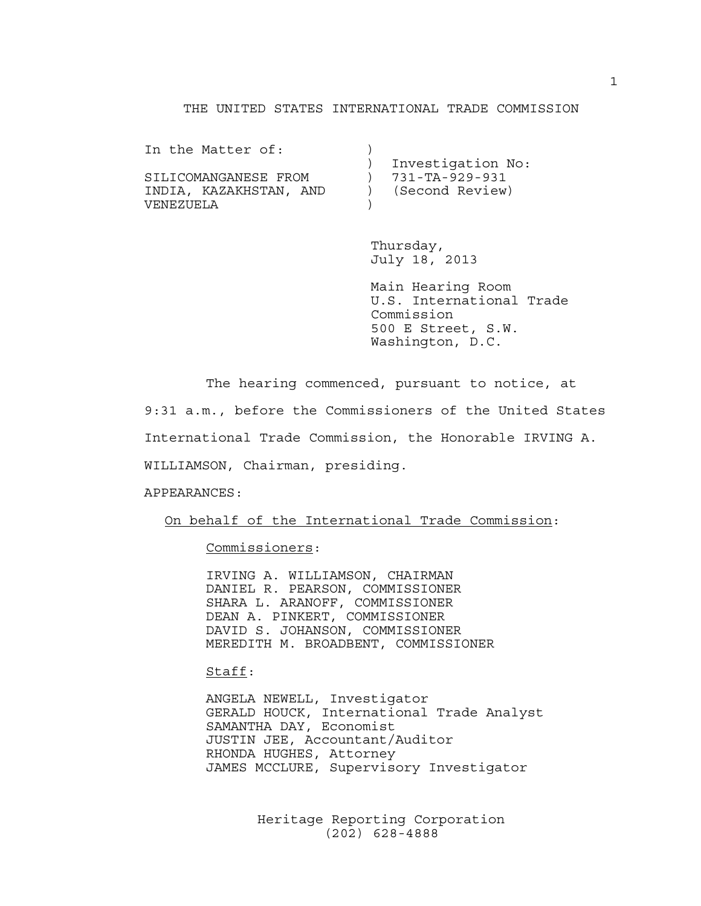#### THE UNITED STATES INTERNATIONAL TRADE COMMISSION

| In the Matter of:      |                   |
|------------------------|-------------------|
|                        | Investigation No: |
| SILICOMANGANESE FROM   | 731-TA-929-931    |
| INDIA, KAZAKHSTAN, AND | (Second Review)   |
| VENEZUELA              |                   |

 Thursday, July 18, 2013

 Main Hearing Room U.S. International Trade Commission 500 E Street, S.W. Washington, D.C.

The hearing commenced, pursuant to notice, at

9:31 a.m., before the Commissioners of the United States

International Trade Commission, the Honorable IRVING A.

WILLIAMSON, Chairman, presiding.

APPEARANCES:

On behalf of the International Trade Commission:

Commissioners:

 IRVING A. WILLIAMSON, CHAIRMAN DANIEL R. PEARSON, COMMISSIONER SHARA L. ARANOFF, COMMISSIONER DEAN A. PINKERT, COMMISSIONER DAVID S. JOHANSON, COMMISSIONER MEREDITH M. BROADBENT, COMMISSIONER

Staff:

 ANGELA NEWELL, Investigator GERALD HOUCK, International Trade Analyst SAMANTHA DAY, Economist JUSTIN JEE, Accountant/Auditor RHONDA HUGHES, Attorney JAMES MCCLURE, Supervisory Investigator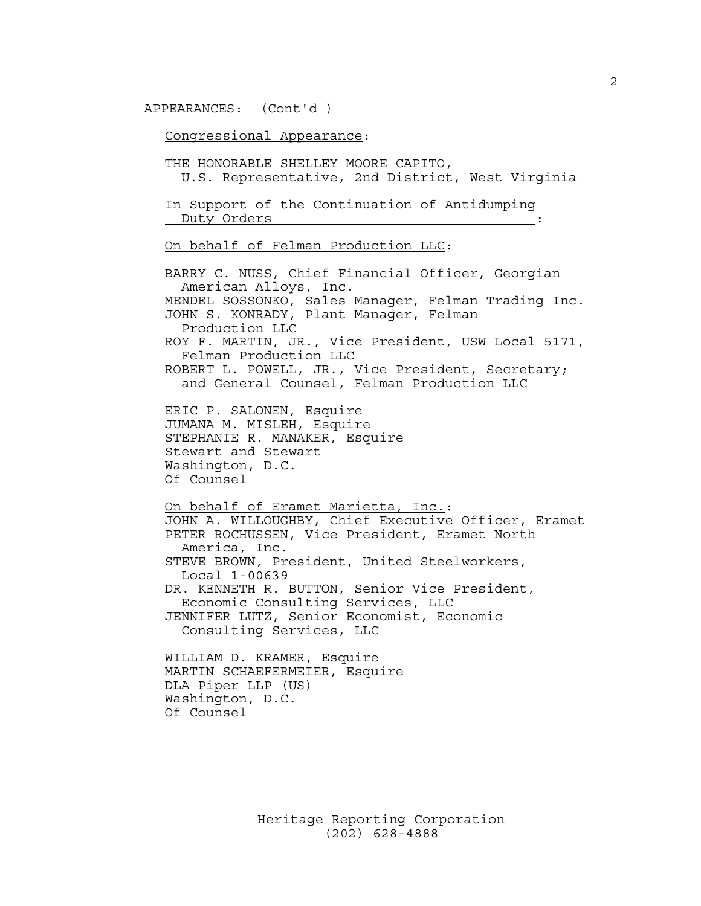APPEARANCES: (Cont'd )

Congressional Appearance:

 THE HONORABLE SHELLEY MOORE CAPITO, U.S. Representative, 2nd District, West Virginia

 In Support of the Continuation of Antidumping Duty Orders :

On behalf of Felman Production LLC:

 BARRY C. NUSS, Chief Financial Officer, Georgian American Alloys, Inc. MENDEL SOSSONKO, Sales Manager, Felman Trading Inc. JOHN S. KONRADY, Plant Manager, Felman Production LLC ROY F. MARTIN, JR., Vice President, USW Local 5171, Felman Production LLC ROBERT L. POWELL, JR., Vice President, Secretary; and General Counsel, Felman Production LLC ERIC P. SALONEN, Esquire JUMANA M. MISLEH, Esquire STEPHANIE R. MANAKER, Esquire Stewart and Stewart Washington, D.C. Of Counsel On behalf of Eramet Marietta, Inc.: JOHN A. WILLOUGHBY, Chief Executive Officer, Eramet PETER ROCHUSSEN, Vice President, Eramet North America, Inc. STEVE BROWN, President, United Steelworkers, Local 1-00639 DR. KENNETH R. BUTTON, Senior Vice President, Economic Consulting Services, LLC JENNIFER LUTZ, Senior Economist, Economic Consulting Services, LLC WILLIAM D. KRAMER, Esquire MARTIN SCHAEFERMEIER, Esquire DLA Piper LLP (US)

 Washington, D.C. Of Counsel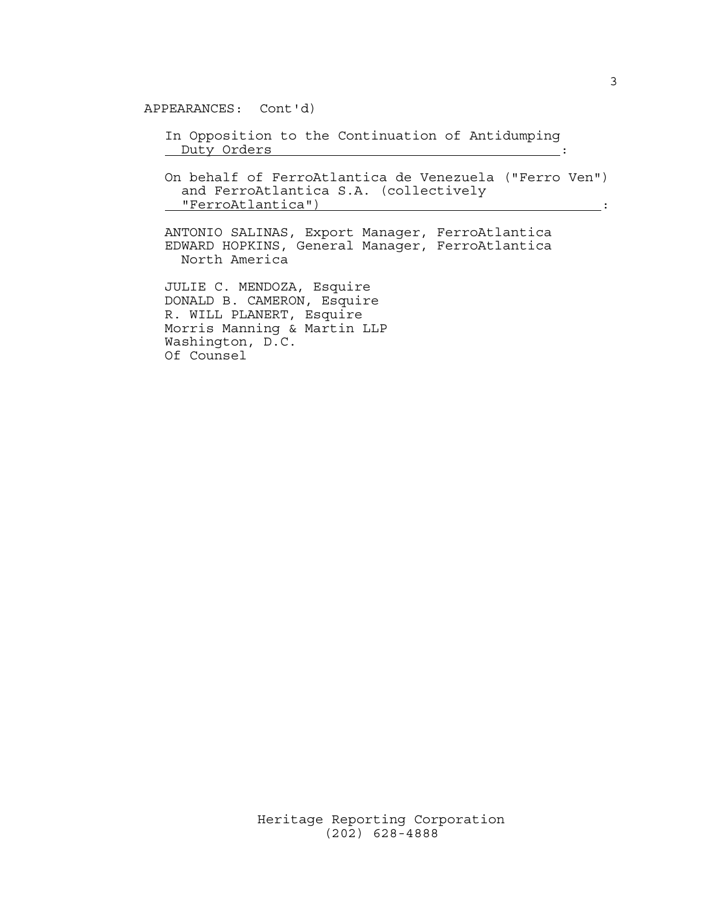APPEARANCES: Cont'd)

 In Opposition to the Continuation of Antidumping Duty Orders : :

 On behalf of FerroAtlantica de Venezuela ("Ferro Ven") and FerroAtlantica S.A. (collectively "FerroAtlantica") :

 ANTONIO SALINAS, Export Manager, FerroAtlantica EDWARD HOPKINS, General Manager, FerroAtlantica North America

 JULIE C. MENDOZA, Esquire DONALD B. CAMERON, Esquire R. WILL PLANERT, Esquire Morris Manning & Martin LLP Washington, D.C. Of Counsel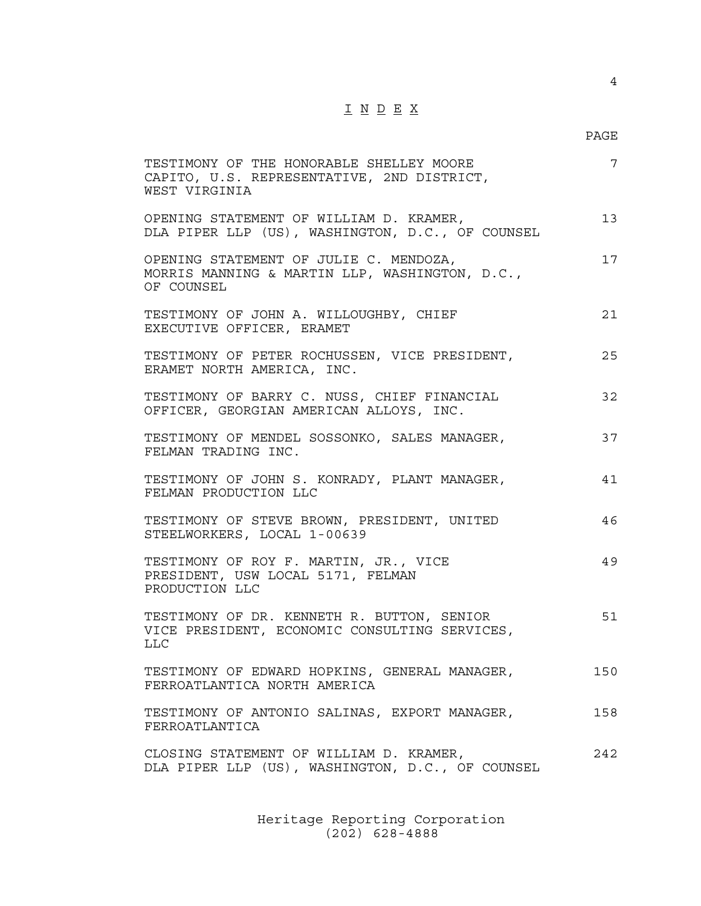# I N D E X

### en de la provincia de la provincia de la provincia de la provincia de la provincia de la provincia de la provi

| TESTIMONY OF THE HONORABLE SHELLEY MOORE<br>CAPITO, U.S. REPRESENTATIVE, 2ND DISTRICT,<br>WEST VIRGINIA | 7   |
|---------------------------------------------------------------------------------------------------------|-----|
| OPENING STATEMENT OF WILLIAM D. KRAMER,<br>DLA PIPER LLP (US), WASHINGTON, D.C., OF COUNSEL             | 13  |
| OPENING STATEMENT OF JULIE C. MENDOZA,<br>MORRIS MANNING & MARTIN LLP, WASHINGTON, D.C.,<br>OF COUNSEL  | 17  |
| TESTIMONY OF JOHN A. WILLOUGHBY, CHIEF<br>EXECUTIVE OFFICER, ERAMET                                     | 21  |
| TESTIMONY OF PETER ROCHUSSEN, VICE PRESIDENT,<br>ERAMET NORTH AMERICA, INC.                             | 25  |
| TESTIMONY OF BARRY C. NUSS, CHIEF FINANCIAL<br>OFFICER, GEORGIAN AMERICAN ALLOYS, INC.                  | 32  |
| TESTIMONY OF MENDEL SOSSONKO, SALES MANAGER,<br>FELMAN TRADING INC.                                     | 37  |
| TESTIMONY OF JOHN S. KONRADY, PLANT MANAGER,<br>FELMAN PRODUCTION LLC                                   | 41  |
| TESTIMONY OF STEVE BROWN, PRESIDENT, UNITED<br>STEELWORKERS, LOCAL 1-00639                              | 46  |
| TESTIMONY OF ROY F. MARTIN, JR., VICE<br>PRESIDENT, USW LOCAL 5171, FELMAN<br>PRODUCTION LLC            | 49  |
| TESTIMONY OF DR. KENNETH R. BUTTON, SENIOR<br>VICE PRESIDENT, ECONOMIC CONSULTING SERVICES,<br>LLC      | 51  |
| TESTIMONY OF EDWARD HOPKINS, GENERAL MANAGER,<br>FERROATLANTICA NORTH AMERICA                           | 150 |
| TESTIMONY OF ANTONIO SALINAS, EXPORT MANAGER,<br>FERROATLANTICA                                         | 158 |
| CLOSING STATEMENT OF WILLIAM D. KRAMER,<br>DLA PIPER LLP (US), WASHINGTON, D.C., OF COUNSEL             | 242 |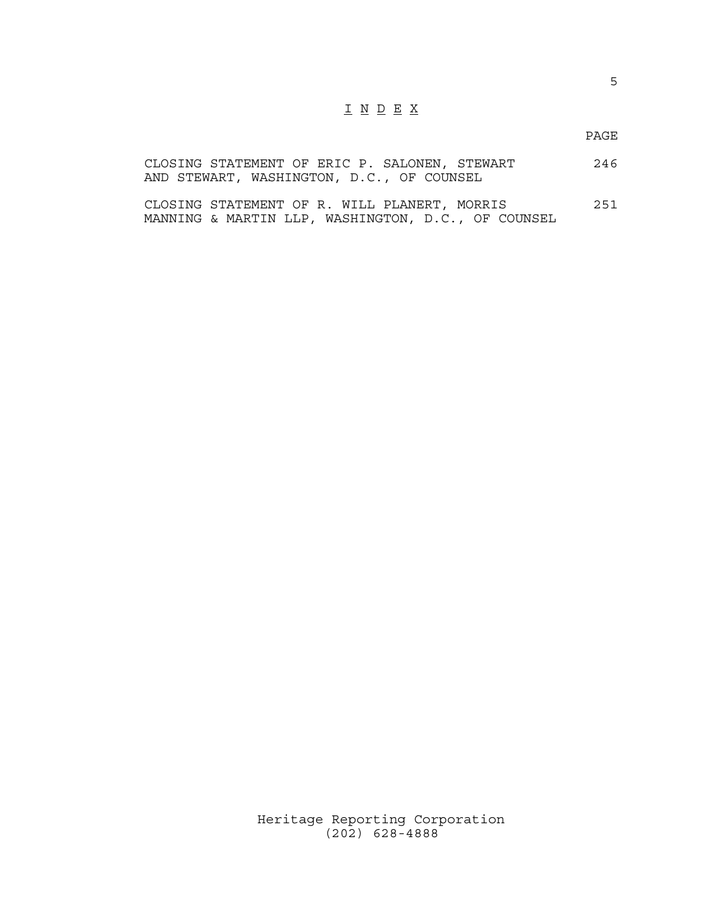## I N D E X

en de la provincia de la provincia de la provincia de la provincia de la provincia de la provincia de la provi

|  |                                           |  |  |  | CLOSING STATEMENT OF ERIC P. SALONEN, STEWART | 246 |
|--|-------------------------------------------|--|--|--|-----------------------------------------------|-----|
|  | AND STEWART, WASHINGTON, D.C., OF COUNSEL |  |  |  |                                               |     |

CLOSING STATEMENT OF R. WILL PLANERT, MORRIS 251 MANNING & MARTIN LLP, WASHINGTON, D.C., OF COUNSEL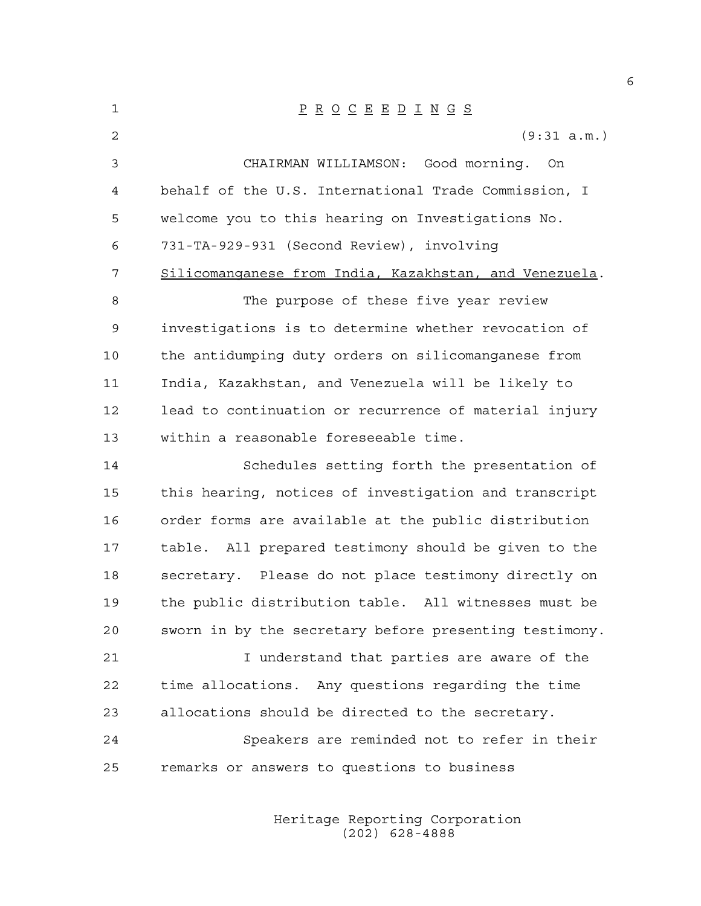| 1  | $\underline{P} \underline{R} \underline{O} \underline{C} \underline{E} \underline{E} \underline{D} \underline{I} \underline{N} \underline{G} \underline{S}$ |
|----|-------------------------------------------------------------------------------------------------------------------------------------------------------------|
| 2  | (9:31 a.m.)                                                                                                                                                 |
| 3  | CHAIRMAN WILLIAMSON: Good morning. On                                                                                                                       |
| 4  | behalf of the U.S. International Trade Commission, I                                                                                                        |
| 5  | welcome you to this hearing on Investigations No.                                                                                                           |
| 6  | 731-TA-929-931 (Second Review), involving                                                                                                                   |
| 7  | Silicomanganese from India, Kazakhstan, and Venezuela.                                                                                                      |
| 8  | The purpose of these five year review                                                                                                                       |
| 9  | investigations is to determine whether revocation of                                                                                                        |
| 10 | the antidumping duty orders on silicomanganese from                                                                                                         |
| 11 | India, Kazakhstan, and Venezuela will be likely to                                                                                                          |
| 12 | lead to continuation or recurrence of material injury                                                                                                       |
| 13 | within a reasonable foreseeable time.                                                                                                                       |
| 14 | Schedules setting forth the presentation of                                                                                                                 |
| 15 | this hearing, notices of investigation and transcript                                                                                                       |
| 16 | order forms are available at the public distribution                                                                                                        |
| 17 | table. All prepared testimony should be given to the                                                                                                        |
| 18 | secretary. Please do not place testimony directly on                                                                                                        |
| 19 | the public distribution table. All witnesses must be                                                                                                        |
| 20 | sworn in by the secretary before presenting testimony.                                                                                                      |
| 21 | I understand that parties are aware of the                                                                                                                  |
| 22 | time allocations. Any questions regarding the time                                                                                                          |
| 23 | allocations should be directed to the secretary.                                                                                                            |
| 24 | Speakers are reminded not to refer in their                                                                                                                 |
| 25 | remarks or answers to questions to business                                                                                                                 |
|    |                                                                                                                                                             |

 Heritage Reporting Corporation (202) 628-4888

6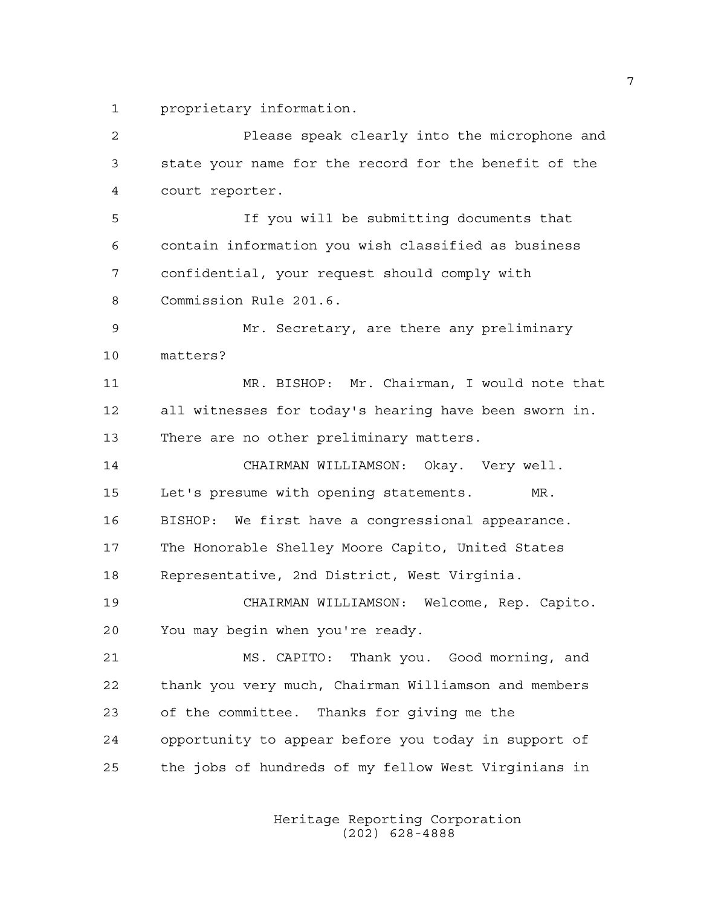1 proprietary information.

| $\overline{c}$ | Please speak clearly into the microphone and          |
|----------------|-------------------------------------------------------|
| 3              | state your name for the record for the benefit of the |
| 4              | court reporter.                                       |
| 5              | If you will be submitting documents that              |
| 6              | contain information you wish classified as business   |
| 7              | confidential, your request should comply with         |
| 8              | Commission Rule 201.6.                                |
| 9              | Mr. Secretary, are there any preliminary              |
| 10             | matters?                                              |
| 11             | MR. BISHOP: Mr. Chairman, I would note that           |
| 12             | all witnesses for today's hearing have been sworn in. |
| 13             | There are no other preliminary matters.               |
| 14             | CHAIRMAN WILLIAMSON: Okay. Very well.                 |
| 15             | Let's presume with opening statements.<br>MR.         |
| 16             | BISHOP: We first have a congressional appearance.     |
| 17             | The Honorable Shelley Moore Capito, United States     |
| 18             | Representative, 2nd District, West Virginia.          |
| 19             | CHAIRMAN WILLIAMSON: Welcome, Rep. Capito.            |
| 20             | You may begin when you're ready.                      |
| 21             | MS. CAPITO: Thank you. Good morning, and              |
| 22             | thank you very much, Chairman Williamson and members  |
| 23             | of the committee. Thanks for giving me the            |
| 24             | opportunity to appear before you today in support of  |
| 25             | the jobs of hundreds of my fellow West Virginians in  |
|                |                                                       |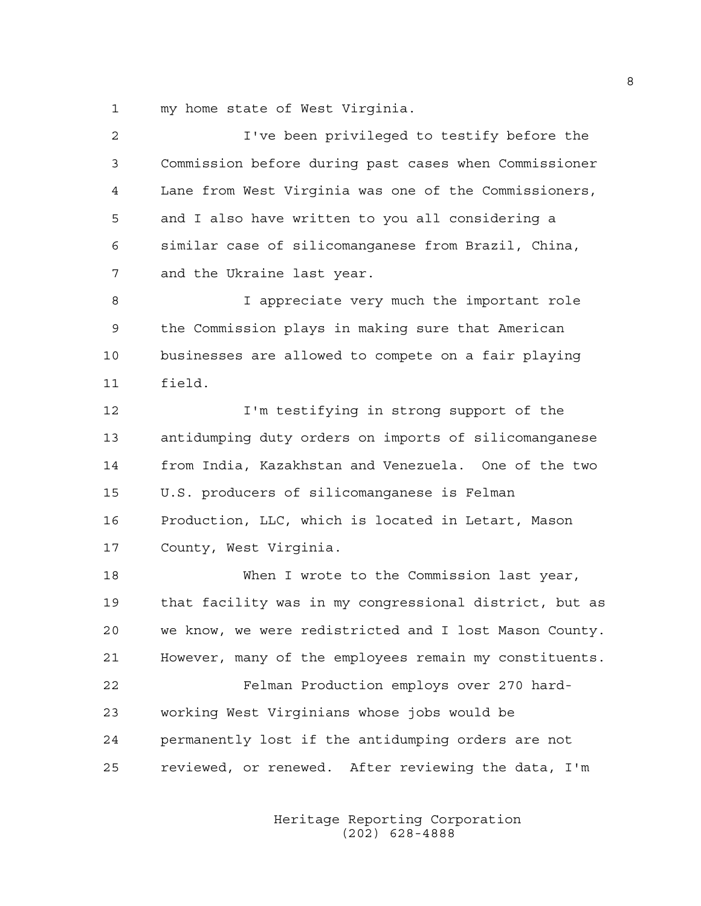1 my home state of West Virginia.

| 2  | I've been privileged to testify before the             |
|----|--------------------------------------------------------|
| 3  | Commission before during past cases when Commissioner  |
| 4  | Lane from West Virginia was one of the Commissioners,  |
| 5  | and I also have written to you all considering a       |
| 6  | similar case of silicomanganese from Brazil, China,    |
| 7  | and the Ukraine last year.                             |
| 8  | I appreciate very much the important role              |
| 9  | the Commission plays in making sure that American      |
| 10 | businesses are allowed to compete on a fair playing    |
| 11 | field.                                                 |
| 12 | I'm testifying in strong support of the                |
| 13 | antidumping duty orders on imports of silicomanganese  |
| 14 | from India, Kazakhstan and Venezuela. One of the two   |
| 15 | U.S. producers of silicomanganese is Felman            |
| 16 | Production, LLC, which is located in Letart, Mason     |
| 17 | County, West Virginia.                                 |
| 18 | When I wrote to the Commission last year,              |
| 19 | that facility was in my congressional district, but as |
| 20 | we know, we were redistricted and I lost Mason County. |
| 21 | However, many of the employees remain my constituents. |
| 22 | Felman Production employs over 270 hard-               |
| 23 | working West Virginians whose jobs would be            |
| 24 | permanently lost if the antidumping orders are not     |
| 25 | reviewed, or renewed. After reviewing the data, I'm    |
|    |                                                        |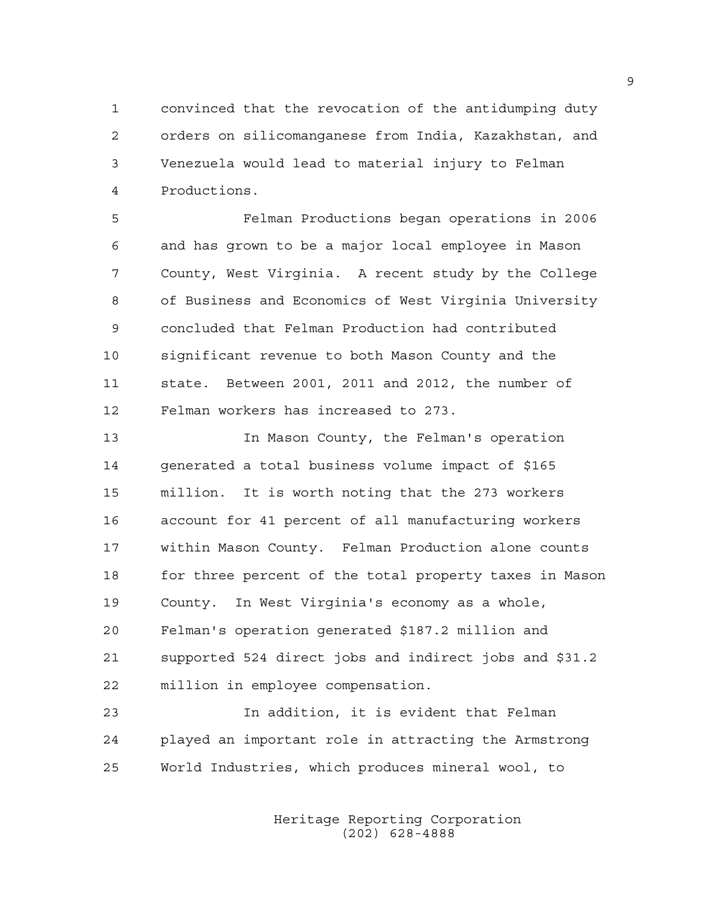1 convinced that the revocation of the antidumping duty 2 orders on silicomanganese from India, Kazakhstan, and 3 Venezuela would lead to material injury to Felman 4 Productions.

5 Felman Productions began operations in 2006 6 and has grown to be a major local employee in Mason 7 County, West Virginia. A recent study by the College 8 of Business and Economics of West Virginia University 9 concluded that Felman Production had contributed 10 significant revenue to both Mason County and the 11 state. Between 2001, 2011 and 2012, the number of 12 Felman workers has increased to 273.

13 In Mason County, the Felman's operation 14 generated a total business volume impact of \$165 15 million. It is worth noting that the 273 workers 16 account for 41 percent of all manufacturing workers 17 within Mason County. Felman Production alone counts 18 for three percent of the total property taxes in Mason 19 County. In West Virginia's economy as a whole, 20 Felman's operation generated \$187.2 million and 21 supported 524 direct jobs and indirect jobs and \$31.2 22 million in employee compensation.

23 In addition, it is evident that Felman 24 played an important role in attracting the Armstrong 25 World Industries, which produces mineral wool, to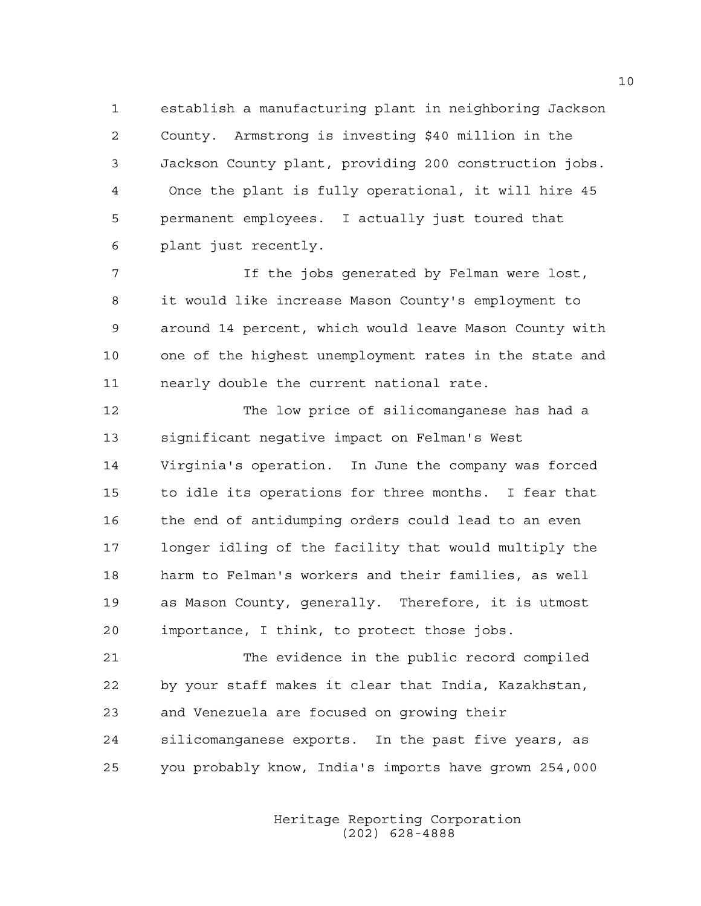1 establish a manufacturing plant in neighboring Jackson 2 County. Armstrong is investing \$40 million in the 3 Jackson County plant, providing 200 construction jobs. 4 Once the plant is fully operational, it will hire 45 5 permanent employees. I actually just toured that 6 plant just recently.

7 If the jobs generated by Felman were lost, 8 it would like increase Mason County's employment to 9 around 14 percent, which would leave Mason County with 10 one of the highest unemployment rates in the state and 11 nearly double the current national rate.

12 The low price of silicomanganese has had a 13 significant negative impact on Felman's West 14 Virginia's operation. In June the company was forced 15 to idle its operations for three months. I fear that 16 the end of antidumping orders could lead to an even 17 longer idling of the facility that would multiply the 18 harm to Felman's workers and their families, as well 19 as Mason County, generally. Therefore, it is utmost 20 importance, I think, to protect those jobs.

21 The evidence in the public record compiled 22 by your staff makes it clear that India, Kazakhstan, 23 and Venezuela are focused on growing their 24 silicomanganese exports. In the past five years, as 25 you probably know, India's imports have grown 254,000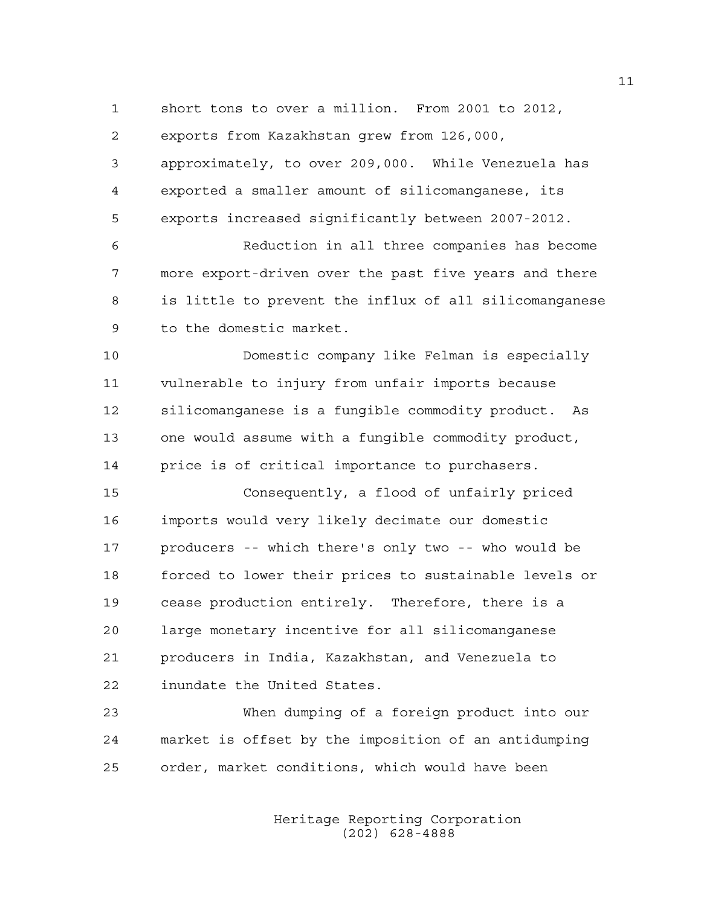1 short tons to over a million. From 2001 to 2012,

2 exports from Kazakhstan grew from 126,000,

3 approximately, to over 209,000. While Venezuela has 4 exported a smaller amount of silicomanganese, its 5 exports increased significantly between 2007-2012.

6 Reduction in all three companies has become 7 more export-driven over the past five years and there 8 is little to prevent the influx of all silicomanganese 9 to the domestic market.

10 Domestic company like Felman is especially 11 vulnerable to injury from unfair imports because 12 silicomanganese is a fungible commodity product. As 13 one would assume with a fungible commodity product, 14 price is of critical importance to purchasers.

15 Consequently, a flood of unfairly priced 16 imports would very likely decimate our domestic 17 producers -- which there's only two -- who would be 18 forced to lower their prices to sustainable levels or 19 cease production entirely. Therefore, there is a 20 large monetary incentive for all silicomanganese 21 producers in India, Kazakhstan, and Venezuela to 22 inundate the United States.

23 When dumping of a foreign product into our 24 market is offset by the imposition of an antidumping 25 order, market conditions, which would have been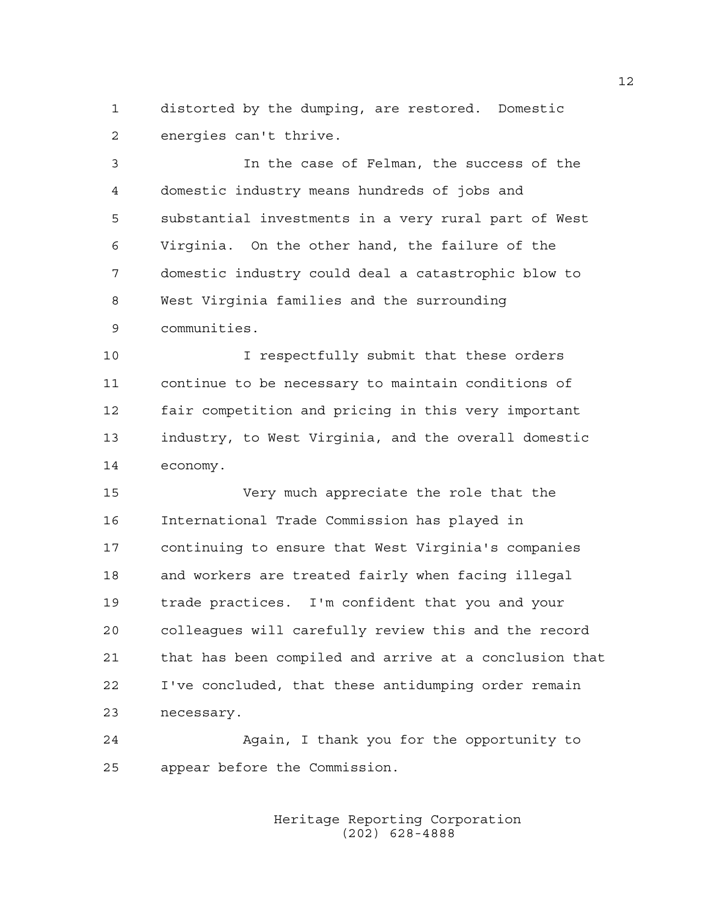1 distorted by the dumping, are restored. Domestic 2 energies can't thrive.

3 In the case of Felman, the success of the 4 domestic industry means hundreds of jobs and 5 substantial investments in a very rural part of West 6 Virginia. On the other hand, the failure of the 7 domestic industry could deal a catastrophic blow to 8 West Virginia families and the surrounding 9 communities.

10 I respectfully submit that these orders 11 continue to be necessary to maintain conditions of 12 fair competition and pricing in this very important 13 industry, to West Virginia, and the overall domestic 14 economy.

15 Very much appreciate the role that the 16 International Trade Commission has played in 17 continuing to ensure that West Virginia's companies 18 and workers are treated fairly when facing illegal 19 trade practices. I'm confident that you and your 20 colleagues will carefully review this and the record 21 that has been compiled and arrive at a conclusion that 22 I've concluded, that these antidumping order remain 23 necessary.

24 Again, I thank you for the opportunity to 25 appear before the Commission.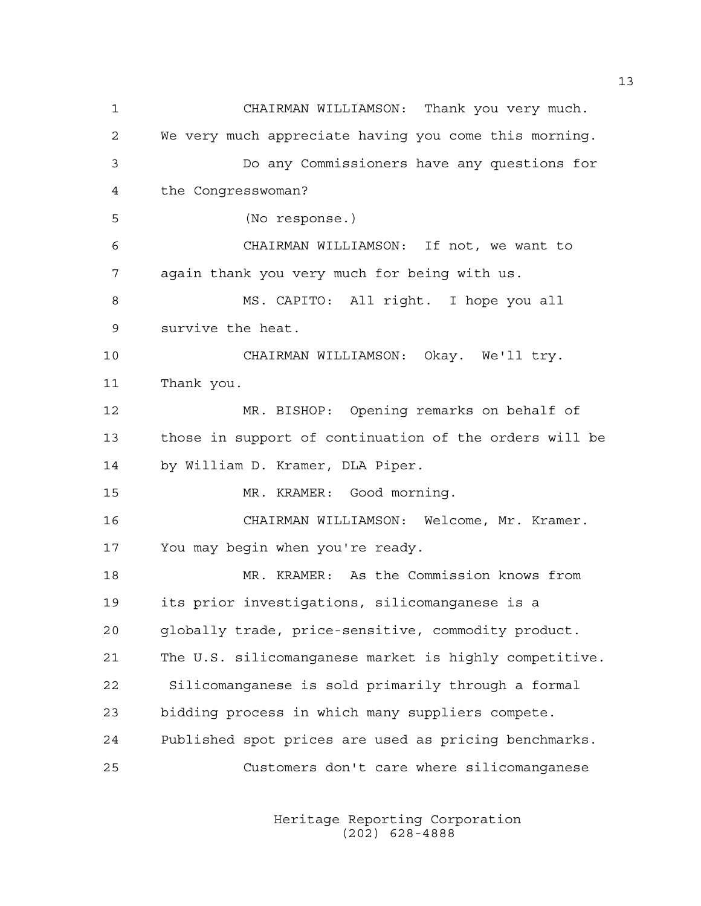1 CHAIRMAN WILLIAMSON: Thank you very much. 2 We very much appreciate having you come this morning. 3 Do any Commissioners have any questions for 4 the Congresswoman? 5 (No response.) 6 CHAIRMAN WILLIAMSON: If not, we want to 7 again thank you very much for being with us. 8 MS. CAPITO: All right. I hope you all 9 survive the heat. 10 CHAIRMAN WILLIAMSON: Okay. We'll try. 11 Thank you. 12 MR. BISHOP: Opening remarks on behalf of 13 those in support of continuation of the orders will be 14 by William D. Kramer, DLA Piper. 15 MR. KRAMER: Good morning. 16 CHAIRMAN WILLIAMSON: Welcome, Mr. Kramer. 17 You may begin when you're ready. 18 MR. KRAMER: As the Commission knows from 19 its prior investigations, silicomanganese is a 20 globally trade, price-sensitive, commodity product. 21 The U.S. silicomanganese market is highly competitive. 22 Silicomanganese is sold primarily through a formal 23 bidding process in which many suppliers compete. 24 Published spot prices are used as pricing benchmarks. 25 Customers don't care where silicomanganese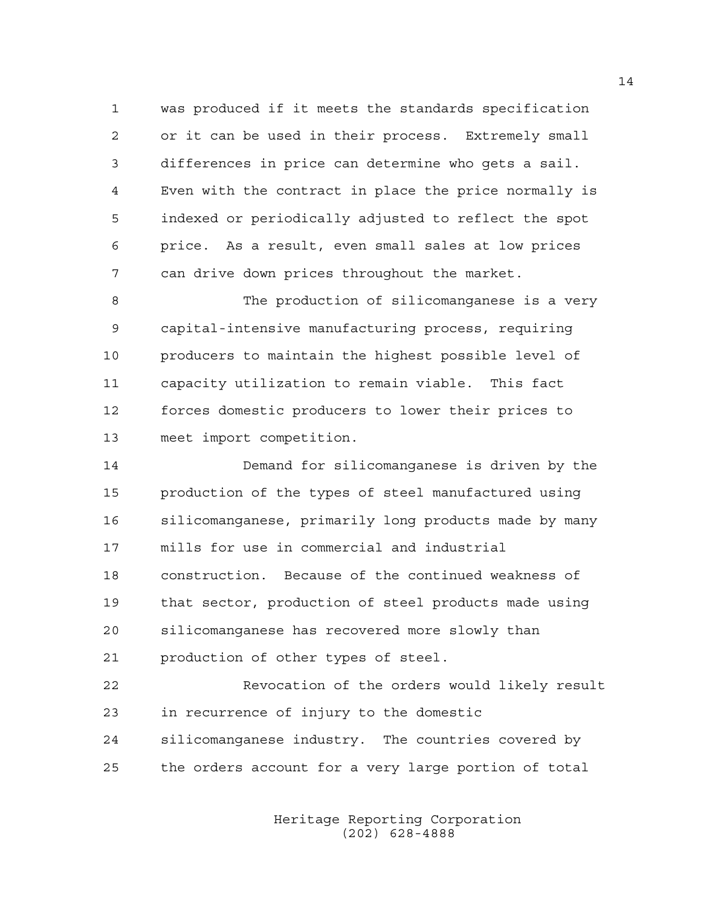1 was produced if it meets the standards specification 2 or it can be used in their process. Extremely small 3 differences in price can determine who gets a sail. 4 Even with the contract in place the price normally is 5 indexed or periodically adjusted to reflect the spot 6 price. As a result, even small sales at low prices 7 can drive down prices throughout the market.

8 The production of silicomanganese is a very 9 capital-intensive manufacturing process, requiring 10 producers to maintain the highest possible level of 11 capacity utilization to remain viable. This fact 12 forces domestic producers to lower their prices to 13 meet import competition.

14 Demand for silicomanganese is driven by the 15 production of the types of steel manufactured using 16 silicomanganese, primarily long products made by many 17 mills for use in commercial and industrial 18 construction. Because of the continued weakness of 19 that sector, production of steel products made using 20 silicomanganese has recovered more slowly than 21 production of other types of steel.

22 Revocation of the orders would likely result 23 in recurrence of injury to the domestic 24 silicomanganese industry. The countries covered by 25 the orders account for a very large portion of total

> Heritage Reporting Corporation (202) 628-4888

14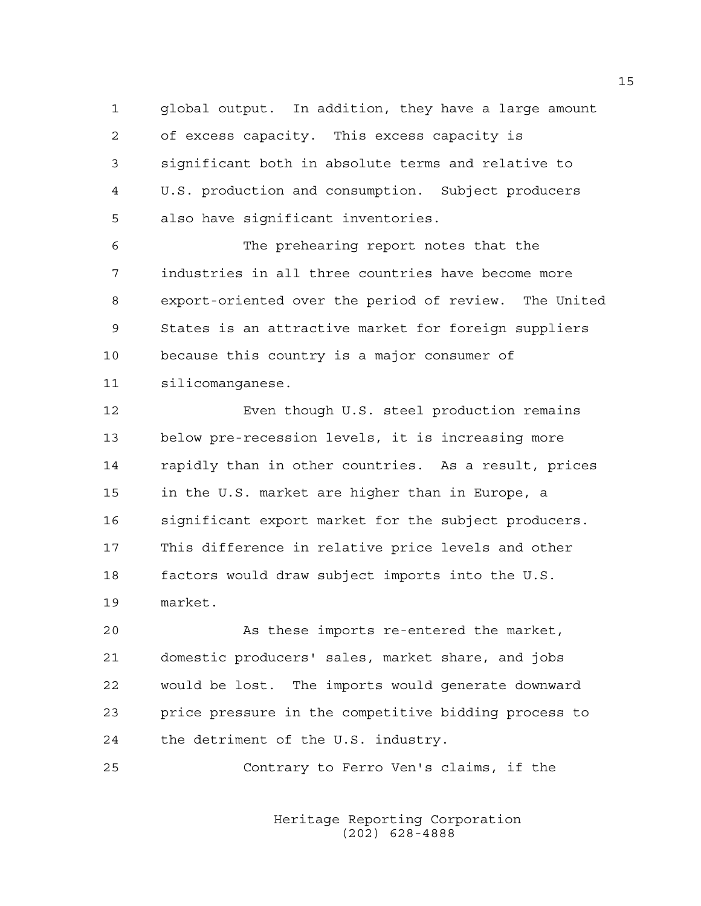1 global output. In addition, they have a large amount 2 of excess capacity. This excess capacity is 3 significant both in absolute terms and relative to 4 U.S. production and consumption. Subject producers 5 also have significant inventories.

6 The prehearing report notes that the 7 industries in all three countries have become more 8 export-oriented over the period of review. The United 9 States is an attractive market for foreign suppliers 10 because this country is a major consumer of 11 silicomanganese.

12 Even though U.S. steel production remains 13 below pre-recession levels, it is increasing more 14 rapidly than in other countries. As a result, prices 15 in the U.S. market are higher than in Europe, a 16 significant export market for the subject producers. 17 This difference in relative price levels and other 18 factors would draw subject imports into the U.S. 19 market.

20 As these imports re-entered the market, 21 domestic producers' sales, market share, and jobs 22 would be lost. The imports would generate downward 23 price pressure in the competitive bidding process to 24 the detriment of the U.S. industry.

25 Contrary to Ferro Ven's claims, if the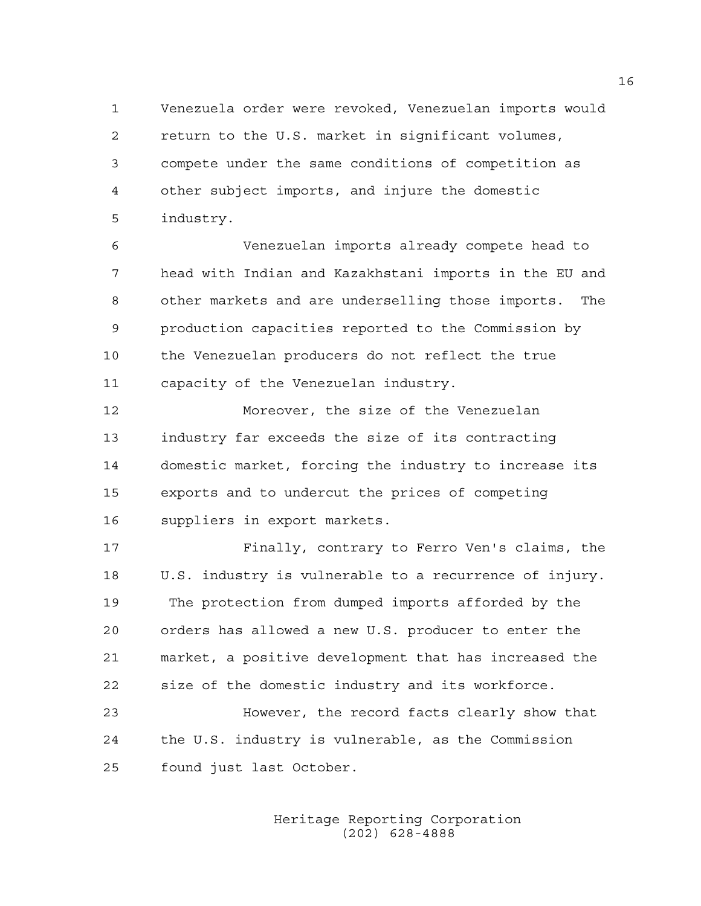1 Venezuela order were revoked, Venezuelan imports would 2 return to the U.S. market in significant volumes, 3 compete under the same conditions of competition as 4 other subject imports, and injure the domestic 5 industry.

6 Venezuelan imports already compete head to 7 head with Indian and Kazakhstani imports in the EU and 8 other markets and are underselling those imports. The 9 production capacities reported to the Commission by 10 the Venezuelan producers do not reflect the true 11 capacity of the Venezuelan industry.

12 Moreover, the size of the Venezuelan 13 industry far exceeds the size of its contracting 14 domestic market, forcing the industry to increase its 15 exports and to undercut the prices of competing 16 suppliers in export markets.

17 Finally, contrary to Ferro Ven's claims, the 18 U.S. industry is vulnerable to a recurrence of injury. 19 The protection from dumped imports afforded by the 20 orders has allowed a new U.S. producer to enter the 21 market, a positive development that has increased the 22 size of the domestic industry and its workforce. 23 However, the record facts clearly show that

24 the U.S. industry is vulnerable, as the Commission 25 found just last October.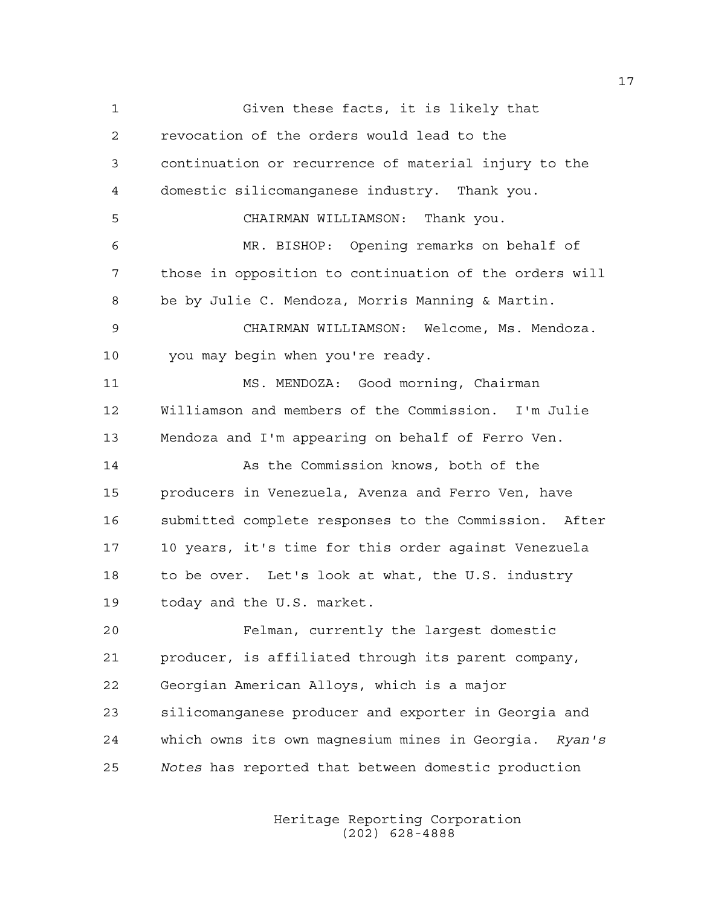1 Given these facts, it is likely that 2 revocation of the orders would lead to the 3 continuation or recurrence of material injury to the 4 domestic silicomanganese industry. Thank you. 5 CHAIRMAN WILLIAMSON: Thank you. 6 MR. BISHOP: Opening remarks on behalf of 7 those in opposition to continuation of the orders will 8 be by Julie C. Mendoza, Morris Manning & Martin. 9 CHAIRMAN WILLIAMSON: Welcome, Ms. Mendoza. 10 you may begin when you're ready. 11 MS. MENDOZA: Good morning, Chairman 12 Williamson and members of the Commission. I'm Julie 13 Mendoza and I'm appearing on behalf of Ferro Ven. 14 As the Commission knows, both of the 15 producers in Venezuela, Avenza and Ferro Ven, have 16 submitted complete responses to the Commission. After 17 10 years, it's time for this order against Venezuela 18 to be over. Let's look at what, the U.S. industry 19 today and the U.S. market. 20 Felman, currently the largest domestic 21 producer, is affiliated through its parent company, 22 Georgian American Alloys, which is a major 23 silicomanganese producer and exporter in Georgia and 24 which owns its own magnesium mines in Georgia. *Ryan's*  25 *Notes* has reported that between domestic production

> Heritage Reporting Corporation (202) 628-4888

17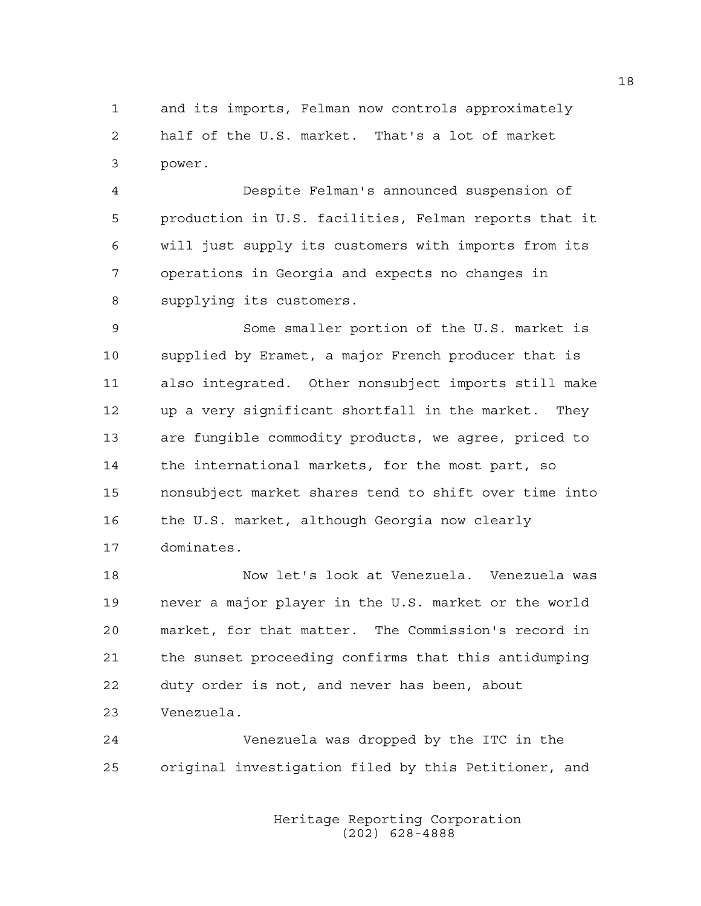1 and its imports, Felman now controls approximately 2 half of the U.S. market. That's a lot of market 3 power.

4 Despite Felman's announced suspension of 5 production in U.S. facilities, Felman reports that it 6 will just supply its customers with imports from its 7 operations in Georgia and expects no changes in 8 supplying its customers.

9 Some smaller portion of the U.S. market is 10 supplied by Eramet, a major French producer that is 11 also integrated. Other nonsubject imports still make 12 up a very significant shortfall in the market. They 13 are fungible commodity products, we agree, priced to 14 the international markets, for the most part, so 15 nonsubject market shares tend to shift over time into 16 the U.S. market, although Georgia now clearly 17 dominates.

18 Now let's look at Venezuela. Venezuela was 19 never a major player in the U.S. market or the world 20 market, for that matter. The Commission's record in 21 the sunset proceeding confirms that this antidumping 22 duty order is not, and never has been, about 23 Venezuela.

24 Venezuela was dropped by the ITC in the 25 original investigation filed by this Petitioner, and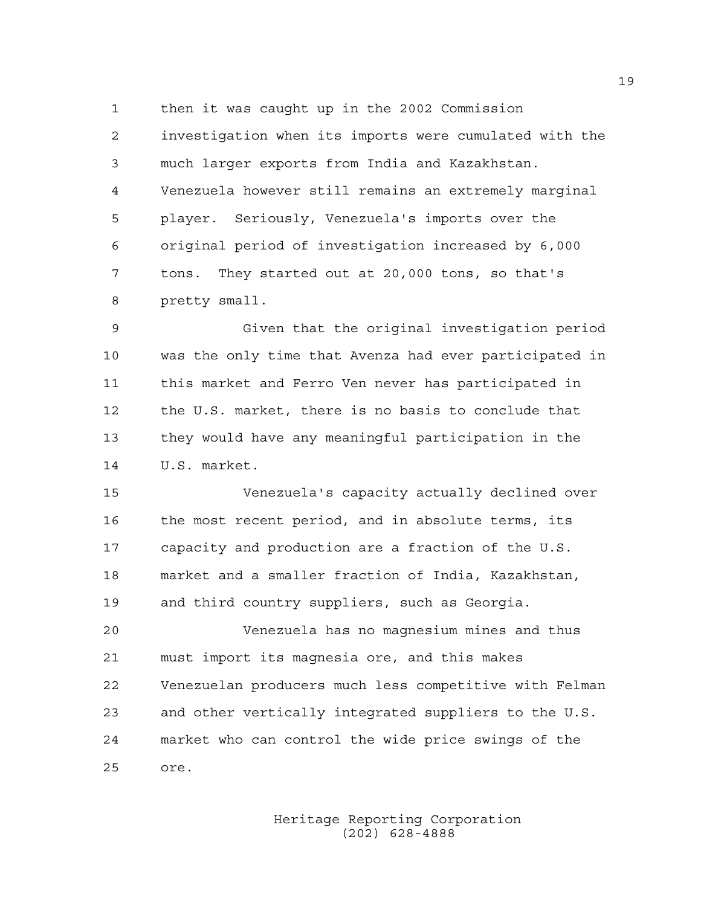1 then it was caught up in the 2002 Commission 2 investigation when its imports were cumulated with the 3 much larger exports from India and Kazakhstan. 4 Venezuela however still remains an extremely marginal 5 player. Seriously, Venezuela's imports over the 6 original period of investigation increased by 6,000 7 tons. They started out at 20,000 tons, so that's 8 pretty small.

9 Given that the original investigation period 10 was the only time that Avenza had ever participated in 11 this market and Ferro Ven never has participated in 12 the U.S. market, there is no basis to conclude that 13 they would have any meaningful participation in the 14 U.S. market.

15 Venezuela's capacity actually declined over 16 the most recent period, and in absolute terms, its 17 capacity and production are a fraction of the U.S. 18 market and a smaller fraction of India, Kazakhstan, 19 and third country suppliers, such as Georgia.

20 Venezuela has no magnesium mines and thus 21 must import its magnesia ore, and this makes 22 Venezuelan producers much less competitive with Felman 23 and other vertically integrated suppliers to the U.S. 24 market who can control the wide price swings of the 25 ore.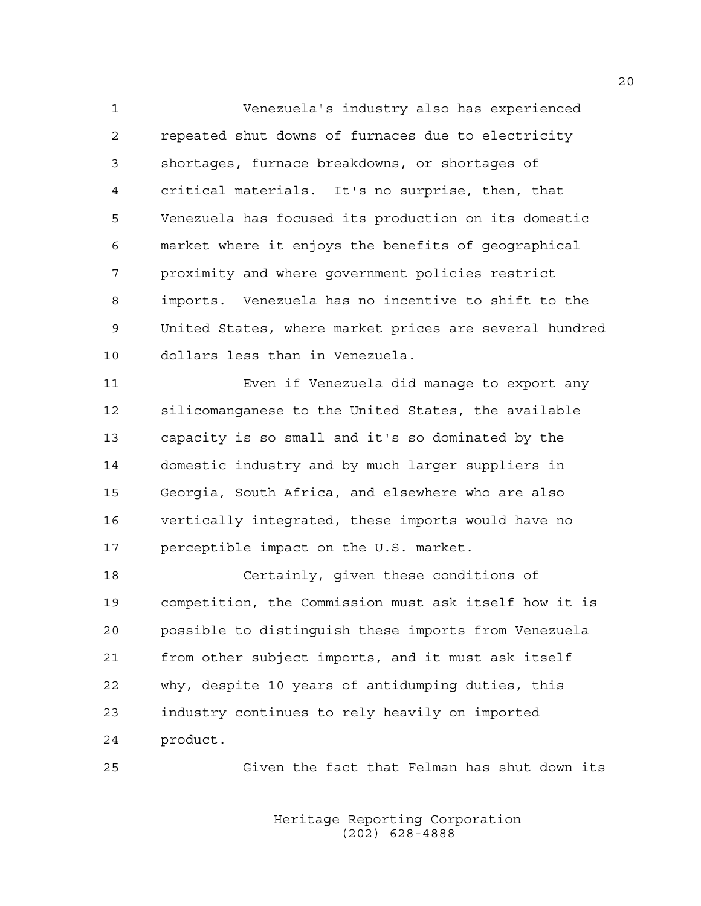1 Venezuela's industry also has experienced 2 repeated shut downs of furnaces due to electricity 3 shortages, furnace breakdowns, or shortages of 4 critical materials. It's no surprise, then, that 5 Venezuela has focused its production on its domestic 6 market where it enjoys the benefits of geographical 7 proximity and where government policies restrict 8 imports. Venezuela has no incentive to shift to the 9 United States, where market prices are several hundred 10 dollars less than in Venezuela.

11 Even if Venezuela did manage to export any 12 silicomanganese to the United States, the available 13 capacity is so small and it's so dominated by the 14 domestic industry and by much larger suppliers in 15 Georgia, South Africa, and elsewhere who are also 16 vertically integrated, these imports would have no 17 perceptible impact on the U.S. market.

18 Certainly, given these conditions of 19 competition, the Commission must ask itself how it is 20 possible to distinguish these imports from Venezuela 21 from other subject imports, and it must ask itself 22 why, despite 10 years of antidumping duties, this 23 industry continues to rely heavily on imported 24 product.

25 Given the fact that Felman has shut down its

 Heritage Reporting Corporation (202) 628-4888

20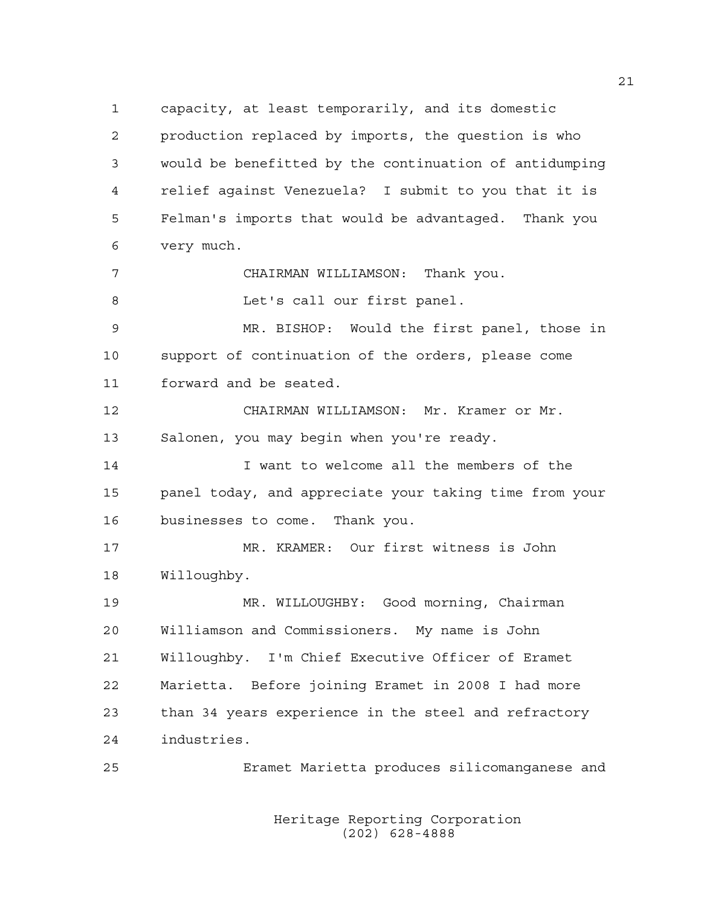1 capacity, at least temporarily, and its domestic 2 production replaced by imports, the question is who 3 would be benefitted by the continuation of antidumping 4 relief against Venezuela? I submit to you that it is 5 Felman's imports that would be advantaged. Thank you 6 very much. 7 CHAIRMAN WILLIAMSON: Thank you. 8 Let's call our first panel. 9 MR. BISHOP: Would the first panel, those in 10 support of continuation of the orders, please come 11 forward and be seated. 12 CHAIRMAN WILLIAMSON: Mr. Kramer or Mr. 13 Salonen, you may begin when you're ready. 14 I want to welcome all the members of the 15 panel today, and appreciate your taking time from your

16 businesses to come. Thank you.

17 MR. KRAMER: Our first witness is John 18 Willoughby.

19 MR. WILLOUGHBY: Good morning, Chairman 20 Williamson and Commissioners. My name is John 21 Willoughby. I'm Chief Executive Officer of Eramet 22 Marietta. Before joining Eramet in 2008 I had more 23 than 34 years experience in the steel and refractory 24 industries.

25 Eramet Marietta produces silicomanganese and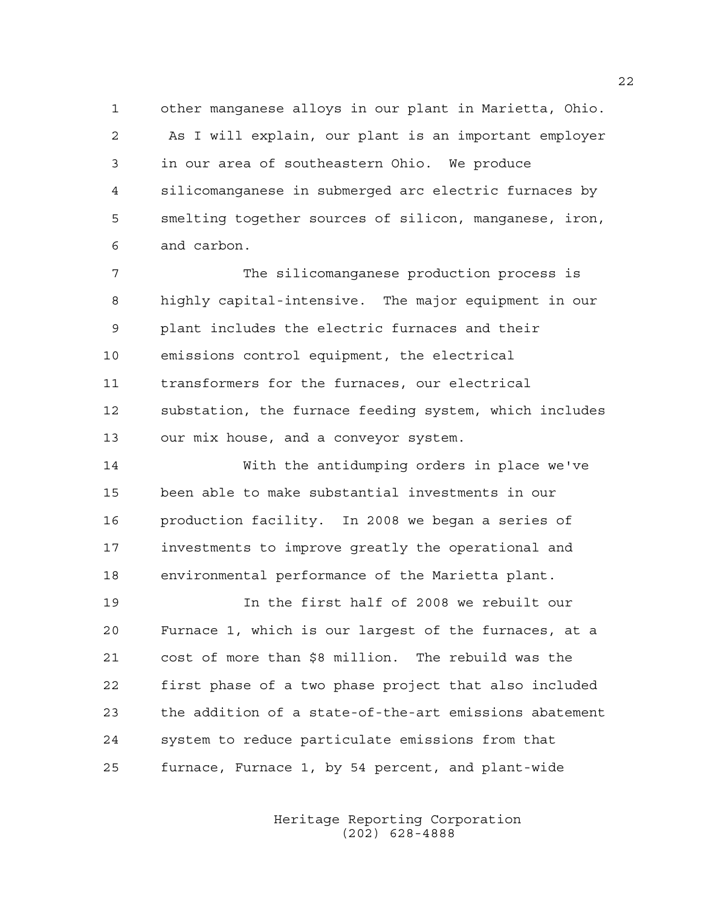1 other manganese alloys in our plant in Marietta, Ohio. 2 As I will explain, our plant is an important employer 3 in our area of southeastern Ohio. We produce 4 silicomanganese in submerged arc electric furnaces by 5 smelting together sources of silicon, manganese, iron, 6 and carbon.

7 The silicomanganese production process is 8 highly capital-intensive. The major equipment in our 9 plant includes the electric furnaces and their 10 emissions control equipment, the electrical 11 transformers for the furnaces, our electrical 12 substation, the furnace feeding system, which includes 13 our mix house, and a conveyor system.

14 With the antidumping orders in place we've 15 been able to make substantial investments in our 16 production facility. In 2008 we began a series of 17 investments to improve greatly the operational and 18 environmental performance of the Marietta plant.

19 In the first half of 2008 we rebuilt our 20 Furnace 1, which is our largest of the furnaces, at a 21 cost of more than \$8 million. The rebuild was the 22 first phase of a two phase project that also included 23 the addition of a state-of-the-art emissions abatement 24 system to reduce particulate emissions from that 25 furnace, Furnace 1, by 54 percent, and plant-wide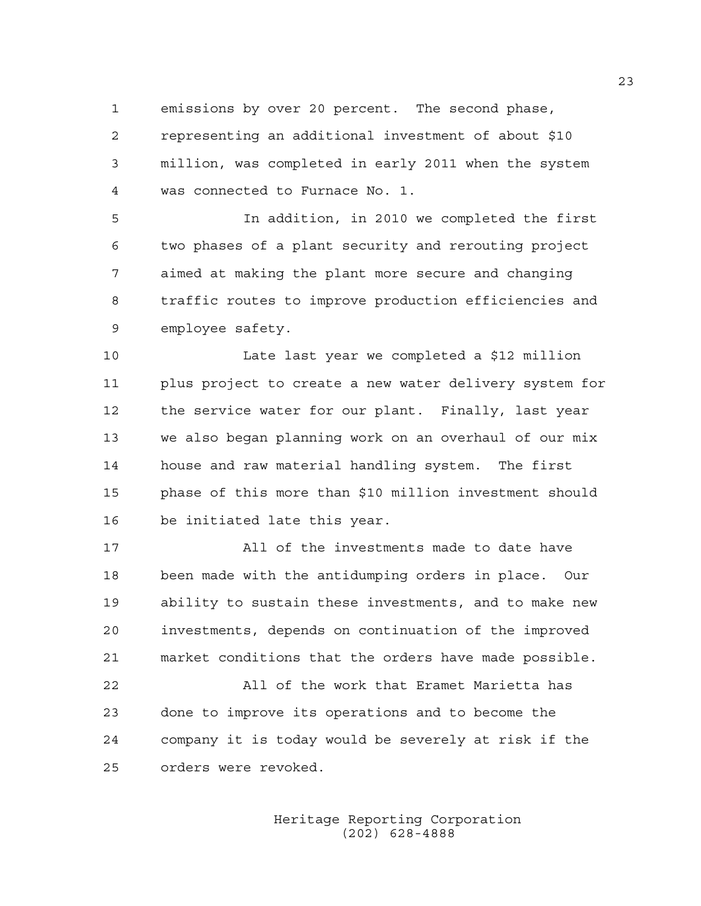1 emissions by over 20 percent. The second phase,

2 representing an additional investment of about \$10 3 million, was completed in early 2011 when the system 4 was connected to Furnace No. 1.

5 In addition, in 2010 we completed the first 6 two phases of a plant security and rerouting project 7 aimed at making the plant more secure and changing 8 traffic routes to improve production efficiencies and 9 employee safety.

10 Late last year we completed a \$12 million 11 plus project to create a new water delivery system for 12 the service water for our plant. Finally, last year 13 we also began planning work on an overhaul of our mix 14 house and raw material handling system. The first 15 phase of this more than \$10 million investment should 16 be initiated late this year.

17 All of the investments made to date have 18 been made with the antidumping orders in place. Our 19 ability to sustain these investments, and to make new 20 investments, depends on continuation of the improved 21 market conditions that the orders have made possible.

22 All of the work that Eramet Marietta has 23 done to improve its operations and to become the 24 company it is today would be severely at risk if the 25 orders were revoked.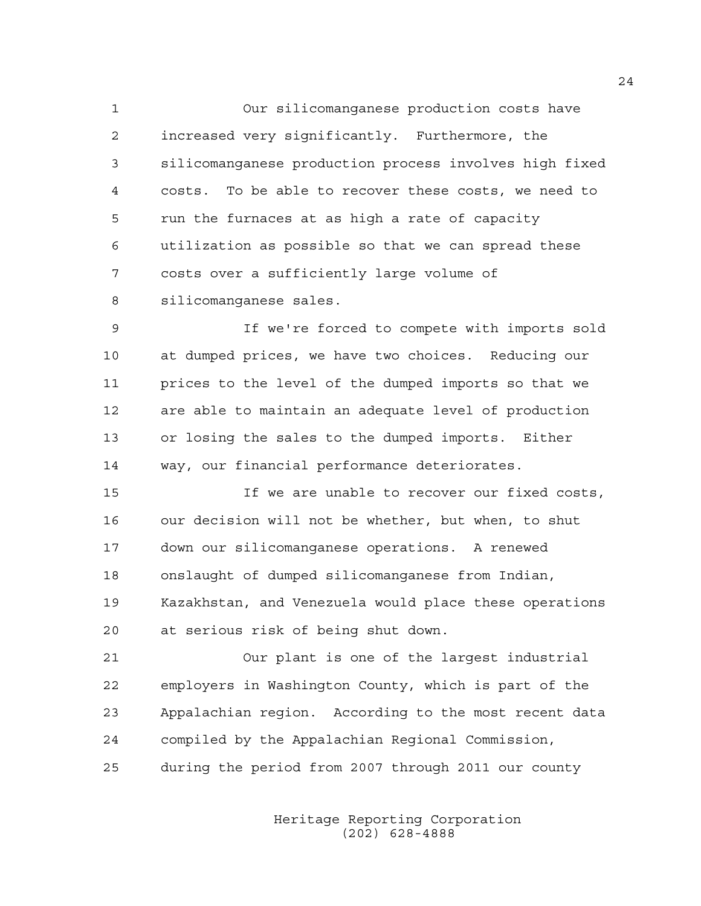1 Our silicomanganese production costs have 2 increased very significantly. Furthermore, the 3 silicomanganese production process involves high fixed 4 costs. To be able to recover these costs, we need to 5 run the furnaces at as high a rate of capacity 6 utilization as possible so that we can spread these 7 costs over a sufficiently large volume of 8 silicomanganese sales.

9 If we're forced to compete with imports sold 10 at dumped prices, we have two choices. Reducing our 11 prices to the level of the dumped imports so that we 12 are able to maintain an adequate level of production 13 or losing the sales to the dumped imports. Either 14 way, our financial performance deteriorates.

15 If we are unable to recover our fixed costs, 16 our decision will not be whether, but when, to shut 17 down our silicomanganese operations. A renewed 18 onslaught of dumped silicomanganese from Indian, 19 Kazakhstan, and Venezuela would place these operations 20 at serious risk of being shut down.

21 Our plant is one of the largest industrial 22 employers in Washington County, which is part of the 23 Appalachian region. According to the most recent data 24 compiled by the Appalachian Regional Commission, 25 during the period from 2007 through 2011 our county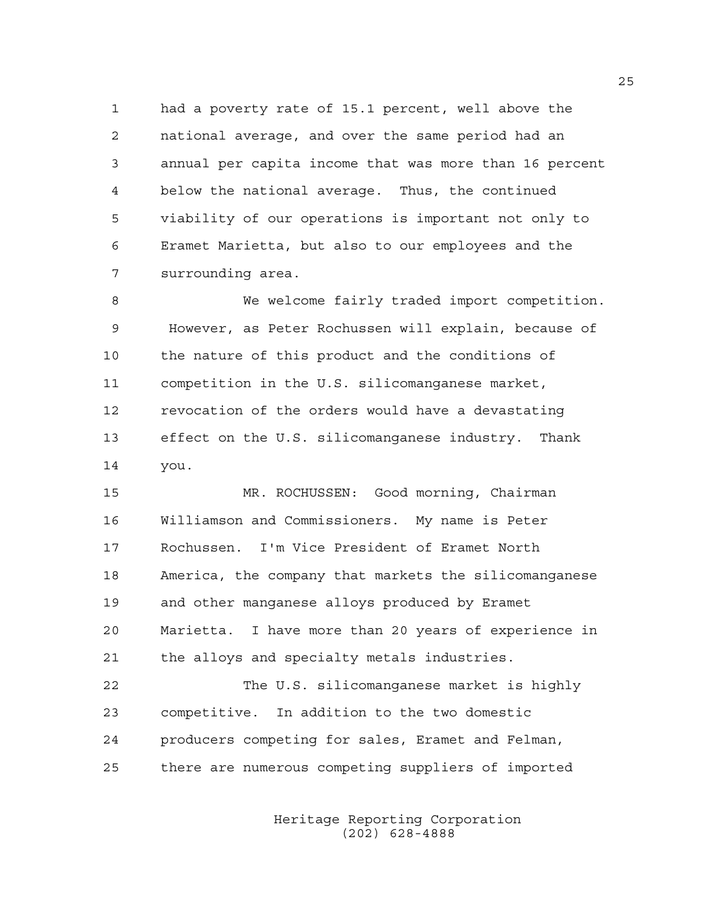1 had a poverty rate of 15.1 percent, well above the 2 national average, and over the same period had an 3 annual per capita income that was more than 16 percent 4 below the national average. Thus, the continued 5 viability of our operations is important not only to 6 Eramet Marietta, but also to our employees and the 7 surrounding area.

8 We welcome fairly traded import competition. 9 However, as Peter Rochussen will explain, because of 10 the nature of this product and the conditions of 11 competition in the U.S. silicomanganese market, 12 revocation of the orders would have a devastating 13 effect on the U.S. silicomanganese industry. Thank 14 you.

15 MR. ROCHUSSEN: Good morning, Chairman 16 Williamson and Commissioners. My name is Peter 17 Rochussen. I'm Vice President of Eramet North 18 America, the company that markets the silicomanganese 19 and other manganese alloys produced by Eramet 20 Marietta. I have more than 20 years of experience in 21 the alloys and specialty metals industries.

22 The U.S. silicomanganese market is highly 23 competitive. In addition to the two domestic 24 producers competing for sales, Eramet and Felman, 25 there are numerous competing suppliers of imported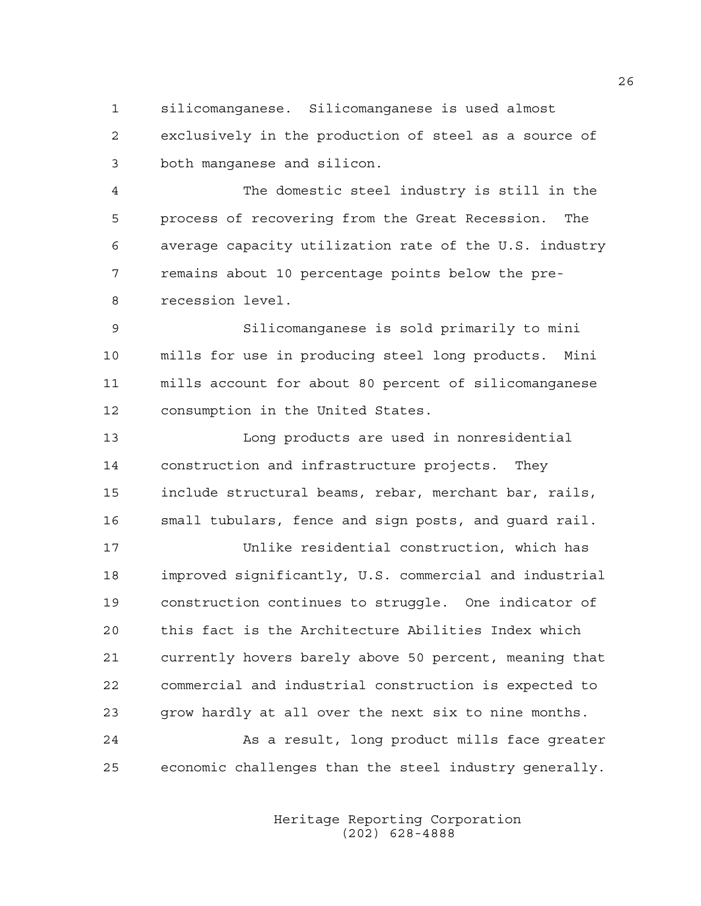1 silicomanganese. Silicomanganese is used almost 2 exclusively in the production of steel as a source of 3 both manganese and silicon.

4 The domestic steel industry is still in the 5 process of recovering from the Great Recession. The 6 average capacity utilization rate of the U.S. industry 7 remains about 10 percentage points below the pre-8 recession level.

9 Silicomanganese is sold primarily to mini 10 mills for use in producing steel long products. Mini 11 mills account for about 80 percent of silicomanganese 12 consumption in the United States.

13 Long products are used in nonresidential 14 construction and infrastructure projects. They 15 include structural beams, rebar, merchant bar, rails, 16 small tubulars, fence and sign posts, and guard rail.

17 Unlike residential construction, which has 18 improved significantly, U.S. commercial and industrial 19 construction continues to struggle. One indicator of 20 this fact is the Architecture Abilities Index which 21 currently hovers barely above 50 percent, meaning that 22 commercial and industrial construction is expected to 23 grow hardly at all over the next six to nine months. 24 As a result, long product mills face greater

25 economic challenges than the steel industry generally.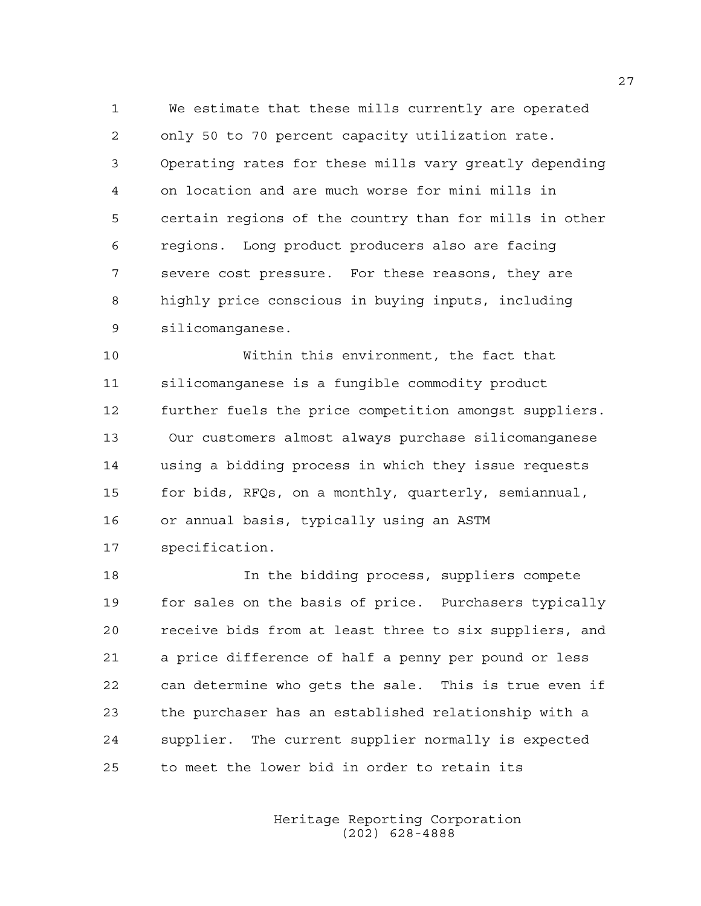1 We estimate that these mills currently are operated 2 only 50 to 70 percent capacity utilization rate. 3 Operating rates for these mills vary greatly depending 4 on location and are much worse for mini mills in 5 certain regions of the country than for mills in other 6 regions. Long product producers also are facing 7 severe cost pressure. For these reasons, they are 8 highly price conscious in buying inputs, including 9 silicomanganese.

10 Within this environment, the fact that 11 silicomanganese is a fungible commodity product 12 further fuels the price competition amongst suppliers. 13 Our customers almost always purchase silicomanganese 14 using a bidding process in which they issue requests 15 for bids, RFQs, on a monthly, quarterly, semiannual, 16 or annual basis, typically using an ASTM 17 specification.

18 In the bidding process, suppliers compete 19 for sales on the basis of price. Purchasers typically 20 receive bids from at least three to six suppliers, and 21 a price difference of half a penny per pound or less 22 can determine who gets the sale. This is true even if 23 the purchaser has an established relationship with a 24 supplier. The current supplier normally is expected 25 to meet the lower bid in order to retain its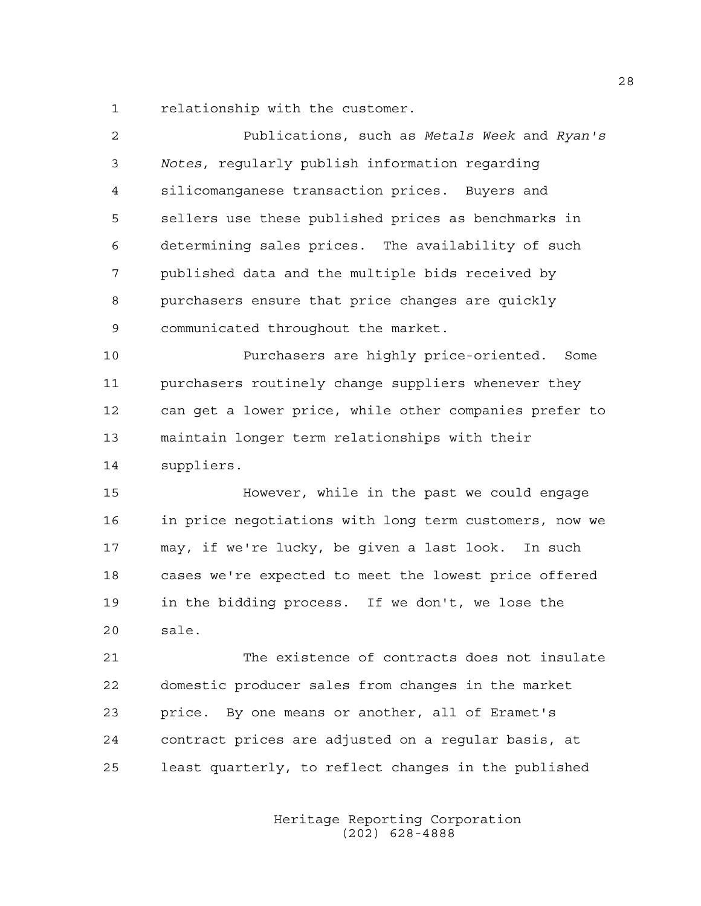1 relationship with the customer.

| $\overline{c}$ | Publications, such as Metals Week and Ryan's           |
|----------------|--------------------------------------------------------|
| 3              | Notes, regularly publish information regarding         |
| 4              | silicomanganese transaction prices. Buyers and         |
| 5              | sellers use these published prices as benchmarks in    |
| 6              | determining sales prices. The availability of such     |
| 7              | published data and the multiple bids received by       |
| 8              | purchasers ensure that price changes are quickly       |
| 9              | communicated throughout the market.                    |
| 10             | Purchasers are highly price-oriented. Some             |
| 11             | purchasers routinely change suppliers whenever they    |
| 12             | can get a lower price, while other companies prefer to |
| 13             | maintain longer term relationships with their          |
| 14             | suppliers.                                             |
| 15             | However, while in the past we could engage             |
| 16             | in price negotiations with long term customers, now we |
| 17             | may, if we're lucky, be given a last look. In such     |
| 18             | cases we're expected to meet the lowest price offered  |
| 19             | in the bidding process. If we don't, we lose the       |
| 20             | sale.                                                  |
| 21             | The existence of contracts does not insulate           |
| 22             | domestic producer sales from changes in the market     |
| 23             | price. By one means or another, all of Eramet's        |
| 24             | contract prices are adjusted on a regular basis, at    |
|                |                                                        |

 Heritage Reporting Corporation (202) 628-4888

25 least quarterly, to reflect changes in the published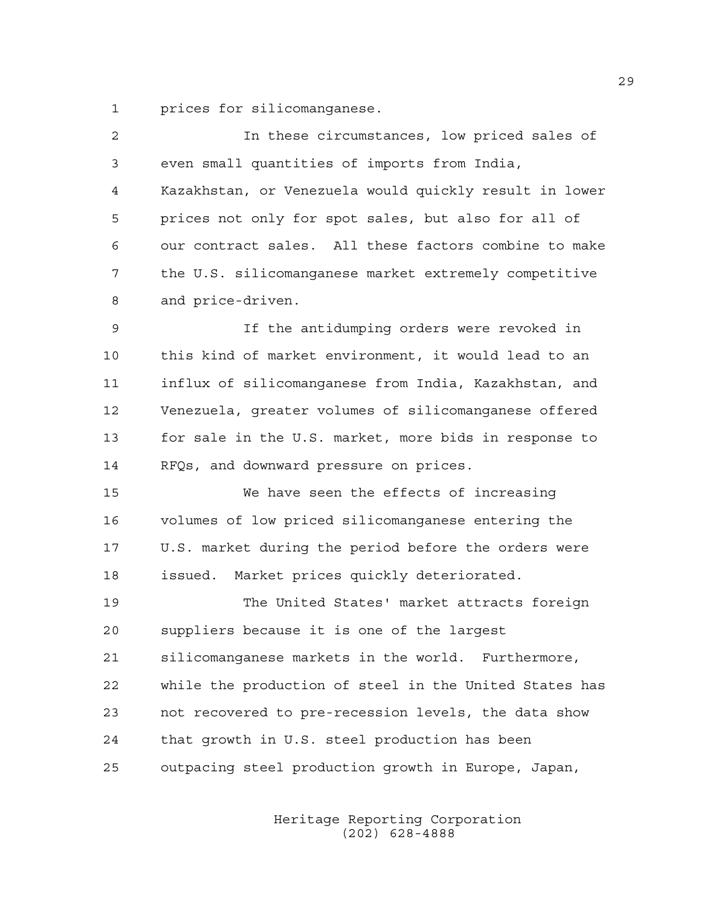1 prices for silicomanganese.

| $\overline{c}$ | In these circumstances, low priced sales of            |
|----------------|--------------------------------------------------------|
| 3              | even small quantities of imports from India,           |
| 4              | Kazakhstan, or Venezuela would quickly result in lower |
| 5              | prices not only for spot sales, but also for all of    |
| 6              | our contract sales. All these factors combine to make  |
| 7              | the U.S. silicomanganese market extremely competitive  |
| 8              | and price-driven.                                      |
| 9              | If the antidumping orders were revoked in              |
| 10             | this kind of market environment, it would lead to an   |
| 11             | influx of silicomanganese from India, Kazakhstan, and  |
| 12             | Venezuela, greater volumes of silicomanganese offered  |
| 13             | for sale in the U.S. market, more bids in response to  |
| 14             | RFQs, and downward pressure on prices.                 |
| 15             | We have seen the effects of increasing                 |
| 16             | volumes of low priced silicomanganese entering the     |
| 17             | U.S. market during the period before the orders were   |
| 18             | Market prices quickly deteriorated.<br>issued.         |
| 19             | The United States' market attracts foreign             |
| 20             | suppliers because it is one of the largest             |
| 21             | silicomanganese markets in the world. Furthermore,     |
| 22             | while the production of steel in the United States has |
| 23             | not recovered to pre-recession levels, the data show   |
| 24             | that growth in U.S. steel production has been          |
| 25             | outpacing steel production growth in Europe, Japan,    |
|                |                                                        |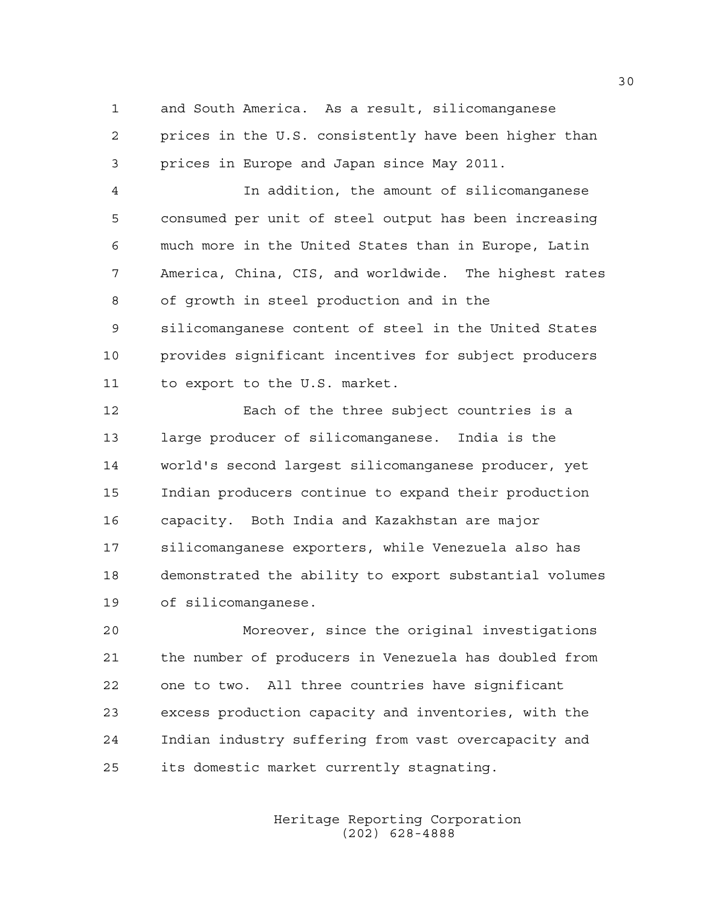1 and South America. As a result, silicomanganese 2 prices in the U.S. consistently have been higher than 3 prices in Europe and Japan since May 2011.

4 In addition, the amount of silicomanganese 5 consumed per unit of steel output has been increasing 6 much more in the United States than in Europe, Latin 7 America, China, CIS, and worldwide. The highest rates 8 of growth in steel production and in the 9 silicomanganese content of steel in the United States 10 provides significant incentives for subject producers 11 to export to the U.S. market.

12 Each of the three subject countries is a 13 large producer of silicomanganese. India is the 14 world's second largest silicomanganese producer, yet 15 Indian producers continue to expand their production 16 capacity. Both India and Kazakhstan are major 17 silicomanganese exporters, while Venezuela also has 18 demonstrated the ability to export substantial volumes 19 of silicomanganese.

20 Moreover, since the original investigations 21 the number of producers in Venezuela has doubled from 22 one to two. All three countries have significant 23 excess production capacity and inventories, with the 24 Indian industry suffering from vast overcapacity and 25 its domestic market currently stagnating.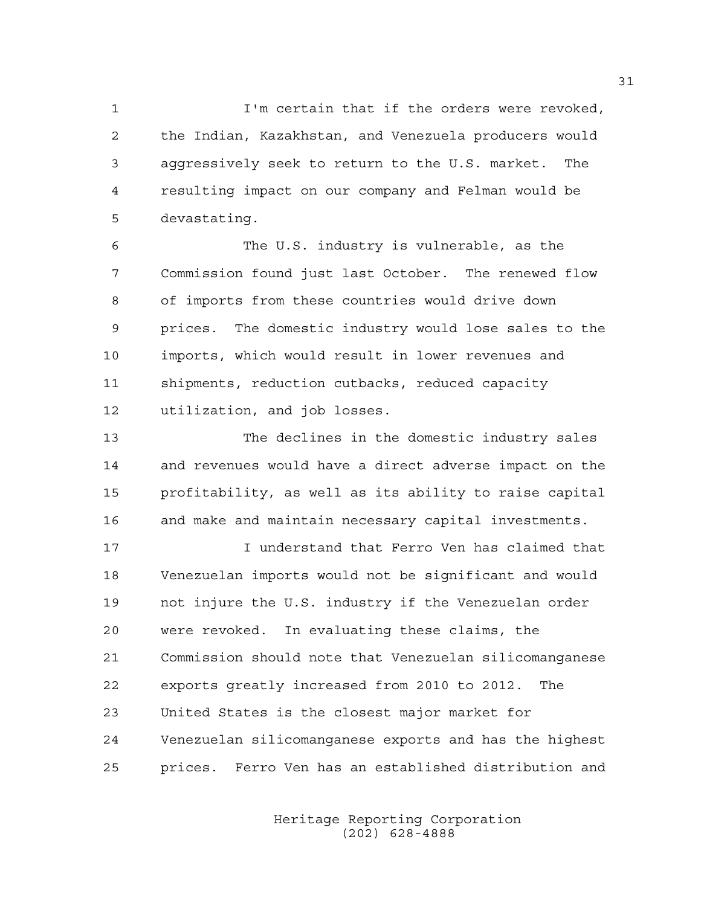1 I'm certain that if the orders were revoked, 2 the Indian, Kazakhstan, and Venezuela producers would 3 aggressively seek to return to the U.S. market. The 4 resulting impact on our company and Felman would be 5 devastating.

6 The U.S. industry is vulnerable, as the 7 Commission found just last October. The renewed flow 8 of imports from these countries would drive down 9 prices. The domestic industry would lose sales to the 10 imports, which would result in lower revenues and 11 shipments, reduction cutbacks, reduced capacity 12 utilization, and job losses.

13 The declines in the domestic industry sales 14 and revenues would have a direct adverse impact on the 15 profitability, as well as its ability to raise capital 16 and make and maintain necessary capital investments.

17 I understand that Ferro Ven has claimed that 18 Venezuelan imports would not be significant and would 19 not injure the U.S. industry if the Venezuelan order 20 were revoked. In evaluating these claims, the 21 Commission should note that Venezuelan silicomanganese 22 exports greatly increased from 2010 to 2012. The 23 United States is the closest major market for 24 Venezuelan silicomanganese exports and has the highest 25 prices. Ferro Ven has an established distribution and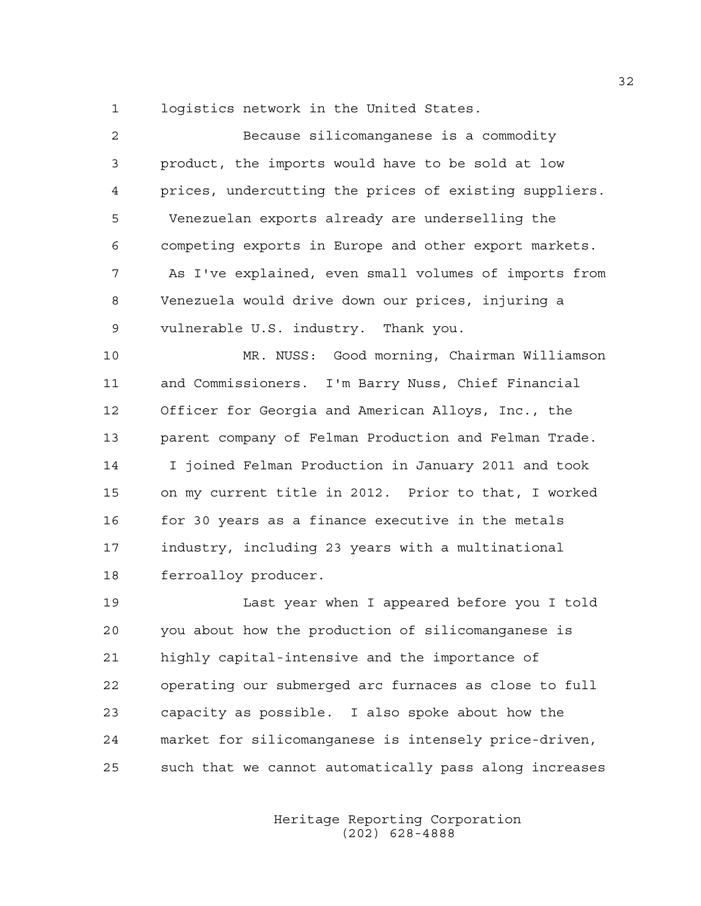1 logistics network in the United States.

| 2  | Because silicomanganese is a commodity                 |
|----|--------------------------------------------------------|
| 3  | product, the imports would have to be sold at low      |
| 4  | prices, undercutting the prices of existing suppliers. |
| 5  | Venezuelan exports already are underselling the        |
| 6  | competing exports in Europe and other export markets.  |
| 7  | As I've explained, even small volumes of imports from  |
| 8  | Venezuela would drive down our prices, injuring a      |
| 9  | vulnerable U.S. industry. Thank you.                   |
| 10 | MR. NUSS: Good morning, Chairman Williamson            |
| 11 | and Commissioners. I'm Barry Nuss, Chief Financial     |
| 12 | Officer for Georgia and American Alloys, Inc., the     |
| 13 | parent company of Felman Production and Felman Trade.  |
| 14 | I joined Felman Production in January 2011 and took    |
| 15 | on my current title in 2012. Prior to that, I worked   |
| 16 | for 30 years as a finance executive in the metals      |
| 17 | industry, including 23 years with a multinational      |
| 18 | ferroalloy producer.                                   |

19 Last year when I appeared before you I told 20 you about how the production of silicomanganese is 21 highly capital-intensive and the importance of 22 operating our submerged arc furnaces as close to full 23 capacity as possible. I also spoke about how the 24 market for silicomanganese is intensely price-driven, 25 such that we cannot automatically pass along increases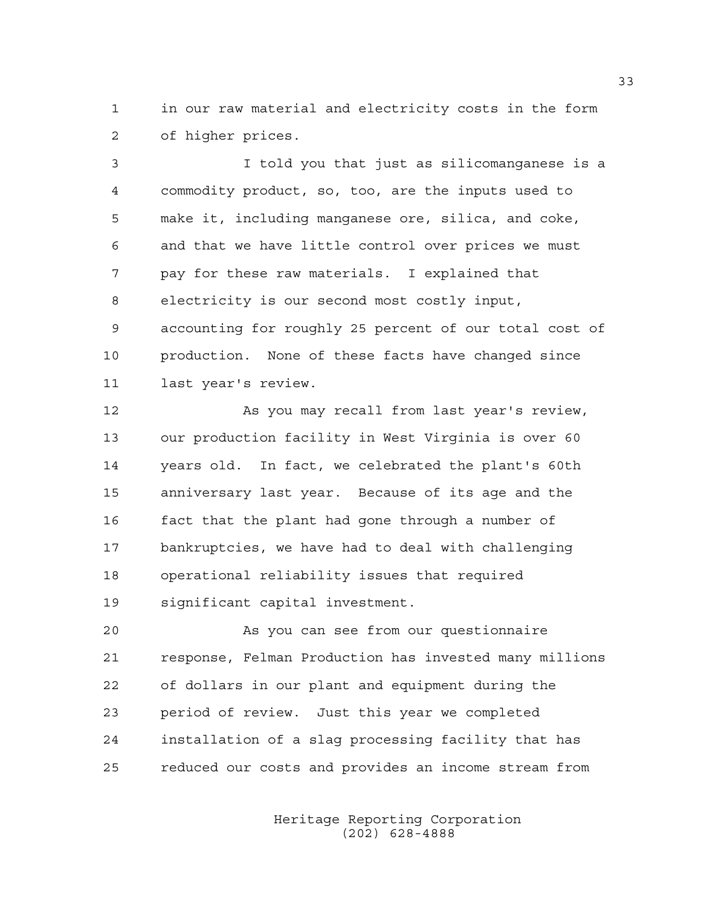1 in our raw material and electricity costs in the form 2 of higher prices.

3 I told you that just as silicomanganese is a 4 commodity product, so, too, are the inputs used to 5 make it, including manganese ore, silica, and coke, 6 and that we have little control over prices we must 7 pay for these raw materials. I explained that 8 electricity is our second most costly input, 9 accounting for roughly 25 percent of our total cost of 10 production. None of these facts have changed since 11 last year's review.

12 As you may recall from last year's review, 13 our production facility in West Virginia is over 60 14 years old. In fact, we celebrated the plant's 60th 15 anniversary last year. Because of its age and the 16 fact that the plant had gone through a number of 17 bankruptcies, we have had to deal with challenging 18 operational reliability issues that required 19 significant capital investment.

20 As you can see from our questionnaire 21 response, Felman Production has invested many millions 22 of dollars in our plant and equipment during the 23 period of review. Just this year we completed 24 installation of a slag processing facility that has 25 reduced our costs and provides an income stream from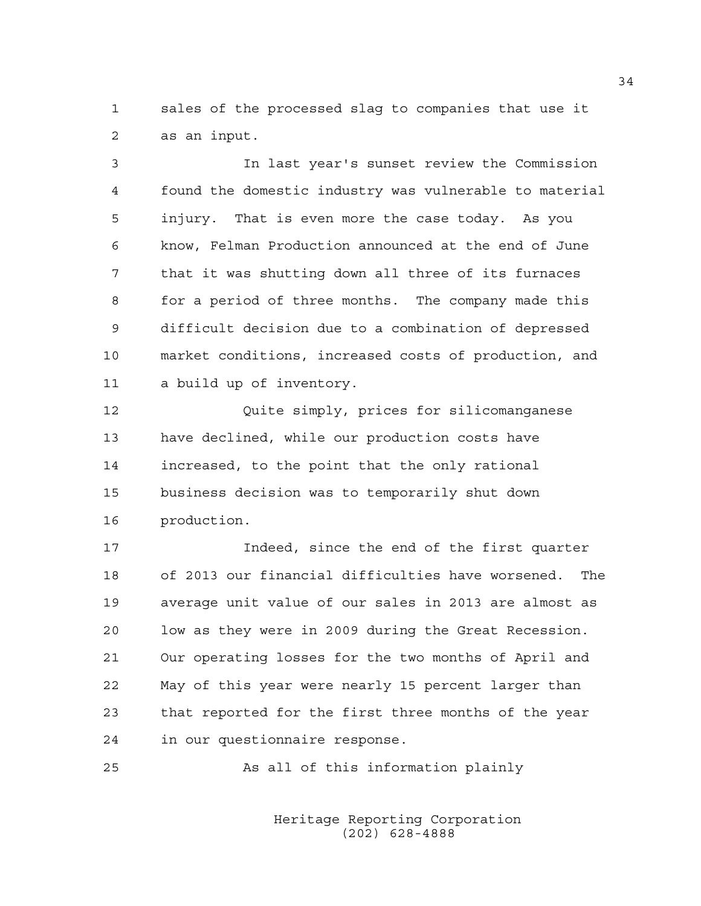1 sales of the processed slag to companies that use it 2 as an input.

3 In last year's sunset review the Commission 4 found the domestic industry was vulnerable to material 5 injury. That is even more the case today. As you 6 know, Felman Production announced at the end of June 7 that it was shutting down all three of its furnaces 8 for a period of three months. The company made this 9 difficult decision due to a combination of depressed 10 market conditions, increased costs of production, and 11 a build up of inventory.

12 Quite simply, prices for silicomanganese 13 have declined, while our production costs have 14 increased, to the point that the only rational 15 business decision was to temporarily shut down 16 production.

17 Indeed, since the end of the first quarter 18 of 2013 our financial difficulties have worsened. The 19 average unit value of our sales in 2013 are almost as 20 low as they were in 2009 during the Great Recession. 21 Our operating losses for the two months of April and 22 May of this year were nearly 15 percent larger than 23 that reported for the first three months of the year 24 in our questionnaire response.

25 As all of this information plainly

 Heritage Reporting Corporation (202) 628-4888

34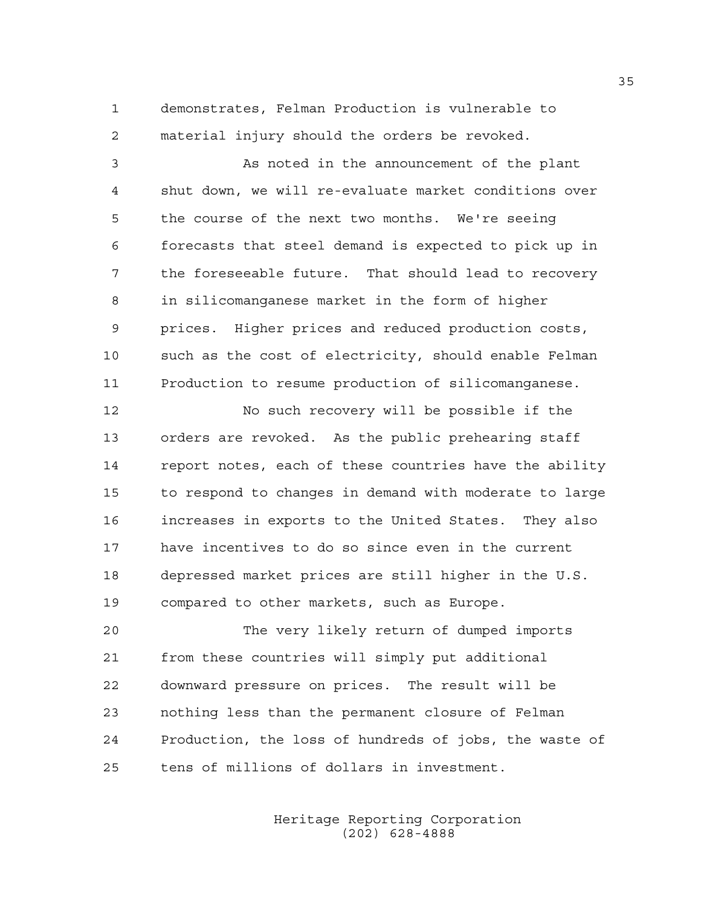1 demonstrates, Felman Production is vulnerable to 2 material injury should the orders be revoked.

3 As noted in the announcement of the plant 4 shut down, we will re-evaluate market conditions over 5 the course of the next two months. We're seeing 6 forecasts that steel demand is expected to pick up in 7 the foreseeable future. That should lead to recovery 8 in silicomanganese market in the form of higher 9 prices. Higher prices and reduced production costs, 10 such as the cost of electricity, should enable Felman 11 Production to resume production of silicomanganese.

12 No such recovery will be possible if the 13 orders are revoked. As the public prehearing staff 14 report notes, each of these countries have the ability 15 to respond to changes in demand with moderate to large 16 increases in exports to the United States. They also 17 have incentives to do so since even in the current 18 depressed market prices are still higher in the U.S. 19 compared to other markets, such as Europe.

20 The very likely return of dumped imports 21 from these countries will simply put additional 22 downward pressure on prices. The result will be 23 nothing less than the permanent closure of Felman 24 Production, the loss of hundreds of jobs, the waste of 25 tens of millions of dollars in investment.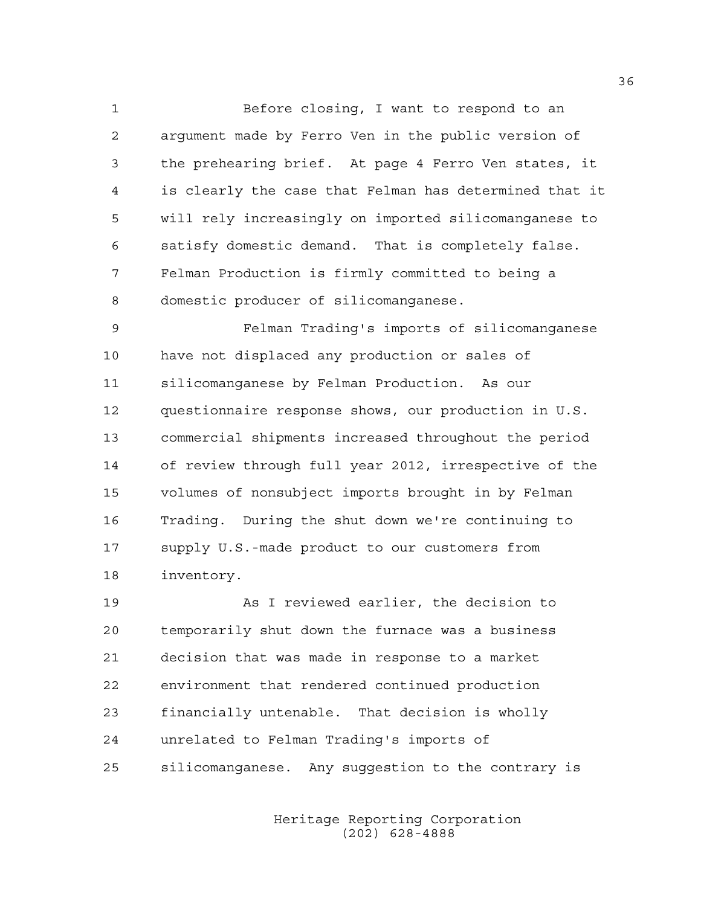1 Before closing, I want to respond to an 2 argument made by Ferro Ven in the public version of 3 the prehearing brief. At page 4 Ferro Ven states, it 4 is clearly the case that Felman has determined that it 5 will rely increasingly on imported silicomanganese to 6 satisfy domestic demand. That is completely false. 7 Felman Production is firmly committed to being a 8 domestic producer of silicomanganese.

9 Felman Trading's imports of silicomanganese 10 have not displaced any production or sales of 11 silicomanganese by Felman Production. As our 12 questionnaire response shows, our production in U.S. 13 commercial shipments increased throughout the period 14 of review through full year 2012, irrespective of the 15 volumes of nonsubject imports brought in by Felman 16 Trading. During the shut down we're continuing to 17 supply U.S.-made product to our customers from 18 inventory.

19 As I reviewed earlier, the decision to 20 temporarily shut down the furnace was a business 21 decision that was made in response to a market 22 environment that rendered continued production 23 financially untenable. That decision is wholly 24 unrelated to Felman Trading's imports of 25 silicomanganese. Any suggestion to the contrary is

> Heritage Reporting Corporation (202) 628-4888

36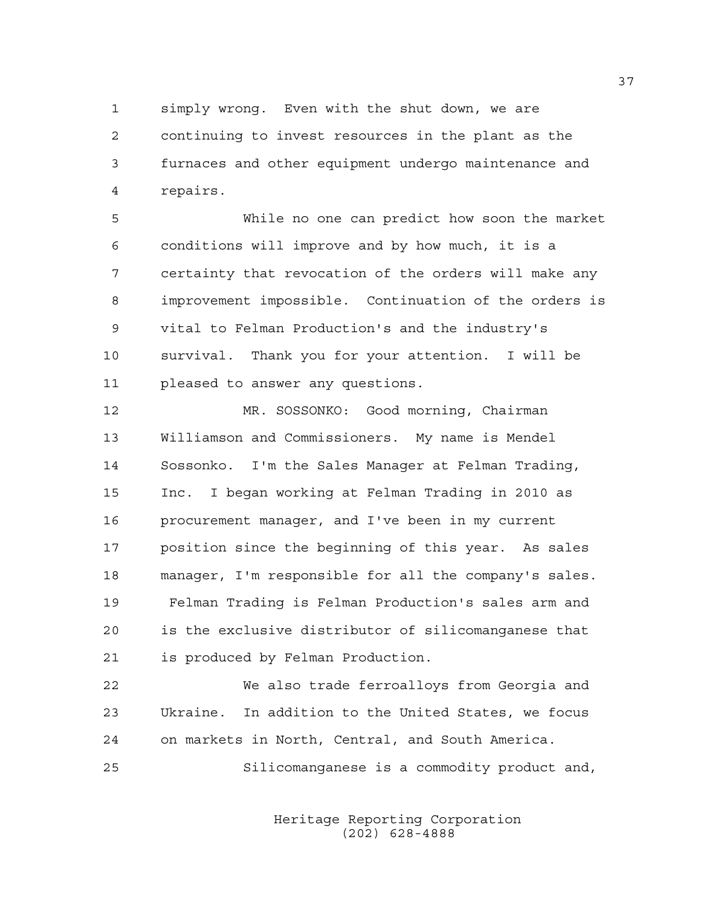1 simply wrong. Even with the shut down, we are 2 continuing to invest resources in the plant as the 3 furnaces and other equipment undergo maintenance and 4 repairs.

5 While no one can predict how soon the market 6 conditions will improve and by how much, it is a 7 certainty that revocation of the orders will make any 8 improvement impossible. Continuation of the orders is 9 vital to Felman Production's and the industry's 10 survival. Thank you for your attention. I will be 11 pleased to answer any questions.

12 MR. SOSSONKO: Good morning, Chairman 13 Williamson and Commissioners. My name is Mendel 14 Sossonko. I'm the Sales Manager at Felman Trading, 15 Inc. I began working at Felman Trading in 2010 as 16 procurement manager, and I've been in my current 17 position since the beginning of this year. As sales 18 manager, I'm responsible for all the company's sales. 19 Felman Trading is Felman Production's sales arm and 20 is the exclusive distributor of silicomanganese that 21 is produced by Felman Production.

22 We also trade ferroalloys from Georgia and 23 Ukraine. In addition to the United States, we focus 24 on markets in North, Central, and South America.

25 Silicomanganese is a commodity product and,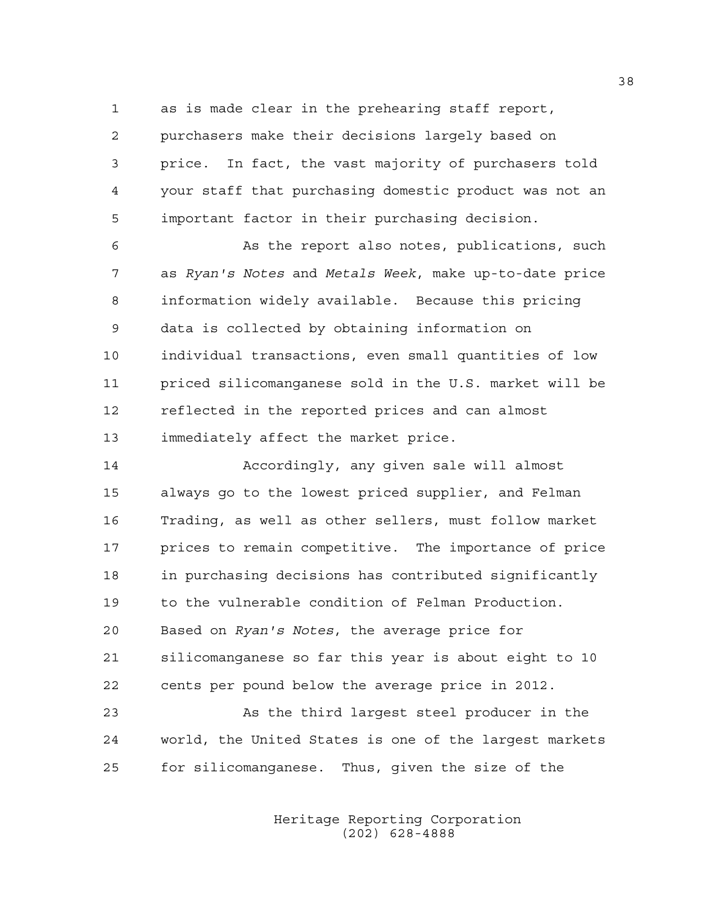1 as is made clear in the prehearing staff report, 2 purchasers make their decisions largely based on 3 price. In fact, the vast majority of purchasers told 4 your staff that purchasing domestic product was not an 5 important factor in their purchasing decision.

6 As the report also notes, publications, such 7 as *Ryan's Notes* and *Metals Week*, make up-to-date price 8 information widely available. Because this pricing 9 data is collected by obtaining information on 10 individual transactions, even small quantities of low 11 priced silicomanganese sold in the U.S. market will be 12 reflected in the reported prices and can almost 13 immediately affect the market price.

14 Accordingly, any given sale will almost 15 always go to the lowest priced supplier, and Felman 16 Trading, as well as other sellers, must follow market 17 prices to remain competitive. The importance of price 18 in purchasing decisions has contributed significantly 19 to the vulnerable condition of Felman Production. 20 Based on *Ryan's Notes*, the average price for 21 silicomanganese so far this year is about eight to 10 22 cents per pound below the average price in 2012.

23 As the third largest steel producer in the 24 world, the United States is one of the largest markets 25 for silicomanganese. Thus, given the size of the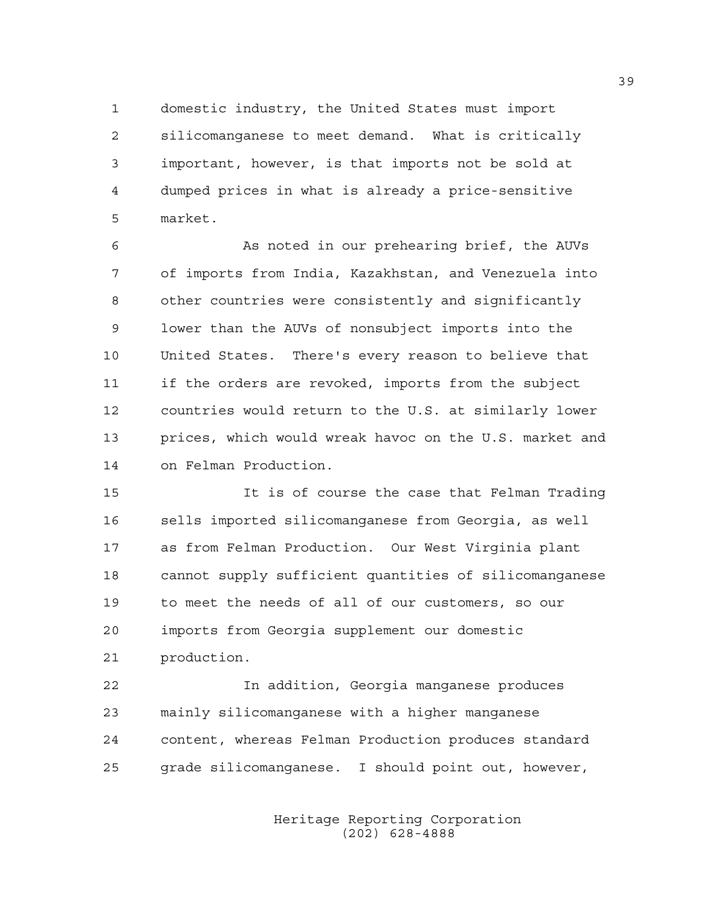1 domestic industry, the United States must import 2 silicomanganese to meet demand. What is critically 3 important, however, is that imports not be sold at 4 dumped prices in what is already a price-sensitive 5 market.

6 As noted in our prehearing brief, the AUVs 7 of imports from India, Kazakhstan, and Venezuela into 8 other countries were consistently and significantly 9 lower than the AUVs of nonsubject imports into the 10 United States. There's every reason to believe that 11 if the orders are revoked, imports from the subject 12 countries would return to the U.S. at similarly lower 13 prices, which would wreak havoc on the U.S. market and 14 on Felman Production.

15 It is of course the case that Felman Trading 16 sells imported silicomanganese from Georgia, as well 17 as from Felman Production. Our West Virginia plant 18 cannot supply sufficient quantities of silicomanganese 19 to meet the needs of all of our customers, so our 20 imports from Georgia supplement our domestic 21 production.

22 In addition, Georgia manganese produces 23 mainly silicomanganese with a higher manganese 24 content, whereas Felman Production produces standard 25 grade silicomanganese. I should point out, however,

> Heritage Reporting Corporation (202) 628-4888

39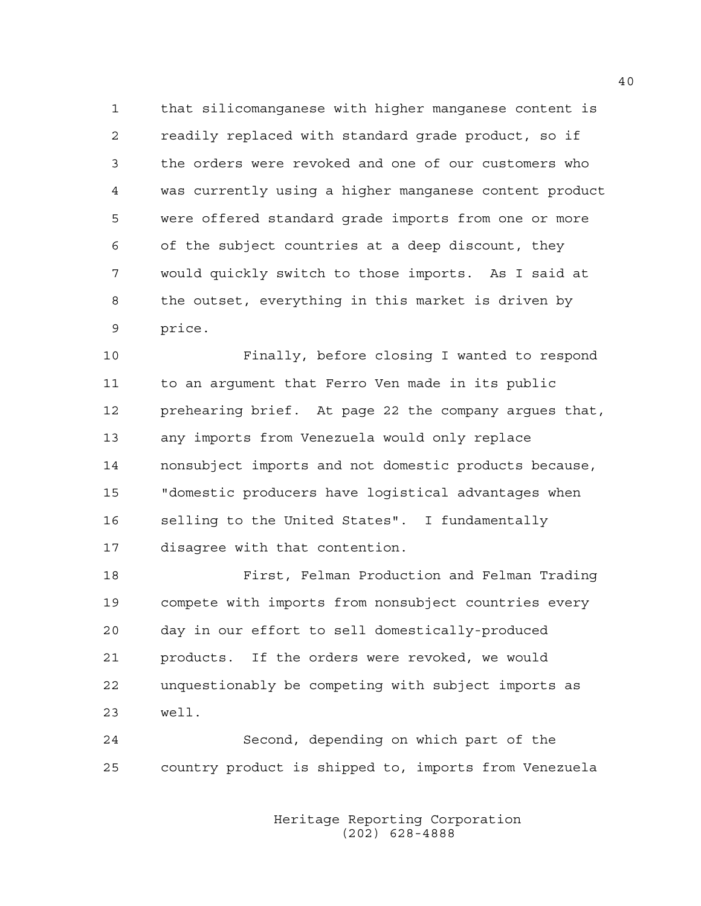1 that silicomanganese with higher manganese content is 2 readily replaced with standard grade product, so if 3 the orders were revoked and one of our customers who 4 was currently using a higher manganese content product 5 were offered standard grade imports from one or more 6 of the subject countries at a deep discount, they 7 would quickly switch to those imports. As I said at 8 the outset, everything in this market is driven by 9 price.

10 Finally, before closing I wanted to respond 11 to an argument that Ferro Ven made in its public 12 prehearing brief. At page 22 the company argues that, 13 any imports from Venezuela would only replace 14 nonsubject imports and not domestic products because, 15 "domestic producers have logistical advantages when 16 selling to the United States". I fundamentally 17 disagree with that contention.

18 First, Felman Production and Felman Trading 19 compete with imports from nonsubject countries every 20 day in our effort to sell domestically-produced 21 products. If the orders were revoked, we would 22 unquestionably be competing with subject imports as 23 well.

24 Second, depending on which part of the 25 country product is shipped to, imports from Venezuela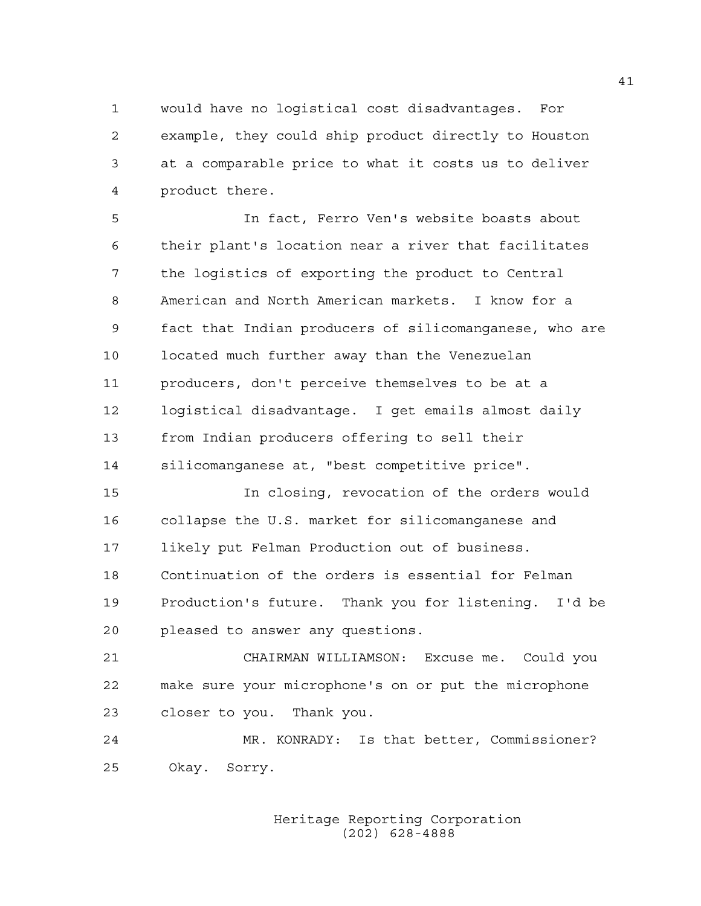1 would have no logistical cost disadvantages. For 2 example, they could ship product directly to Houston 3 at a comparable price to what it costs us to deliver 4 product there.

5 In fact, Ferro Ven's website boasts about 6 their plant's location near a river that facilitates 7 the logistics of exporting the product to Central 8 American and North American markets. I know for a 9 fact that Indian producers of silicomanganese, who are 10 located much further away than the Venezuelan 11 producers, don't perceive themselves to be at a 12 logistical disadvantage. I get emails almost daily 13 from Indian producers offering to sell their 14 silicomanganese at, "best competitive price".

15 In closing, revocation of the orders would 16 collapse the U.S. market for silicomanganese and 17 likely put Felman Production out of business. 18 Continuation of the orders is essential for Felman 19 Production's future. Thank you for listening. I'd be 20 pleased to answer any questions.

21 CHAIRMAN WILLIAMSON: Excuse me. Could you 22 make sure your microphone's on or put the microphone 23 closer to you. Thank you.

24 MR. KONRADY: Is that better, Commissioner? 25 Okay. Sorry.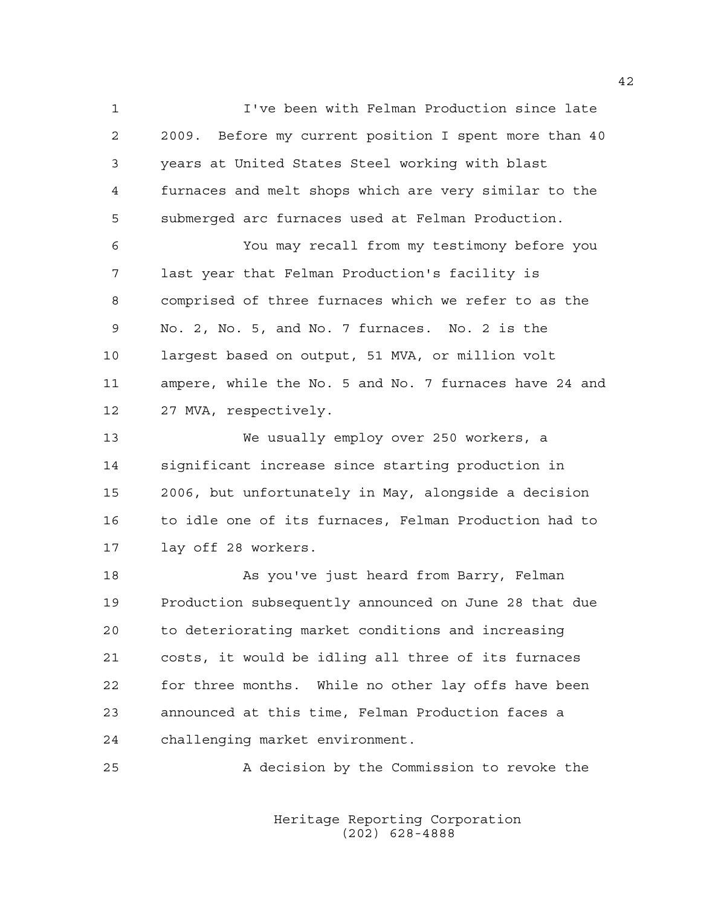1 I've been with Felman Production since late 2 2009. Before my current position I spent more than 40 3 years at United States Steel working with blast 4 furnaces and melt shops which are very similar to the 5 submerged arc furnaces used at Felman Production.

6 You may recall from my testimony before you 7 last year that Felman Production's facility is 8 comprised of three furnaces which we refer to as the 9 No. 2, No. 5, and No. 7 furnaces. No. 2 is the 10 largest based on output, 51 MVA, or million volt 11 ampere, while the No. 5 and No. 7 furnaces have 24 and 12 27 MVA, respectively.

13 We usually employ over 250 workers, a 14 significant increase since starting production in 15 2006, but unfortunately in May, alongside a decision 16 to idle one of its furnaces, Felman Production had to 17 lay off 28 workers.

18 As you've just heard from Barry, Felman 19 Production subsequently announced on June 28 that due 20 to deteriorating market conditions and increasing 21 costs, it would be idling all three of its furnaces 22 for three months. While no other lay offs have been 23 announced at this time, Felman Production faces a 24 challenging market environment.

25 A decision by the Commission to revoke the

 Heritage Reporting Corporation (202) 628-4888

42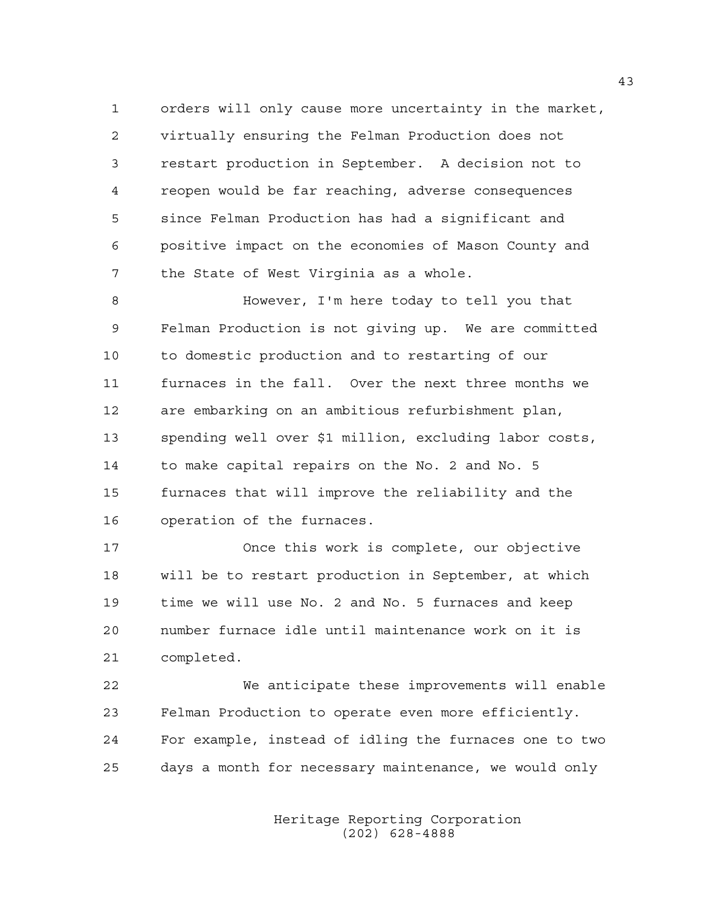1 orders will only cause more uncertainty in the market, 2 virtually ensuring the Felman Production does not 3 restart production in September. A decision not to 4 reopen would be far reaching, adverse consequences 5 since Felman Production has had a significant and 6 positive impact on the economies of Mason County and 7 the State of West Virginia as a whole.

8 However, I'm here today to tell you that 9 Felman Production is not giving up. We are committed 10 to domestic production and to restarting of our 11 furnaces in the fall. Over the next three months we 12 are embarking on an ambitious refurbishment plan, 13 spending well over \$1 million, excluding labor costs, 14 to make capital repairs on the No. 2 and No. 5 15 furnaces that will improve the reliability and the 16 operation of the furnaces.

17 Once this work is complete, our objective 18 will be to restart production in September, at which 19 time we will use No. 2 and No. 5 furnaces and keep 20 number furnace idle until maintenance work on it is 21 completed.

22 We anticipate these improvements will enable 23 Felman Production to operate even more efficiently. 24 For example, instead of idling the furnaces one to two 25 days a month for necessary maintenance, we would only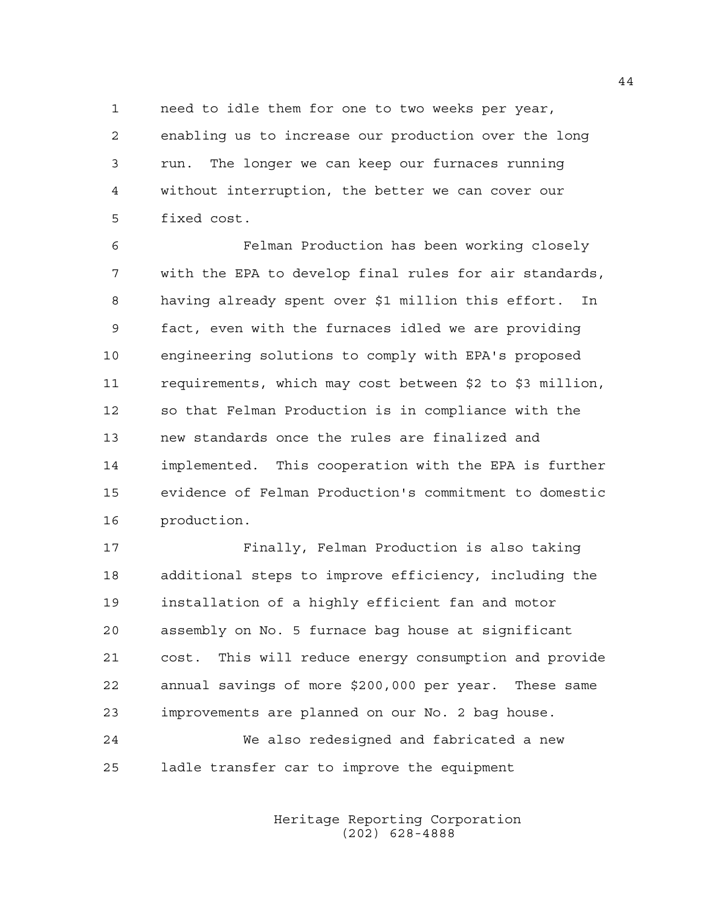1 need to idle them for one to two weeks per year, 2 enabling us to increase our production over the long 3 run. The longer we can keep our furnaces running 4 without interruption, the better we can cover our 5 fixed cost.

6 Felman Production has been working closely 7 with the EPA to develop final rules for air standards, 8 having already spent over \$1 million this effort. In 9 fact, even with the furnaces idled we are providing 10 engineering solutions to comply with EPA's proposed 11 requirements, which may cost between \$2 to \$3 million, 12 so that Felman Production is in compliance with the 13 new standards once the rules are finalized and 14 implemented. This cooperation with the EPA is further 15 evidence of Felman Production's commitment to domestic 16 production.

17 Finally, Felman Production is also taking 18 additional steps to improve efficiency, including the 19 installation of a highly efficient fan and motor 20 assembly on No. 5 furnace bag house at significant 21 cost. This will reduce energy consumption and provide 22 annual savings of more \$200,000 per year. These same 23 improvements are planned on our No. 2 bag house.

24 We also redesigned and fabricated a new 25 ladle transfer car to improve the equipment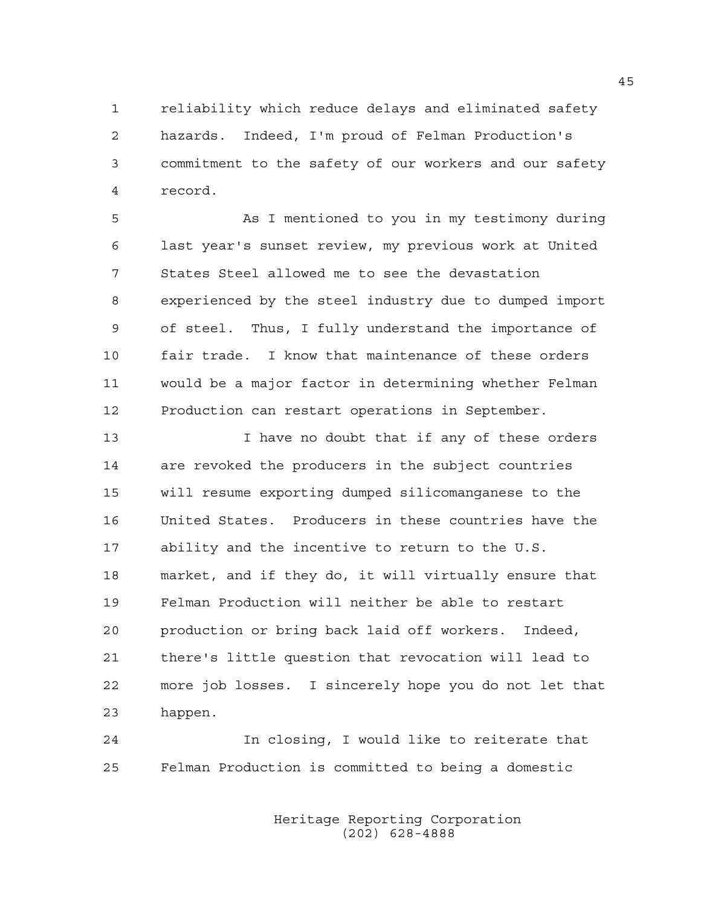1 reliability which reduce delays and eliminated safety 2 hazards. Indeed, I'm proud of Felman Production's 3 commitment to the safety of our workers and our safety 4 record.

5 As I mentioned to you in my testimony during 6 last year's sunset review, my previous work at United 7 States Steel allowed me to see the devastation 8 experienced by the steel industry due to dumped import 9 of steel. Thus, I fully understand the importance of 10 fair trade. I know that maintenance of these orders 11 would be a major factor in determining whether Felman 12 Production can restart operations in September.

13 13 I have no doubt that if any of these orders 14 are revoked the producers in the subject countries 15 will resume exporting dumped silicomanganese to the 16 United States. Producers in these countries have the 17 ability and the incentive to return to the U.S. 18 market, and if they do, it will virtually ensure that 19 Felman Production will neither be able to restart 20 production or bring back laid off workers. Indeed, 21 there's little question that revocation will lead to 22 more job losses. I sincerely hope you do not let that 23 happen.

24 In closing, I would like to reiterate that 25 Felman Production is committed to being a domestic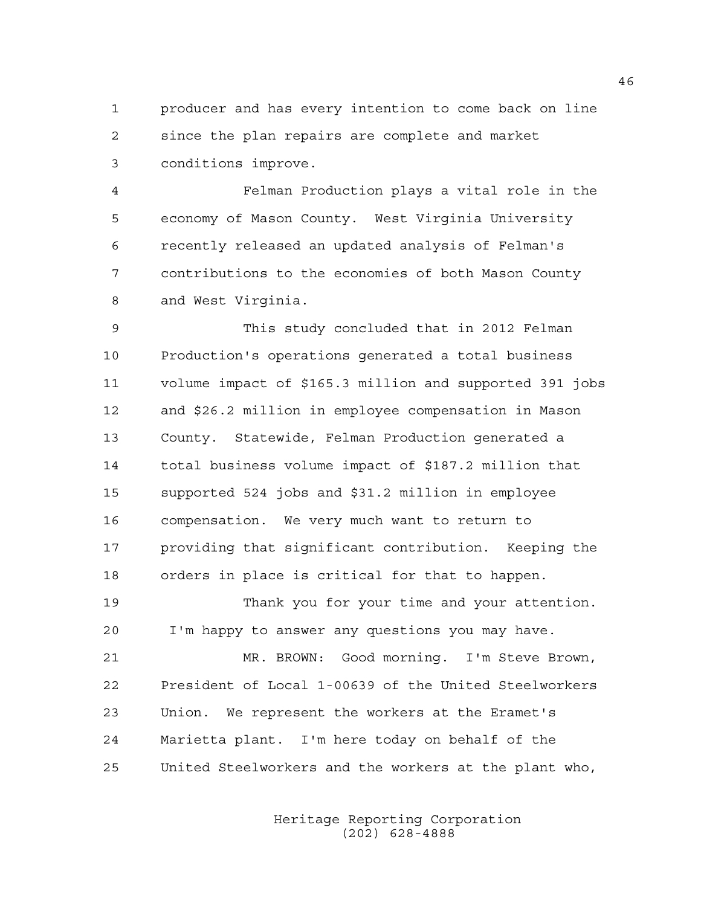1 producer and has every intention to come back on line 2 since the plan repairs are complete and market 3 conditions improve.

4 Felman Production plays a vital role in the 5 economy of Mason County. West Virginia University 6 recently released an updated analysis of Felman's 7 contributions to the economies of both Mason County 8 and West Virginia.

9 This study concluded that in 2012 Felman 10 Production's operations generated a total business 11 volume impact of \$165.3 million and supported 391 jobs 12 and \$26.2 million in employee compensation in Mason 13 County. Statewide, Felman Production generated a 14 total business volume impact of \$187.2 million that 15 supported 524 jobs and \$31.2 million in employee 16 compensation. We very much want to return to 17 providing that significant contribution. Keeping the 18 orders in place is critical for that to happen.

19 Thank you for your time and your attention. 20 I'm happy to answer any questions you may have.

21 MR. BROWN: Good morning. I'm Steve Brown, 22 President of Local 1-00639 of the United Steelworkers 23 Union. We represent the workers at the Eramet's 24 Marietta plant. I'm here today on behalf of the 25 United Steelworkers and the workers at the plant who,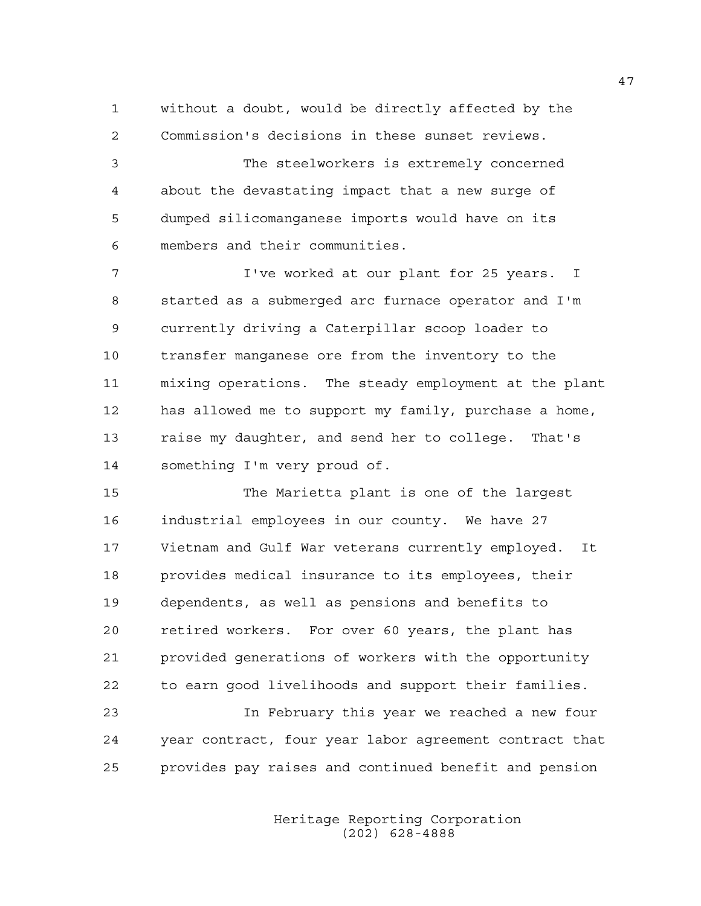1 without a doubt, would be directly affected by the 2 Commission's decisions in these sunset reviews.

3 The steelworkers is extremely concerned 4 about the devastating impact that a new surge of 5 dumped silicomanganese imports would have on its 6 members and their communities.

7 I've worked at our plant for 25 years. I 8 started as a submerged arc furnace operator and I'm 9 currently driving a Caterpillar scoop loader to 10 transfer manganese ore from the inventory to the 11 mixing operations. The steady employment at the plant 12 has allowed me to support my family, purchase a home, 13 raise my daughter, and send her to college. That's 14 something I'm very proud of.

15 The Marietta plant is one of the largest 16 industrial employees in our county. We have 27 17 Vietnam and Gulf War veterans currently employed. It 18 provides medical insurance to its employees, their 19 dependents, as well as pensions and benefits to 20 retired workers. For over 60 years, the plant has 21 provided generations of workers with the opportunity 22 to earn good livelihoods and support their families.

23 In February this year we reached a new four 24 year contract, four year labor agreement contract that 25 provides pay raises and continued benefit and pension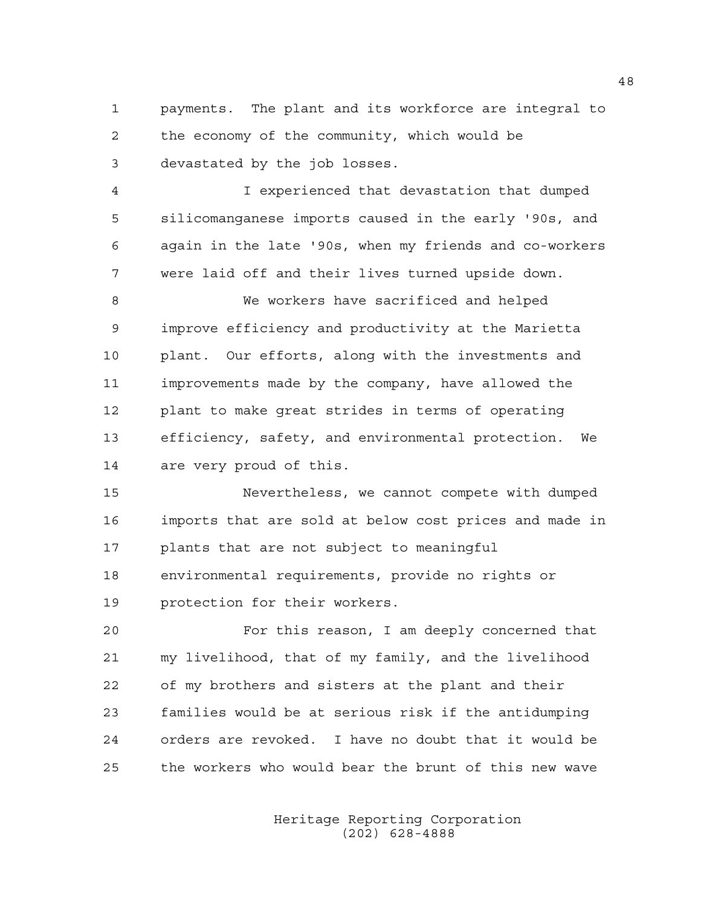1 payments. The plant and its workforce are integral to 2 the economy of the community, which would be 3 devastated by the job losses.

4 I experienced that devastation that dumped 5 silicomanganese imports caused in the early '90s, and 6 again in the late '90s, when my friends and co-workers 7 were laid off and their lives turned upside down.

8 We workers have sacrificed and helped 9 improve efficiency and productivity at the Marietta 10 plant. Our efforts, along with the investments and 11 improvements made by the company, have allowed the 12 plant to make great strides in terms of operating 13 efficiency, safety, and environmental protection. We 14 are very proud of this.

15 Nevertheless, we cannot compete with dumped 16 imports that are sold at below cost prices and made in 17 plants that are not subject to meaningful 18 environmental requirements, provide no rights or 19 protection for their workers.

20 For this reason, I am deeply concerned that 21 my livelihood, that of my family, and the livelihood 22 of my brothers and sisters at the plant and their 23 families would be at serious risk if the antidumping 24 orders are revoked. I have no doubt that it would be 25 the workers who would bear the brunt of this new wave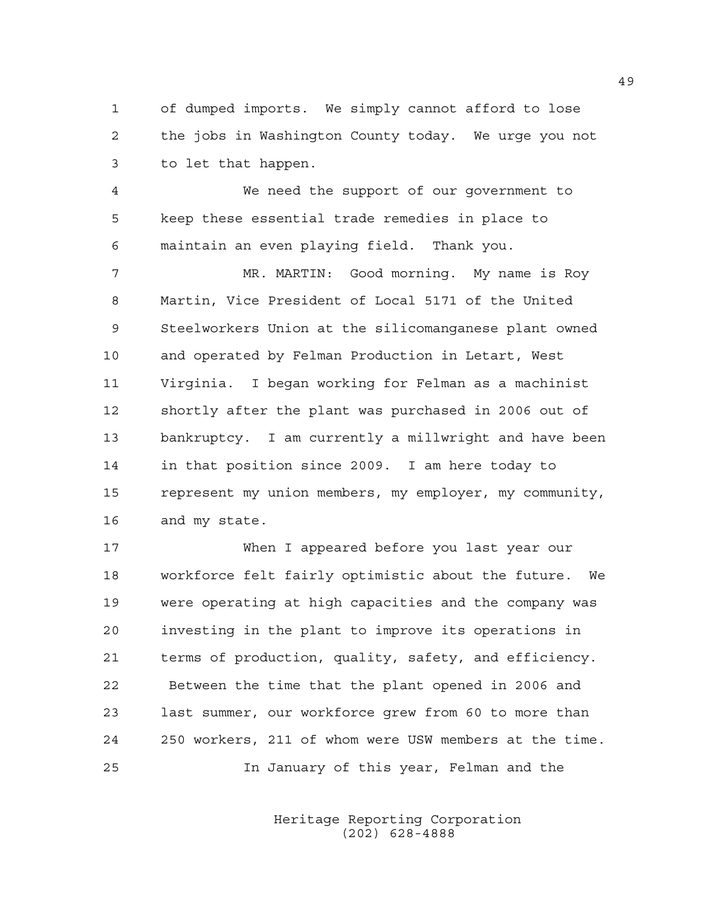1 of dumped imports. We simply cannot afford to lose 2 the jobs in Washington County today. We urge you not 3 to let that happen.

4 We need the support of our government to 5 keep these essential trade remedies in place to 6 maintain an even playing field. Thank you.

7 MR. MARTIN: Good morning. My name is Roy 8 Martin, Vice President of Local 5171 of the United 9 Steelworkers Union at the silicomanganese plant owned 10 and operated by Felman Production in Letart, West 11 Virginia. I began working for Felman as a machinist 12 shortly after the plant was purchased in 2006 out of 13 bankruptcy. I am currently a millwright and have been 14 in that position since 2009. I am here today to 15 represent my union members, my employer, my community, 16 and my state.

17 When I appeared before you last year our 18 workforce felt fairly optimistic about the future. We 19 were operating at high capacities and the company was 20 investing in the plant to improve its operations in 21 terms of production, quality, safety, and efficiency. 22 Between the time that the plant opened in 2006 and 23 last summer, our workforce grew from 60 to more than 24 250 workers, 211 of whom were USW members at the time. 25 In January of this year, Felman and the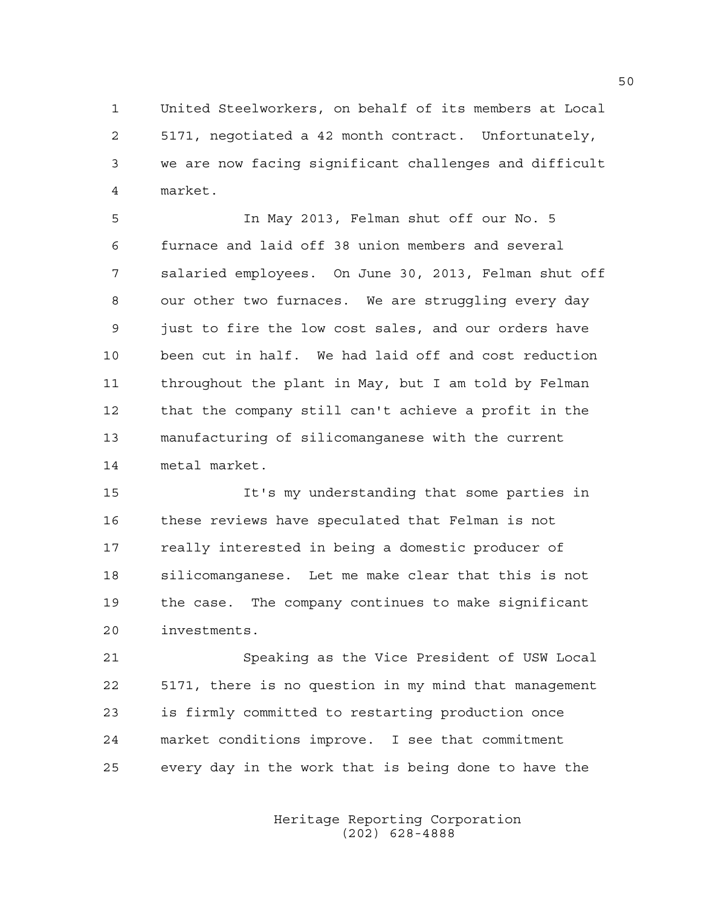1 United Steelworkers, on behalf of its members at Local 2 5171, negotiated a 42 month contract. Unfortunately, 3 we are now facing significant challenges and difficult 4 market.

5 In May 2013, Felman shut off our No. 5 6 furnace and laid off 38 union members and several 7 salaried employees. On June 30, 2013, Felman shut off 8 our other two furnaces. We are struggling every day 9 just to fire the low cost sales, and our orders have 10 been cut in half. We had laid off and cost reduction 11 throughout the plant in May, but I am told by Felman 12 that the company still can't achieve a profit in the 13 manufacturing of silicomanganese with the current 14 metal market.

15 It's my understanding that some parties in 16 these reviews have speculated that Felman is not 17 really interested in being a domestic producer of 18 silicomanganese. Let me make clear that this is not 19 the case. The company continues to make significant 20 investments.

21 Speaking as the Vice President of USW Local 22 5171, there is no question in my mind that management 23 is firmly committed to restarting production once 24 market conditions improve. I see that commitment 25 every day in the work that is being done to have the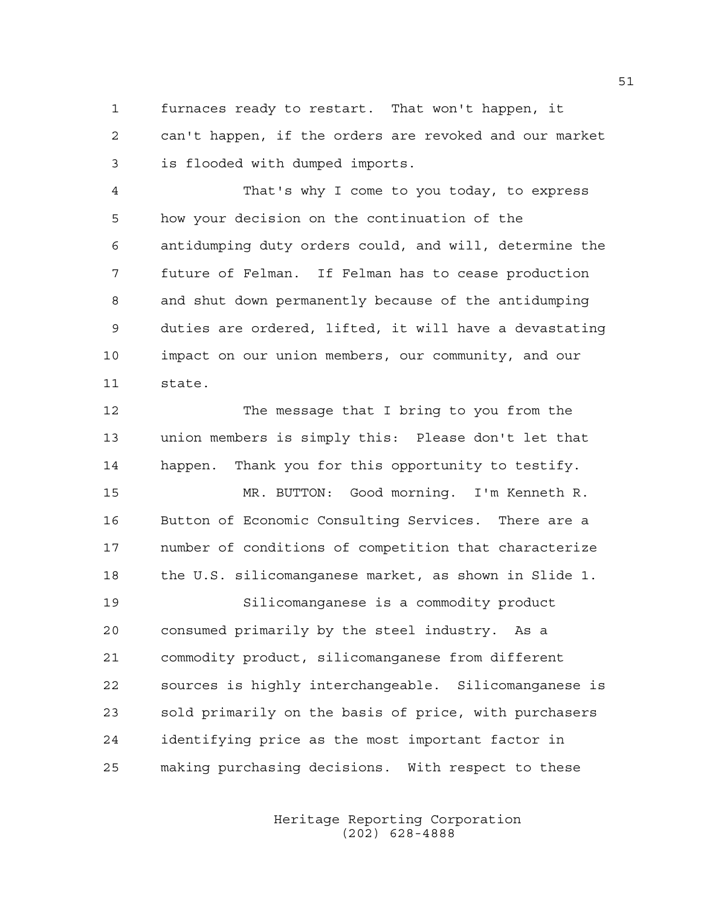1 furnaces ready to restart. That won't happen, it 2 can't happen, if the orders are revoked and our market 3 is flooded with dumped imports.

4 That's why I come to you today, to express 5 how your decision on the continuation of the 6 antidumping duty orders could, and will, determine the 7 future of Felman. If Felman has to cease production 8 and shut down permanently because of the antidumping 9 duties are ordered, lifted, it will have a devastating 10 impact on our union members, our community, and our 11 state.

12 The message that I bring to you from the 13 union members is simply this: Please don't let that 14 happen. Thank you for this opportunity to testify.

15 MR. BUTTON: Good morning. I'm Kenneth R. 16 Button of Economic Consulting Services. There are a 17 number of conditions of competition that characterize 18 the U.S. silicomanganese market, as shown in Slide 1.

19 Silicomanganese is a commodity product 20 consumed primarily by the steel industry. As a 21 commodity product, silicomanganese from different 22 sources is highly interchangeable. Silicomanganese is 23 sold primarily on the basis of price, with purchasers 24 identifying price as the most important factor in 25 making purchasing decisions. With respect to these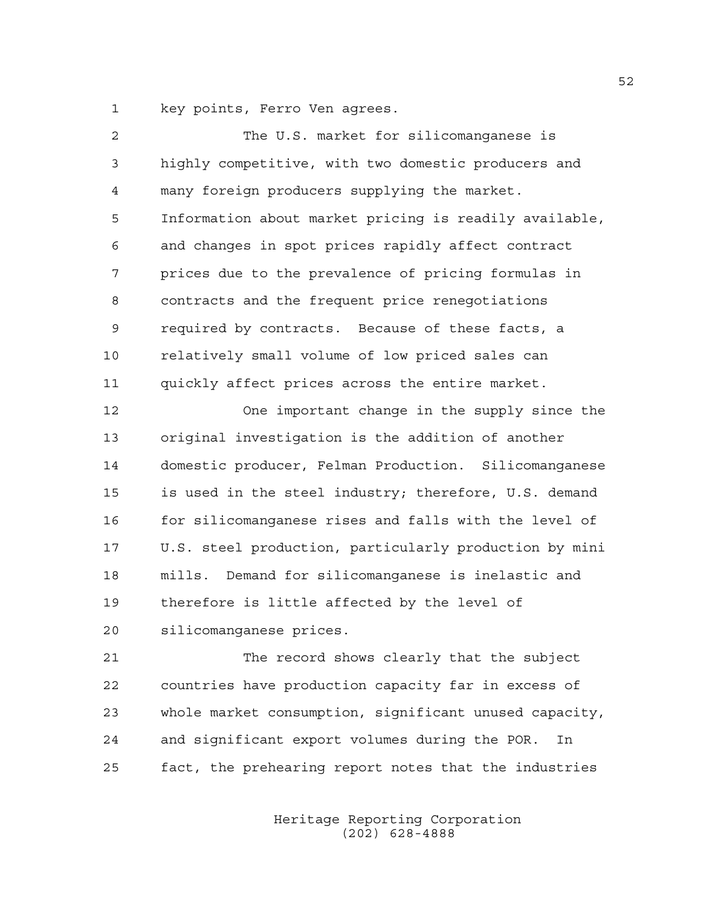1 key points, Ferro Ven agrees.

| 2  | The U.S. market for silicomanganese is                 |
|----|--------------------------------------------------------|
| 3  | highly competitive, with two domestic producers and    |
| 4  | many foreign producers supplying the market.           |
| 5  | Information about market pricing is readily available, |
| 6  | and changes in spot prices rapidly affect contract     |
| 7  | prices due to the prevalence of pricing formulas in    |
| 8  | contracts and the frequent price renegotiations        |
| 9  | required by contracts. Because of these facts, a       |
| 10 | relatively small volume of low priced sales can        |
| 11 | quickly affect prices across the entire market.        |
| 12 | One important change in the supply since the           |
| 13 | original investigation is the addition of another      |
| 14 | domestic producer, Felman Production. Silicomanganese  |
| 15 | is used in the steel industry; therefore, U.S. demand  |
| 16 | for silicomanganese rises and falls with the level of  |
| 17 | U.S. steel production, particularly production by mini |
| 18 | mills. Demand for silicomanganese is inelastic and     |
| 19 | therefore is little affected by the level of           |
| 20 | silicomanganese prices.                                |
| 21 | The record shows clearly that the subject              |
| 22 | countries have production capacity far in excess of    |
| 23 | whole market consumption, significant unused capacity, |
| 24 | and significant export volumes during the POR.<br>In   |

25 fact, the prehearing report notes that the industries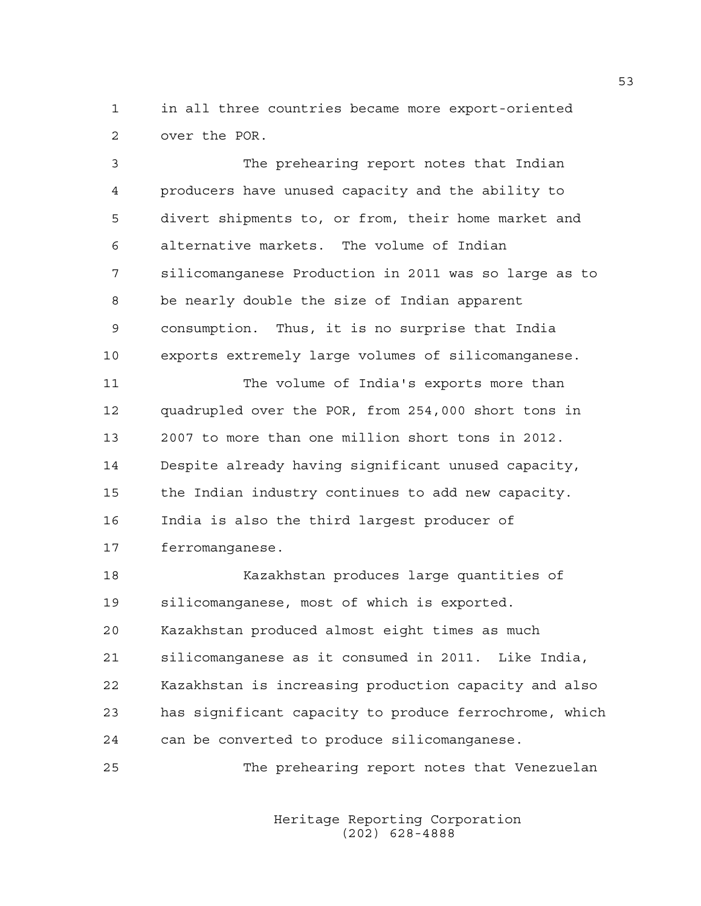1 in all three countries became more export-oriented 2 over the POR.

3 The prehearing report notes that Indian 4 producers have unused capacity and the ability to 5 divert shipments to, or from, their home market and 6 alternative markets. The volume of Indian 7 silicomanganese Production in 2011 was so large as to 8 be nearly double the size of Indian apparent 9 consumption. Thus, it is no surprise that India 10 exports extremely large volumes of silicomanganese. 11 The volume of India's exports more than 12 quadrupled over the POR, from 254,000 short tons in 13 2007 to more than one million short tons in 2012. 14 Despite already having significant unused capacity, 15 the Indian industry continues to add new capacity. 16 India is also the third largest producer of 17 ferromanganese. 18 Kazakhstan produces large quantities of 19 silicomanganese, most of which is exported. 20 Kazakhstan produced almost eight times as much 21 silicomanganese as it consumed in 2011. Like India, 22 Kazakhstan is increasing production capacity and also 23 has significant capacity to produce ferrochrome, which

25 The prehearing report notes that Venezuelan

24 can be converted to produce silicomanganese.

 Heritage Reporting Corporation (202) 628-4888

53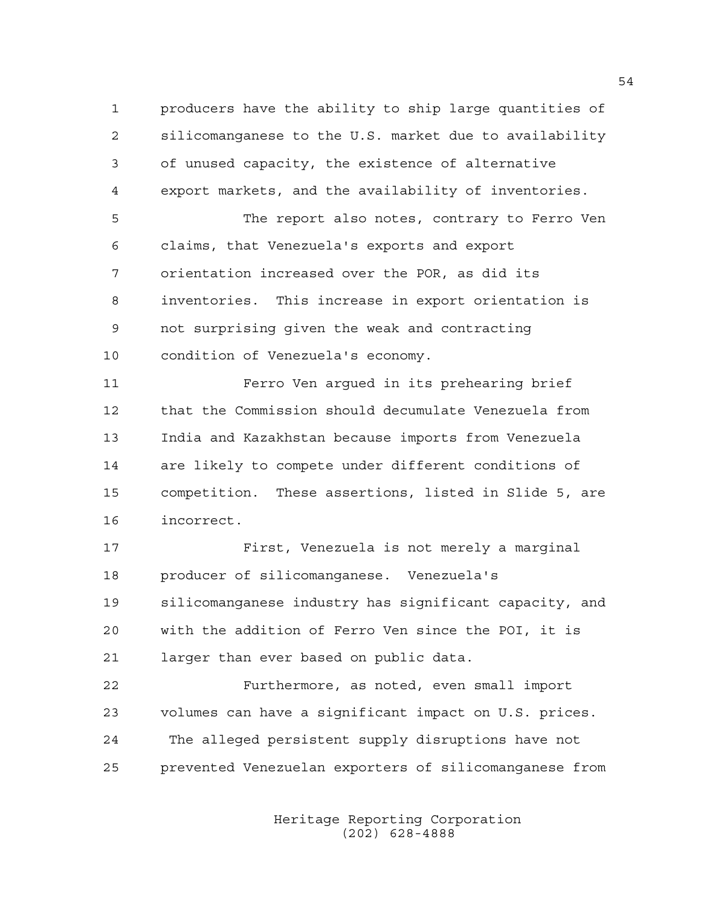1 producers have the ability to ship large quantities of 2 silicomanganese to the U.S. market due to availability 3 of unused capacity, the existence of alternative 4 export markets, and the availability of inventories.

5 The report also notes, contrary to Ferro Ven 6 claims, that Venezuela's exports and export 7 orientation increased over the POR, as did its 8 inventories. This increase in export orientation is 9 not surprising given the weak and contracting 10 condition of Venezuela's economy.

11 Ferro Ven argued in its prehearing brief 12 that the Commission should decumulate Venezuela from 13 India and Kazakhstan because imports from Venezuela 14 are likely to compete under different conditions of 15 competition. These assertions, listed in Slide 5, are 16 incorrect.

17 First, Venezuela is not merely a marginal 18 producer of silicomanganese. Venezuela's 19 silicomanganese industry has significant capacity, and 20 with the addition of Ferro Ven since the POI, it is 21 larger than ever based on public data.

22 Furthermore, as noted, even small import 23 volumes can have a significant impact on U.S. prices. 24 The alleged persistent supply disruptions have not 25 prevented Venezuelan exporters of silicomanganese from

> Heritage Reporting Corporation (202) 628-4888

54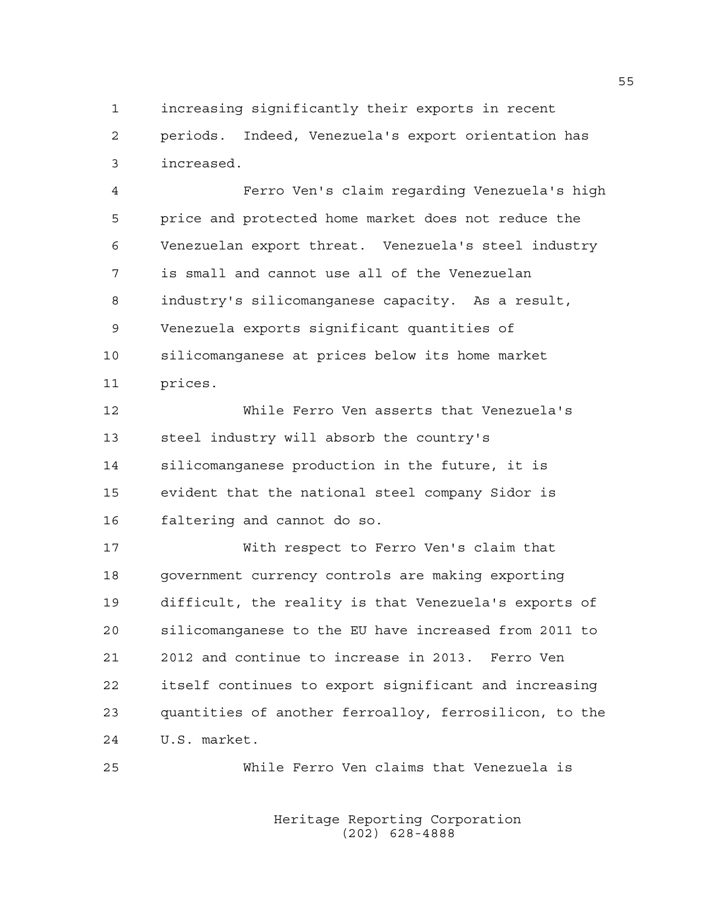1 increasing significantly their exports in recent 2 periods. Indeed, Venezuela's export orientation has 3 increased.

4 Ferro Ven's claim regarding Venezuela's high 5 price and protected home market does not reduce the 6 Venezuelan export threat. Venezuela's steel industry 7 is small and cannot use all of the Venezuelan 8 industry's silicomanganese capacity. As a result, 9 Venezuela exports significant quantities of 10 silicomanganese at prices below its home market 11 prices.

12 While Ferro Ven asserts that Venezuela's 13 steel industry will absorb the country's 14 silicomanganese production in the future, it is 15 evident that the national steel company Sidor is 16 faltering and cannot do so.

17 With respect to Ferro Ven's claim that 18 government currency controls are making exporting 19 difficult, the reality is that Venezuela's exports of 20 silicomanganese to the EU have increased from 2011 to 21 2012 and continue to increase in 2013. Ferro Ven 22 itself continues to export significant and increasing 23 quantities of another ferroalloy, ferrosilicon, to the 24 U.S. market.

25 While Ferro Ven claims that Venezuela is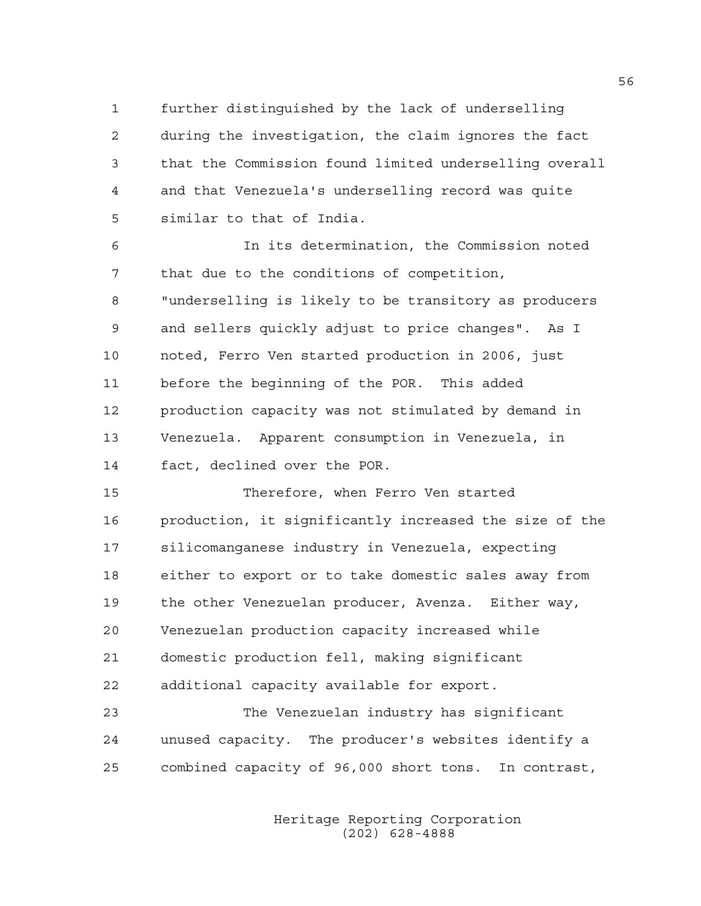1 further distinguished by the lack of underselling 2 during the investigation, the claim ignores the fact 3 that the Commission found limited underselling overall 4 and that Venezuela's underselling record was quite 5 similar to that of India.

6 In its determination, the Commission noted 7 that due to the conditions of competition, 8 "underselling is likely to be transitory as producers 9 and sellers quickly adjust to price changes". As I 10 noted, Ferro Ven started production in 2006, just 11 before the beginning of the POR. This added 12 production capacity was not stimulated by demand in 13 Venezuela. Apparent consumption in Venezuela, in 14 fact, declined over the POR.

15 Therefore, when Ferro Ven started 16 production, it significantly increased the size of the 17 silicomanganese industry in Venezuela, expecting 18 either to export or to take domestic sales away from 19 the other Venezuelan producer, Avenza. Either way, 20 Venezuelan production capacity increased while 21 domestic production fell, making significant 22 additional capacity available for export.

23 The Venezuelan industry has significant 24 unused capacity. The producer's websites identify a 25 combined capacity of 96,000 short tons. In contrast,

> Heritage Reporting Corporation (202) 628-4888

56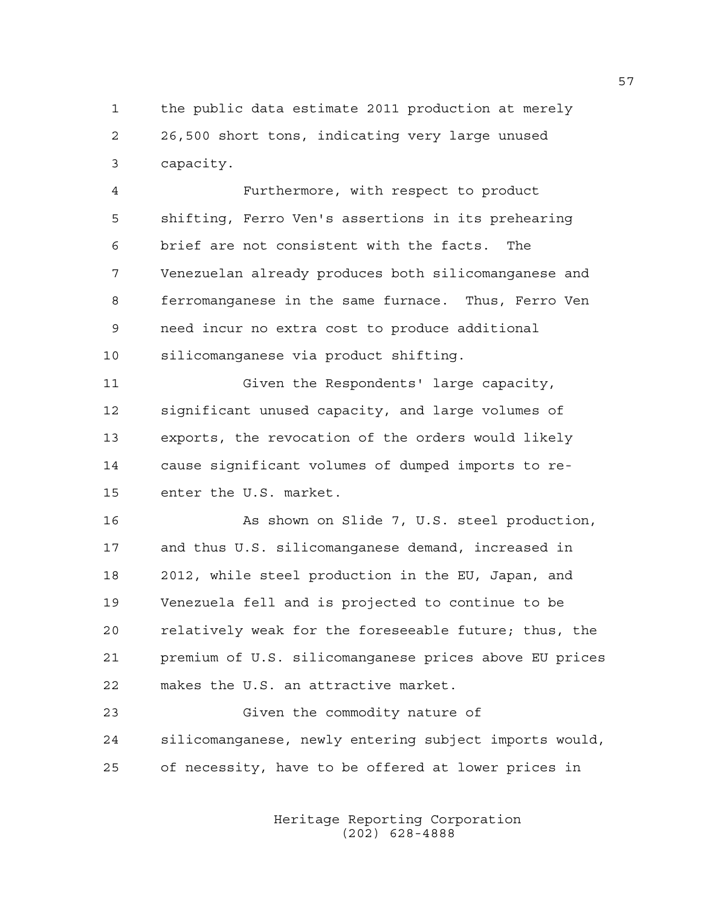1 the public data estimate 2011 production at merely 2 26,500 short tons, indicating very large unused 3 capacity.

4 Furthermore, with respect to product 5 shifting, Ferro Ven's assertions in its prehearing 6 brief are not consistent with the facts. The 7 Venezuelan already produces both silicomanganese and 8 ferromanganese in the same furnace. Thus, Ferro Ven 9 need incur no extra cost to produce additional 10 silicomanganese via product shifting.

11 Given the Respondents' large capacity, 12 significant unused capacity, and large volumes of 13 exports, the revocation of the orders would likely 14 cause significant volumes of dumped imports to re-15 enter the U.S. market.

16 As shown on Slide 7, U.S. steel production, 17 and thus U.S. silicomanganese demand, increased in 18 2012, while steel production in the EU, Japan, and 19 Venezuela fell and is projected to continue to be 20 relatively weak for the foreseeable future; thus, the 21 premium of U.S. silicomanganese prices above EU prices 22 makes the U.S. an attractive market.

23 Given the commodity nature of 24 silicomanganese, newly entering subject imports would, 25 of necessity, have to be offered at lower prices in

> Heritage Reporting Corporation (202) 628-4888

57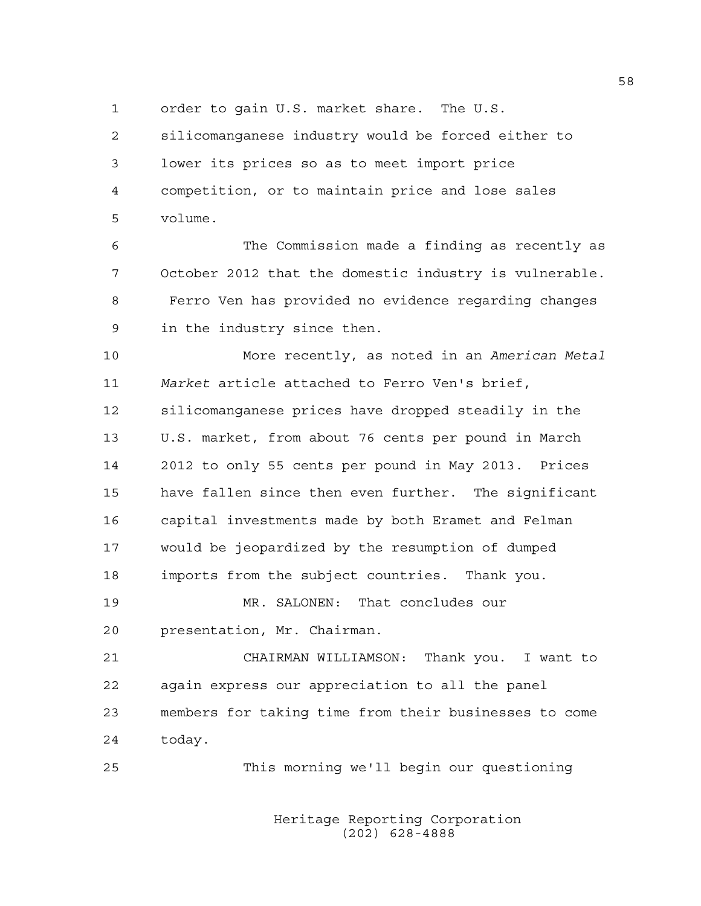1 order to gain U.S. market share. The U.S.

2 silicomanganese industry would be forced either to 3 lower its prices so as to meet import price 4 competition, or to maintain price and lose sales 5 volume.

6 The Commission made a finding as recently as 7 October 2012 that the domestic industry is vulnerable. 8 Ferro Ven has provided no evidence regarding changes 9 in the industry since then.

10 More recently, as noted in an *American Metal*  11 *Market* article attached to Ferro Ven's brief, 12 silicomanganese prices have dropped steadily in the 13 U.S. market, from about 76 cents per pound in March 14 2012 to only 55 cents per pound in May 2013. Prices 15 have fallen since then even further. The significant 16 capital investments made by both Eramet and Felman 17 would be jeopardized by the resumption of dumped 18 imports from the subject countries. Thank you.

19 MR. SALONEN: That concludes our 20 presentation, Mr. Chairman.

21 CHAIRMAN WILLIAMSON: Thank you. I want to 22 again express our appreciation to all the panel 23 members for taking time from their businesses to come 24 today.

25 This morning we'll begin our questioning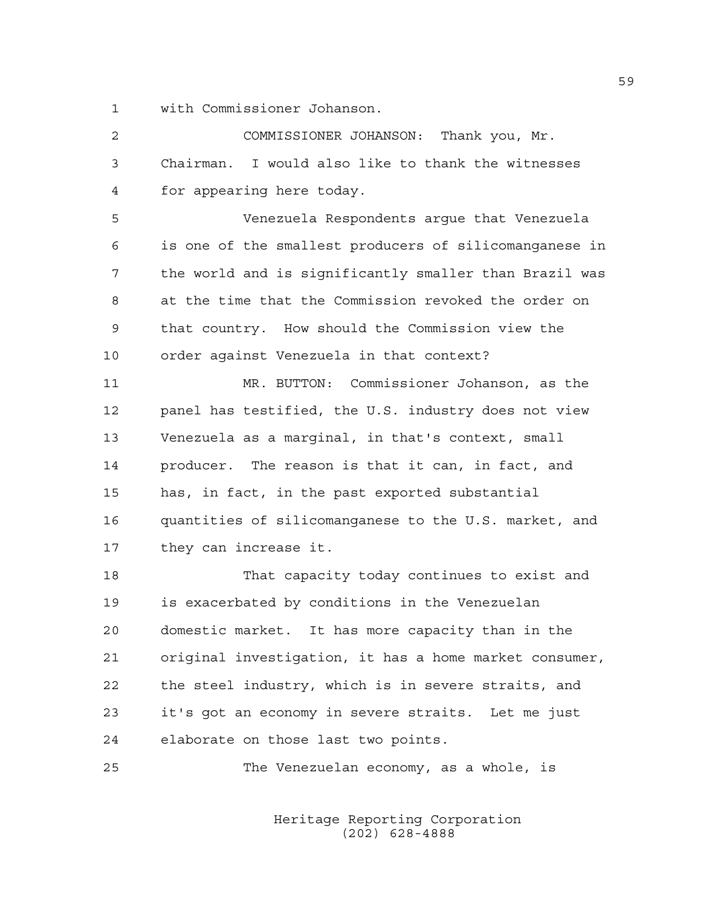1 with Commissioner Johanson.

| 2           | COMMISSIONER JOHANSON: Thank you, Mr.                  |
|-------------|--------------------------------------------------------|
| 3           | Chairman. I would also like to thank the witnesses     |
| 4           | for appearing here today.                              |
| 5           | Venezuela Respondents argue that Venezuela             |
| 6           | is one of the smallest producers of silicomanganese in |
| 7           | the world and is significantly smaller than Brazil was |
| 8           | at the time that the Commission revoked the order on   |
| $\mathsf 9$ | that country. How should the Commission view the       |
| 10          | order against Venezuela in that context?               |
| 11          | MR. BUTTON: Commissioner Johanson, as the              |
| 12          | panel has testified, the U.S. industry does not view   |
| 13          | Venezuela as a marginal, in that's context, small      |
| 14          | producer. The reason is that it can, in fact, and      |
| 15          | has, in fact, in the past exported substantial         |
| 16          | quantities of silicomanganese to the U.S. market, and  |
| 17          | they can increase it.                                  |
| 18          | That capacity today continues to exist and             |
| 19          | is exacerbated by conditions in the Venezuelan         |
| 20          | domestic market.<br>It has more capacity than in the   |
| 21          | original investigation, it has a home market consumer, |
| 22          | the steel industry, which is in severe straits, and    |
| 23          | it's got an economy in severe straits. Let me just     |
| 24          | elaborate on those last two points.                    |
| 25          | The Venezuelan economy, as a whole, is                 |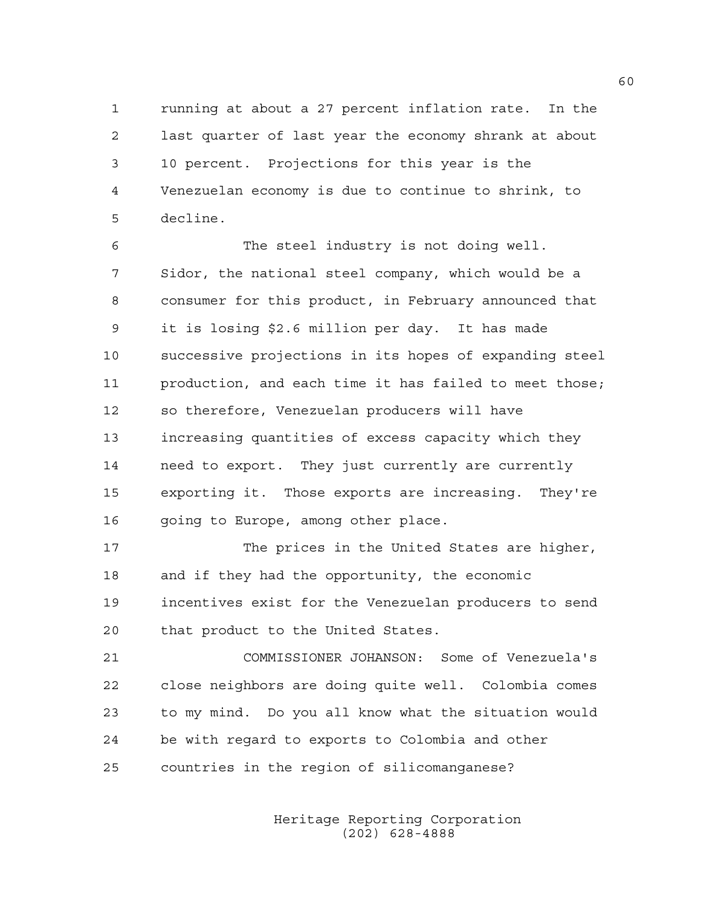1 running at about a 27 percent inflation rate. In the 2 last quarter of last year the economy shrank at about 3 10 percent. Projections for this year is the 4 Venezuelan economy is due to continue to shrink, to 5 decline.

6 The steel industry is not doing well. 7 Sidor, the national steel company, which would be a 8 consumer for this product, in February announced that 9 it is losing \$2.6 million per day. It has made 10 successive projections in its hopes of expanding steel 11 production, and each time it has failed to meet those; 12 so therefore, Venezuelan producers will have 13 increasing quantities of excess capacity which they 14 need to export. They just currently are currently 15 exporting it. Those exports are increasing. They're 16 going to Europe, among other place.

17 The prices in the United States are higher, 18 and if they had the opportunity, the economic 19 incentives exist for the Venezuelan producers to send 20 that product to the United States.

21 COMMISSIONER JOHANSON: Some of Venezuela's 22 close neighbors are doing quite well. Colombia comes 23 to my mind. Do you all know what the situation would 24 be with regard to exports to Colombia and other 25 countries in the region of silicomanganese?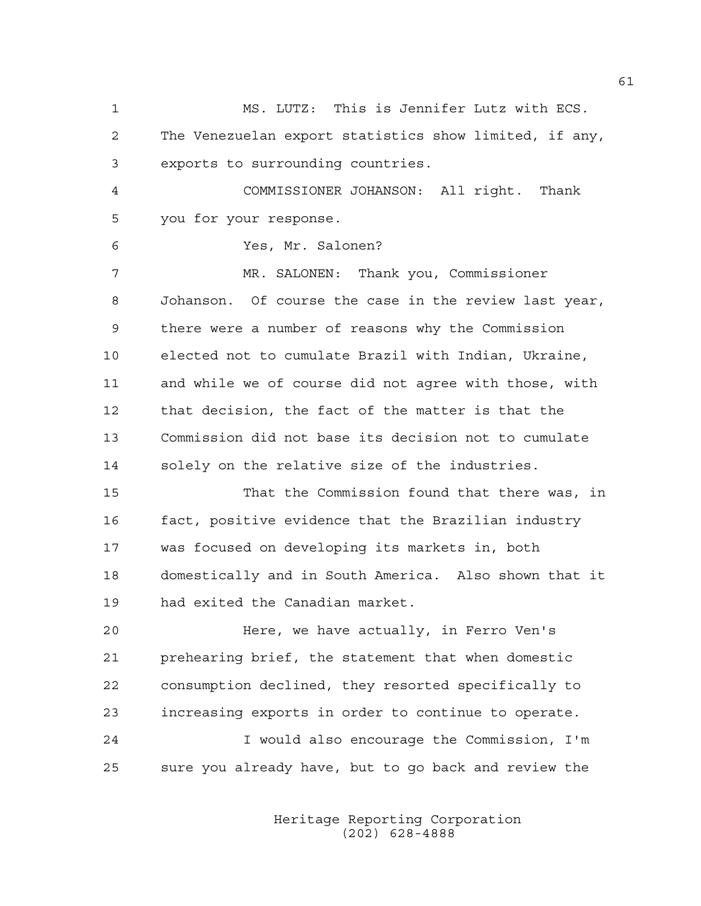1 MS. LUTZ: This is Jennifer Lutz with ECS. 2 The Venezuelan export statistics show limited, if any, 3 exports to surrounding countries. 4 COMMISSIONER JOHANSON: All right. Thank 5 you for your response. 6 Yes, Mr. Salonen? 7 MR. SALONEN: Thank you, Commissioner 8 Johanson. Of course the case in the review last year, 9 there were a number of reasons why the Commission 10 elected not to cumulate Brazil with Indian, Ukraine, 11 and while we of course did not agree with those, with 12 that decision, the fact of the matter is that the 13 Commission did not base its decision not to cumulate 14 solely on the relative size of the industries. 15 That the Commission found that there was, in 16 fact, positive evidence that the Brazilian industry 17 was focused on developing its markets in, both 18 domestically and in South America. Also shown that it 19 had exited the Canadian market. 20 Here, we have actually, in Ferro Ven's 21 prehearing brief, the statement that when domestic 22 consumption declined, they resorted specifically to 23 increasing exports in order to continue to operate. 24 I would also encourage the Commission, I'm 25 sure you already have, but to go back and review the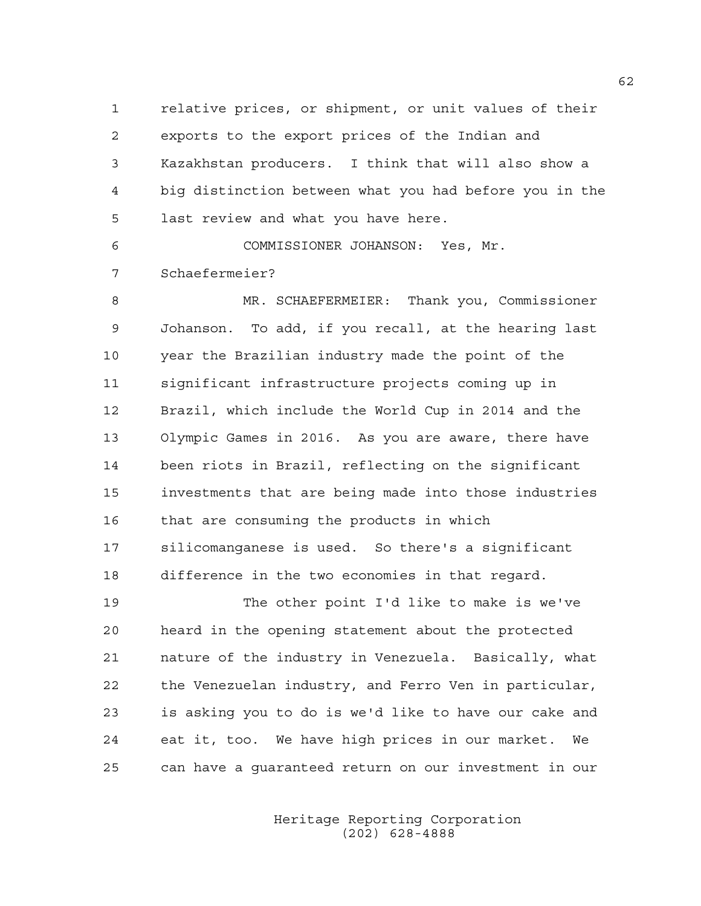1 relative prices, or shipment, or unit values of their 2 exports to the export prices of the Indian and 3 Kazakhstan producers. I think that will also show a 4 big distinction between what you had before you in the 5 last review and what you have here.

6 COMMISSIONER JOHANSON: Yes, Mr. 7 Schaefermeier?

8 MR. SCHAEFERMEIER: Thank you, Commissioner 9 Johanson. To add, if you recall, at the hearing last 10 year the Brazilian industry made the point of the 11 significant infrastructure projects coming up in 12 Brazil, which include the World Cup in 2014 and the 13 Olympic Games in 2016. As you are aware, there have 14 been riots in Brazil, reflecting on the significant 15 investments that are being made into those industries 16 that are consuming the products in which 17 silicomanganese is used. So there's a significant 18 difference in the two economies in that regard.

19 The other point I'd like to make is we've 20 heard in the opening statement about the protected 21 nature of the industry in Venezuela. Basically, what 22 the Venezuelan industry, and Ferro Ven in particular, 23 is asking you to do is we'd like to have our cake and 24 eat it, too. We have high prices in our market. We 25 can have a guaranteed return on our investment in our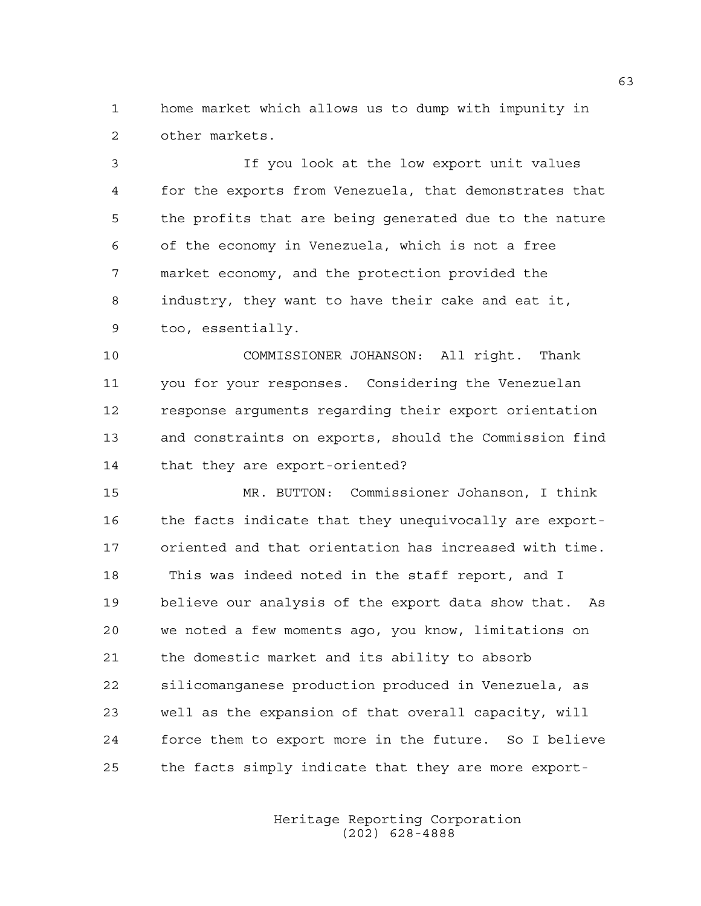1 home market which allows us to dump with impunity in 2 other markets.

3 If you look at the low export unit values 4 for the exports from Venezuela, that demonstrates that 5 the profits that are being generated due to the nature 6 of the economy in Venezuela, which is not a free 7 market economy, and the protection provided the 8 industry, they want to have their cake and eat it, 9 too, essentially.

10 COMMISSIONER JOHANSON: All right. Thank 11 you for your responses. Considering the Venezuelan 12 response arguments regarding their export orientation 13 and constraints on exports, should the Commission find 14 that they are export-oriented?

15 MR. BUTTON: Commissioner Johanson, I think 16 the facts indicate that they unequivocally are export-17 oriented and that orientation has increased with time. 18 This was indeed noted in the staff report, and I 19 believe our analysis of the export data show that. As 20 we noted a few moments ago, you know, limitations on 21 the domestic market and its ability to absorb 22 silicomanganese production produced in Venezuela, as 23 well as the expansion of that overall capacity, will 24 force them to export more in the future. So I believe 25 the facts simply indicate that they are more export-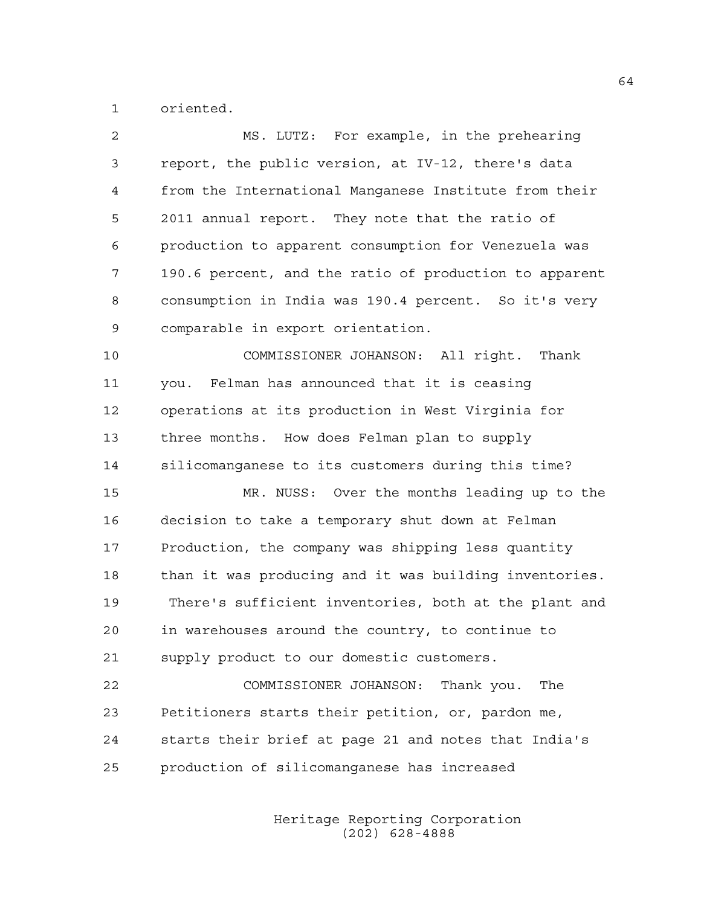1 oriented.

| 2  | MS. LUTZ: For example, in the prehearing               |
|----|--------------------------------------------------------|
| 3  | report, the public version, at IV-12, there's data     |
| 4  | from the International Manganese Institute from their  |
| 5  | 2011 annual report. They note that the ratio of        |
| 6  | production to apparent consumption for Venezuela was   |
| 7  | 190.6 percent, and the ratio of production to apparent |
| 8  | consumption in India was 190.4 percent. So it's very   |
| 9  | comparable in export orientation.                      |
| 10 | COMMISSIONER JOHANSON: All right. Thank                |
| 11 | you. Felman has announced that it is ceasing           |
| 12 | operations at its production in West Virginia for      |
| 13 | three months. How does Felman plan to supply           |
| 14 | silicomanganese to its customers during this time?     |
| 15 | MR. NUSS: Over the months leading up to the            |
| 16 | decision to take a temporary shut down at Felman       |
| 17 | Production, the company was shipping less quantity     |
| 18 | than it was producing and it was building inventories. |
| 19 | There's sufficient inventories, both at the plant and  |
| 20 | in warehouses around the country, to continue to       |
| 21 | supply product to our domestic customers.              |
| 22 | COMMISSIONER JOHANSON:<br>Thank you.<br>The            |
| 23 | Petitioners starts their petition, or, pardon me,      |
| 24 | starts their brief at page 21 and notes that India's   |
| 25 | production of silicomanganese has increased            |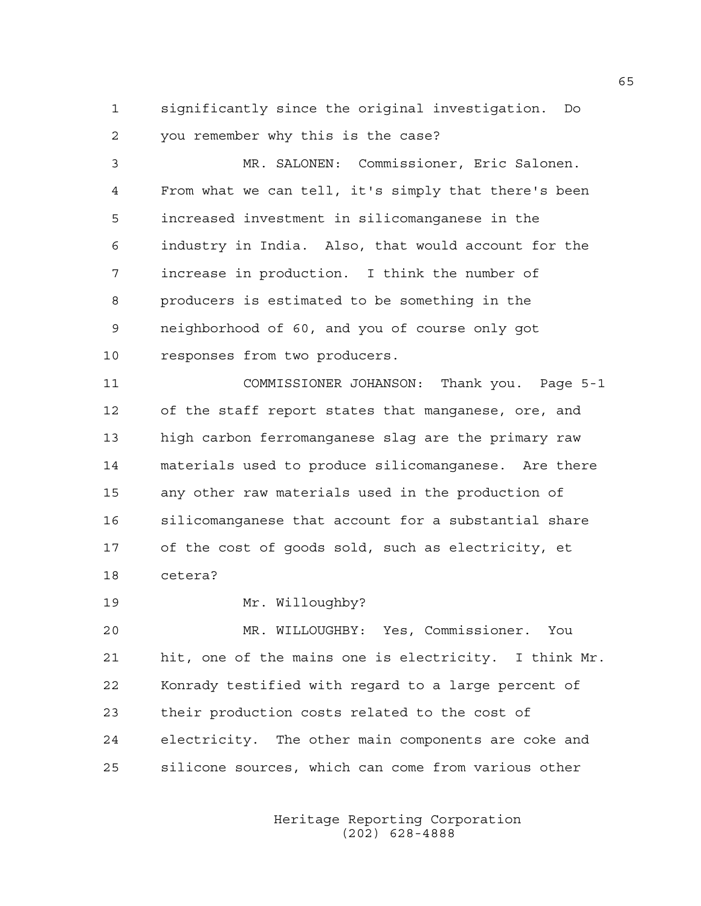1 significantly since the original investigation. Do 2 you remember why this is the case?

3 MR. SALONEN: Commissioner, Eric Salonen. 4 From what we can tell, it's simply that there's been 5 increased investment in silicomanganese in the 6 industry in India. Also, that would account for the 7 increase in production. I think the number of 8 producers is estimated to be something in the 9 neighborhood of 60, and you of course only got 10 responses from two producers.

11 COMMISSIONER JOHANSON: Thank you. Page 5-1 12 of the staff report states that manganese, ore, and 13 high carbon ferromanganese slag are the primary raw 14 materials used to produce silicomanganese. Are there 15 any other raw materials used in the production of 16 silicomanganese that account for a substantial share 17 of the cost of goods sold, such as electricity, et 18 cetera?

19 Mr. Willoughby?

20 MR. WILLOUGHBY: Yes, Commissioner. You 21 hit, one of the mains one is electricity. I think Mr. 22 Konrady testified with regard to a large percent of 23 their production costs related to the cost of 24 electricity. The other main components are coke and 25 silicone sources, which can come from various other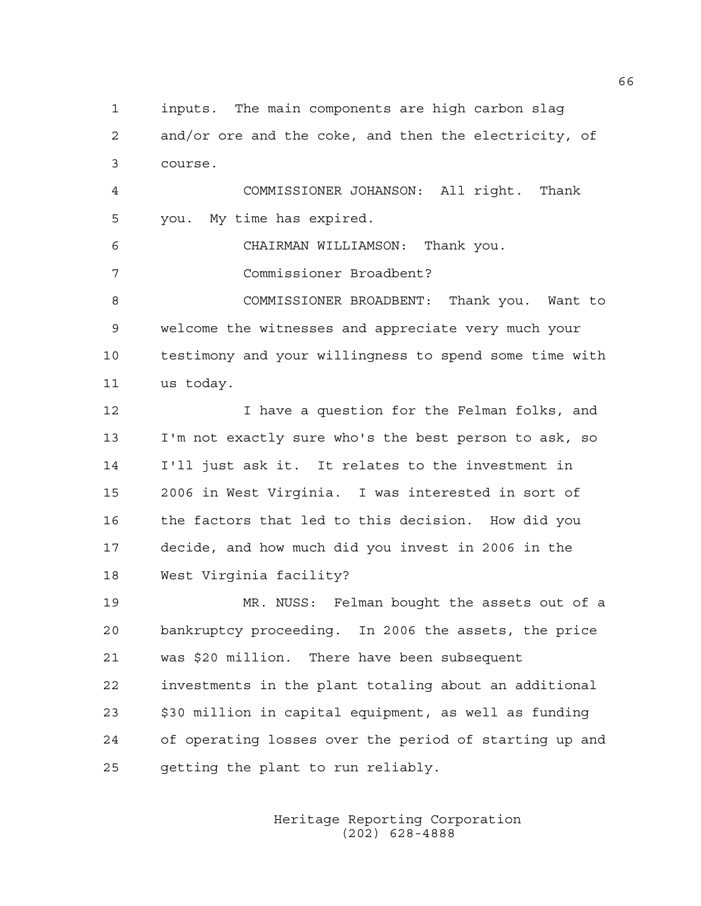1 inputs. The main components are high carbon slag 2 and/or ore and the coke, and then the electricity, of 3 course.

4 COMMISSIONER JOHANSON: All right. Thank 5 you. My time has expired.

6 CHAIRMAN WILLIAMSON: Thank you.

7 Commissioner Broadbent?

8 COMMISSIONER BROADBENT: Thank you. Want to 9 welcome the witnesses and appreciate very much your 10 testimony and your willingness to spend some time with 11 us today.

12 I have a question for the Felman folks, and 13 I'm not exactly sure who's the best person to ask, so 14 I'll just ask it. It relates to the investment in 15 2006 in West Virginia. I was interested in sort of 16 the factors that led to this decision. How did you 17 decide, and how much did you invest in 2006 in the 18 West Virginia facility?

19 MR. NUSS: Felman bought the assets out of a 20 bankruptcy proceeding. In 2006 the assets, the price 21 was \$20 million. There have been subsequent 22 investments in the plant totaling about an additional 23 \$30 million in capital equipment, as well as funding 24 of operating losses over the period of starting up and 25 getting the plant to run reliably.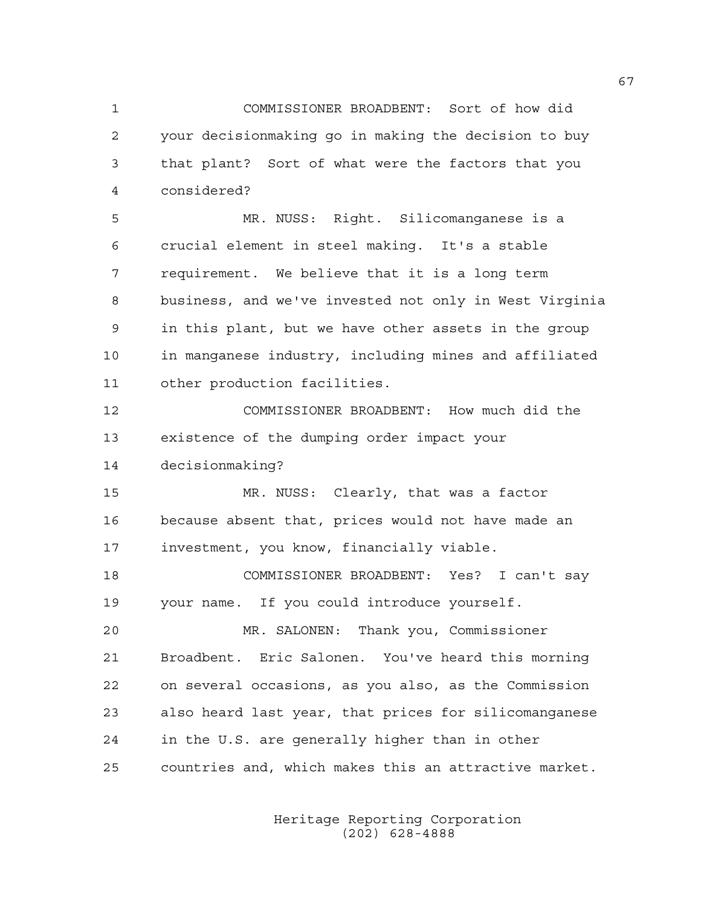1 COMMISSIONER BROADBENT: Sort of how did 2 your decisionmaking go in making the decision to buy 3 that plant? Sort of what were the factors that you 4 considered? 5 MR. NUSS: Right. Silicomanganese is a

6 crucial element in steel making. It's a stable 7 requirement. We believe that it is a long term 8 business, and we've invested not only in West Virginia 9 in this plant, but we have other assets in the group 10 in manganese industry, including mines and affiliated 11 other production facilities.

12 COMMISSIONER BROADBENT: How much did the 13 existence of the dumping order impact your 14 decisionmaking?

15 MR. NUSS: Clearly, that was a factor 16 because absent that, prices would not have made an 17 investment, you know, financially viable.

18 COMMISSIONER BROADBENT: Yes? I can't say 19 your name. If you could introduce yourself.

20 MR. SALONEN: Thank you, Commissioner 21 Broadbent. Eric Salonen. You've heard this morning 22 on several occasions, as you also, as the Commission 23 also heard last year, that prices for silicomanganese 24 in the U.S. are generally higher than in other 25 countries and, which makes this an attractive market.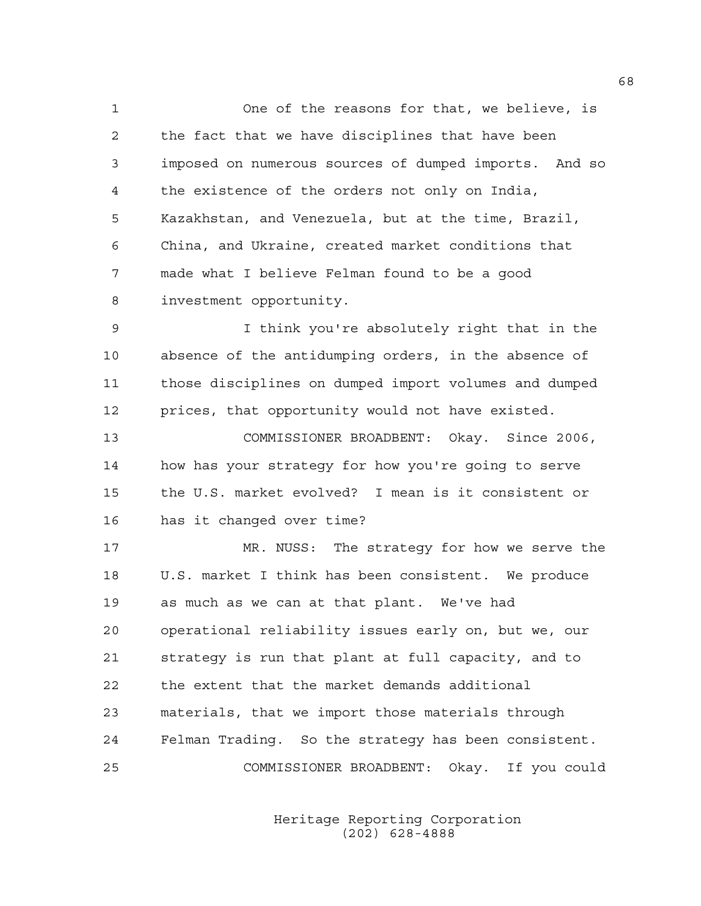1 One of the reasons for that, we believe, is 2 the fact that we have disciplines that have been 3 imposed on numerous sources of dumped imports. And so 4 the existence of the orders not only on India, 5 Kazakhstan, and Venezuela, but at the time, Brazil, 6 China, and Ukraine, created market conditions that 7 made what I believe Felman found to be a good 8 investment opportunity.

9 I think you're absolutely right that in the 10 absence of the antidumping orders, in the absence of 11 those disciplines on dumped import volumes and dumped 12 prices, that opportunity would not have existed.

13 COMMISSIONER BROADBENT: Okay. Since 2006, 14 how has your strategy for how you're going to serve 15 the U.S. market evolved? I mean is it consistent or 16 has it changed over time?

17 MR. NUSS: The strategy for how we serve the 18 U.S. market I think has been consistent. We produce 19 as much as we can at that plant. We've had 20 operational reliability issues early on, but we, our 21 strategy is run that plant at full capacity, and to 22 the extent that the market demands additional 23 materials, that we import those materials through 24 Felman Trading. So the strategy has been consistent. 25 COMMISSIONER BROADBENT: Okay. If you could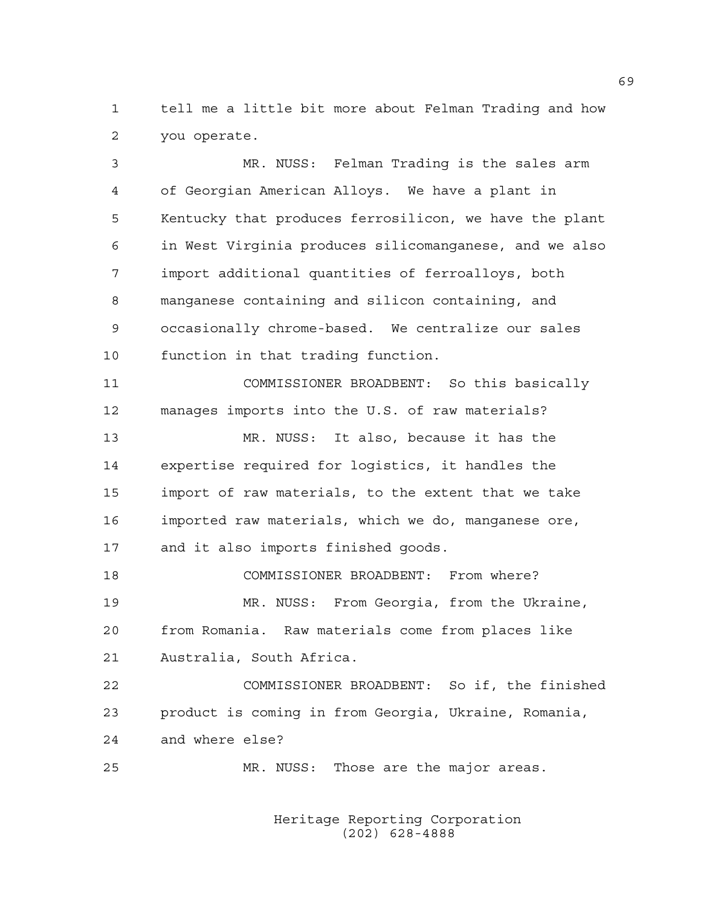1 tell me a little bit more about Felman Trading and how 2 you operate.

3 MR. NUSS: Felman Trading is the sales arm 4 of Georgian American Alloys. We have a plant in 5 Kentucky that produces ferrosilicon, we have the plant 6 in West Virginia produces silicomanganese, and we also 7 import additional quantities of ferroalloys, both 8 manganese containing and silicon containing, and 9 occasionally chrome-based. We centralize our sales 10 function in that trading function. 11 COMMISSIONER BROADBENT: So this basically 12 manages imports into the U.S. of raw materials? 13 MR. NUSS: It also, because it has the 14 expertise required for logistics, it handles the 15 import of raw materials, to the extent that we take 16 imported raw materials, which we do, manganese ore, 17 and it also imports finished goods. 18 COMMISSIONER BROADBENT: From where? 19 MR. NUSS: From Georgia, from the Ukraine, 20 from Romania. Raw materials come from places like 21 Australia, South Africa. 22 COMMISSIONER BROADBENT: So if, the finished 23 product is coming in from Georgia, Ukraine, Romania, 24 and where else? 25 MR. NUSS: Those are the major areas.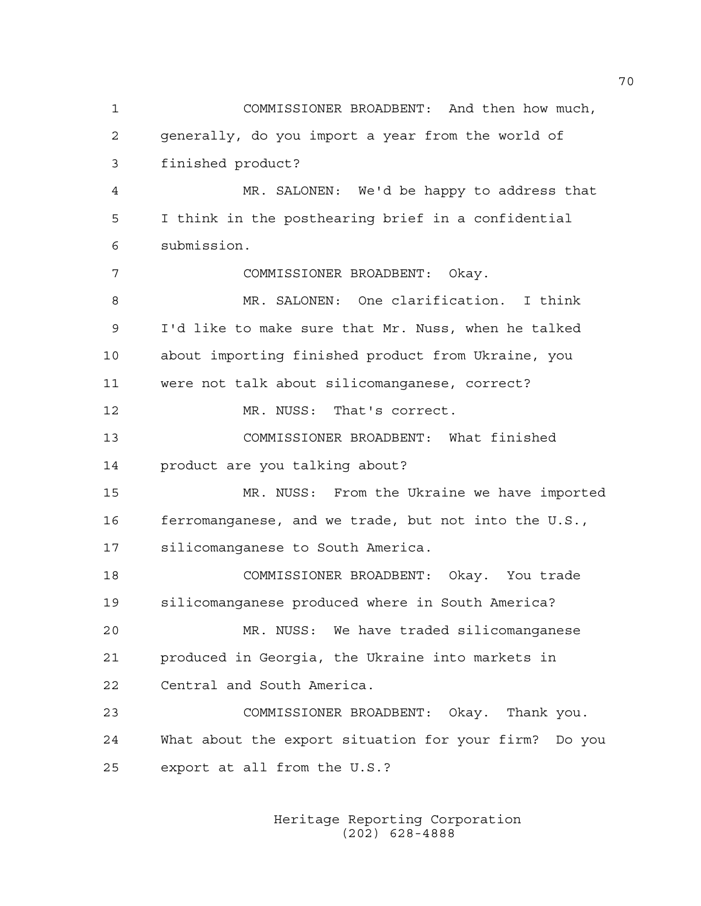1 COMMISSIONER BROADBENT: And then how much, 2 generally, do you import a year from the world of 3 finished product? 4 MR. SALONEN: We'd be happy to address that 5 I think in the posthearing brief in a confidential 6 submission. 7 COMMISSIONER BROADBENT: Okay. 8 MR. SALONEN: One clarification. I think 9 I'd like to make sure that Mr. Nuss, when he talked 10 about importing finished product from Ukraine, you 11 were not talk about silicomanganese, correct? 12 MR. NUSS: That's correct. 13 COMMISSIONER BROADBENT: What finished 14 product are you talking about? 15 MR. NUSS: From the Ukraine we have imported 16 ferromanganese, and we trade, but not into the U.S., 17 silicomanganese to South America. 18 COMMISSIONER BROADBENT: Okay. You trade 19 silicomanganese produced where in South America? 20 MR. NUSS: We have traded silicomanganese 21 produced in Georgia, the Ukraine into markets in 22 Central and South America. 23 COMMISSIONER BROADBENT: Okay. Thank you. 24 What about the export situation for your firm? Do you 25 export at all from the U.S.?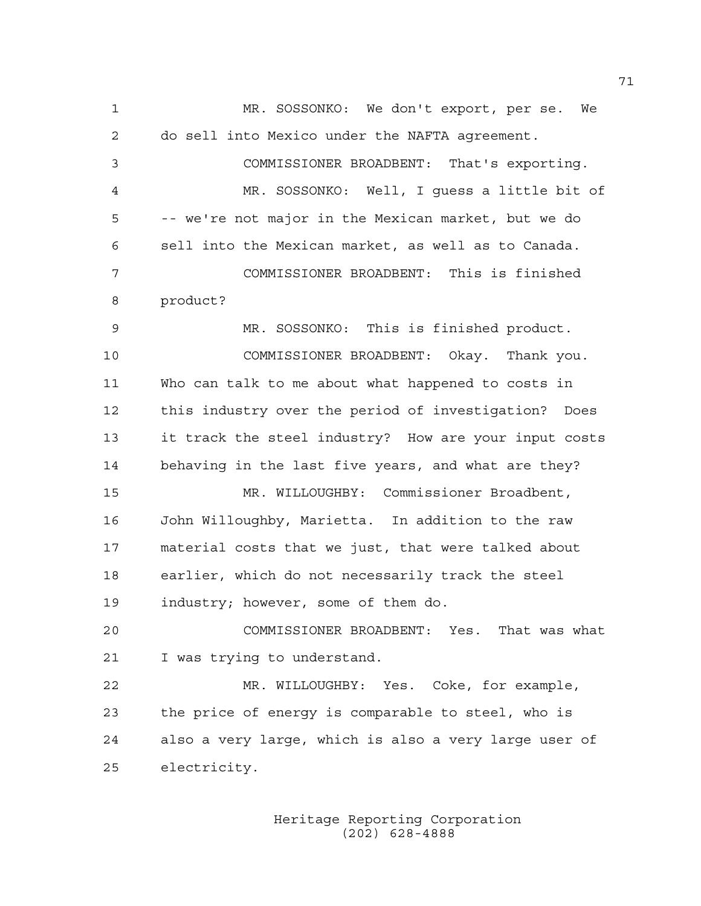1 MR. SOSSONKO: We don't export, per se. We 2 do sell into Mexico under the NAFTA agreement. 3 COMMISSIONER BROADBENT: That's exporting. 4 MR. SOSSONKO: Well, I guess a little bit of 5 -- we're not major in the Mexican market, but we do 6 sell into the Mexican market, as well as to Canada. 7 COMMISSIONER BROADBENT: This is finished 8 product? 9 MR. SOSSONKO: This is finished product. 10 COMMISSIONER BROADBENT: Okay. Thank you. 11 Who can talk to me about what happened to costs in 12 this industry over the period of investigation? Does 13 it track the steel industry? How are your input costs 14 behaving in the last five years, and what are they? 15 MR. WILLOUGHBY: Commissioner Broadbent, 16 John Willoughby, Marietta. In addition to the raw 17 material costs that we just, that were talked about 18 earlier, which do not necessarily track the steel 19 industry; however, some of them do. 20 COMMISSIONER BROADBENT: Yes. That was what 21 I was trying to understand. 22 MR. WILLOUGHBY: Yes. Coke, for example, 23 the price of energy is comparable to steel, who is 24 also a very large, which is also a very large user of 25 electricity.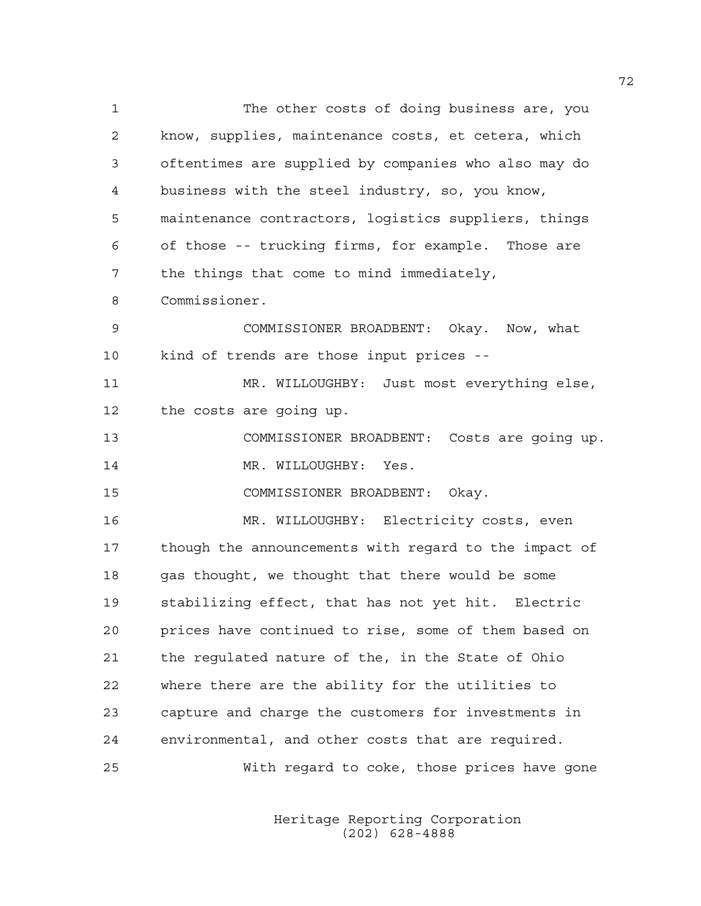1 The other costs of doing business are, you 2 know, supplies, maintenance costs, et cetera, which 3 oftentimes are supplied by companies who also may do 4 business with the steel industry, so, you know, 5 maintenance contractors, logistics suppliers, things 6 of those -- trucking firms, for example. Those are 7 the things that come to mind immediately, 8 Commissioner. 9 COMMISSIONER BROADBENT: Okay. Now, what 10 kind of trends are those input prices -- 11 MR. WILLOUGHBY: Just most everything else, 12 the costs are going up. 13 COMMISSIONER BROADBENT: Costs are going up. 14 MR. WILLOUGHBY: Yes. 15 COMMISSIONER BROADBENT: Okay. 16 MR. WILLOUGHBY: Electricity costs, even 17 though the announcements with regard to the impact of 18 gas thought, we thought that there would be some 19 stabilizing effect, that has not yet hit. Electric 20 prices have continued to rise, some of them based on 21 the regulated nature of the, in the State of Ohio 22 where there are the ability for the utilities to 23 capture and charge the customers for investments in 24 environmental, and other costs that are required. 25 With regard to coke, those prices have gone

> Heritage Reporting Corporation (202) 628-4888

72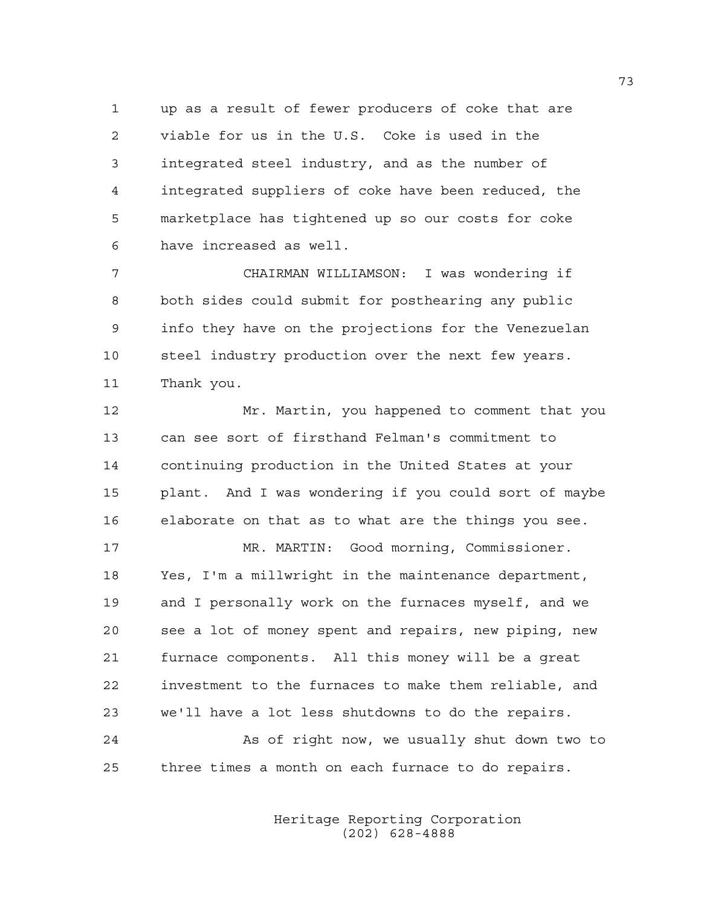1 up as a result of fewer producers of coke that are 2 viable for us in the U.S. Coke is used in the 3 integrated steel industry, and as the number of 4 integrated suppliers of coke have been reduced, the 5 marketplace has tightened up so our costs for coke 6 have increased as well.

7 CHAIRMAN WILLIAMSON: I was wondering if 8 both sides could submit for posthearing any public 9 info they have on the projections for the Venezuelan 10 steel industry production over the next few years. 11 Thank you.

12 Mr. Martin, you happened to comment that you 13 can see sort of firsthand Felman's commitment to 14 continuing production in the United States at your 15 plant. And I was wondering if you could sort of maybe 16 elaborate on that as to what are the things you see.

17 MR. MARTIN: Good morning, Commissioner. 18 Yes, I'm a millwright in the maintenance department, 19 and I personally work on the furnaces myself, and we 20 see a lot of money spent and repairs, new piping, new 21 furnace components. All this money will be a great 22 investment to the furnaces to make them reliable, and 23 we'll have a lot less shutdowns to do the repairs.

24 As of right now, we usually shut down two to 25 three times a month on each furnace to do repairs.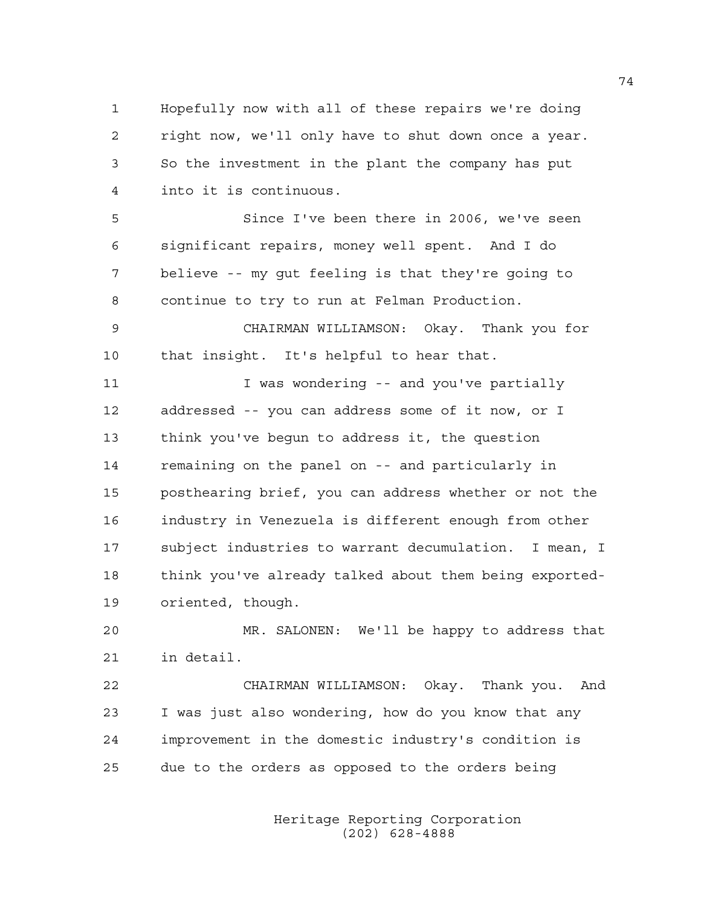1 Hopefully now with all of these repairs we're doing 2 right now, we'll only have to shut down once a year. 3 So the investment in the plant the company has put 4 into it is continuous.

5 Since I've been there in 2006, we've seen 6 significant repairs, money well spent. And I do 7 believe -- my gut feeling is that they're going to 8 continue to try to run at Felman Production.

9 CHAIRMAN WILLIAMSON: Okay. Thank you for 10 that insight. It's helpful to hear that.

11 11 I was wondering -- and you've partially 12 addressed -- you can address some of it now, or I 13 think you've begun to address it, the question 14 remaining on the panel on -- and particularly in 15 posthearing brief, you can address whether or not the 16 industry in Venezuela is different enough from other 17 subject industries to warrant decumulation. I mean, I 18 think you've already talked about them being exported-19 oriented, though.

20 MR. SALONEN: We'll be happy to address that 21 in detail.

22 CHAIRMAN WILLIAMSON: Okay. Thank you. And 23 I was just also wondering, how do you know that any 24 improvement in the domestic industry's condition is 25 due to the orders as opposed to the orders being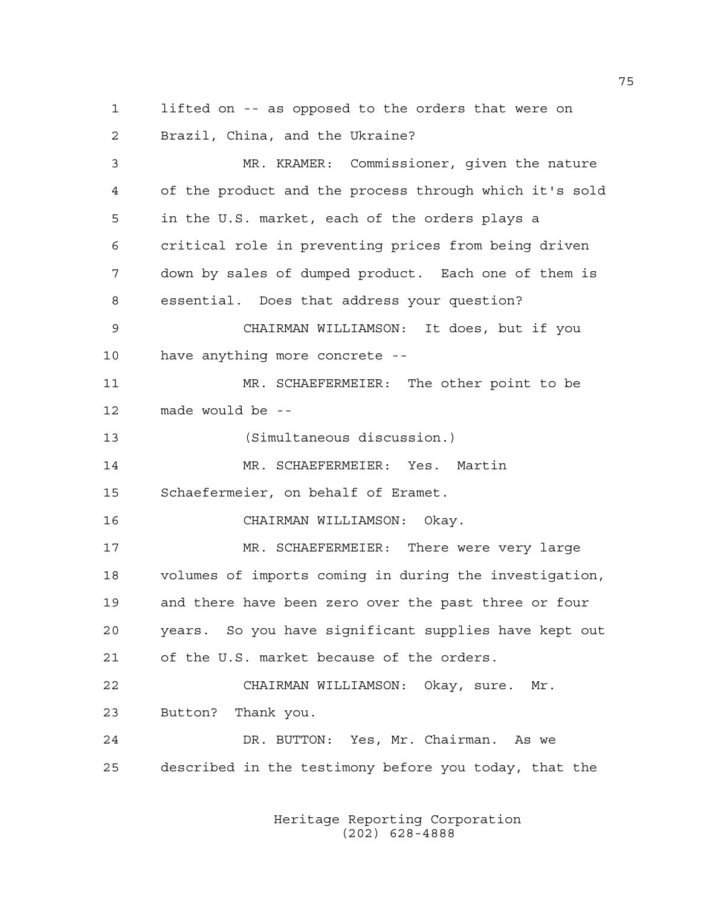1 lifted on -- as opposed to the orders that were on 2 Brazil, China, and the Ukraine?

3 MR. KRAMER: Commissioner, given the nature 4 of the product and the process through which it's sold 5 in the U.S. market, each of the orders plays a 6 critical role in preventing prices from being driven 7 down by sales of dumped product. Each one of them is 8 essential. Does that address your question? 9 CHAIRMAN WILLIAMSON: It does, but if you 10 have anything more concrete -- 11 MR. SCHAEFERMEIER: The other point to be 12 made would be -- 13 (Simultaneous discussion.) 14 MR. SCHAEFERMEIER: Yes. Martin 15 Schaefermeier, on behalf of Eramet. 16 CHAIRMAN WILLIAMSON: Okay. 17 MR. SCHAEFERMEIER: There were very large 18 volumes of imports coming in during the investigation, 19 and there have been zero over the past three or four 20 years. So you have significant supplies have kept out 21 of the U.S. market because of the orders. 22 CHAIRMAN WILLIAMSON: Okay, sure. Mr. 23 Button? Thank you. 24 DR. BUTTON: Yes, Mr. Chairman. As we 25 described in the testimony before you today, that the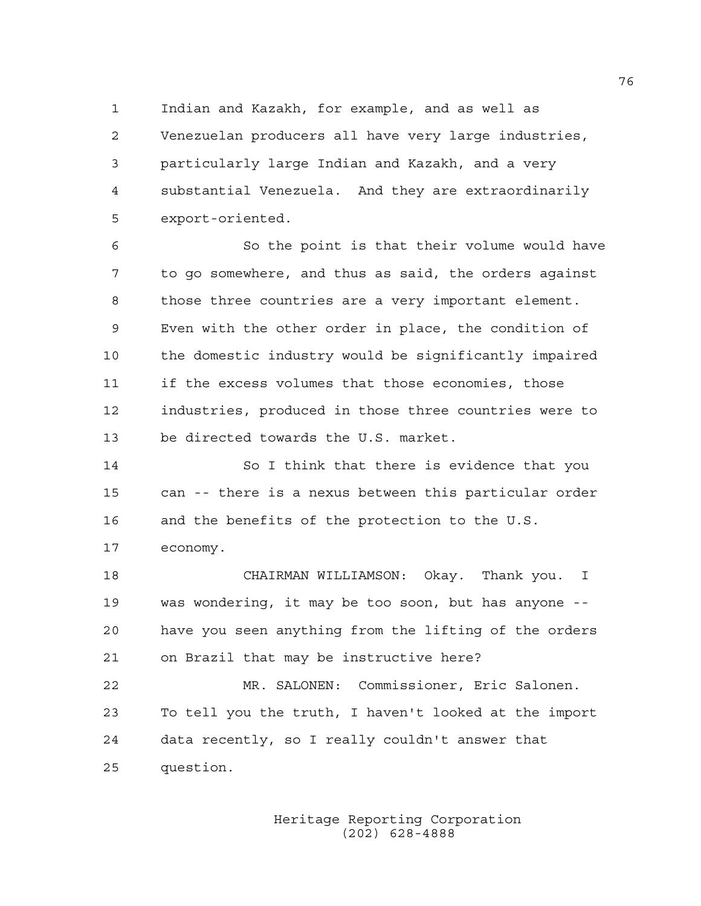1 Indian and Kazakh, for example, and as well as 2 Venezuelan producers all have very large industries, 3 particularly large Indian and Kazakh, and a very 4 substantial Venezuela. And they are extraordinarily 5 export-oriented.

6 So the point is that their volume would have 7 to go somewhere, and thus as said, the orders against 8 those three countries are a very important element. 9 Even with the other order in place, the condition of 10 the domestic industry would be significantly impaired 11 if the excess volumes that those economies, those 12 industries, produced in those three countries were to 13 be directed towards the U.S. market.

14 So I think that there is evidence that you 15 can -- there is a nexus between this particular order 16 and the benefits of the protection to the U.S. 17 economy.

18 CHAIRMAN WILLIAMSON: Okay. Thank you. I 19 was wondering, it may be too soon, but has anyone -- 20 have you seen anything from the lifting of the orders 21 on Brazil that may be instructive here?

22 MR. SALONEN: Commissioner, Eric Salonen. 23 To tell you the truth, I haven't looked at the import 24 data recently, so I really couldn't answer that 25 question.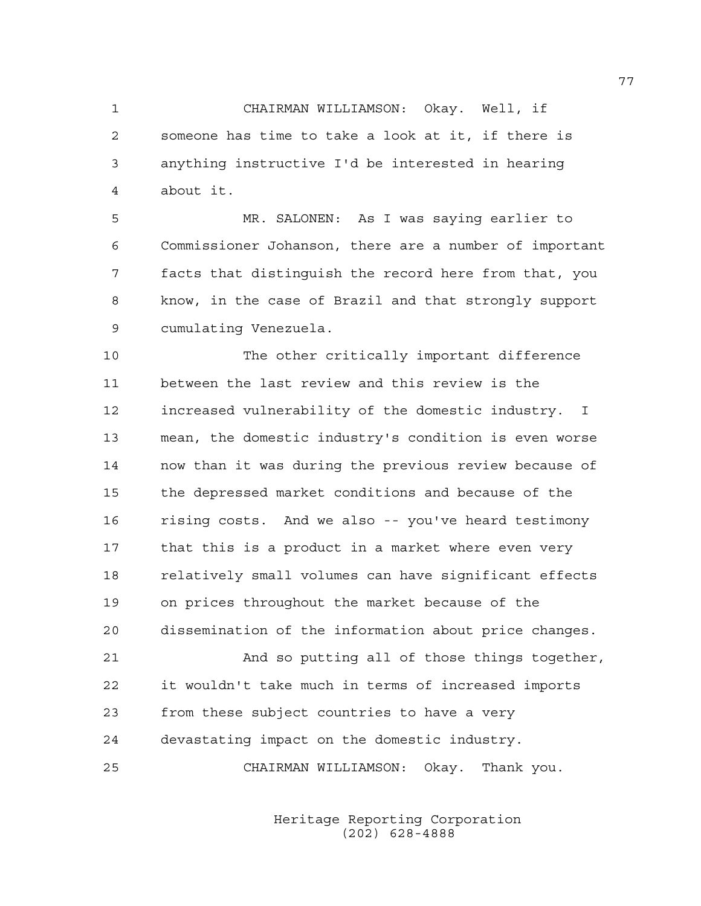1 CHAIRMAN WILLIAMSON: Okay. Well, if 2 someone has time to take a look at it, if there is 3 anything instructive I'd be interested in hearing 4 about it.

5 MR. SALONEN: As I was saying earlier to 6 Commissioner Johanson, there are a number of important 7 facts that distinguish the record here from that, you 8 know, in the case of Brazil and that strongly support 9 cumulating Venezuela.

10 The other critically important difference 11 between the last review and this review is the 12 increased vulnerability of the domestic industry. I 13 mean, the domestic industry's condition is even worse 14 now than it was during the previous review because of 15 the depressed market conditions and because of the 16 rising costs. And we also -- you've heard testimony 17 that this is a product in a market where even very 18 relatively small volumes can have significant effects 19 on prices throughout the market because of the 20 dissemination of the information about price changes.

21 And so putting all of those things together, 22 it wouldn't take much in terms of increased imports 23 from these subject countries to have a very 24 devastating impact on the domestic industry.

25 CHAIRMAN WILLIAMSON: Okay. Thank you.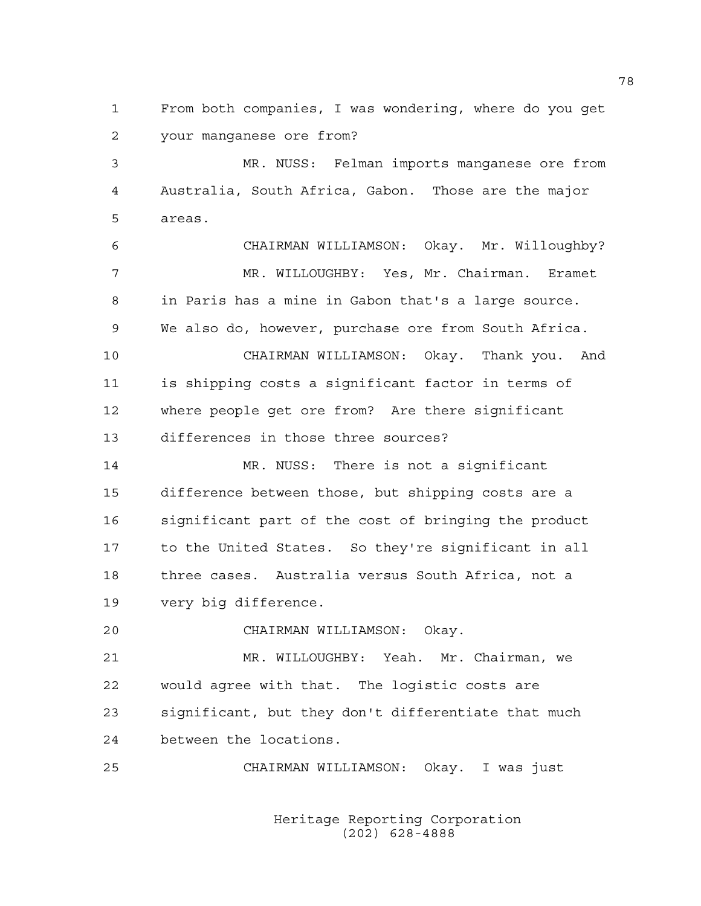1 From both companies, I was wondering, where do you get 2 your manganese ore from?

3 MR. NUSS: Felman imports manganese ore from 4 Australia, South Africa, Gabon. Those are the major 5 areas.

6 CHAIRMAN WILLIAMSON: Okay. Mr. Willoughby? 7 MR. WILLOUGHBY: Yes, Mr. Chairman. Eramet 8 in Paris has a mine in Gabon that's a large source. 9 We also do, however, purchase ore from South Africa. 10 CHAIRMAN WILLIAMSON: Okay. Thank you. And 11 is shipping costs a significant factor in terms of 12 where people get ore from? Are there significant

13 differences in those three sources?

14 MR. NUSS: There is not a significant 15 difference between those, but shipping costs are a 16 significant part of the cost of bringing the product 17 to the United States. So they're significant in all 18 three cases. Australia versus South Africa, not a 19 very big difference.

20 CHAIRMAN WILLIAMSON: Okay.

21 MR. WILLOUGHBY: Yeah. Mr. Chairman, we 22 would agree with that. The logistic costs are 23 significant, but they don't differentiate that much 24 between the locations.

25 CHAIRMAN WILLIAMSON: Okay. I was just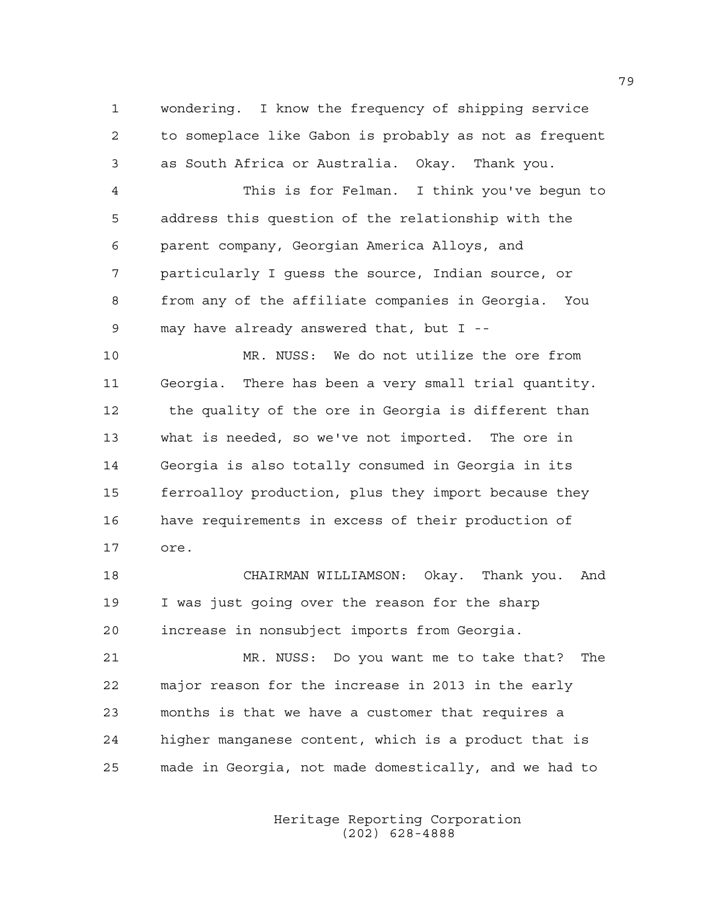1 wondering. I know the frequency of shipping service 2 to someplace like Gabon is probably as not as frequent 3 as South Africa or Australia. Okay. Thank you.

4 This is for Felman. I think you've begun to 5 address this question of the relationship with the 6 parent company, Georgian America Alloys, and 7 particularly I guess the source, Indian source, or 8 from any of the affiliate companies in Georgia. You 9 may have already answered that, but I --

10 MR. NUSS: We do not utilize the ore from 11 Georgia. There has been a very small trial quantity. 12 the quality of the ore in Georgia is different than 13 what is needed, so we've not imported. The ore in 14 Georgia is also totally consumed in Georgia in its 15 ferroalloy production, plus they import because they 16 have requirements in excess of their production of 17 ore.

18 CHAIRMAN WILLIAMSON: Okay. Thank you. And 19 I was just going over the reason for the sharp 20 increase in nonsubject imports from Georgia.

21 MR. NUSS: Do you want me to take that? The 22 major reason for the increase in 2013 in the early 23 months is that we have a customer that requires a 24 higher manganese content, which is a product that is 25 made in Georgia, not made domestically, and we had to

> Heritage Reporting Corporation (202) 628-4888

79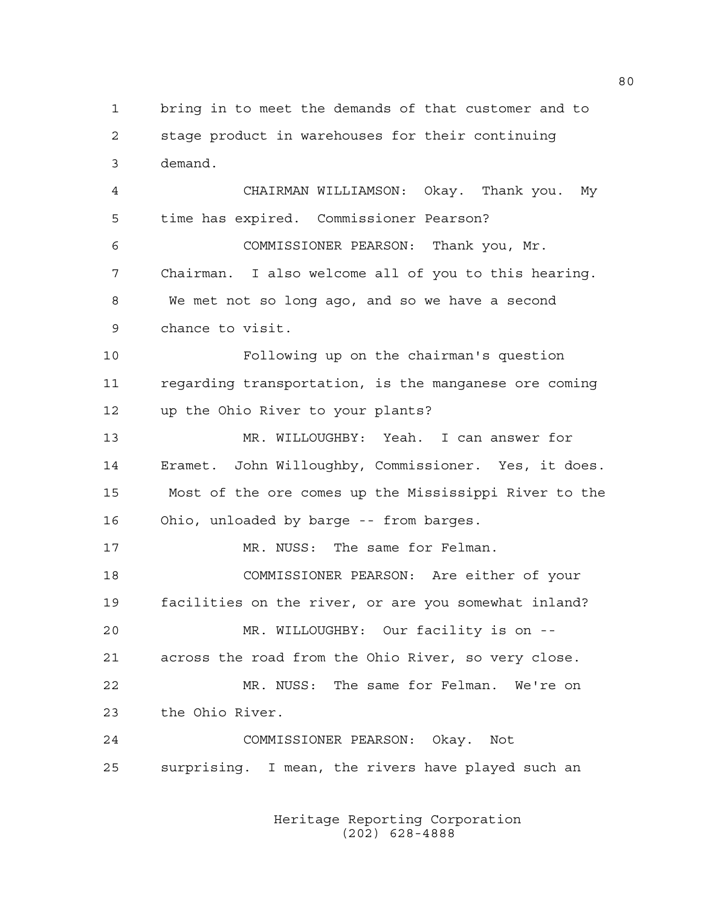1 bring in to meet the demands of that customer and to 2 stage product in warehouses for their continuing 3 demand.

4 CHAIRMAN WILLIAMSON: Okay. Thank you. My 5 time has expired. Commissioner Pearson? 6 COMMISSIONER PEARSON: Thank you, Mr. 7 Chairman. I also welcome all of you to this hearing. 8 We met not so long ago, and so we have a second 9 chance to visit.

10 Following up on the chairman's question 11 regarding transportation, is the manganese ore coming 12 up the Ohio River to your plants?

13 MR. WILLOUGHBY: Yeah. I can answer for 14 Eramet. John Willoughby, Commissioner. Yes, it does. 15 Most of the ore comes up the Mississippi River to the 16 Ohio, unloaded by barge -- from barges.

17 MR. NUSS: The same for Felman. 18 COMMISSIONER PEARSON: Are either of your 19 facilities on the river, or are you somewhat inland? 20 MR. WILLOUGHBY: Our facility is on -- 21 across the road from the Ohio River, so very close.

22 MR. NUSS: The same for Felman. We're on 23 the Ohio River.

24 COMMISSIONER PEARSON: Okay. Not 25 surprising. I mean, the rivers have played such an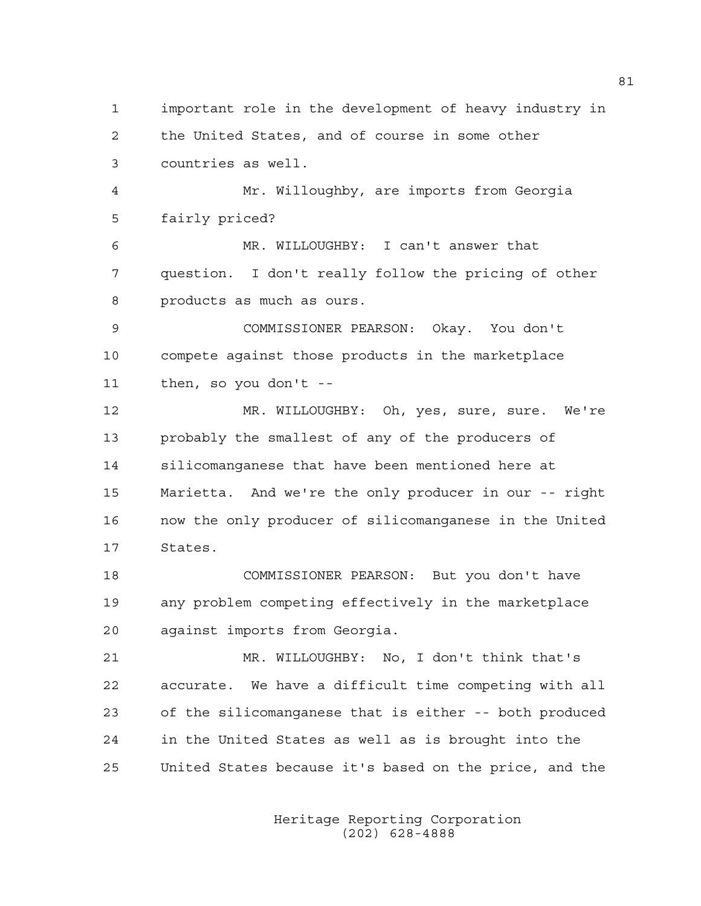1 important role in the development of heavy industry in 2 the United States, and of course in some other 3 countries as well. 4 Mr. Willoughby, are imports from Georgia 5 fairly priced? 6 MR. WILLOUGHBY: I can't answer that 7 question. I don't really follow the pricing of other 8 products as much as ours. 9 COMMISSIONER PEARSON: Okay. You don't 10 compete against those products in the marketplace 11 then, so you don't -- 12 MR. WILLOUGHBY: Oh, yes, sure, sure. We're 13 probably the smallest of any of the producers of 14 silicomanganese that have been mentioned here at 15 Marietta. And we're the only producer in our -- right 16 now the only producer of silicomanganese in the United 17 States. 18 COMMISSIONER PEARSON: But you don't have 19 any problem competing effectively in the marketplace 20 against imports from Georgia. 21 MR. WILLOUGHBY: No, I don't think that's 22 accurate. We have a difficult time competing with all 23 of the silicomanganese that is either -- both produced 24 in the United States as well as is brought into the 25 United States because it's based on the price, and the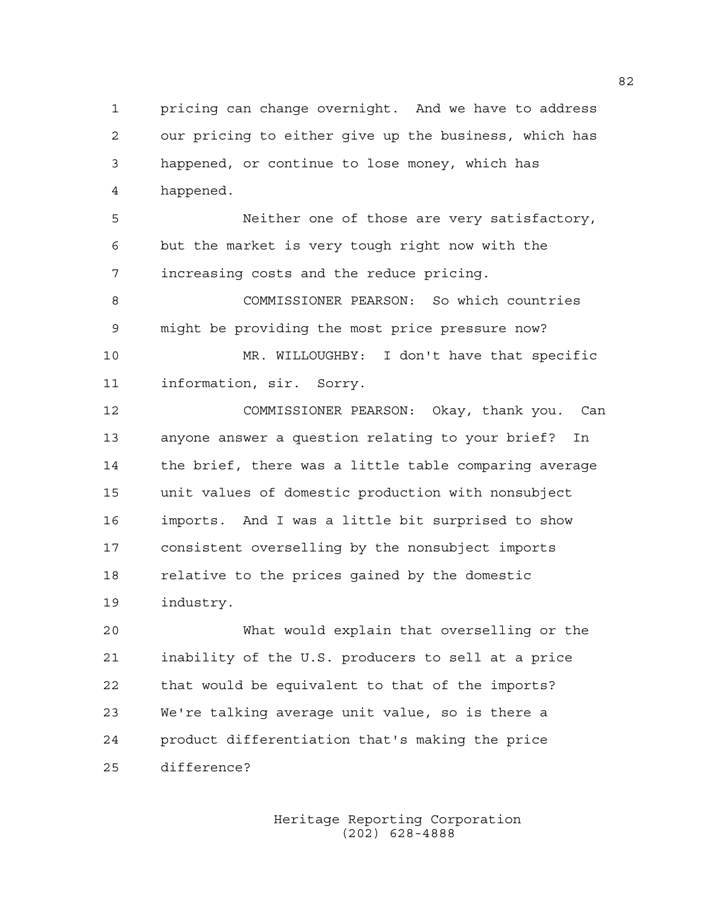1 pricing can change overnight. And we have to address 2 our pricing to either give up the business, which has 3 happened, or continue to lose money, which has 4 happened.

5 Neither one of those are very satisfactory, 6 but the market is very tough right now with the 7 increasing costs and the reduce pricing.

8 COMMISSIONER PEARSON: So which countries 9 might be providing the most price pressure now?

10 MR. WILLOUGHBY: I don't have that specific 11 information, sir. Sorry.

12 COMMISSIONER PEARSON: Okay, thank you. Can 13 anyone answer a question relating to your brief? In 14 the brief, there was a little table comparing average 15 unit values of domestic production with nonsubject 16 imports. And I was a little bit surprised to show 17 consistent overselling by the nonsubject imports 18 relative to the prices gained by the domestic 19 industry.

20 What would explain that overselling or the 21 inability of the U.S. producers to sell at a price 22 that would be equivalent to that of the imports? 23 We're talking average unit value, so is there a 24 product differentiation that's making the price 25 difference?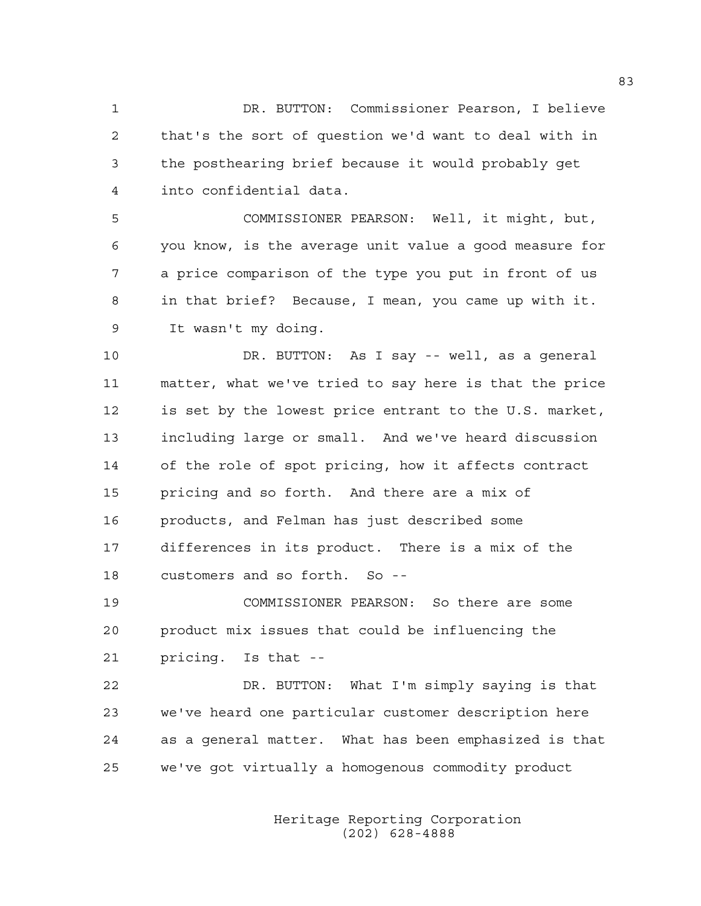1 DR. BUTTON: Commissioner Pearson, I believe 2 that's the sort of question we'd want to deal with in 3 the posthearing brief because it would probably get 4 into confidential data.

5 COMMISSIONER PEARSON: Well, it might, but, 6 you know, is the average unit value a good measure for 7 a price comparison of the type you put in front of us 8 in that brief? Because, I mean, you came up with it. 9 It wasn't my doing.

10 DR. BUTTON: As I say -- well, as a general 11 matter, what we've tried to say here is that the price 12 is set by the lowest price entrant to the U.S. market, 13 including large or small. And we've heard discussion 14 of the role of spot pricing, how it affects contract 15 pricing and so forth. And there are a mix of 16 products, and Felman has just described some 17 differences in its product. There is a mix of the 18 customers and so forth. So --

19 COMMISSIONER PEARSON: So there are some 20 product mix issues that could be influencing the 21 pricing. Is that --

22 DR. BUTTON: What I'm simply saying is that 23 we've heard one particular customer description here 24 as a general matter. What has been emphasized is that 25 we've got virtually a homogenous commodity product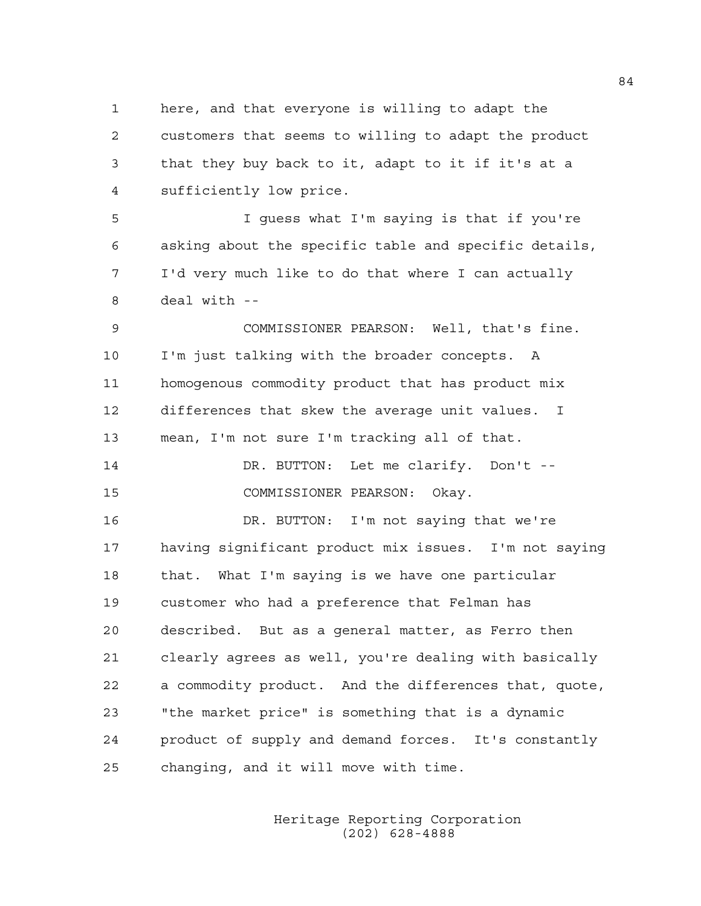1 here, and that everyone is willing to adapt the 2 customers that seems to willing to adapt the product 3 that they buy back to it, adapt to it if it's at a 4 sufficiently low price.

5 I guess what I'm saying is that if you're 6 asking about the specific table and specific details, 7 I'd very much like to do that where I can actually 8 deal with --

9 COMMISSIONER PEARSON: Well, that's fine. 10 I'm just talking with the broader concepts. A 11 homogenous commodity product that has product mix 12 differences that skew the average unit values. I 13 mean, I'm not sure I'm tracking all of that.

```
14 DR. BUTTON: Let me clarify. Don't -- 
15 COMMISSIONER PEARSON: Okay.
```
16 DR. BUTTON: I'm not saying that we're 17 having significant product mix issues. I'm not saying 18 that. What I'm saying is we have one particular 19 customer who had a preference that Felman has 20 described. But as a general matter, as Ferro then 21 clearly agrees as well, you're dealing with basically 22 a commodity product. And the differences that, quote, 23 "the market price" is something that is a dynamic 24 product of supply and demand forces. It's constantly 25 changing, and it will move with time.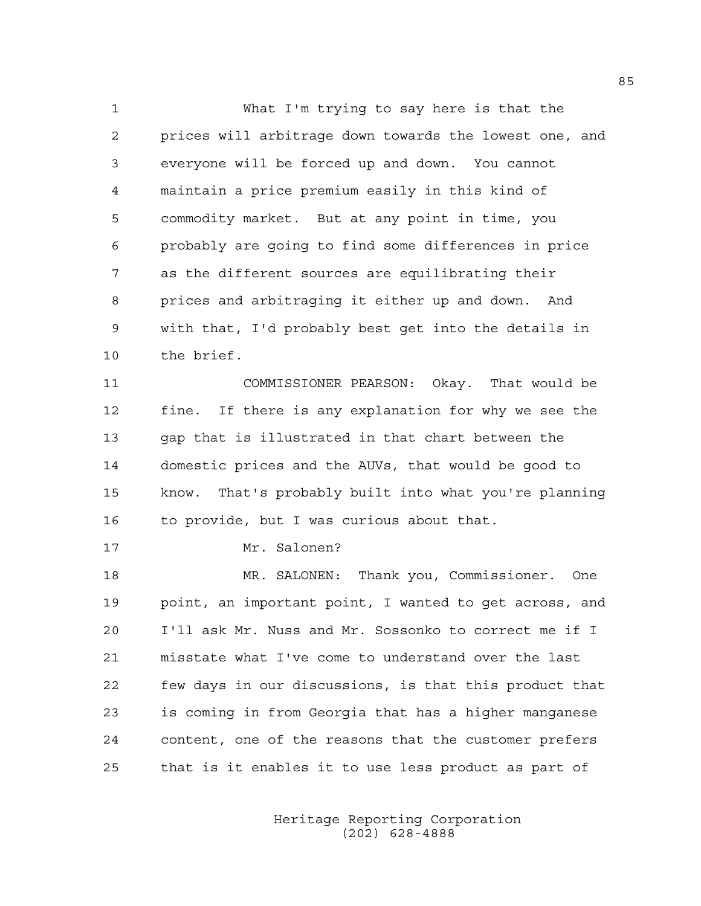1 What I'm trying to say here is that the 2 prices will arbitrage down towards the lowest one, and 3 everyone will be forced up and down. You cannot 4 maintain a price premium easily in this kind of 5 commodity market. But at any point in time, you 6 probably are going to find some differences in price 7 as the different sources are equilibrating their 8 prices and arbitraging it either up and down. And 9 with that, I'd probably best get into the details in 10 the brief.

11 COMMISSIONER PEARSON: Okay. That would be 12 fine. If there is any explanation for why we see the 13 gap that is illustrated in that chart between the 14 domestic prices and the AUVs, that would be good to 15 know. That's probably built into what you're planning 16 to provide, but I was curious about that.

17 Mr. Salonen?

18 MR. SALONEN: Thank you, Commissioner. One 19 point, an important point, I wanted to get across, and 20 I'll ask Mr. Nuss and Mr. Sossonko to correct me if I 21 misstate what I've come to understand over the last 22 few days in our discussions, is that this product that 23 is coming in from Georgia that has a higher manganese 24 content, one of the reasons that the customer prefers 25 that is it enables it to use less product as part of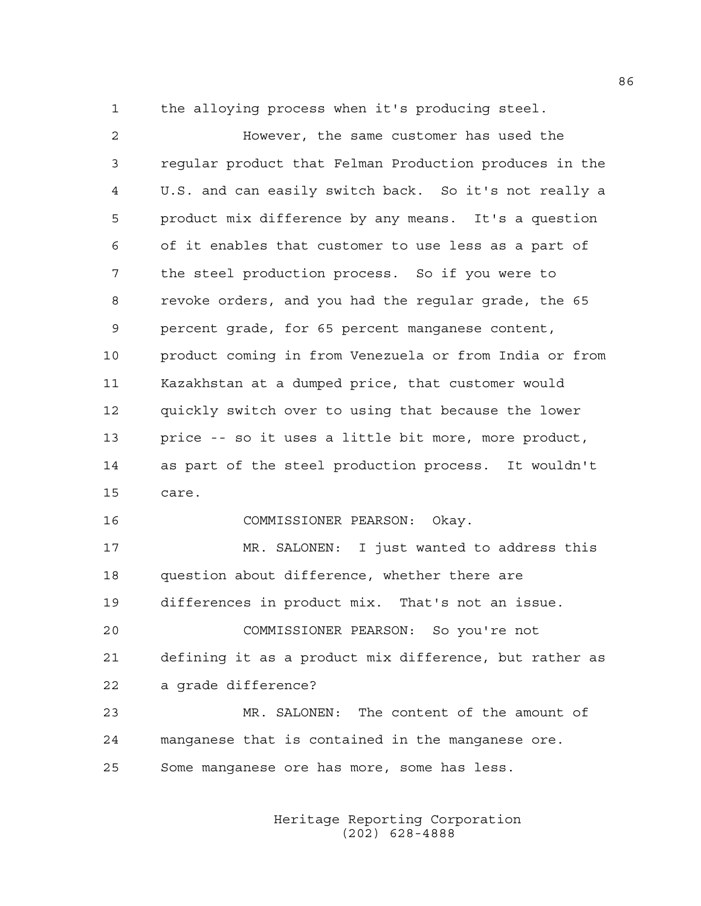1 the alloying process when it's producing steel.

2 However, the same customer has used the 3 regular product that Felman Production produces in the 4 U.S. and can easily switch back. So it's not really a 5 product mix difference by any means. It's a question 6 of it enables that customer to use less as a part of 7 the steel production process. So if you were to 8 revoke orders, and you had the regular grade, the 65 9 percent grade, for 65 percent manganese content, 10 product coming in from Venezuela or from India or from 11 Kazakhstan at a dumped price, that customer would 12 quickly switch over to using that because the lower 13 price -- so it uses a little bit more, more product, 14 as part of the steel production process. It wouldn't 15 care. 16 COMMISSIONER PEARSON: Okay. 17 MR. SALONEN: I just wanted to address this 18 question about difference, whether there are 19 differences in product mix. That's not an issue. 20 COMMISSIONER PEARSON: So you're not 21 defining it as a product mix difference, but rather as 22 a grade difference? 23 MR. SALONEN: The content of the amount of 24 manganese that is contained in the manganese ore. 25 Some manganese ore has more, some has less.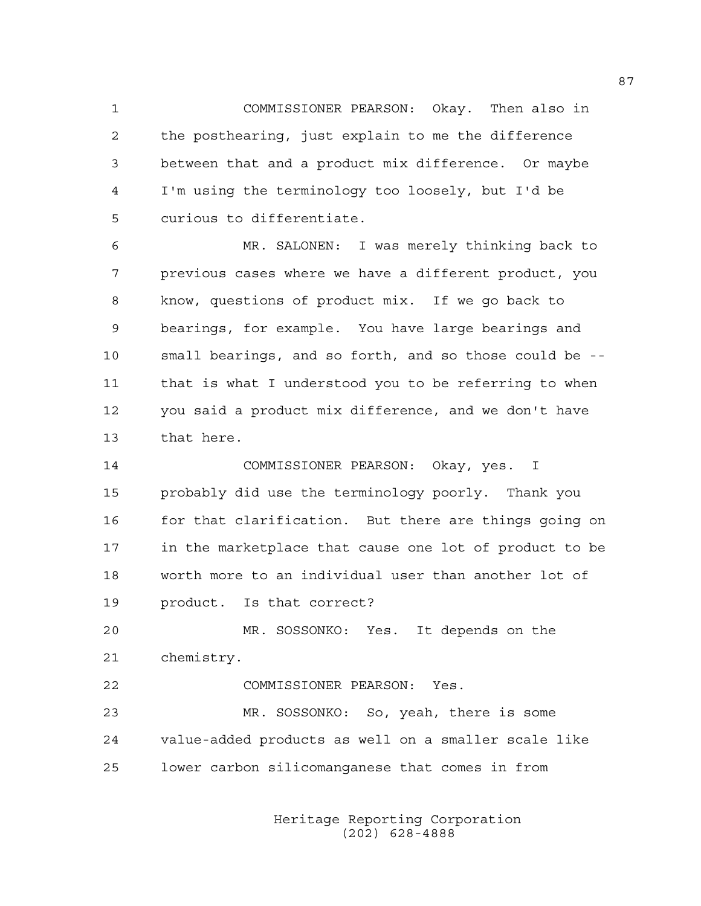1 COMMISSIONER PEARSON: Okay. Then also in 2 the posthearing, just explain to me the difference 3 between that and a product mix difference. Or maybe 4 I'm using the terminology too loosely, but I'd be 5 curious to differentiate.

6 MR. SALONEN: I was merely thinking back to 7 previous cases where we have a different product, you 8 know, questions of product mix. If we go back to 9 bearings, for example. You have large bearings and 10 small bearings, and so forth, and so those could be -- 11 that is what I understood you to be referring to when 12 you said a product mix difference, and we don't have 13 that here.

14 COMMISSIONER PEARSON: Okay, yes. I 15 probably did use the terminology poorly. Thank you 16 for that clarification. But there are things going on 17 in the marketplace that cause one lot of product to be 18 worth more to an individual user than another lot of 19 product. Is that correct?

20 MR. SOSSONKO: Yes. It depends on the 21 chemistry.

22 COMMISSIONER PEARSON: Yes. 23 MR. SOSSONKO: So, yeah, there is some 24 value-added products as well on a smaller scale like 25 lower carbon silicomanganese that comes in from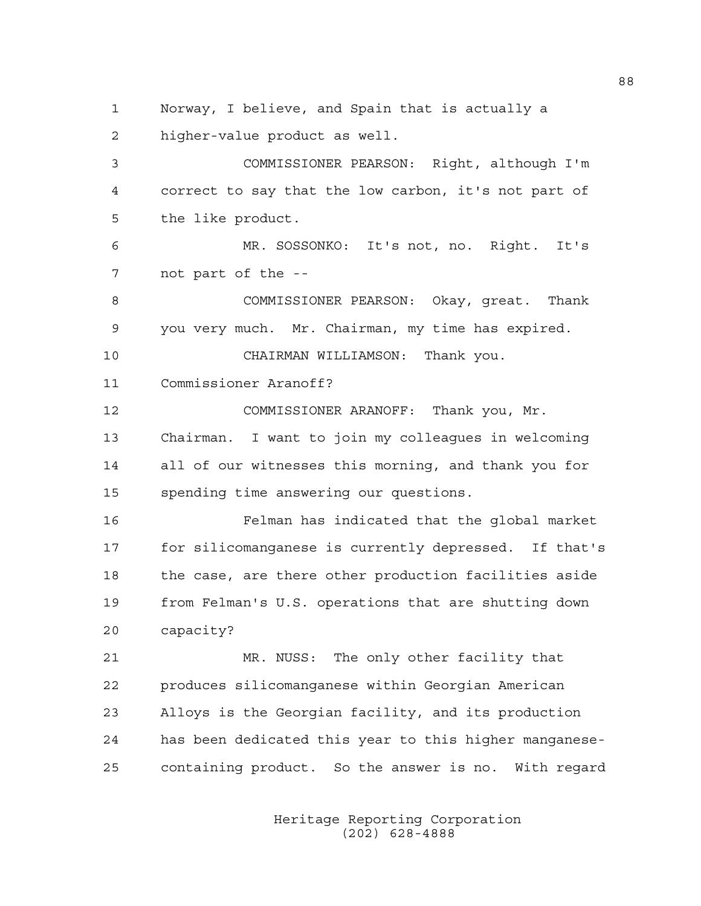1 Norway, I believe, and Spain that is actually a 2 higher-value product as well.

3 COMMISSIONER PEARSON: Right, although I'm 4 correct to say that the low carbon, it's not part of 5 the like product.

6 MR. SOSSONKO: It's not, no. Right. It's 7 not part of the --

8 COMMISSIONER PEARSON: Okay, great. Thank 9 you very much. Mr. Chairman, my time has expired.

10 CHAIRMAN WILLIAMSON: Thank you.

11 Commissioner Aranoff?

12 COMMISSIONER ARANOFF: Thank you, Mr. 13 Chairman. I want to join my colleagues in welcoming 14 all of our witnesses this morning, and thank you for 15 spending time answering our questions.

16 Felman has indicated that the global market 17 for silicomanganese is currently depressed. If that's 18 the case, are there other production facilities aside 19 from Felman's U.S. operations that are shutting down 20 capacity?

21 MR. NUSS: The only other facility that 22 produces silicomanganese within Georgian American 23 Alloys is the Georgian facility, and its production 24 has been dedicated this year to this higher manganese-25 containing product. So the answer is no. With regard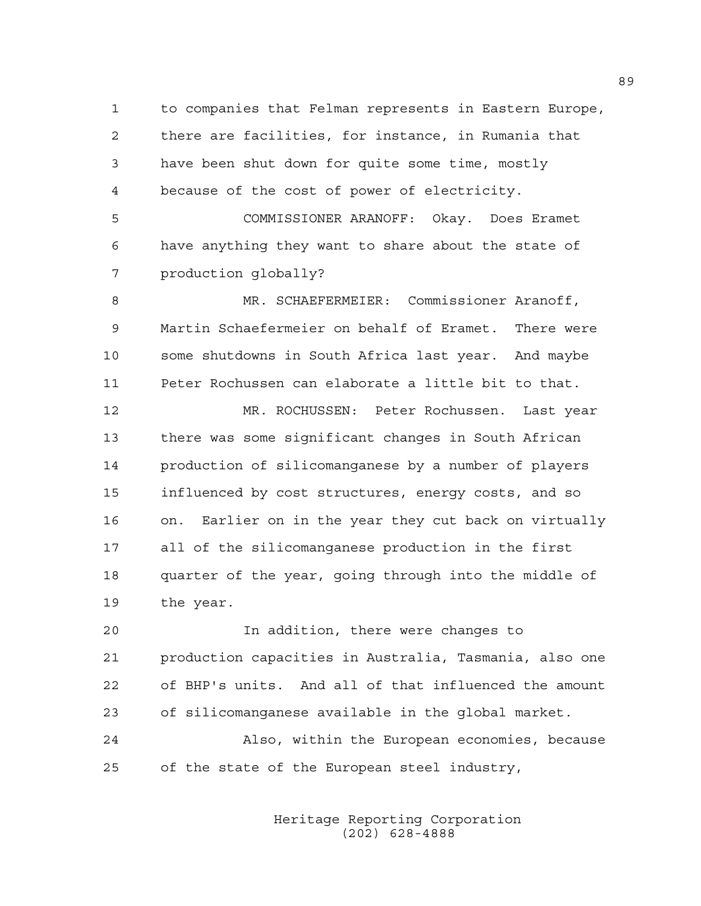1 to companies that Felman represents in Eastern Europe, 2 there are facilities, for instance, in Rumania that 3 have been shut down for quite some time, mostly 4 because of the cost of power of electricity.

5 COMMISSIONER ARANOFF: Okay. Does Eramet 6 have anything they want to share about the state of 7 production globally?

8 MR. SCHAEFERMEIER: Commissioner Aranoff, 9 Martin Schaefermeier on behalf of Eramet. There were 10 some shutdowns in South Africa last year. And maybe 11 Peter Rochussen can elaborate a little bit to that.

12 MR. ROCHUSSEN: Peter Rochussen. Last year 13 there was some significant changes in South African 14 production of silicomanganese by a number of players 15 influenced by cost structures, energy costs, and so 16 on. Earlier on in the year they cut back on virtually 17 all of the silicomanganese production in the first 18 quarter of the year, going through into the middle of 19 the year.

20 In addition, there were changes to 21 production capacities in Australia, Tasmania, also one 22 of BHP's units. And all of that influenced the amount 23 of silicomanganese available in the global market.

24 Also, within the European economies, because 25 of the state of the European steel industry,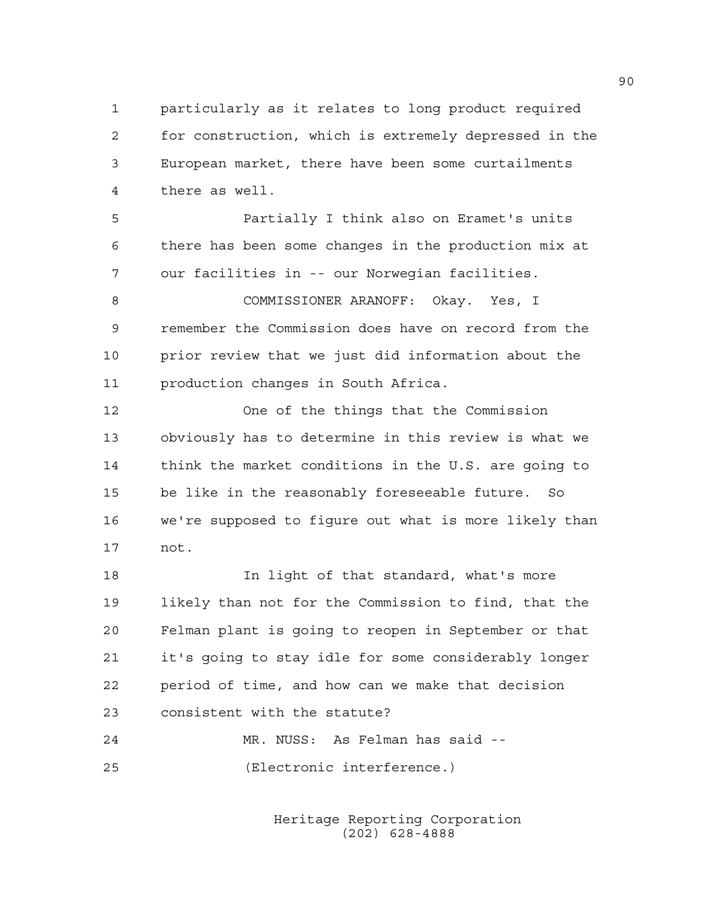1 particularly as it relates to long product required 2 for construction, which is extremely depressed in the 3 European market, there have been some curtailments 4 there as well.

5 Partially I think also on Eramet's units 6 there has been some changes in the production mix at 7 our facilities in -- our Norwegian facilities.

8 COMMISSIONER ARANOFF: Okay. Yes, I 9 remember the Commission does have on record from the 10 prior review that we just did information about the 11 production changes in South Africa.

12 One of the things that the Commission 13 obviously has to determine in this review is what we 14 think the market conditions in the U.S. are going to 15 be like in the reasonably foreseeable future. So 16 we're supposed to figure out what is more likely than 17 not.

18 In light of that standard, what's more 19 likely than not for the Commission to find, that the 20 Felman plant is going to reopen in September or that 21 it's going to stay idle for some considerably longer 22 period of time, and how can we make that decision 23 consistent with the statute?

24 MR. NUSS: As Felman has said -- 25 (Electronic interference.)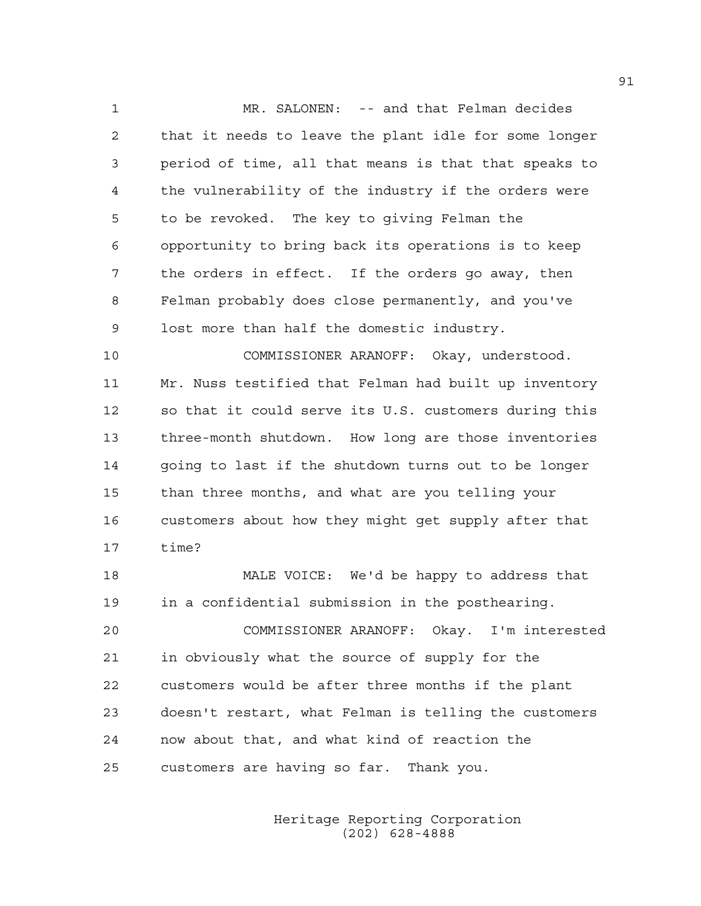1 MR. SALONEN: -- and that Felman decides 2 that it needs to leave the plant idle for some longer 3 period of time, all that means is that that speaks to 4 the vulnerability of the industry if the orders were 5 to be revoked. The key to giving Felman the 6 opportunity to bring back its operations is to keep 7 the orders in effect. If the orders go away, then 8 Felman probably does close permanently, and you've 9 lost more than half the domestic industry.

10 COMMISSIONER ARANOFF: Okay, understood. 11 Mr. Nuss testified that Felman had built up inventory 12 so that it could serve its U.S. customers during this 13 three-month shutdown. How long are those inventories 14 going to last if the shutdown turns out to be longer 15 than three months, and what are you telling your 16 customers about how they might get supply after that 17 time?

18 MALE VOICE: We'd be happy to address that 19 in a confidential submission in the posthearing. 20 COMMISSIONER ARANOFF: Okay. I'm interested 21 in obviously what the source of supply for the 22 customers would be after three months if the plant 23 doesn't restart, what Felman is telling the customers 24 now about that, and what kind of reaction the 25 customers are having so far. Thank you.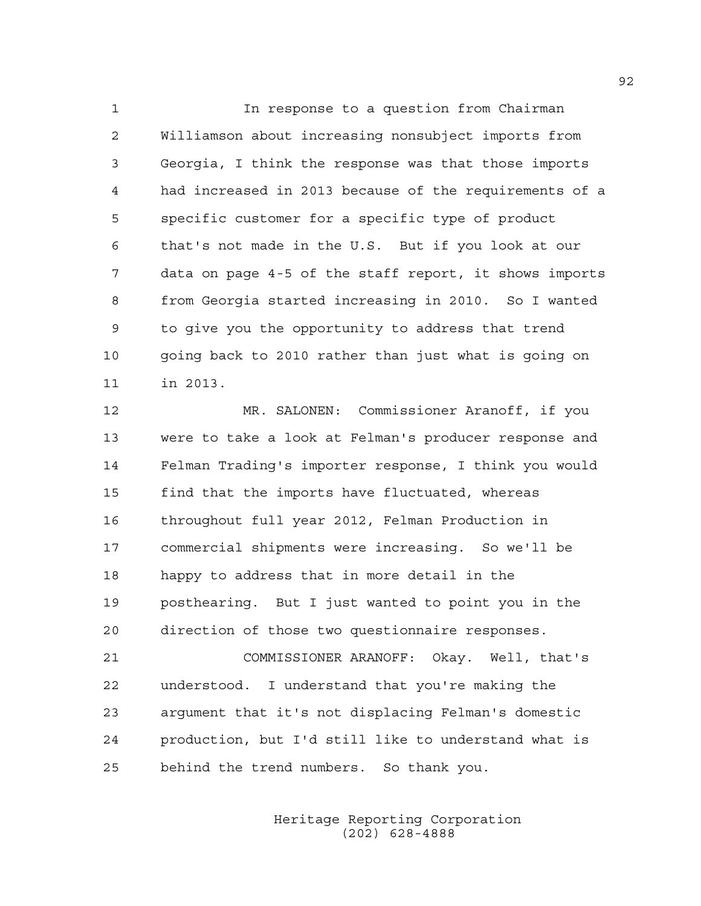1 In response to a question from Chairman 2 Williamson about increasing nonsubject imports from 3 Georgia, I think the response was that those imports 4 had increased in 2013 because of the requirements of a 5 specific customer for a specific type of product 6 that's not made in the U.S. But if you look at our 7 data on page 4-5 of the staff report, it shows imports 8 from Georgia started increasing in 2010. So I wanted 9 to give you the opportunity to address that trend 10 going back to 2010 rather than just what is going on 11 in 2013.

12 MR. SALONEN: Commissioner Aranoff, if you 13 were to take a look at Felman's producer response and 14 Felman Trading's importer response, I think you would 15 find that the imports have fluctuated, whereas 16 throughout full year 2012, Felman Production in 17 commercial shipments were increasing. So we'll be 18 happy to address that in more detail in the 19 posthearing. But I just wanted to point you in the 20 direction of those two questionnaire responses.

21 COMMISSIONER ARANOFF: Okay. Well, that's 22 understood. I understand that you're making the 23 argument that it's not displacing Felman's domestic 24 production, but I'd still like to understand what is 25 behind the trend numbers. So thank you.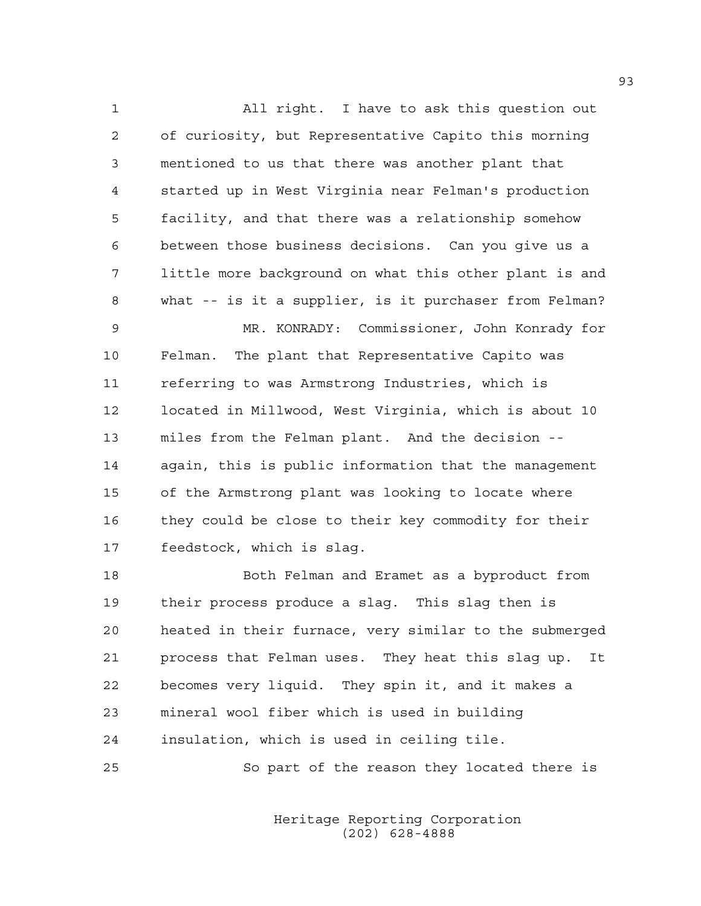1 All right. I have to ask this question out 2 of curiosity, but Representative Capito this morning 3 mentioned to us that there was another plant that 4 started up in West Virginia near Felman's production 5 facility, and that there was a relationship somehow 6 between those business decisions. Can you give us a 7 little more background on what this other plant is and 8 what -- is it a supplier, is it purchaser from Felman? 9 MR. KONRADY: Commissioner, John Konrady for 10 Felman. The plant that Representative Capito was 11 referring to was Armstrong Industries, which is 12 located in Millwood, West Virginia, which is about 10 13 miles from the Felman plant. And the decision -- 14 again, this is public information that the management 15 of the Armstrong plant was looking to locate where 16 they could be close to their key commodity for their 17 feedstock, which is slag.

18 Both Felman and Eramet as a byproduct from 19 their process produce a slag. This slag then is 20 heated in their furnace, very similar to the submerged 21 process that Felman uses. They heat this slag up. It 22 becomes very liquid. They spin it, and it makes a 23 mineral wool fiber which is used in building 24 insulation, which is used in ceiling tile.

25 So part of the reason they located there is

 Heritage Reporting Corporation (202) 628-4888

93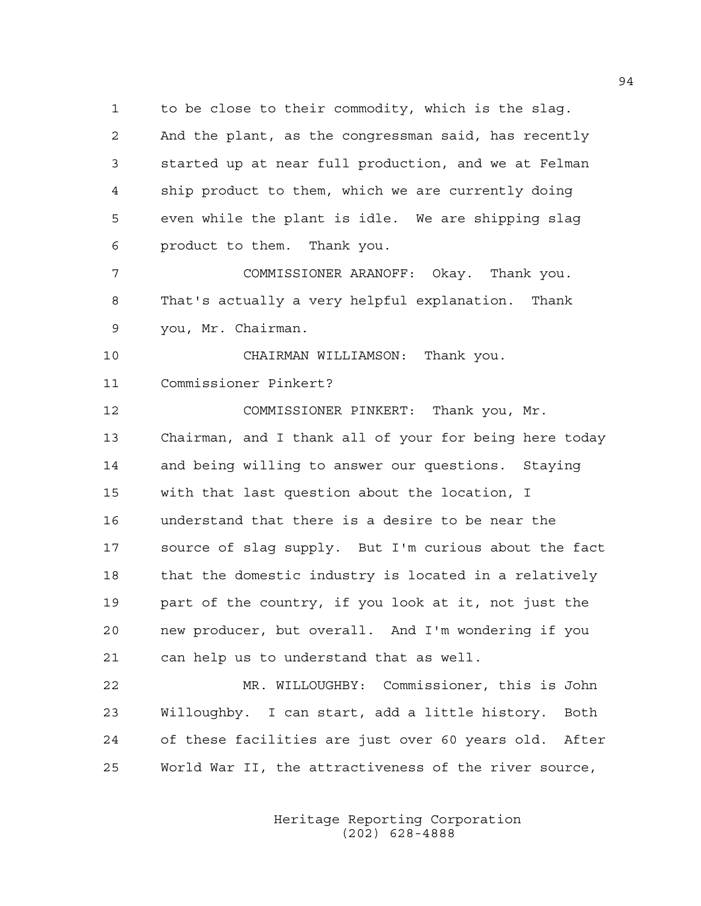1 to be close to their commodity, which is the slag. 2 And the plant, as the congressman said, has recently 3 started up at near full production, and we at Felman 4 ship product to them, which we are currently doing 5 even while the plant is idle. We are shipping slag 6 product to them. Thank you.

7 COMMISSIONER ARANOFF: Okay. Thank you. 8 That's actually a very helpful explanation. Thank 9 you, Mr. Chairman.

10 CHAIRMAN WILLIAMSON: Thank you. 11 Commissioner Pinkert?

12 COMMISSIONER PINKERT: Thank you, Mr. 13 Chairman, and I thank all of your for being here today 14 and being willing to answer our questions. Staying 15 with that last question about the location, I 16 understand that there is a desire to be near the 17 source of slag supply. But I'm curious about the fact 18 that the domestic industry is located in a relatively 19 part of the country, if you look at it, not just the 20 new producer, but overall. And I'm wondering if you 21 can help us to understand that as well.

22 MR. WILLOUGHBY: Commissioner, this is John 23 Willoughby. I can start, add a little history. Both 24 of these facilities are just over 60 years old. After 25 World War II, the attractiveness of the river source,

> Heritage Reporting Corporation (202) 628-4888

94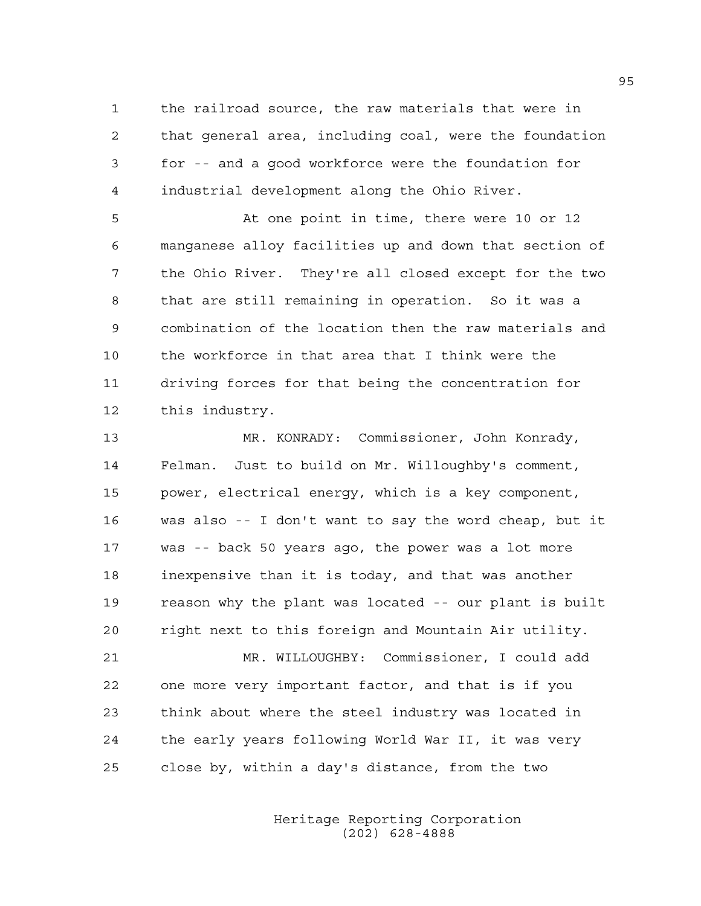1 the railroad source, the raw materials that were in 2 that general area, including coal, were the foundation 3 for -- and a good workforce were the foundation for 4 industrial development along the Ohio River.

5 At one point in time, there were 10 or 12 6 manganese alloy facilities up and down that section of 7 the Ohio River. They're all closed except for the two 8 that are still remaining in operation. So it was a 9 combination of the location then the raw materials and 10 the workforce in that area that I think were the 11 driving forces for that being the concentration for 12 this industry.

13 MR. KONRADY: Commissioner, John Konrady, 14 Felman. Just to build on Mr. Willoughby's comment, 15 power, electrical energy, which is a key component, 16 was also -- I don't want to say the word cheap, but it 17 was -- back 50 years ago, the power was a lot more 18 inexpensive than it is today, and that was another 19 reason why the plant was located -- our plant is built 20 right next to this foreign and Mountain Air utility.

21 MR. WILLOUGHBY: Commissioner, I could add 22 one more very important factor, and that is if you 23 think about where the steel industry was located in 24 the early years following World War II, it was very 25 close by, within a day's distance, from the two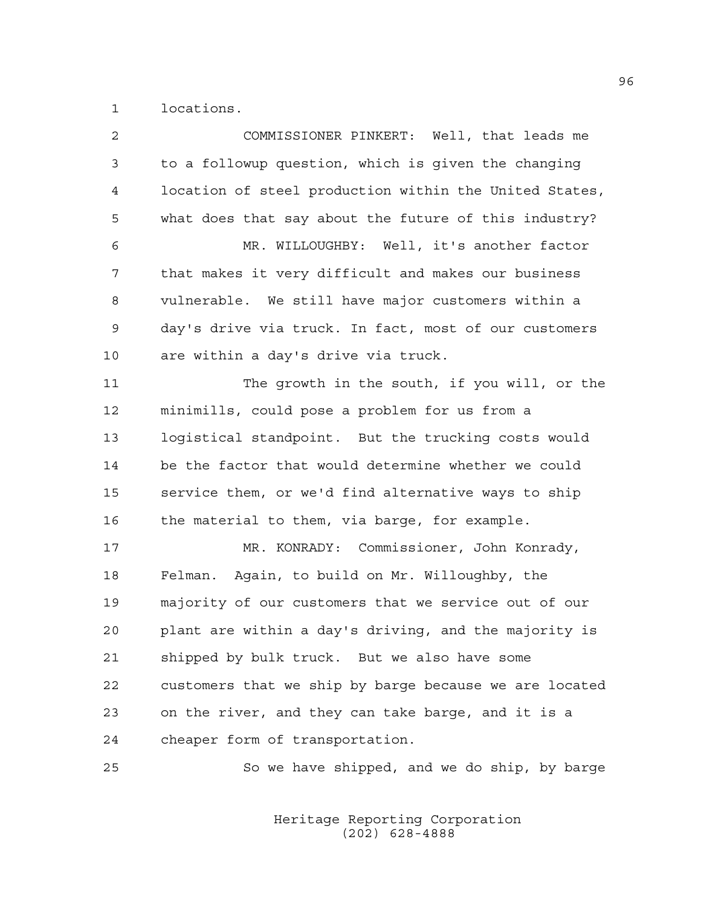1 locations.

| $\overline{2}$ | COMMISSIONER PINKERT: Well, that leads me              |
|----------------|--------------------------------------------------------|
| 3              | to a followup question, which is given the changing    |
| 4              | location of steel production within the United States, |
| 5              | what does that say about the future of this industry?  |
| 6              | MR. WILLOUGHBY: Well, it's another factor              |
| 7              | that makes it very difficult and makes our business    |
| 8              | vulnerable. We still have major customers within a     |
| 9              | day's drive via truck. In fact, most of our customers  |
| 10             | are within a day's drive via truck.                    |
| 11             | The growth in the south, if you will, or the           |
| 12             | minimills, could pose a problem for us from a          |
| 13             | logistical standpoint. But the trucking costs would    |
| 14             | be the factor that would determine whether we could    |
| 15             | service them, or we'd find alternative ways to ship    |
| 16             | the material to them, via barge, for example.          |
| 17             | MR. KONRADY: Commissioner, John Konrady,               |
| 18             | Felman. Again, to build on Mr. Willoughby, the         |
| 19             | majority of our customers that we service out of our   |
| 20             | plant are within a day's driving, and the majority is  |
| 21             | shipped by bulk truck. But we also have some           |
| 22             | customers that we ship by barge because we are located |
| 23             | on the river, and they can take barge, and it is a     |
| 24             | cheaper form of transportation.                        |
| 25             | So we have shipped, and we do ship, by barge           |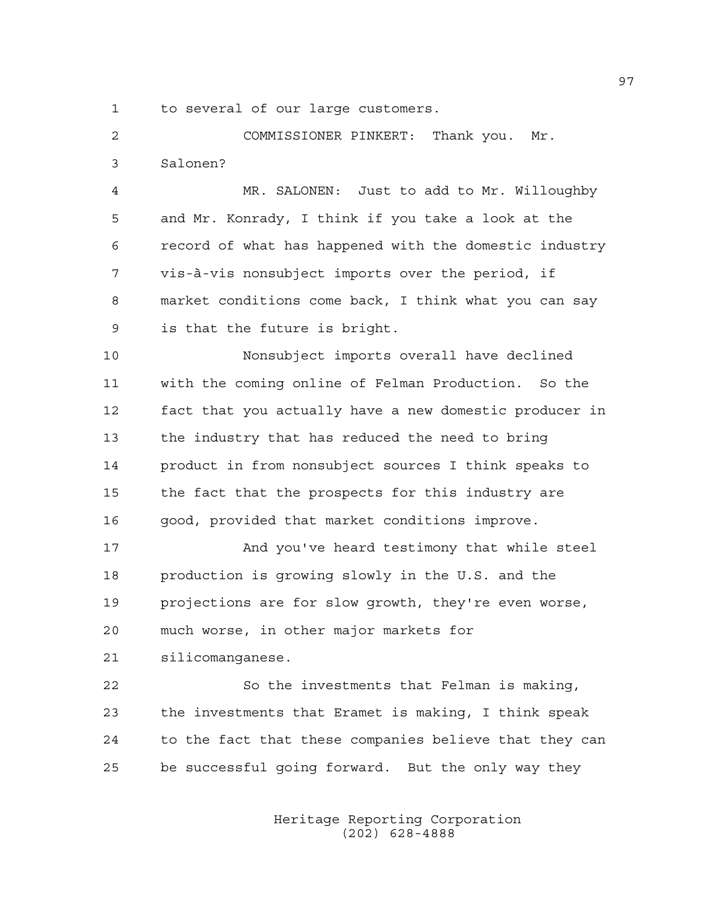1 to several of our large customers.

2 COMMISSIONER PINKERT: Thank you. Mr. 3 Salonen?

4 MR. SALONEN: Just to add to Mr. Willoughby 5 and Mr. Konrady, I think if you take a look at the 6 record of what has happened with the domestic industry 7 vis-à-vis nonsubject imports over the period, if 8 market conditions come back, I think what you can say 9 is that the future is bright.

10 Nonsubject imports overall have declined 11 with the coming online of Felman Production. So the 12 fact that you actually have a new domestic producer in 13 the industry that has reduced the need to bring 14 product in from nonsubject sources I think speaks to 15 the fact that the prospects for this industry are 16 good, provided that market conditions improve.

17 And you've heard testimony that while steel 18 production is growing slowly in the U.S. and the 19 projections are for slow growth, they're even worse, 20 much worse, in other major markets for

21 silicomanganese.

22 So the investments that Felman is making, 23 the investments that Eramet is making, I think speak 24 to the fact that these companies believe that they can 25 be successful going forward. But the only way they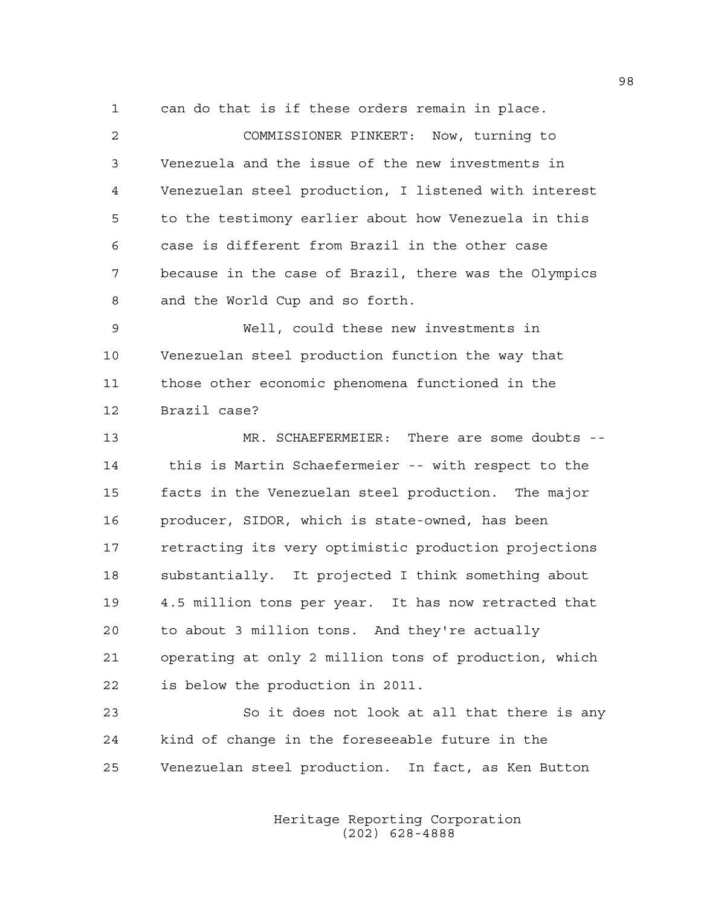1 can do that is if these orders remain in place.

2 COMMISSIONER PINKERT: Now, turning to 3 Venezuela and the issue of the new investments in 4 Venezuelan steel production, I listened with interest 5 to the testimony earlier about how Venezuela in this 6 case is different from Brazil in the other case 7 because in the case of Brazil, there was the Olympics 8 and the World Cup and so forth. 9 Well, could these new investments in 10 Venezuelan steel production function the way that 11 those other economic phenomena functioned in the 12 Brazil case? 13 MR. SCHAEFERMEIER: There are some doubts -- 14 this is Martin Schaefermeier -- with respect to the 15 facts in the Venezuelan steel production. The major 16 producer, SIDOR, which is state-owned, has been 17 retracting its very optimistic production projections 18 substantially. It projected I think something about 19 4.5 million tons per year. It has now retracted that 20 to about 3 million tons. And they're actually 21 operating at only 2 million tons of production, which 22 is below the production in 2011.

23 So it does not look at all that there is any 24 kind of change in the foreseeable future in the 25 Venezuelan steel production. In fact, as Ken Button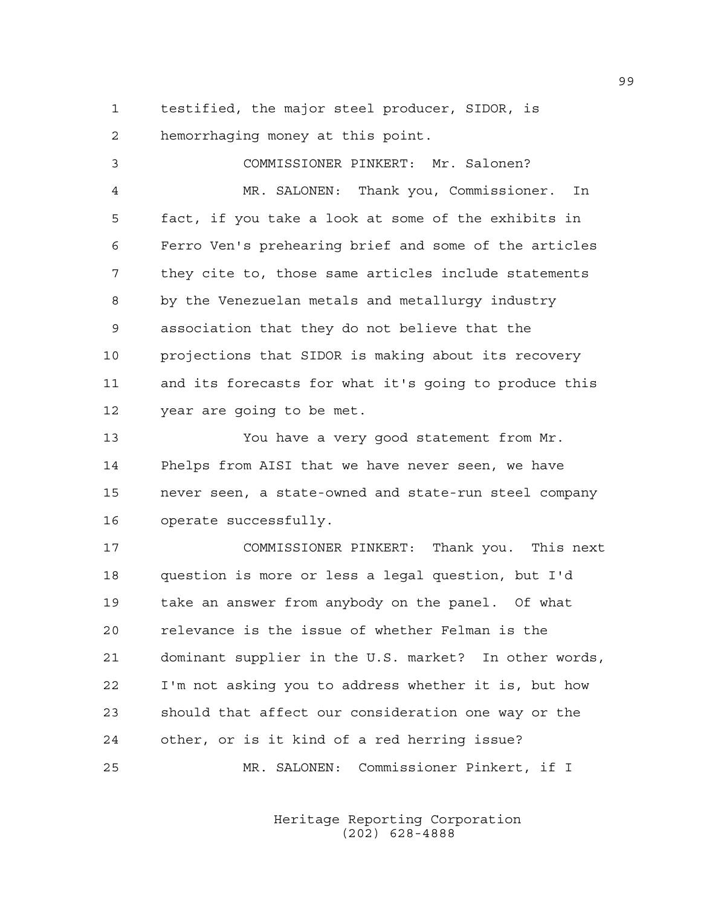1 testified, the major steel producer, SIDOR, is 2 hemorrhaging money at this point.

3 COMMISSIONER PINKERT: Mr. Salonen? 4 MR. SALONEN: Thank you, Commissioner. In 5 fact, if you take a look at some of the exhibits in 6 Ferro Ven's prehearing brief and some of the articles 7 they cite to, those same articles include statements 8 by the Venezuelan metals and metallurgy industry 9 association that they do not believe that the 10 projections that SIDOR is making about its recovery 11 and its forecasts for what it's going to produce this 12 year are going to be met. 13 You have a very good statement from Mr. 14 Phelps from AISI that we have never seen, we have 15 never seen, a state-owned and state-run steel company 16 operate successfully. 17 COMMISSIONER PINKERT: Thank you. This next 18 question is more or less a legal question, but I'd 19 take an answer from anybody on the panel. Of what 20 relevance is the issue of whether Felman is the 21 dominant supplier in the U.S. market? In other words, 22 I'm not asking you to address whether it is, but how 23 should that affect our consideration one way or the 24 other, or is it kind of a red herring issue? 25 MR. SALONEN: Commissioner Pinkert, if I

> Heritage Reporting Corporation (202) 628-4888

99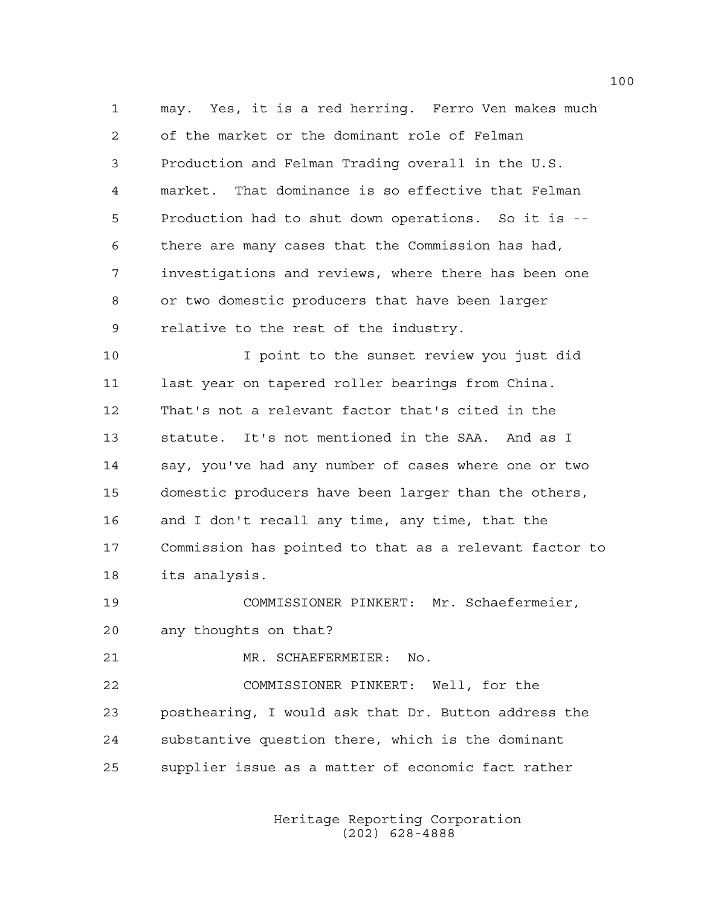1 may. Yes, it is a red herring. Ferro Ven makes much 2 of the market or the dominant role of Felman 3 Production and Felman Trading overall in the U.S. 4 market. That dominance is so effective that Felman 5 Production had to shut down operations. So it is -- 6 there are many cases that the Commission has had, 7 investigations and reviews, where there has been one 8 or two domestic producers that have been larger 9 relative to the rest of the industry.

10 I point to the sunset review you just did 11 last year on tapered roller bearings from China. 12 That's not a relevant factor that's cited in the 13 statute. It's not mentioned in the SAA. And as I 14 say, you've had any number of cases where one or two 15 domestic producers have been larger than the others, 16 and I don't recall any time, any time, that the 17 Commission has pointed to that as a relevant factor to 18 its analysis.

19 COMMISSIONER PINKERT: Mr. Schaefermeier, 20 any thoughts on that?

21 MR. SCHAEFERMEIER: No.

22 COMMISSIONER PINKERT: Well, for the 23 posthearing, I would ask that Dr. Button address the 24 substantive question there, which is the dominant 25 supplier issue as a matter of economic fact rather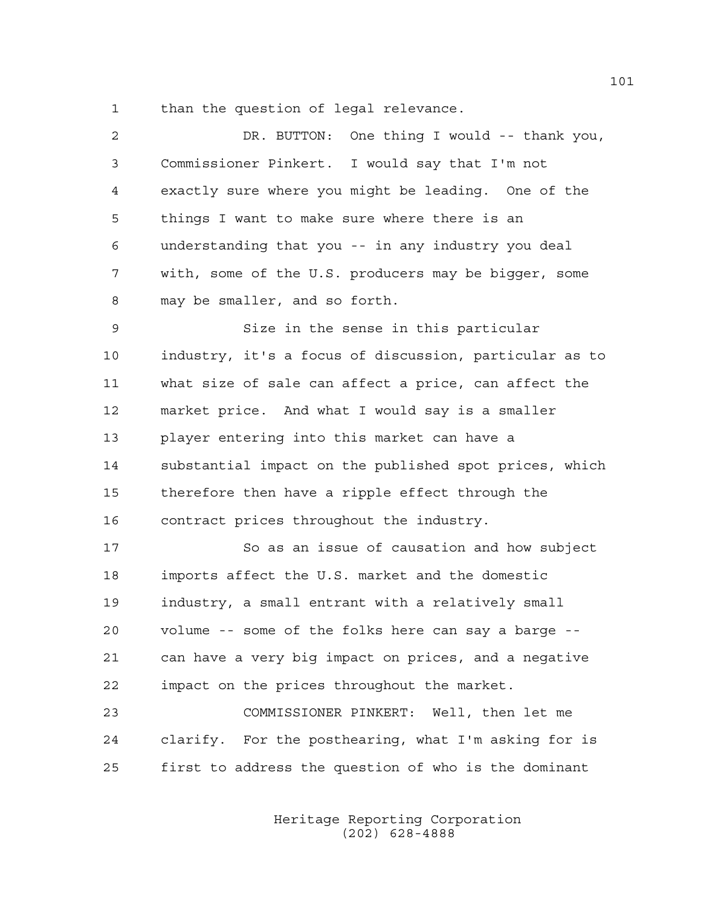1 than the question of legal relevance.

| $\overline{c}$ | DR. BUTTON: One thing I would -- thank you,            |
|----------------|--------------------------------------------------------|
| 3              | Commissioner Pinkert. I would say that I'm not         |
| 4              | exactly sure where you might be leading. One of the    |
| 5              | things I want to make sure where there is an           |
| 6              | understanding that you -- in any industry you deal     |
| 7              | with, some of the U.S. producers may be bigger, some   |
| 8              | may be smaller, and so forth.                          |
| 9              | Size in the sense in this particular                   |
| 10             | industry, it's a focus of discussion, particular as to |
| 11             | what size of sale can affect a price, can affect the   |
| 12             | market price. And what I would say is a smaller        |
| 13             | player entering into this market can have a            |
| 14             | substantial impact on the published spot prices, which |
| 15             | therefore then have a ripple effect through the        |
| 16             | contract prices throughout the industry.               |
| 17             | So as an issue of causation and how subject            |
| 18             | imports affect the U.S. market and the domestic        |
| 19             | industry, a small entrant with a relatively small      |
| 20             | volume -- some of the folks here can say a barge --    |
| 21             | can have a very big impact on prices, and a negative   |
| 22             | impact on the prices throughout the market.            |
| 23             | COMMISSIONER PINKERT: Well, then let me                |
| 24             | clarify. For the posthearing, what I'm asking for is   |
| 25             | first to address the question of who is the dominant   |
|                |                                                        |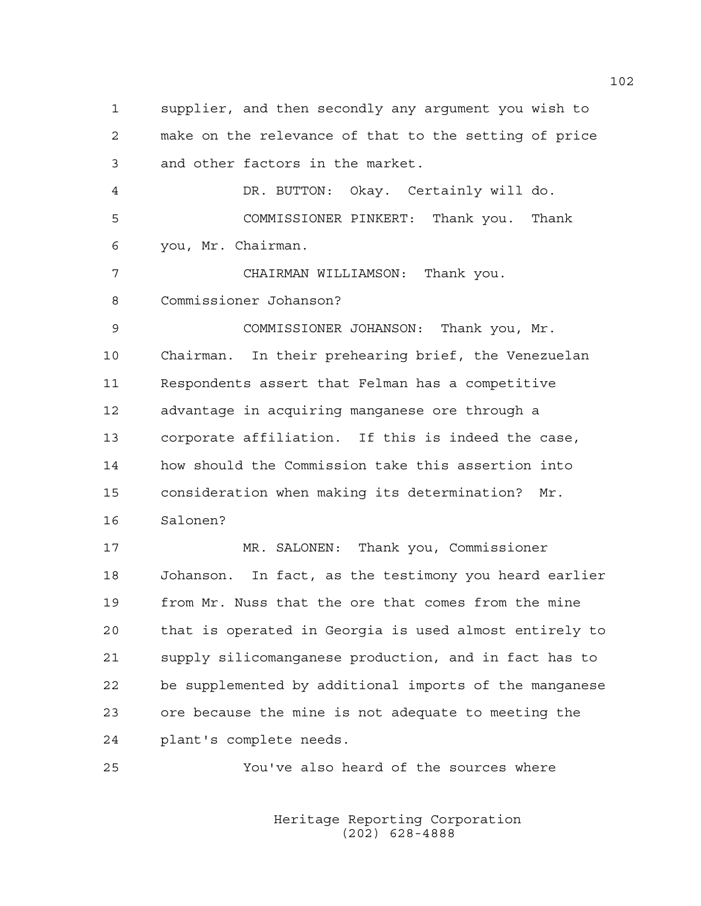1 supplier, and then secondly any argument you wish to 2 make on the relevance of that to the setting of price 3 and other factors in the market. 4 DR. BUTTON: Okay. Certainly will do. 5 COMMISSIONER PINKERT: Thank you. Thank 6 you, Mr. Chairman. 7 CHAIRMAN WILLIAMSON: Thank you. 8 Commissioner Johanson? 9 COMMISSIONER JOHANSON: Thank you, Mr. 10 Chairman. In their prehearing brief, the Venezuelan 11 Respondents assert that Felman has a competitive 12 advantage in acquiring manganese ore through a 13 corporate affiliation. If this is indeed the case, 14 how should the Commission take this assertion into 15 consideration when making its determination? Mr. 16 Salonen? 17 MR. SALONEN: Thank you, Commissioner 18 Johanson. In fact, as the testimony you heard earlier 19 from Mr. Nuss that the ore that comes from the mine 20 that is operated in Georgia is used almost entirely to 21 supply silicomanganese production, and in fact has to 22 be supplemented by additional imports of the manganese 23 ore because the mine is not adequate to meeting the 24 plant's complete needs. 25 You've also heard of the sources where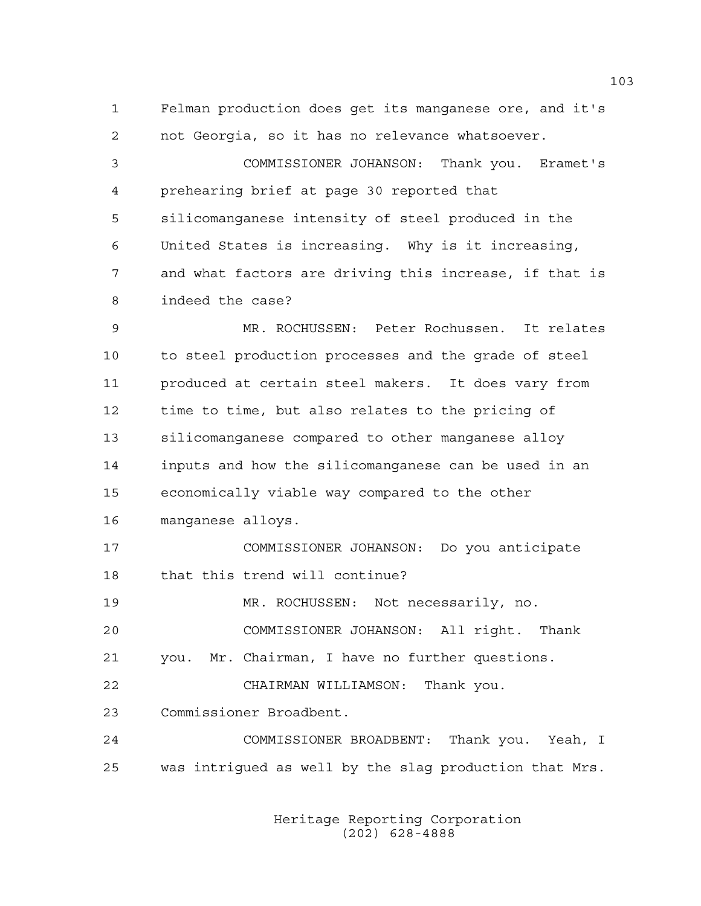1 Felman production does get its manganese ore, and it's 2 not Georgia, so it has no relevance whatsoever.

3 COMMISSIONER JOHANSON: Thank you. Eramet's 4 prehearing brief at page 30 reported that 5 silicomanganese intensity of steel produced in the 6 United States is increasing. Why is it increasing, 7 and what factors are driving this increase, if that is 8 indeed the case?

9 MR. ROCHUSSEN: Peter Rochussen. It relates 10 to steel production processes and the grade of steel 11 produced at certain steel makers. It does vary from 12 time to time, but also relates to the pricing of 13 silicomanganese compared to other manganese alloy 14 inputs and how the silicomanganese can be used in an 15 economically viable way compared to the other 16 manganese alloys.

17 COMMISSIONER JOHANSON: Do you anticipate 18 that this trend will continue?

19 MR. ROCHUSSEN: Not necessarily, no.

20 COMMISSIONER JOHANSON: All right. Thank

21 you. Mr. Chairman, I have no further questions.

22 CHAIRMAN WILLIAMSON: Thank you.

23 Commissioner Broadbent.

24 COMMISSIONER BROADBENT: Thank you. Yeah, I 25 was intrigued as well by the slag production that Mrs.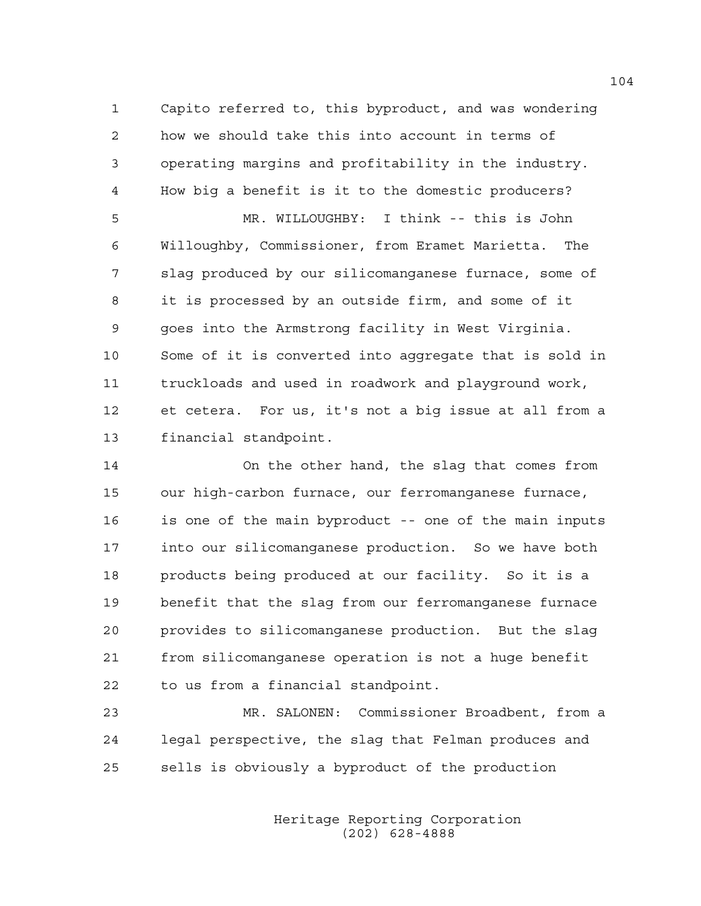1 Capito referred to, this byproduct, and was wondering 2 how we should take this into account in terms of 3 operating margins and profitability in the industry. 4 How big a benefit is it to the domestic producers? 5 MR. WILLOUGHBY: I think -- this is John 6 Willoughby, Commissioner, from Eramet Marietta. The 7 slag produced by our silicomanganese furnace, some of 8 it is processed by an outside firm, and some of it 9 goes into the Armstrong facility in West Virginia. 10 Some of it is converted into aggregate that is sold in 11 truckloads and used in roadwork and playground work, 12 et cetera. For us, it's not a big issue at all from a 13 financial standpoint.

14 On the other hand, the slag that comes from 15 our high-carbon furnace, our ferromanganese furnace, 16 is one of the main byproduct -- one of the main inputs 17 into our silicomanganese production. So we have both 18 products being produced at our facility. So it is a 19 benefit that the slag from our ferromanganese furnace 20 provides to silicomanganese production. But the slag 21 from silicomanganese operation is not a huge benefit 22 to us from a financial standpoint.

23 MR. SALONEN: Commissioner Broadbent, from a 24 legal perspective, the slag that Felman produces and 25 sells is obviously a byproduct of the production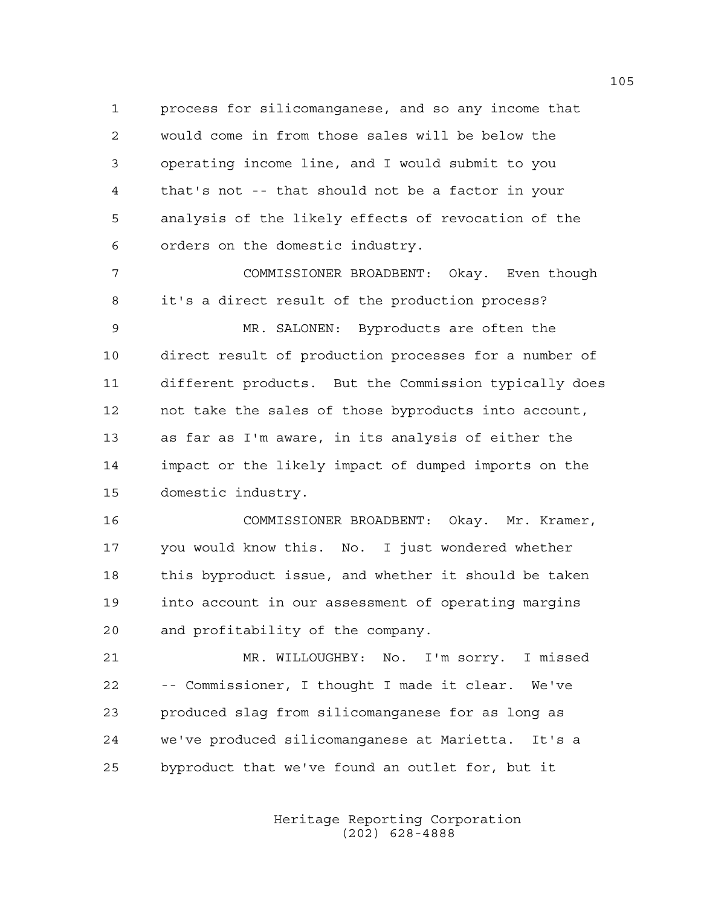1 process for silicomanganese, and so any income that 2 would come in from those sales will be below the 3 operating income line, and I would submit to you 4 that's not -- that should not be a factor in your 5 analysis of the likely effects of revocation of the 6 orders on the domestic industry.

7 COMMISSIONER BROADBENT: Okay. Even though 8 it's a direct result of the production process? 9 MR. SALONEN: Byproducts are often the 10 direct result of production processes for a number of 11 different products. But the Commission typically does 12 not take the sales of those byproducts into account, 13 as far as I'm aware, in its analysis of either the 14 impact or the likely impact of dumped imports on the 15 domestic industry.

16 COMMISSIONER BROADBENT: Okay. Mr. Kramer, 17 you would know this. No. I just wondered whether 18 this byproduct issue, and whether it should be taken 19 into account in our assessment of operating margins 20 and profitability of the company.

21 MR. WILLOUGHBY: No. I'm sorry. I missed 22 -- Commissioner, I thought I made it clear. We've 23 produced slag from silicomanganese for as long as 24 we've produced silicomanganese at Marietta. It's a 25 byproduct that we've found an outlet for, but it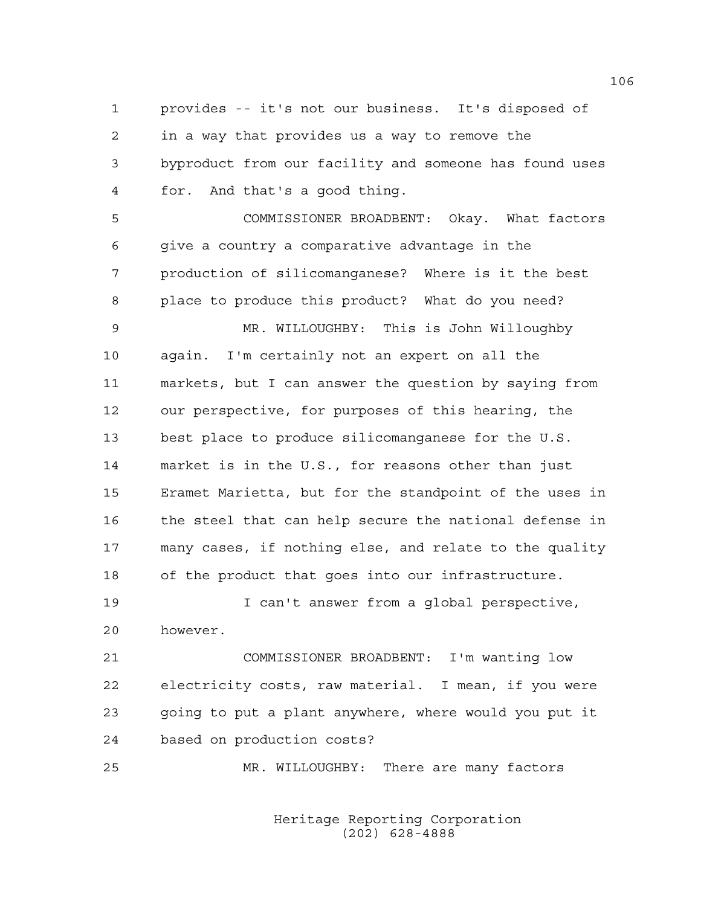1 provides -- it's not our business. It's disposed of 2 in a way that provides us a way to remove the 3 byproduct from our facility and someone has found uses 4 for. And that's a good thing. 5 COMMISSIONER BROADBENT: Okay. What factors 6 give a country a comparative advantage in the 7 production of silicomanganese? Where is it the best 8 place to produce this product? What do you need? 9 MR. WILLOUGHBY: This is John Willoughby 10 again. I'm certainly not an expert on all the 11 markets, but I can answer the question by saying from 12 our perspective, for purposes of this hearing, the 13 best place to produce silicomanganese for the U.S. 14 market is in the U.S., for reasons other than just 15 Eramet Marietta, but for the standpoint of the uses in 16 the steel that can help secure the national defense in 17 many cases, if nothing else, and relate to the quality 18 of the product that goes into our infrastructure. 19 I can't answer from a global perspective, 20 however.

21 COMMISSIONER BROADBENT: I'm wanting low 22 electricity costs, raw material. I mean, if you were 23 going to put a plant anywhere, where would you put it 24 based on production costs?

25 MR. WILLOUGHBY: There are many factors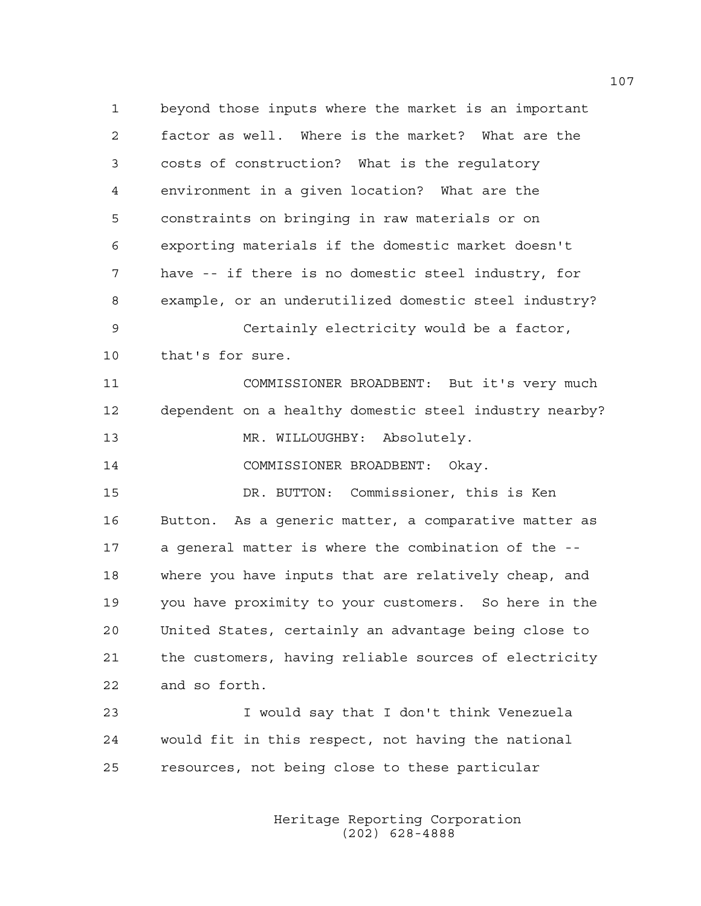1 beyond those inputs where the market is an important 2 factor as well. Where is the market? What are the 3 costs of construction? What is the regulatory 4 environment in a given location? What are the 5 constraints on bringing in raw materials or on 6 exporting materials if the domestic market doesn't 7 have -- if there is no domestic steel industry, for 8 example, or an underutilized domestic steel industry? 9 Certainly electricity would be a factor, 10 that's for sure. 11 COMMISSIONER BROADBENT: But it's very much 12 dependent on a healthy domestic steel industry nearby? 13 MR. WILLOUGHBY: Absolutely. 14 COMMISSIONER BROADBENT: Okay. 15 DR. BUTTON: Commissioner, this is Ken 16 Button. As a generic matter, a comparative matter as 17 a general matter is where the combination of the -- 18 where you have inputs that are relatively cheap, and 19 you have proximity to your customers. So here in the 20 United States, certainly an advantage being close to 21 the customers, having reliable sources of electricity 22 and so forth.

23 I would say that I don't think Venezuela 24 would fit in this respect, not having the national 25 resources, not being close to these particular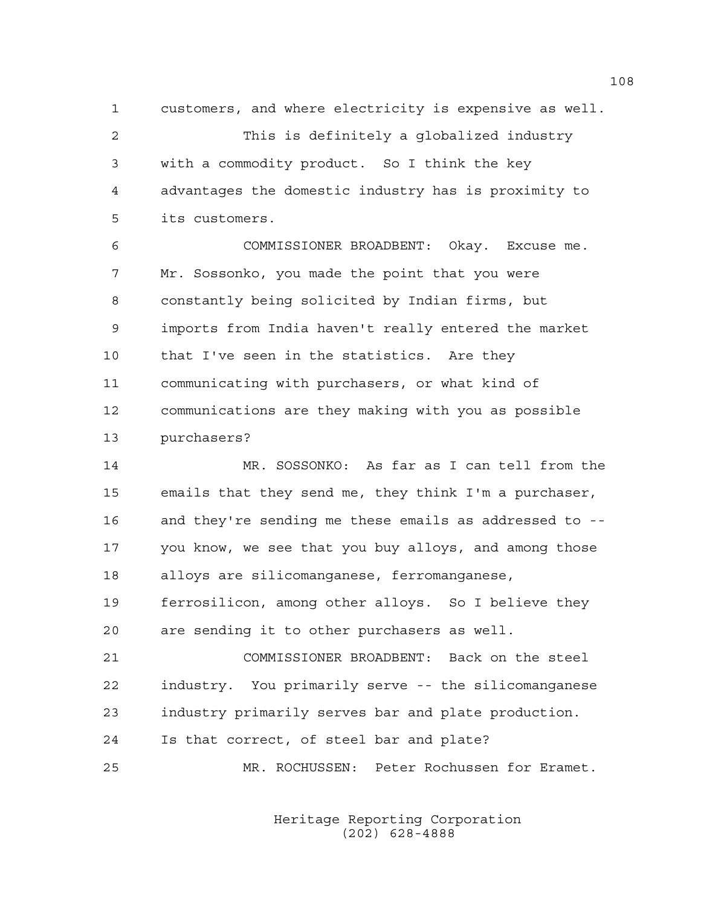1 customers, and where electricity is expensive as well. 2 This is definitely a globalized industry 3 with a commodity product. So I think the key 4 advantages the domestic industry has is proximity to 5 its customers.

6 COMMISSIONER BROADBENT: Okay. Excuse me. 7 Mr. Sossonko, you made the point that you were 8 constantly being solicited by Indian firms, but 9 imports from India haven't really entered the market 10 that I've seen in the statistics. Are they 11 communicating with purchasers, or what kind of 12 communications are they making with you as possible 13 purchasers?

14 MR. SOSSONKO: As far as I can tell from the 15 emails that they send me, they think I'm a purchaser, 16 and they're sending me these emails as addressed to -- 17 you know, we see that you buy alloys, and among those 18 alloys are silicomanganese, ferromanganese,

19 ferrosilicon, among other alloys. So I believe they 20 are sending it to other purchasers as well.

21 COMMISSIONER BROADBENT: Back on the steel 22 industry. You primarily serve -- the silicomanganese 23 industry primarily serves bar and plate production. 24 Is that correct, of steel bar and plate?

25 MR. ROCHUSSEN: Peter Rochussen for Eramet.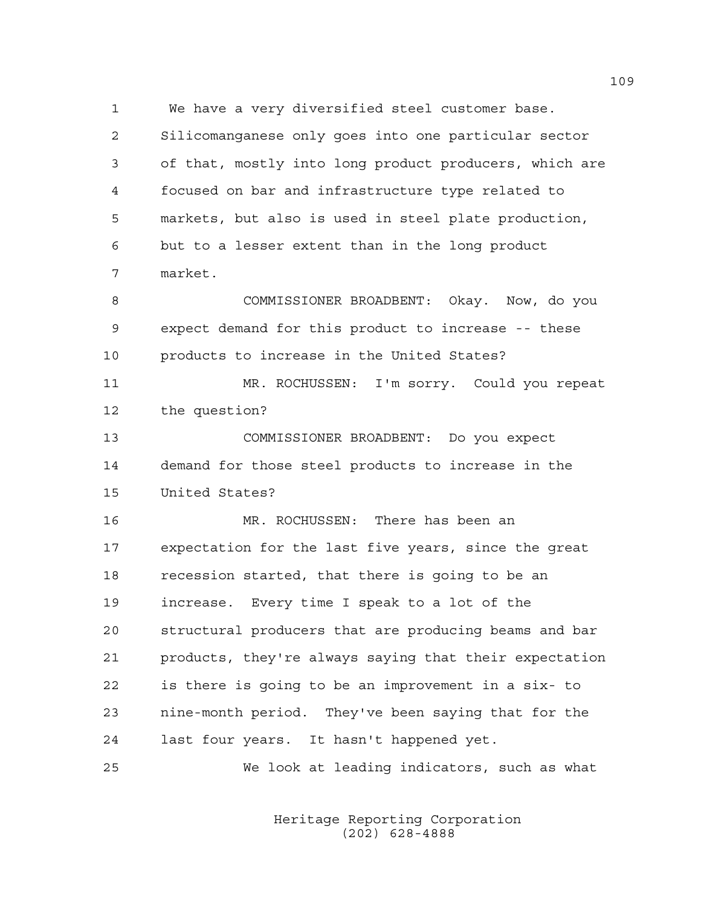1 We have a very diversified steel customer base. 2 Silicomanganese only goes into one particular sector 3 of that, mostly into long product producers, which are 4 focused on bar and infrastructure type related to 5 markets, but also is used in steel plate production, 6 but to a lesser extent than in the long product 7 market. 8 COMMISSIONER BROADBENT: Okay. Now, do you 9 expect demand for this product to increase -- these 10 products to increase in the United States? 11 MR. ROCHUSSEN: I'm sorry. Could you repeat 12 the question? 13 COMMISSIONER BROADBENT: Do you expect 14 demand for those steel products to increase in the 15 United States? 16 MR. ROCHUSSEN: There has been an 17 expectation for the last five years, since the great 18 recession started, that there is going to be an 19 increase. Every time I speak to a lot of the 20 structural producers that are producing beams and bar 21 products, they're always saying that their expectation 22 is there is going to be an improvement in a six- to 23 nine-month period. They've been saying that for the 24 last four years. It hasn't happened yet. 25 We look at leading indicators, such as what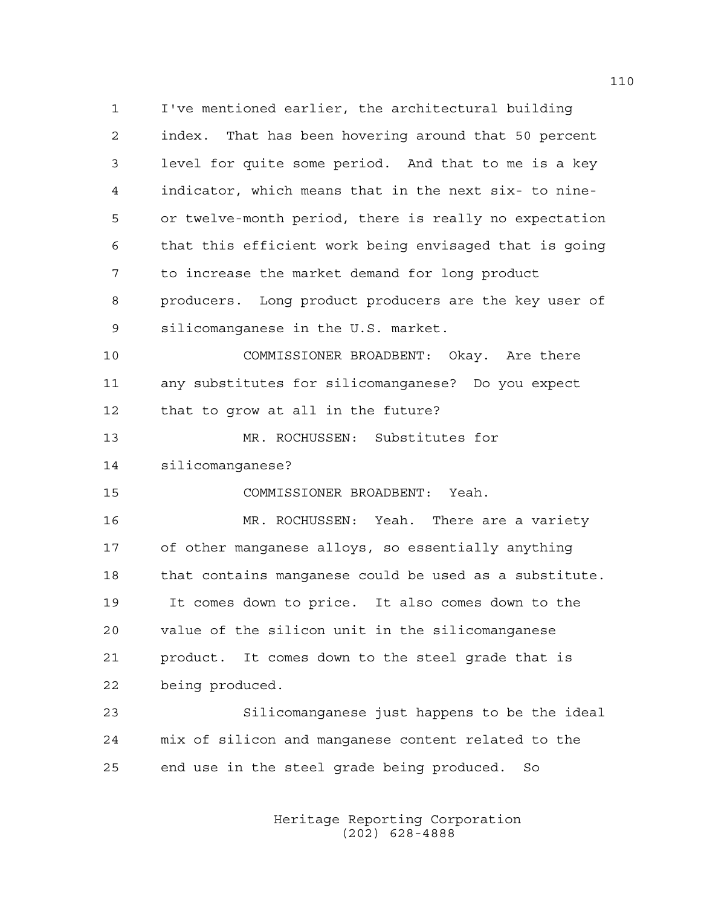1 I've mentioned earlier, the architectural building 2 index. That has been hovering around that 50 percent 3 level for quite some period. And that to me is a key 4 indicator, which means that in the next six- to nine-5 or twelve-month period, there is really no expectation 6 that this efficient work being envisaged that is going 7 to increase the market demand for long product 8 producers. Long product producers are the key user of 9 silicomanganese in the U.S. market. 10 COMMISSIONER BROADBENT: Okay. Are there 11 any substitutes for silicomanganese? Do you expect 12 that to grow at all in the future? 13 MR. ROCHUSSEN: Substitutes for 14 silicomanganese? 15 COMMISSIONER BROADBENT: Yeah. 16 MR. ROCHUSSEN: Yeah. There are a variety 17 of other manganese alloys, so essentially anything 18 that contains manganese could be used as a substitute. 19 It comes down to price. It also comes down to the 20 value of the silicon unit in the silicomanganese 21 product. It comes down to the steel grade that is 22 being produced. 23 Silicomanganese just happens to be the ideal 24 mix of silicon and manganese content related to the 25 end use in the steel grade being produced. So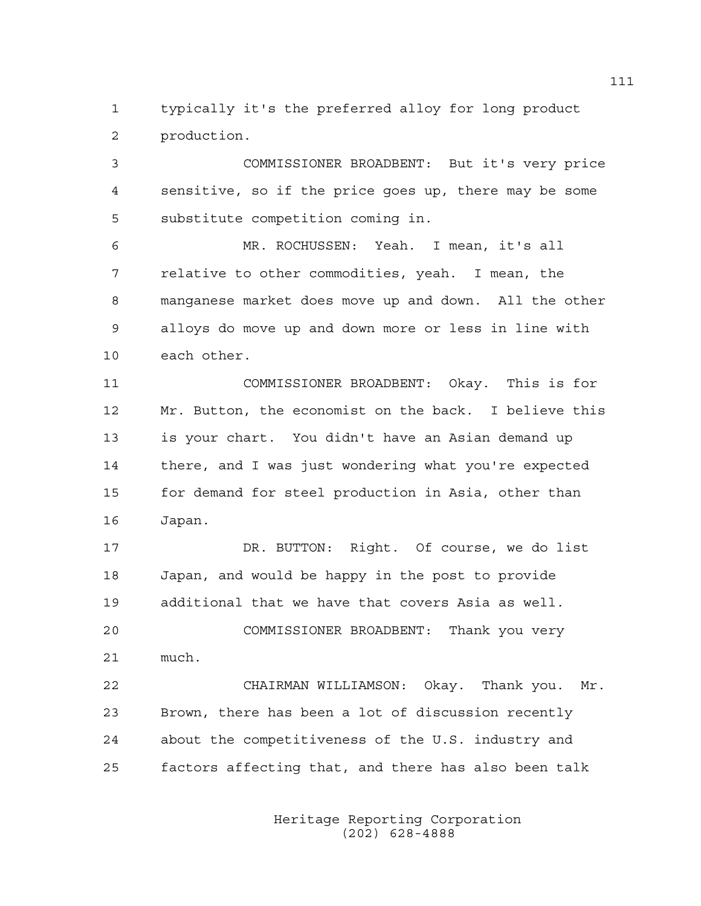1 typically it's the preferred alloy for long product 2 production.

3 COMMISSIONER BROADBENT: But it's very price 4 sensitive, so if the price goes up, there may be some 5 substitute competition coming in.

6 MR. ROCHUSSEN: Yeah. I mean, it's all 7 relative to other commodities, yeah. I mean, the 8 manganese market does move up and down. All the other 9 alloys do move up and down more or less in line with 10 each other.

11 COMMISSIONER BROADBENT: Okay. This is for 12 Mr. Button, the economist on the back. I believe this 13 is your chart. You didn't have an Asian demand up 14 there, and I was just wondering what you're expected 15 for demand for steel production in Asia, other than 16 Japan.

17 DR. BUTTON: Right. Of course, we do list 18 Japan, and would be happy in the post to provide 19 additional that we have that covers Asia as well. 20 COMMISSIONER BROADBENT: Thank you very

21 much.

22 CHAIRMAN WILLIAMSON: Okay. Thank you. Mr. 23 Brown, there has been a lot of discussion recently 24 about the competitiveness of the U.S. industry and 25 factors affecting that, and there has also been talk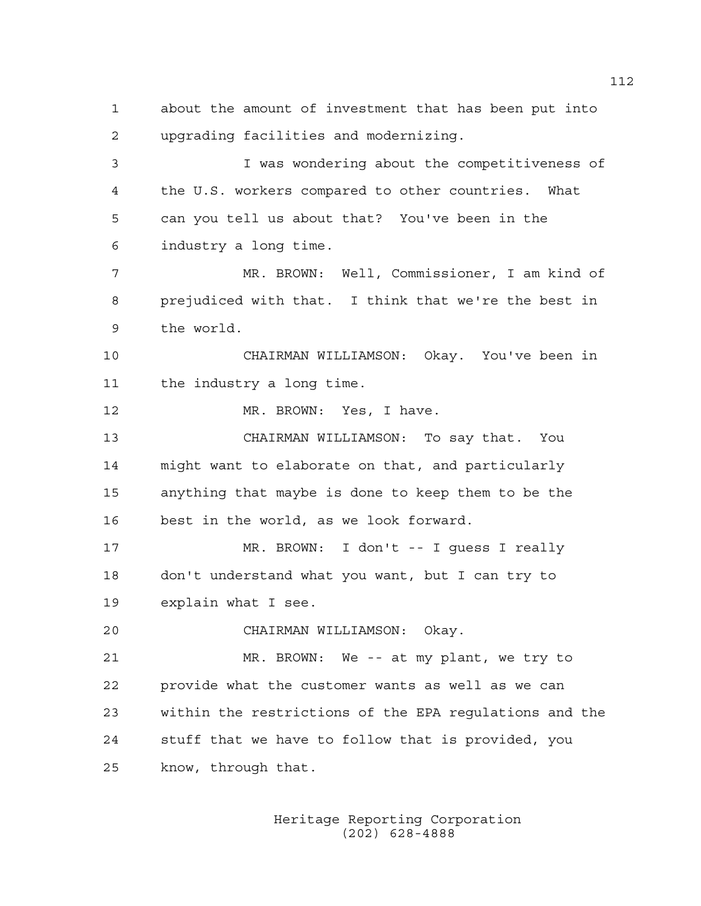1 about the amount of investment that has been put into 2 upgrading facilities and modernizing. 3 I was wondering about the competitiveness of 4 the U.S. workers compared to other countries. What 5 can you tell us about that? You've been in the 6 industry a long time. 7 MR. BROWN: Well, Commissioner, I am kind of 8 prejudiced with that. I think that we're the best in 9 the world. 10 CHAIRMAN WILLIAMSON: Okay. You've been in 11 the industry a long time. 12 MR. BROWN: Yes, I have. 13 CHAIRMAN WILLIAMSON: To say that. You 14 might want to elaborate on that, and particularly 15 anything that maybe is done to keep them to be the 16 best in the world, as we look forward. 17 MR. BROWN: I don't -- I guess I really 18 don't understand what you want, but I can try to 19 explain what I see. 20 CHAIRMAN WILLIAMSON: Okay. 21 MR. BROWN: We -- at my plant, we try to 22 provide what the customer wants as well as we can 23 within the restrictions of the EPA regulations and the 24 stuff that we have to follow that is provided, you 25 know, through that.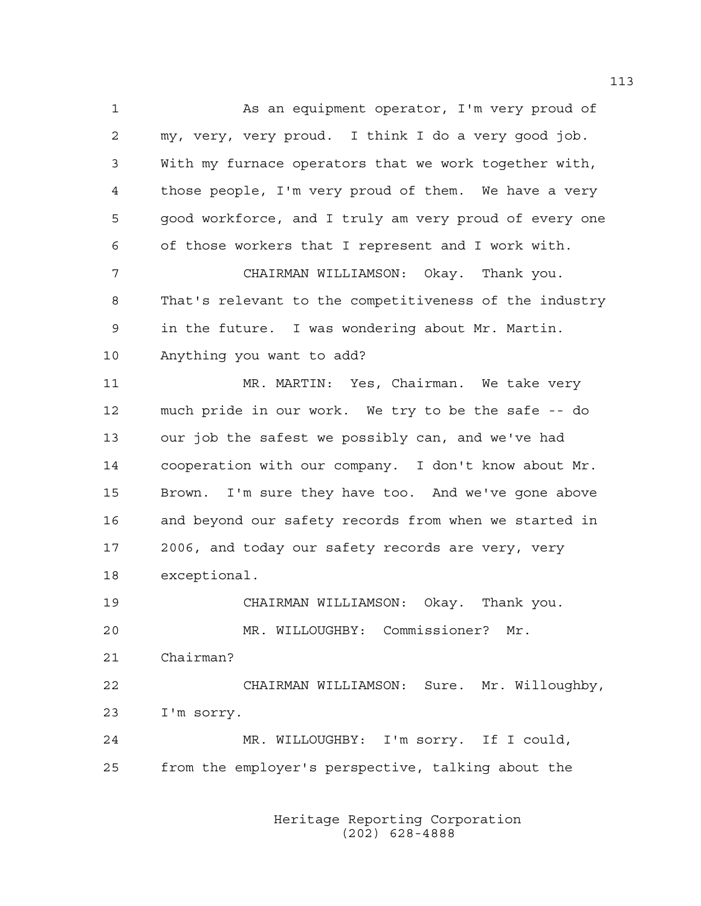1 As an equipment operator, I'm very proud of 2 my, very, very proud. I think I do a very good job. 3 With my furnace operators that we work together with, 4 those people, I'm very proud of them. We have a very 5 good workforce, and I truly am very proud of every one 6 of those workers that I represent and I work with. 7 CHAIRMAN WILLIAMSON: Okay. Thank you. 8 That's relevant to the competitiveness of the industry 9 in the future. I was wondering about Mr. Martin. 10 Anything you want to add? 11 MR. MARTIN: Yes, Chairman. We take very 12 much pride in our work. We try to be the safe -- do 13 our job the safest we possibly can, and we've had 14 cooperation with our company. I don't know about Mr. 15 Brown. I'm sure they have too. And we've gone above 16 and beyond our safety records from when we started in 17 2006, and today our safety records are very, very 18 exceptional. 19 CHAIRMAN WILLIAMSON: Okay. Thank you. 20 MR. WILLOUGHBY: Commissioner? Mr. 21 Chairman? 22 CHAIRMAN WILLIAMSON: Sure. Mr. Willoughby, 23 I'm sorry. 24 MR. WILLOUGHBY: I'm sorry. If I could, 25 from the employer's perspective, talking about the

> Heritage Reporting Corporation (202) 628-4888

113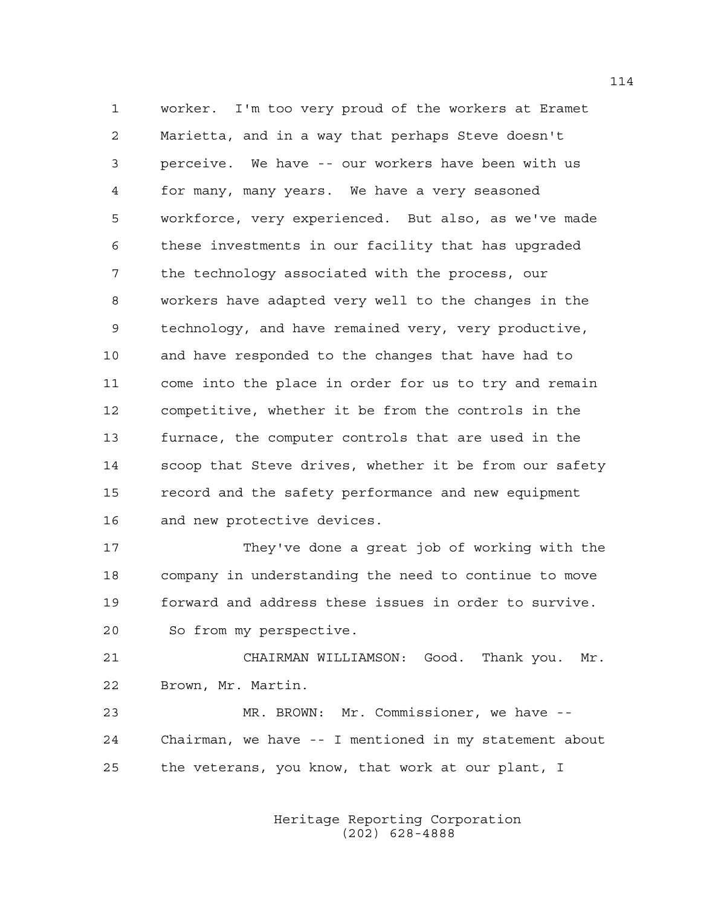1 worker. I'm too very proud of the workers at Eramet 2 Marietta, and in a way that perhaps Steve doesn't 3 perceive. We have -- our workers have been with us 4 for many, many years. We have a very seasoned 5 workforce, very experienced. But also, as we've made 6 these investments in our facility that has upgraded 7 the technology associated with the process, our 8 workers have adapted very well to the changes in the 9 technology, and have remained very, very productive, 10 and have responded to the changes that have had to 11 come into the place in order for us to try and remain 12 competitive, whether it be from the controls in the 13 furnace, the computer controls that are used in the 14 scoop that Steve drives, whether it be from our safety 15 record and the safety performance and new equipment 16 and new protective devices.

17 They've done a great job of working with the 18 company in understanding the need to continue to move 19 forward and address these issues in order to survive. 20 So from my perspective.

21 CHAIRMAN WILLIAMSON: Good. Thank you. Mr. 22 Brown, Mr. Martin.

23 MR. BROWN: Mr. Commissioner, we have -- 24 Chairman, we have -- I mentioned in my statement about 25 the veterans, you know, that work at our plant, I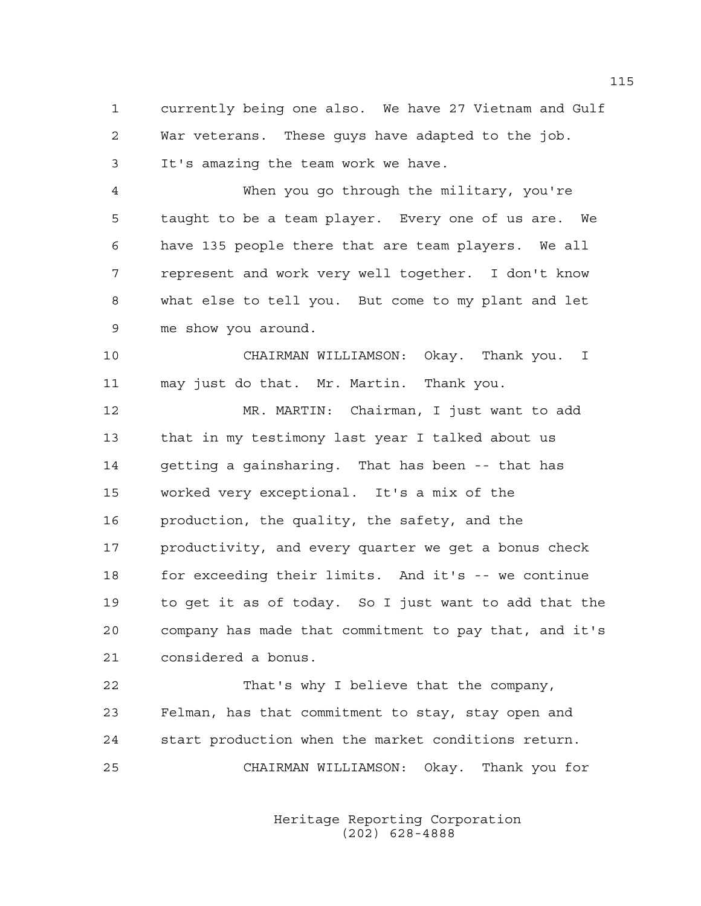1 currently being one also. We have 27 Vietnam and Gulf 2 War veterans. These guys have adapted to the job. 3 It's amazing the team work we have.

4 When you go through the military, you're 5 taught to be a team player. Every one of us are. We 6 have 135 people there that are team players. We all 7 represent and work very well together. I don't know 8 what else to tell you. But come to my plant and let 9 me show you around.

10 CHAIRMAN WILLIAMSON: Okay. Thank you. I 11 may just do that. Mr. Martin. Thank you.

12 MR. MARTIN: Chairman, I just want to add 13 that in my testimony last year I talked about us 14 getting a gainsharing. That has been -- that has 15 worked very exceptional. It's a mix of the 16 production, the quality, the safety, and the 17 productivity, and every quarter we get a bonus check 18 for exceeding their limits. And it's -- we continue 19 to get it as of today. So I just want to add that the 20 company has made that commitment to pay that, and it's 21 considered a bonus.

22 That's why I believe that the company, 23 Felman, has that commitment to stay, stay open and 24 start production when the market conditions return. 25 CHAIRMAN WILLIAMSON: Okay. Thank you for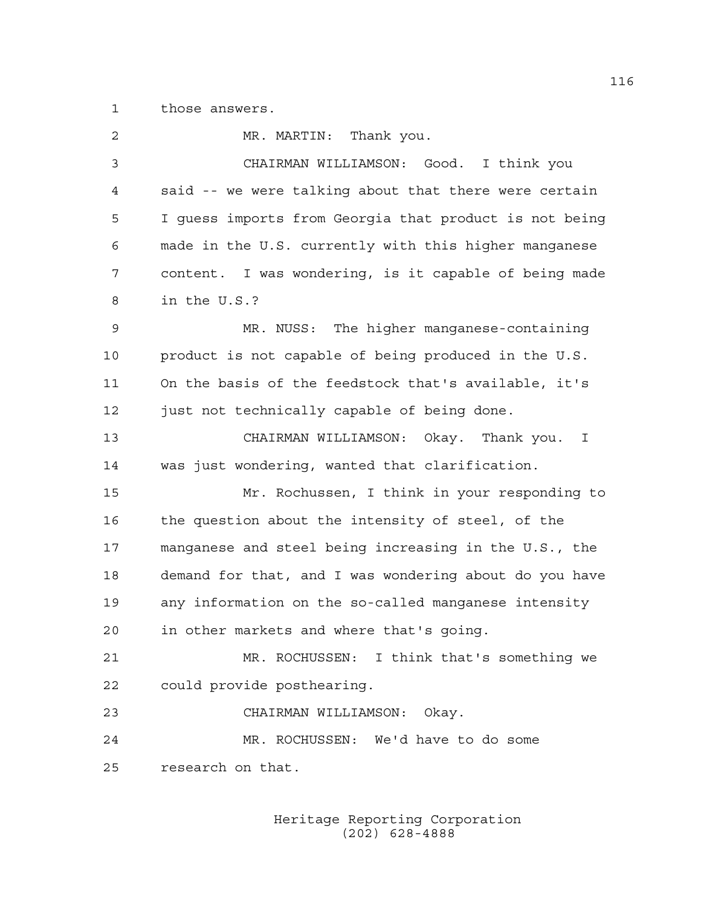1 those answers.

| 2  | MR. MARTIN: Thank you.                                 |
|----|--------------------------------------------------------|
| 3  | CHAIRMAN WILLIAMSON: Good. I think you                 |
| 4  | said -- we were talking about that there were certain  |
| 5  | I quess imports from Georgia that product is not being |
| 6  | made in the U.S. currently with this higher manganese  |
| 7  | content. I was wondering, is it capable of being made  |
| 8  | in the U.S.?                                           |
| 9  | MR. NUSS: The higher manganese-containing              |
| 10 | product is not capable of being produced in the U.S.   |
| 11 | On the basis of the feedstock that's available, it's   |
| 12 | just not technically capable of being done.            |
| 13 | CHAIRMAN WILLIAMSON: Okay. Thank you. I                |
| 14 | was just wondering, wanted that clarification.         |
| 15 | Mr. Rochussen, I think in your responding to           |
| 16 | the question about the intensity of steel, of the      |
| 17 | manganese and steel being increasing in the U.S., the  |
| 18 | demand for that, and I was wondering about do you have |
| 19 | any information on the so-called manganese intensity   |
| 20 | in other markets and where that's going.               |
| 21 | MR. ROCHUSSEN: I think that's something we             |
| 22 | could provide posthearing.                             |
| 23 | CHAIRMAN WILLIAMSON: Okay.                             |
| 24 | MR. ROCHUSSEN: We'd have to do some                    |
| 25 | research on that.                                      |
|    |                                                        |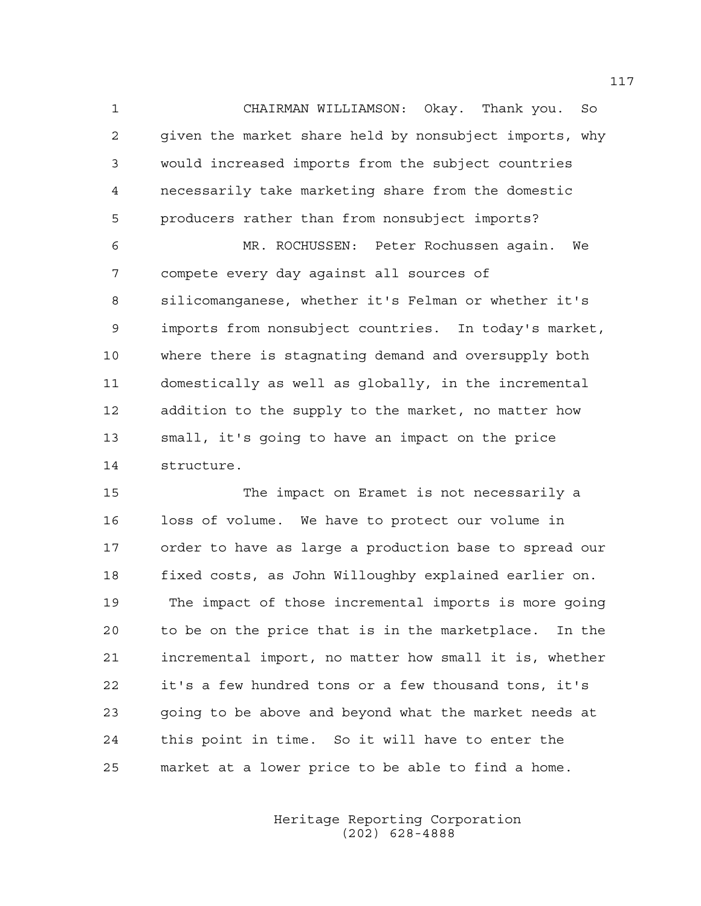1 CHAIRMAN WILLIAMSON: Okay. Thank you. So 2 given the market share held by nonsubject imports, why 3 would increased imports from the subject countries 4 necessarily take marketing share from the domestic 5 producers rather than from nonsubject imports?

6 MR. ROCHUSSEN: Peter Rochussen again. We 7 compete every day against all sources of 8 silicomanganese, whether it's Felman or whether it's 9 imports from nonsubject countries. In today's market, 10 where there is stagnating demand and oversupply both 11 domestically as well as globally, in the incremental 12 addition to the supply to the market, no matter how 13 small, it's going to have an impact on the price 14 structure.

15 The impact on Eramet is not necessarily a 16 loss of volume. We have to protect our volume in 17 order to have as large a production base to spread our 18 fixed costs, as John Willoughby explained earlier on. 19 The impact of those incremental imports is more going 20 to be on the price that is in the marketplace. In the 21 incremental import, no matter how small it is, whether 22 it's a few hundred tons or a few thousand tons, it's 23 going to be above and beyond what the market needs at 24 this point in time. So it will have to enter the 25 market at a lower price to be able to find a home.

> Heritage Reporting Corporation (202) 628-4888

117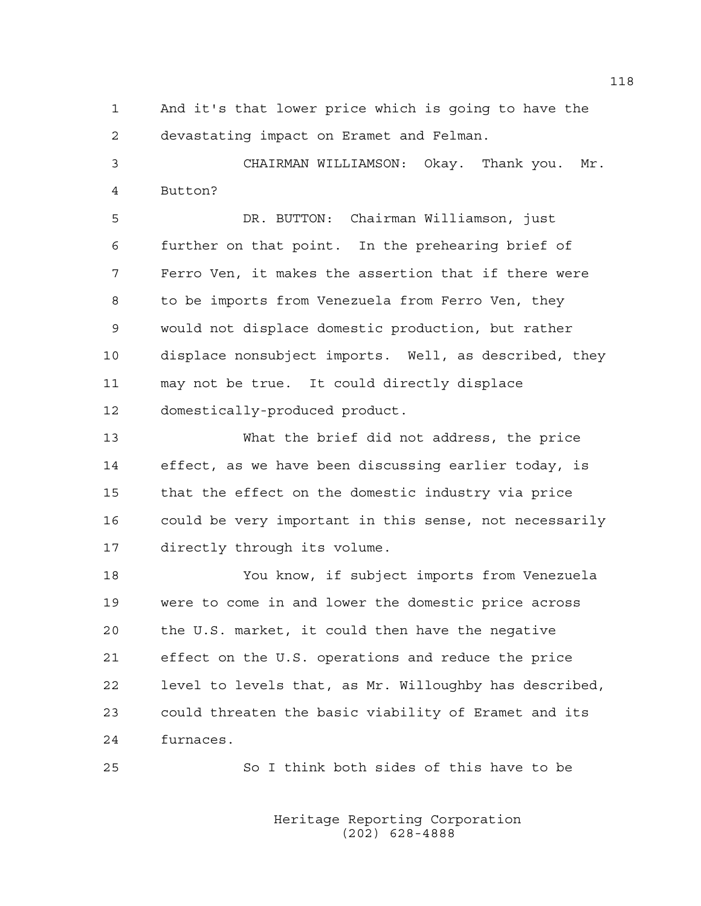1 And it's that lower price which is going to have the 2 devastating impact on Eramet and Felman.

3 CHAIRMAN WILLIAMSON: Okay. Thank you. Mr. 4 Button?

5 DR. BUTTON: Chairman Williamson, just 6 further on that point. In the prehearing brief of 7 Ferro Ven, it makes the assertion that if there were 8 to be imports from Venezuela from Ferro Ven, they 9 would not displace domestic production, but rather 10 displace nonsubject imports. Well, as described, they 11 may not be true. It could directly displace 12 domestically-produced product.

13 What the brief did not address, the price 14 effect, as we have been discussing earlier today, is 15 that the effect on the domestic industry via price 16 could be very important in this sense, not necessarily 17 directly through its volume.

18 You know, if subject imports from Venezuela 19 were to come in and lower the domestic price across 20 the U.S. market, it could then have the negative 21 effect on the U.S. operations and reduce the price 22 level to levels that, as Mr. Willoughby has described, 23 could threaten the basic viability of Eramet and its 24 furnaces.

25 So I think both sides of this have to be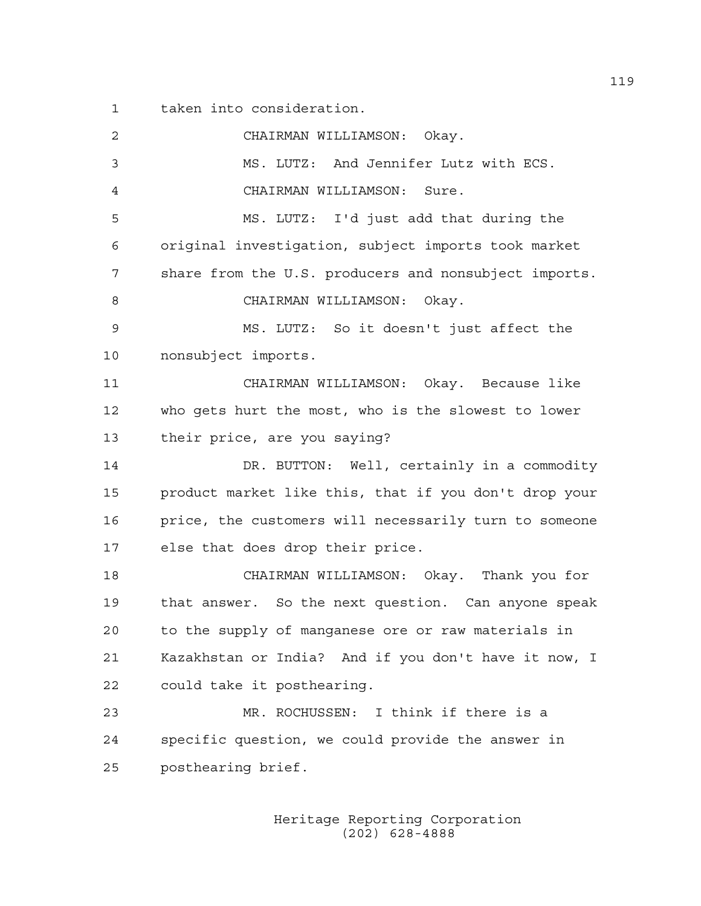1 taken into consideration.

| 2  | CHAIRMAN WILLIAMSON: Okay.                            |
|----|-------------------------------------------------------|
| 3  | MS. LUTZ: And Jennifer Lutz with ECS.                 |
| 4  | CHAIRMAN WILLIAMSON:<br>Sure.                         |
| 5  | MS. LUTZ: I'd just add that during the                |
| 6  | original investigation, subject imports took market   |
| 7  | share from the U.S. producers and nonsubject imports. |
| 8  | CHAIRMAN WILLIAMSON: Okay.                            |
| 9  | MS. LUTZ: So it doesn't just affect the               |
| 10 | nonsubject imports.                                   |
| 11 | CHAIRMAN WILLIAMSON: Okay. Because like               |
| 12 | who gets hurt the most, who is the slowest to lower   |
| 13 | their price, are you saying?                          |
| 14 | DR. BUTTON: Well, certainly in a commodity            |
| 15 | product market like this, that if you don't drop your |
| 16 | price, the customers will necessarily turn to someone |
| 17 | else that does drop their price.                      |
| 18 | CHAIRMAN WILLIAMSON: Okay. Thank you for              |
| 19 | that answer. So the next question. Can anyone speak   |
| 20 | to the supply of manganese ore or raw materials in    |
| 21 | Kazakhstan or India? And if you don't have it now, I  |
| 22 | could take it posthearing.                            |
| 23 | MR. ROCHUSSEN: I think if there is a                  |
| 24 | specific question, we could provide the answer in     |
| 25 | posthearing brief.                                    |
|    |                                                       |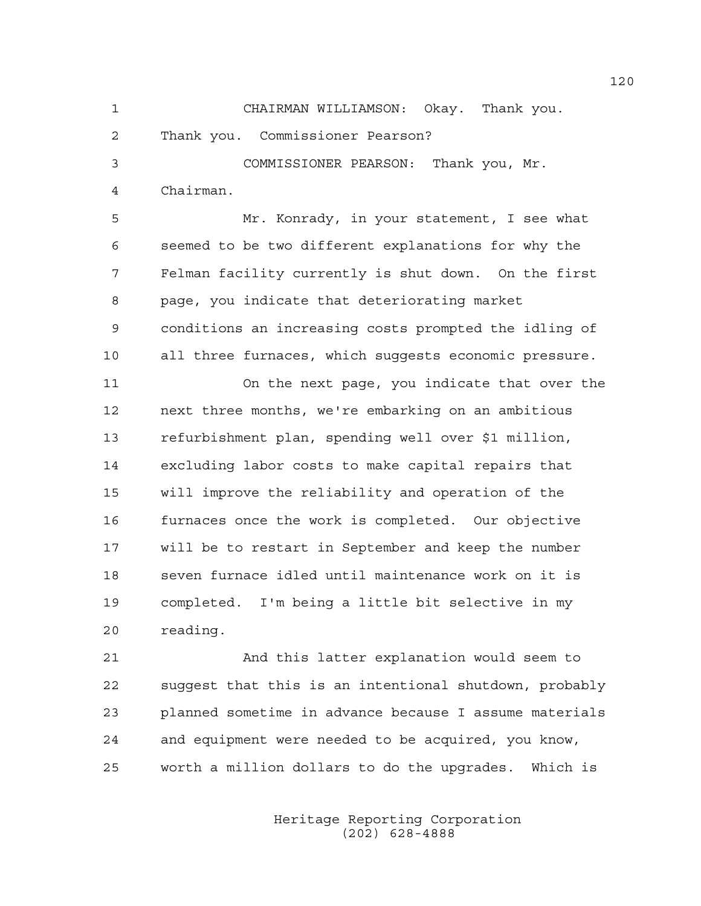2 Thank you. Commissioner Pearson?

3 COMMISSIONER PEARSON: Thank you, Mr. 4 Chairman.

5 Mr. Konrady, in your statement, I see what 6 seemed to be two different explanations for why the 7 Felman facility currently is shut down. On the first 8 page, you indicate that deteriorating market 9 conditions an increasing costs prompted the idling of 10 all three furnaces, which suggests economic pressure.

11 On the next page, you indicate that over the 12 next three months, we're embarking on an ambitious 13 refurbishment plan, spending well over \$1 million, 14 excluding labor costs to make capital repairs that 15 will improve the reliability and operation of the 16 furnaces once the work is completed. Our objective 17 will be to restart in September and keep the number 18 seven furnace idled until maintenance work on it is 19 completed. I'm being a little bit selective in my 20 reading.

21 And this latter explanation would seem to 22 suggest that this is an intentional shutdown, probably 23 planned sometime in advance because I assume materials 24 and equipment were needed to be acquired, you know, 25 worth a million dollars to do the upgrades. Which is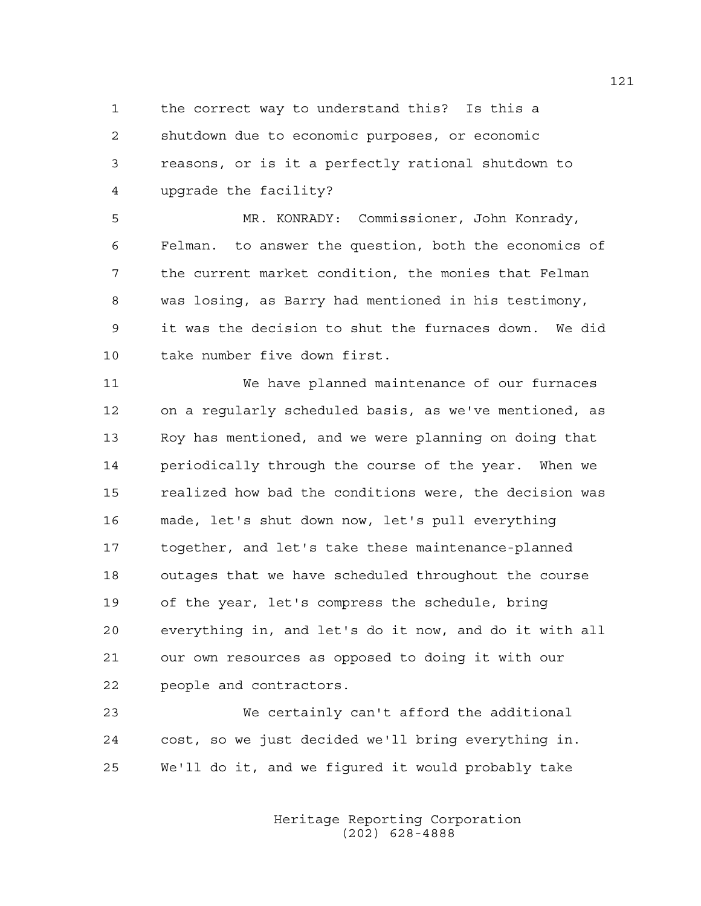1 the correct way to understand this? Is this a 2 shutdown due to economic purposes, or economic 3 reasons, or is it a perfectly rational shutdown to 4 upgrade the facility?

5 MR. KONRADY: Commissioner, John Konrady, 6 Felman. to answer the question, both the economics of 7 the current market condition, the monies that Felman 8 was losing, as Barry had mentioned in his testimony, 9 it was the decision to shut the furnaces down. We did 10 take number five down first.

11 We have planned maintenance of our furnaces 12 on a regularly scheduled basis, as we've mentioned, as 13 Roy has mentioned, and we were planning on doing that 14 periodically through the course of the year. When we 15 realized how bad the conditions were, the decision was 16 made, let's shut down now, let's pull everything 17 together, and let's take these maintenance-planned 18 outages that we have scheduled throughout the course 19 of the year, let's compress the schedule, bring 20 everything in, and let's do it now, and do it with all 21 our own resources as opposed to doing it with our 22 people and contractors.

23 We certainly can't afford the additional 24 cost, so we just decided we'll bring everything in. 25 We'll do it, and we figured it would probably take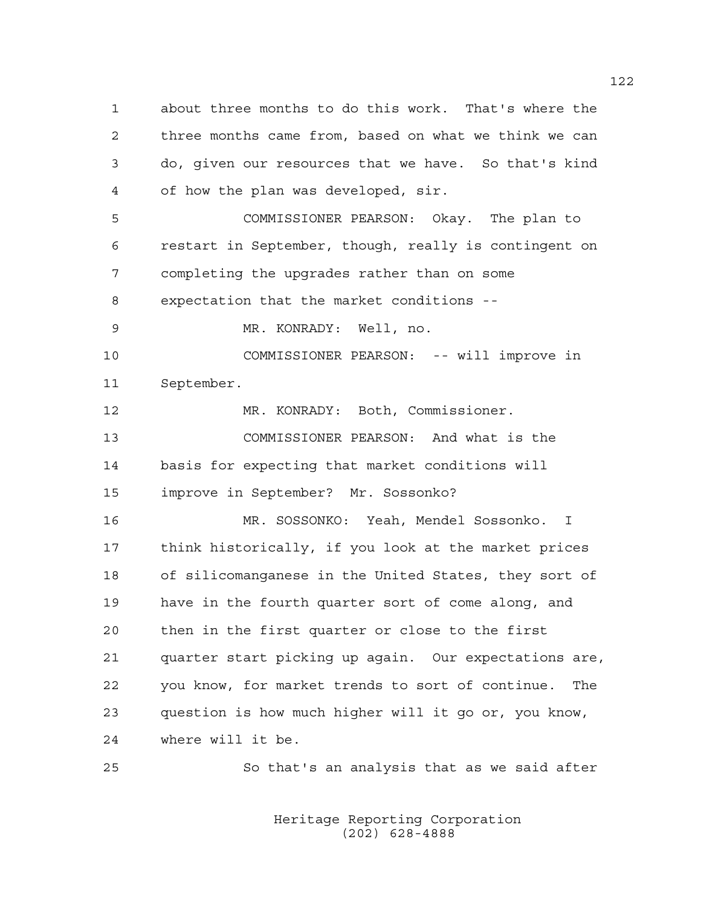1 about three months to do this work. That's where the 2 three months came from, based on what we think we can 3 do, given our resources that we have. So that's kind 4 of how the plan was developed, sir. 5 COMMISSIONER PEARSON: Okay. The plan to 6 restart in September, though, really is contingent on 7 completing the upgrades rather than on some 8 expectation that the market conditions -- 9 MR. KONRADY: Well, no. 10 COMMISSIONER PEARSON: -- will improve in 11 September. 12 MR. KONRADY: Both, Commissioner. 13 COMMISSIONER PEARSON: And what is the 14 basis for expecting that market conditions will 15 improve in September? Mr. Sossonko? 16 MR. SOSSONKO: Yeah, Mendel Sossonko. I 17 think historically, if you look at the market prices 18 of silicomanganese in the United States, they sort of 19 have in the fourth quarter sort of come along, and 20 then in the first quarter or close to the first 21 quarter start picking up again. Our expectations are, 22 you know, for market trends to sort of continue. The 23 question is how much higher will it go or, you know, 24 where will it be.

> Heritage Reporting Corporation (202) 628-4888

25 So that's an analysis that as we said after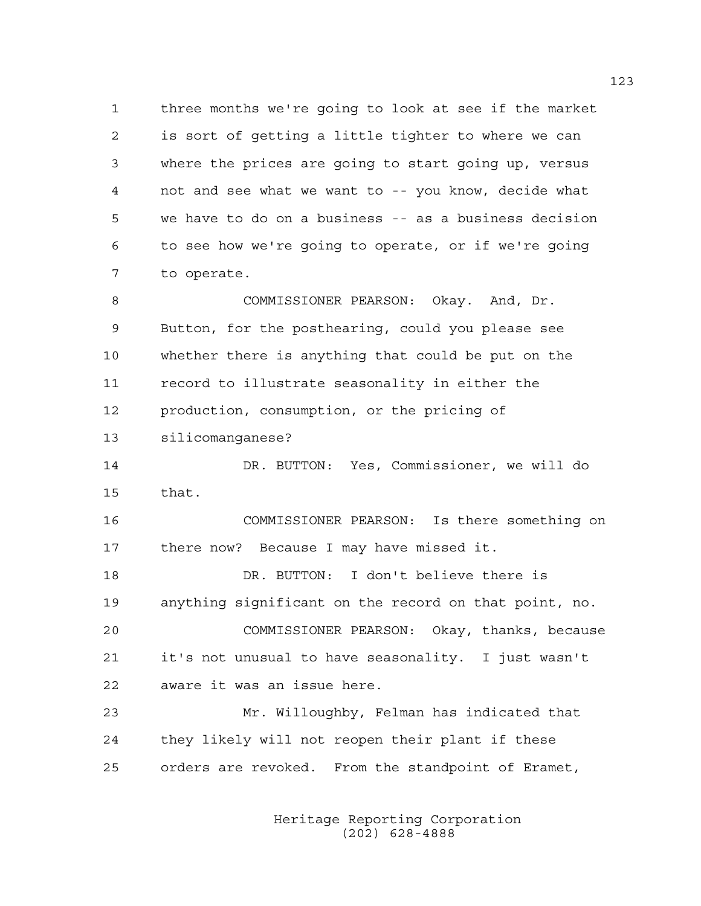1 three months we're going to look at see if the market 2 is sort of getting a little tighter to where we can 3 where the prices are going to start going up, versus 4 not and see what we want to -- you know, decide what 5 we have to do on a business -- as a business decision 6 to see how we're going to operate, or if we're going 7 to operate.

8 COMMISSIONER PEARSON: Okay. And, Dr. 9 Button, for the posthearing, could you please see 10 whether there is anything that could be put on the 11 record to illustrate seasonality in either the 12 production, consumption, or the pricing of

13 silicomanganese?

14 DR. BUTTON: Yes, Commissioner, we will do 15 that.

16 COMMISSIONER PEARSON: Is there something on 17 there now? Because I may have missed it.

18 DR. BUTTON: I don't believe there is 19 anything significant on the record on that point, no. 20 COMMISSIONER PEARSON: Okay, thanks, because 21 it's not unusual to have seasonality. I just wasn't 22 aware it was an issue here.

23 Mr. Willoughby, Felman has indicated that 24 they likely will not reopen their plant if these 25 orders are revoked. From the standpoint of Eramet,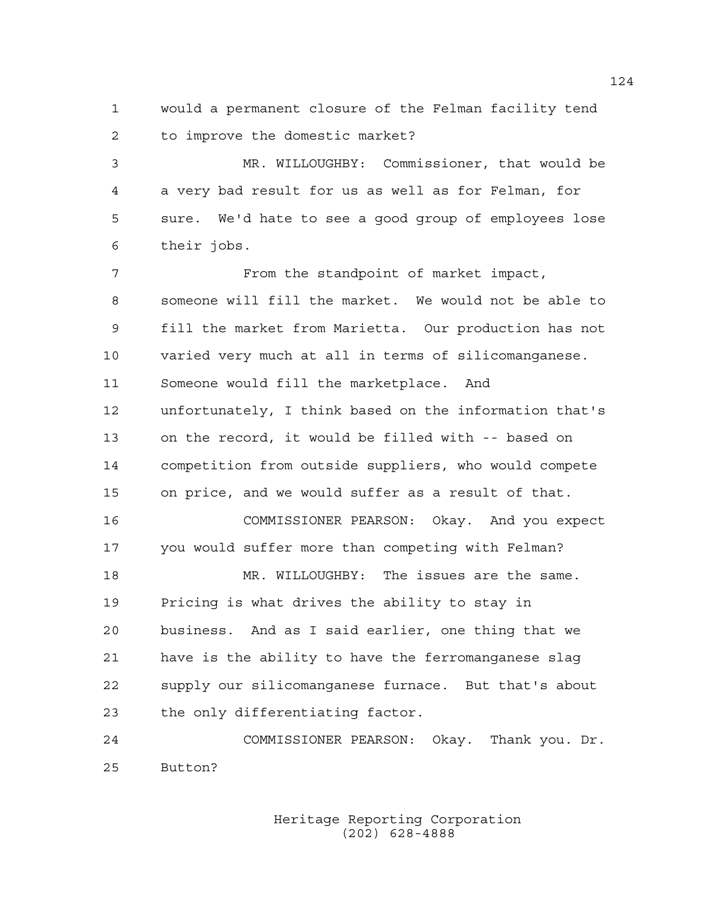1 would a permanent closure of the Felman facility tend 2 to improve the domestic market?

3 MR. WILLOUGHBY: Commissioner, that would be 4 a very bad result for us as well as for Felman, for 5 sure. We'd hate to see a good group of employees lose 6 their jobs.

7 From the standpoint of market impact, 8 someone will fill the market. We would not be able to 9 fill the market from Marietta. Our production has not 10 varied very much at all in terms of silicomanganese. 11 Someone would fill the marketplace. And 12 unfortunately, I think based on the information that's 13 on the record, it would be filled with -- based on 14 competition from outside suppliers, who would compete 15 on price, and we would suffer as a result of that. 16 COMMISSIONER PEARSON: Okay. And you expect 17 you would suffer more than competing with Felman? 18 MR. WILLOUGHBY: The issues are the same. 19 Pricing is what drives the ability to stay in 20 business. And as I said earlier, one thing that we 21 have is the ability to have the ferromanganese slag 22 supply our silicomanganese furnace. But that's about 23 the only differentiating factor.

24 COMMISSIONER PEARSON: Okay. Thank you. Dr. 25 Button?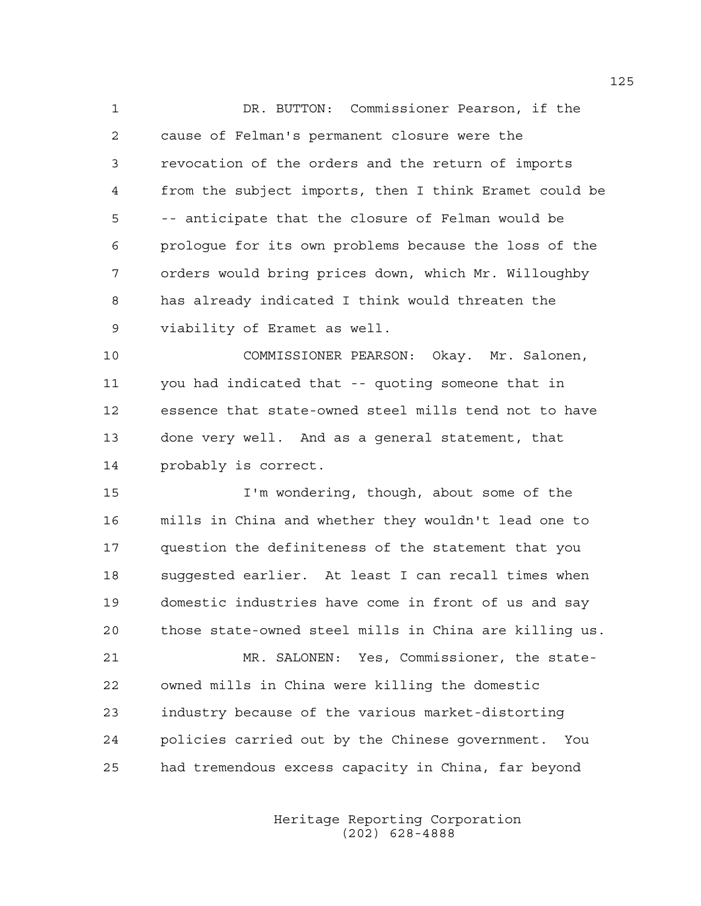1 DR. BUTTON: Commissioner Pearson, if the 2 cause of Felman's permanent closure were the 3 revocation of the orders and the return of imports 4 from the subject imports, then I think Eramet could be 5 -- anticipate that the closure of Felman would be 6 prologue for its own problems because the loss of the 7 orders would bring prices down, which Mr. Willoughby 8 has already indicated I think would threaten the 9 viability of Eramet as well.

10 COMMISSIONER PEARSON: Okay. Mr. Salonen, 11 you had indicated that -- quoting someone that in 12 essence that state-owned steel mills tend not to have 13 done very well. And as a general statement, that 14 probably is correct.

15 I'm wondering, though, about some of the 16 mills in China and whether they wouldn't lead one to 17 question the definiteness of the statement that you 18 suggested earlier. At least I can recall times when 19 domestic industries have come in front of us and say 20 those state-owned steel mills in China are killing us.

21 MR. SALONEN: Yes, Commissioner, the state-22 owned mills in China were killing the domestic 23 industry because of the various market-distorting 24 policies carried out by the Chinese government. You 25 had tremendous excess capacity in China, far beyond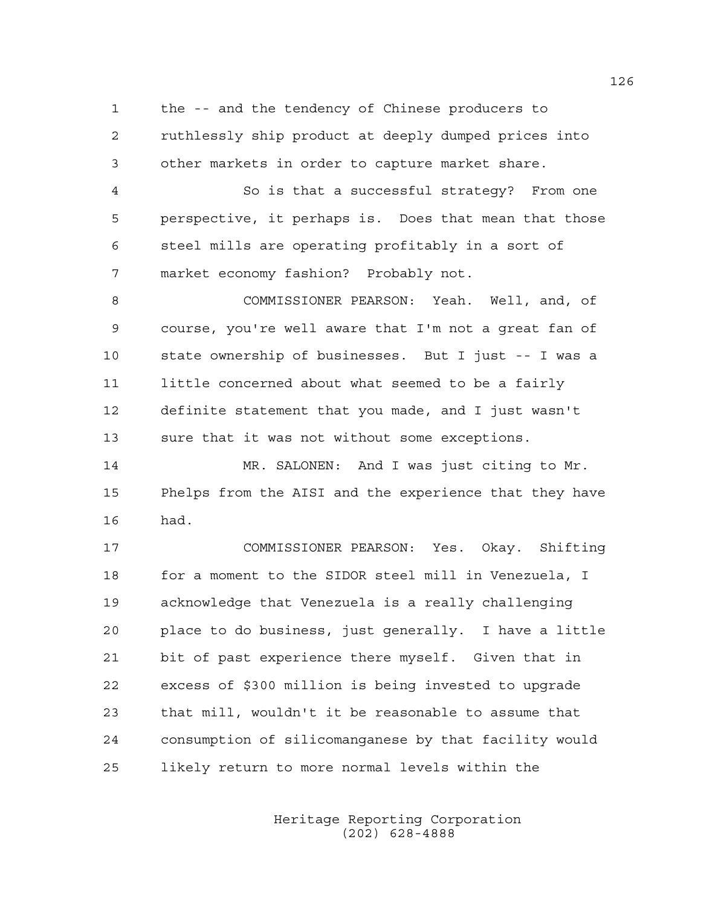1 the -- and the tendency of Chinese producers to 2 ruthlessly ship product at deeply dumped prices into 3 other markets in order to capture market share.

4 So is that a successful strategy? From one 5 perspective, it perhaps is. Does that mean that those 6 steel mills are operating profitably in a sort of 7 market economy fashion? Probably not.

8 COMMISSIONER PEARSON: Yeah. Well, and, of 9 course, you're well aware that I'm not a great fan of 10 state ownership of businesses. But I just -- I was a 11 little concerned about what seemed to be a fairly 12 definite statement that you made, and I just wasn't 13 sure that it was not without some exceptions.

14 MR. SALONEN: And I was just citing to Mr. 15 Phelps from the AISI and the experience that they have 16 had.

17 COMMISSIONER PEARSON: Yes. Okay. Shifting 18 for a moment to the SIDOR steel mill in Venezuela, I 19 acknowledge that Venezuela is a really challenging 20 place to do business, just generally. I have a little 21 bit of past experience there myself. Given that in 22 excess of \$300 million is being invested to upgrade 23 that mill, wouldn't it be reasonable to assume that 24 consumption of silicomanganese by that facility would 25 likely return to more normal levels within the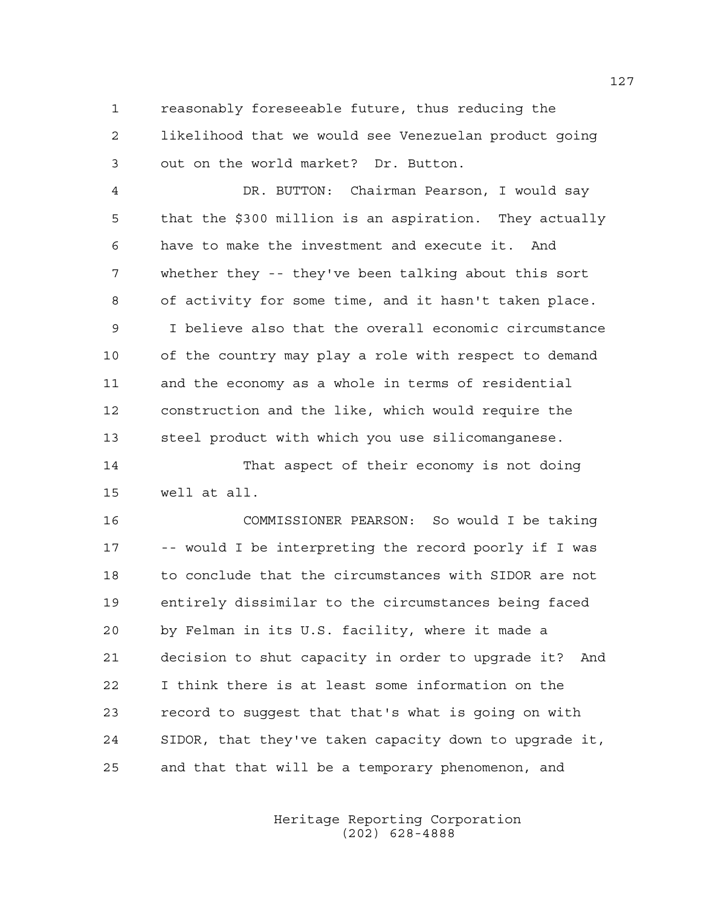1 reasonably foreseeable future, thus reducing the 2 likelihood that we would see Venezuelan product going 3 out on the world market? Dr. Button.

4 DR. BUTTON: Chairman Pearson, I would say 5 that the \$300 million is an aspiration. They actually 6 have to make the investment and execute it. And 7 whether they -- they've been talking about this sort 8 of activity for some time, and it hasn't taken place. 9 I believe also that the overall economic circumstance 10 of the country may play a role with respect to demand 11 and the economy as a whole in terms of residential 12 construction and the like, which would require the 13 steel product with which you use silicomanganese.

14 That aspect of their economy is not doing 15 well at all.

16 COMMISSIONER PEARSON: So would I be taking 17 -- would I be interpreting the record poorly if I was 18 to conclude that the circumstances with SIDOR are not 19 entirely dissimilar to the circumstances being faced 20 by Felman in its U.S. facility, where it made a 21 decision to shut capacity in order to upgrade it? And 22 I think there is at least some information on the 23 record to suggest that that's what is going on with 24 SIDOR, that they've taken capacity down to upgrade it, 25 and that that will be a temporary phenomenon, and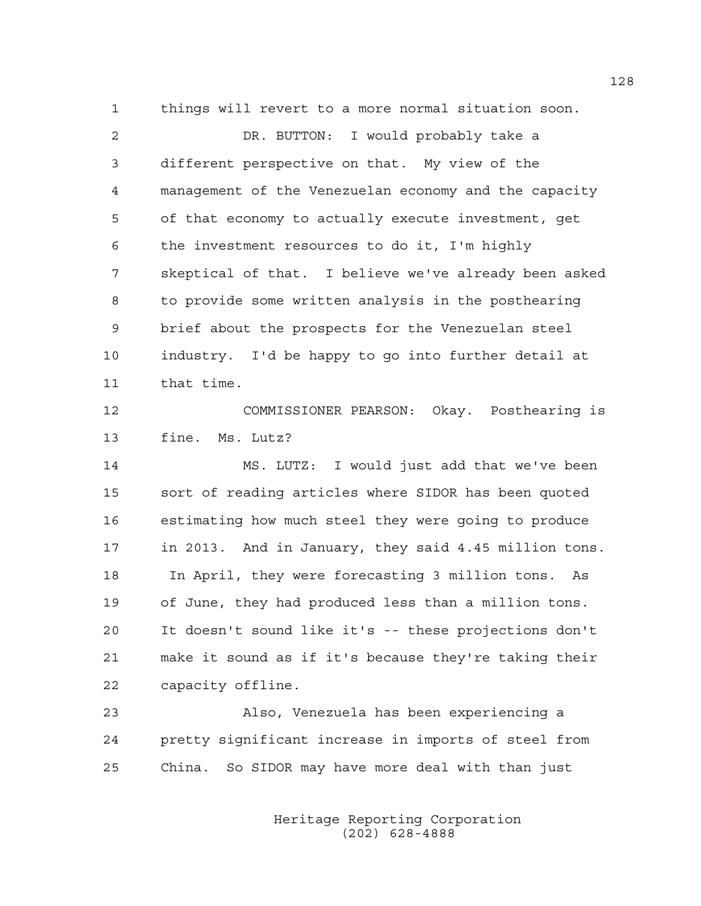1 things will revert to a more normal situation soon.

2 DR. BUTTON: I would probably take a 3 different perspective on that. My view of the 4 management of the Venezuelan economy and the capacity 5 of that economy to actually execute investment, get 6 the investment resources to do it, I'm highly 7 skeptical of that. I believe we've already been asked 8 to provide some written analysis in the posthearing 9 brief about the prospects for the Venezuelan steel 10 industry. I'd be happy to go into further detail at 11 that time. 12 COMMISSIONER PEARSON: Okay. Posthearing is 13 fine. Ms. Lutz? 14 MS. LUTZ: I would just add that we've been 15 sort of reading articles where SIDOR has been quoted 16 estimating how much steel they were going to produce 17 in 2013. And in January, they said 4.45 million tons. 18 In April, they were forecasting 3 million tons. As 19 of June, they had produced less than a million tons. 20 It doesn't sound like it's -- these projections don't 21 make it sound as if it's because they're taking their 22 capacity offline. 23 Also, Venezuela has been experiencing a

24 pretty significant increase in imports of steel from 25 China. So SIDOR may have more deal with than just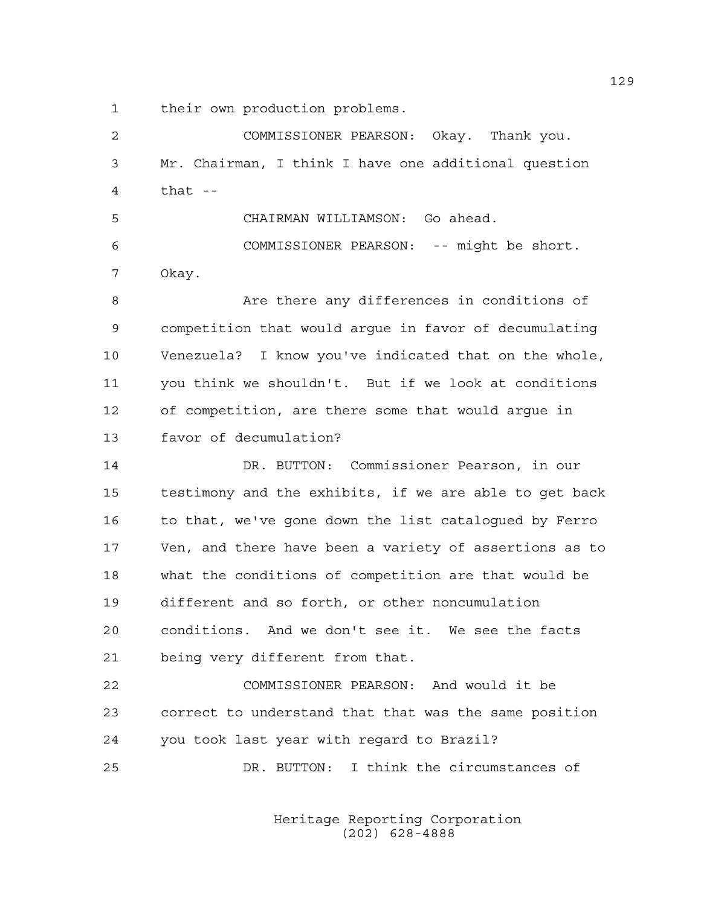1 their own production problems.

2 COMMISSIONER PEARSON: Okay. Thank you. 3 Mr. Chairman, I think I have one additional question 4 that -- 5 CHAIRMAN WILLIAMSON: Go ahead. 6 COMMISSIONER PEARSON: -- might be short. 7 Okay. 8 Are there any differences in conditions of 9 competition that would argue in favor of decumulating 10 Venezuela? I know you've indicated that on the whole, 11 you think we shouldn't. But if we look at conditions 12 of competition, are there some that would argue in 13 favor of decumulation? 14 DR. BUTTON: Commissioner Pearson, in our 15 testimony and the exhibits, if we are able to get back 16 to that, we've gone down the list catalogued by Ferro 17 Ven, and there have been a variety of assertions as to 18 what the conditions of competition are that would be 19 different and so forth, or other noncumulation 20 conditions. And we don't see it. We see the facts 21 being very different from that. 22 COMMISSIONER PEARSON: And would it be 23 correct to understand that that was the same position 24 you took last year with regard to Brazil? 25 DR. BUTTON: I think the circumstances of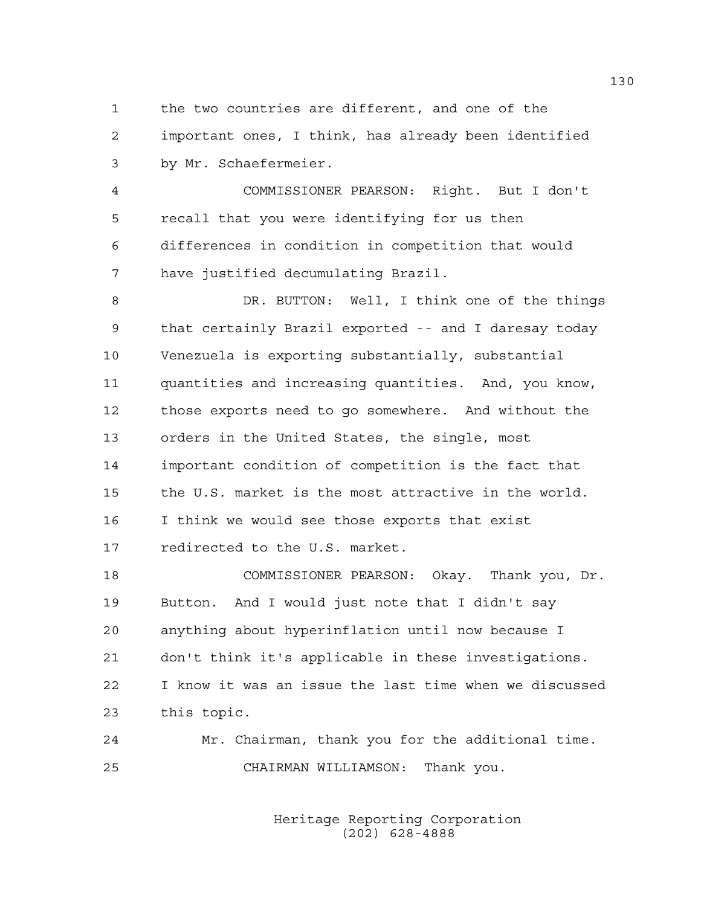1 the two countries are different, and one of the 2 important ones, I think, has already been identified 3 by Mr. Schaefermeier.

4 COMMISSIONER PEARSON: Right. But I don't 5 recall that you were identifying for us then 6 differences in condition in competition that would 7 have justified decumulating Brazil.

8 DR. BUTTON: Well, I think one of the things 9 that certainly Brazil exported -- and I daresay today 10 Venezuela is exporting substantially, substantial 11 quantities and increasing quantities. And, you know, 12 those exports need to go somewhere. And without the 13 orders in the United States, the single, most 14 important condition of competition is the fact that 15 the U.S. market is the most attractive in the world. 16 I think we would see those exports that exist 17 redirected to the U.S. market.

18 COMMISSIONER PEARSON: Okay. Thank you, Dr. 19 Button. And I would just note that I didn't say 20 anything about hyperinflation until now because I 21 don't think it's applicable in these investigations. 22 I know it was an issue the last time when we discussed 23 this topic.

24 Mr. Chairman, thank you for the additional time. 25 CHAIRMAN WILLIAMSON: Thank you.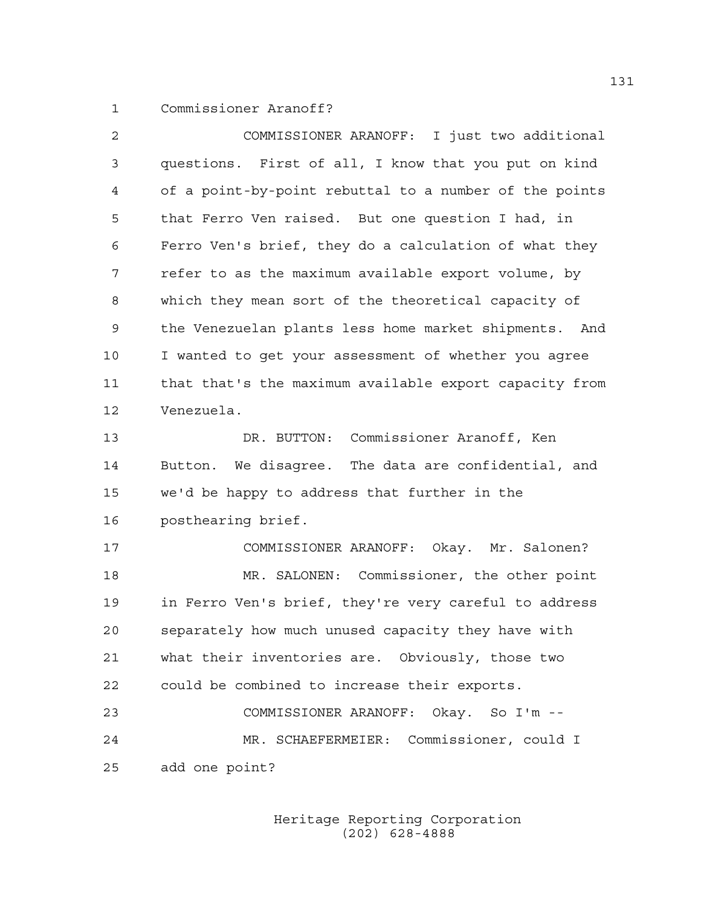1 Commissioner Aranoff?

2 COMMISSIONER ARANOFF: I just two additional 3 questions. First of all, I know that you put on kind 4 of a point-by-point rebuttal to a number of the points 5 that Ferro Ven raised. But one question I had, in 6 Ferro Ven's brief, they do a calculation of what they 7 refer to as the maximum available export volume, by 8 which they mean sort of the theoretical capacity of 9 the Venezuelan plants less home market shipments. And 10 I wanted to get your assessment of whether you agree 11 that that's the maximum available export capacity from 12 Venezuela. 13 DR. BUTTON: Commissioner Aranoff, Ken 14 Button. We disagree. The data are confidential, and 15 we'd be happy to address that further in the 16 posthearing brief. 17 COMMISSIONER ARANOFF: Okay. Mr. Salonen? 18 MR. SALONEN: Commissioner, the other point 19 in Ferro Ven's brief, they're very careful to address 20 separately how much unused capacity they have with 21 what their inventories are. Obviously, those two 22 could be combined to increase their exports. 23 COMMISSIONER ARANOFF: Okay. So I'm -- 24 MR. SCHAEFERMEIER: Commissioner, could I 25 add one point?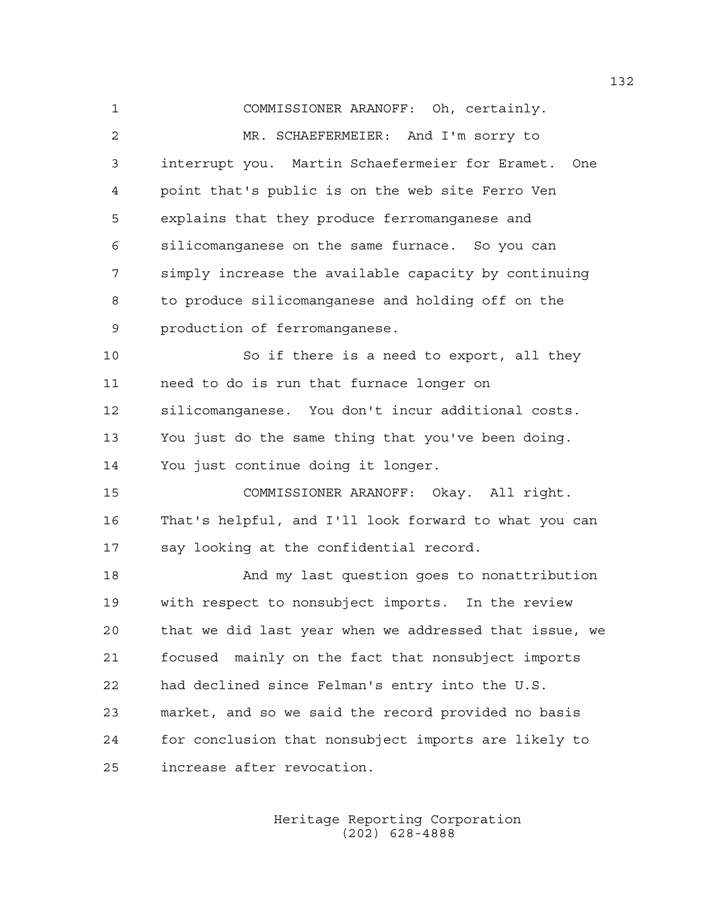1 COMMISSIONER ARANOFF: Oh, certainly. 2 MR. SCHAEFERMEIER: And I'm sorry to 3 interrupt you. Martin Schaefermeier for Eramet. One 4 point that's public is on the web site Ferro Ven 5 explains that they produce ferromanganese and 6 silicomanganese on the same furnace. So you can 7 simply increase the available capacity by continuing 8 to produce silicomanganese and holding off on the 9 production of ferromanganese. 10 So if there is a need to export, all they 11 need to do is run that furnace longer on 12 silicomanganese. You don't incur additional costs. 13 You just do the same thing that you've been doing. 14 You just continue doing it longer. 15 COMMISSIONER ARANOFF: Okay. All right. 16 That's helpful, and I'll look forward to what you can 17 say looking at the confidential record. 18 And my last question goes to nonattribution 19 with respect to nonsubject imports. In the review 20 that we did last year when we addressed that issue, we 21 focused mainly on the fact that nonsubject imports 22 had declined since Felman's entry into the U.S. 23 market, and so we said the record provided no basis 24 for conclusion that nonsubject imports are likely to 25 increase after revocation.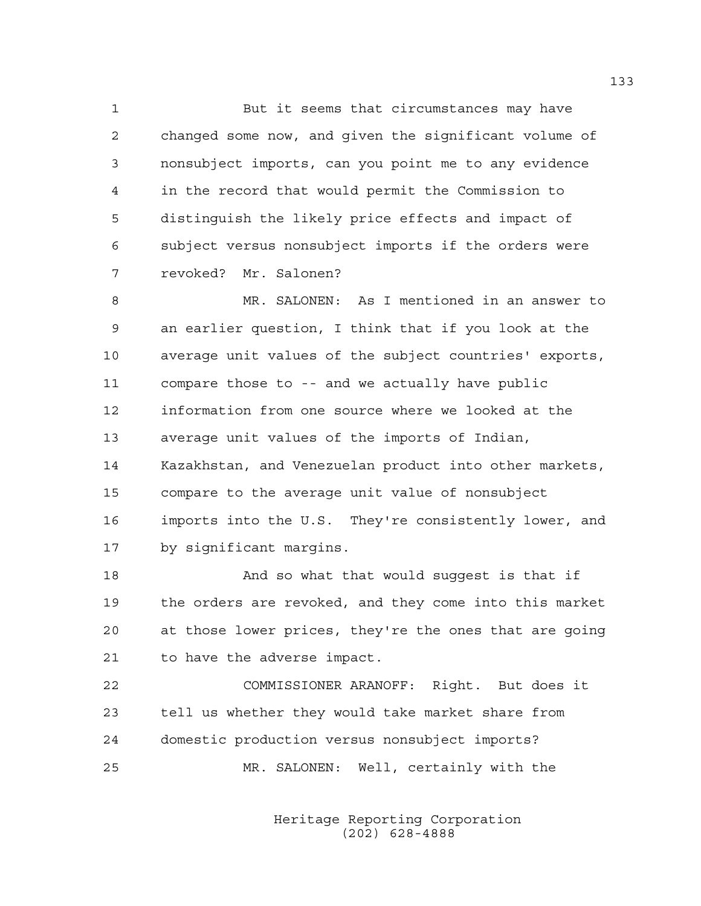1 But it seems that circumstances may have 2 changed some now, and given the significant volume of 3 nonsubject imports, can you point me to any evidence 4 in the record that would permit the Commission to 5 distinguish the likely price effects and impact of 6 subject versus nonsubject imports if the orders were 7 revoked? Mr. Salonen?

8 MR. SALONEN: As I mentioned in an answer to 9 an earlier question, I think that if you look at the 10 average unit values of the subject countries' exports, 11 compare those to -- and we actually have public 12 information from one source where we looked at the 13 average unit values of the imports of Indian, 14 Kazakhstan, and Venezuelan product into other markets, 15 compare to the average unit value of nonsubject 16 imports into the U.S. They're consistently lower, and 17 by significant margins.

18 And so what that would suggest is that if 19 the orders are revoked, and they come into this market 20 at those lower prices, they're the ones that are going 21 to have the adverse impact.

22 COMMISSIONER ARANOFF: Right. But does it 23 tell us whether they would take market share from 24 domestic production versus nonsubject imports? 25 MR. SALONEN: Well, certainly with the

> Heritage Reporting Corporation (202) 628-4888

133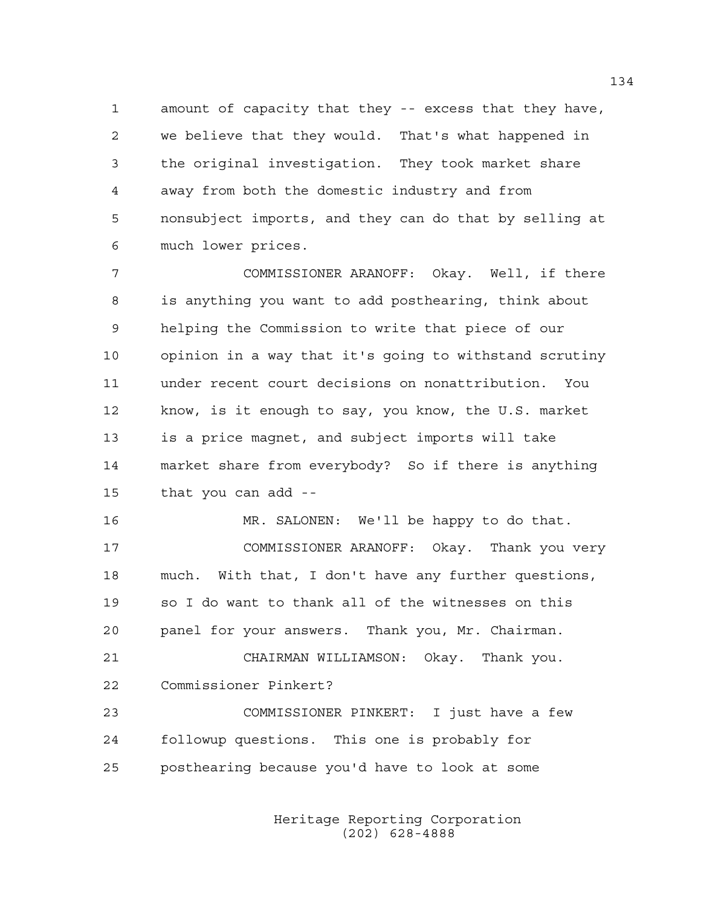1 amount of capacity that they -- excess that they have, 2 we believe that they would. That's what happened in 3 the original investigation. They took market share 4 away from both the domestic industry and from 5 nonsubject imports, and they can do that by selling at 6 much lower prices.

7 COMMISSIONER ARANOFF: Okay. Well, if there 8 is anything you want to add posthearing, think about 9 helping the Commission to write that piece of our 10 opinion in a way that it's going to withstand scrutiny 11 under recent court decisions on nonattribution. You 12 know, is it enough to say, you know, the U.S. market 13 is a price magnet, and subject imports will take 14 market share from everybody? So if there is anything 15 that you can add --

16 MR. SALONEN: We'll be happy to do that. 17 COMMISSIONER ARANOFF: Okay. Thank you very 18 much. With that, I don't have any further questions, 19 so I do want to thank all of the witnesses on this 20 panel for your answers. Thank you, Mr. Chairman.

21 CHAIRMAN WILLIAMSON: Okay. Thank you. 22 Commissioner Pinkert?

23 COMMISSIONER PINKERT: I just have a few 24 followup questions. This one is probably for 25 posthearing because you'd have to look at some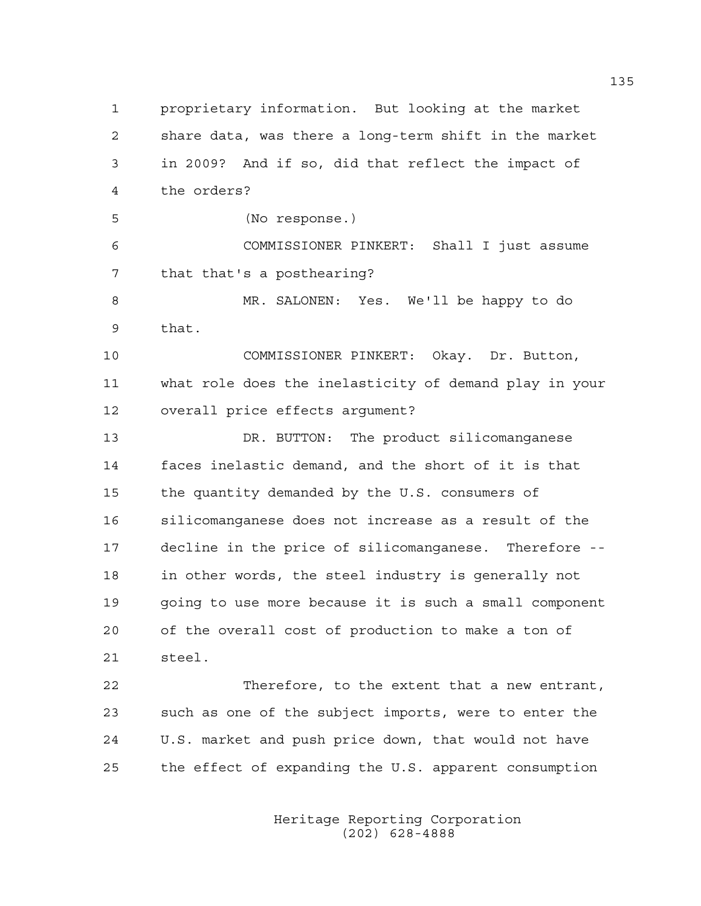1 proprietary information. But looking at the market 2 share data, was there a long-term shift in the market 3 in 2009? And if so, did that reflect the impact of 4 the orders? 5 (No response.) 6 COMMISSIONER PINKERT: Shall I just assume 7 that that's a posthearing? 8 MR. SALONEN: Yes. We'll be happy to do 9 that. 10 COMMISSIONER PINKERT: Okay. Dr. Button, 11 what role does the inelasticity of demand play in your 12 overall price effects argument? 13 DR. BUTTON: The product silicomanganese 14 faces inelastic demand, and the short of it is that 15 the quantity demanded by the U.S. consumers of 16 silicomanganese does not increase as a result of the 17 decline in the price of silicomanganese. Therefore -- 18 in other words, the steel industry is generally not 19 going to use more because it is such a small component 20 of the overall cost of production to make a ton of 21 steel. 22 Therefore, to the extent that a new entrant, 23 such as one of the subject imports, were to enter the 24 U.S. market and push price down, that would not have 25 the effect of expanding the U.S. apparent consumption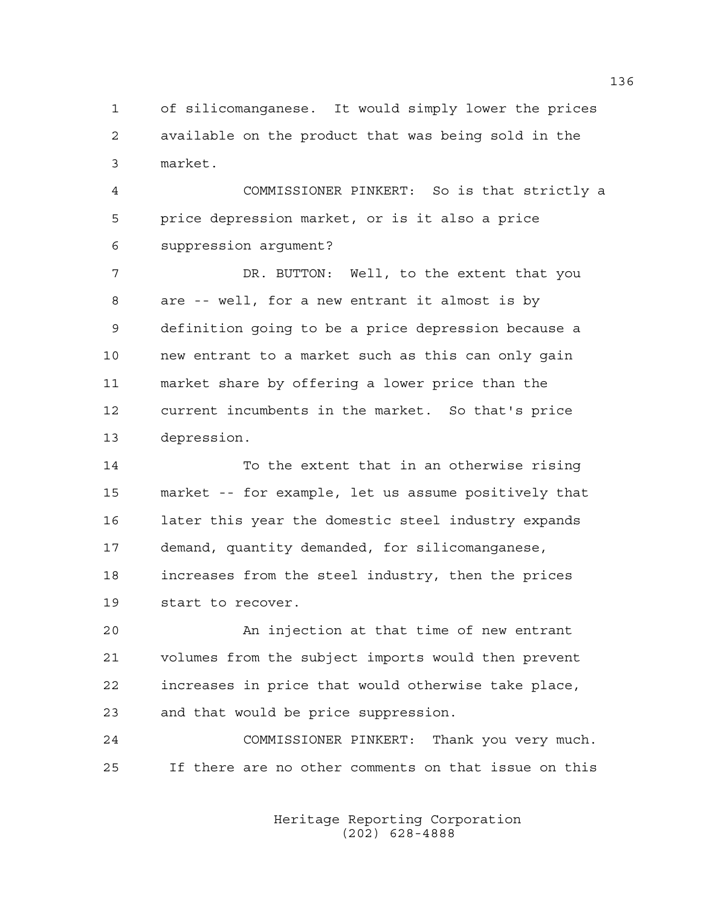1 of silicomanganese. It would simply lower the prices 2 available on the product that was being sold in the 3 market.

4 COMMISSIONER PINKERT: So is that strictly a 5 price depression market, or is it also a price 6 suppression argument?

7 DR. BUTTON: Well, to the extent that you 8 are -- well, for a new entrant it almost is by 9 definition going to be a price depression because a 10 new entrant to a market such as this can only gain 11 market share by offering a lower price than the 12 current incumbents in the market. So that's price 13 depression.

14 To the extent that in an otherwise rising 15 market -- for example, let us assume positively that 16 later this year the domestic steel industry expands 17 demand, quantity demanded, for silicomanganese, 18 increases from the steel industry, then the prices 19 start to recover.

20 An injection at that time of new entrant 21 volumes from the subject imports would then prevent 22 increases in price that would otherwise take place, 23 and that would be price suppression.

24 COMMISSIONER PINKERT: Thank you very much. 25 If there are no other comments on that issue on this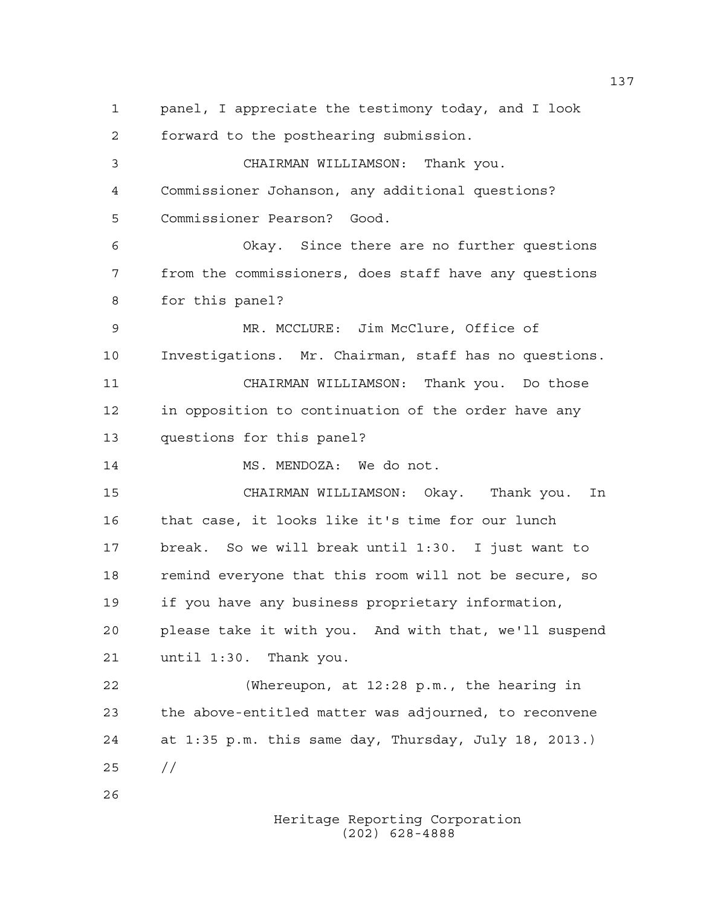1 panel, I appreciate the testimony today, and I look 2 forward to the posthearing submission. 3 CHAIRMAN WILLIAMSON: Thank you. 4 Commissioner Johanson, any additional questions? 5 Commissioner Pearson? Good. 6 Okay. Since there are no further questions 7 from the commissioners, does staff have any questions 8 for this panel? 9 MR. MCCLURE: Jim McClure, Office of 10 Investigations. Mr. Chairman, staff has no questions. 11 CHAIRMAN WILLIAMSON: Thank you. Do those 12 in opposition to continuation of the order have any 13 questions for this panel? 14 MS. MENDOZA: We do not. 15 CHAIRMAN WILLIAMSON: Okay. Thank you. In 16 that case, it looks like it's time for our lunch 17 break. So we will break until 1:30. I just want to 18 remind everyone that this room will not be secure, so 19 if you have any business proprietary information, 20 please take it with you. And with that, we'll suspend 21 until 1:30. Thank you. 22 (Whereupon, at 12:28 p.m., the hearing in 23 the above-entitled matter was adjourned, to reconvene 24 at 1:35 p.m. this same day, Thursday, July 18, 2013.) 25 // 26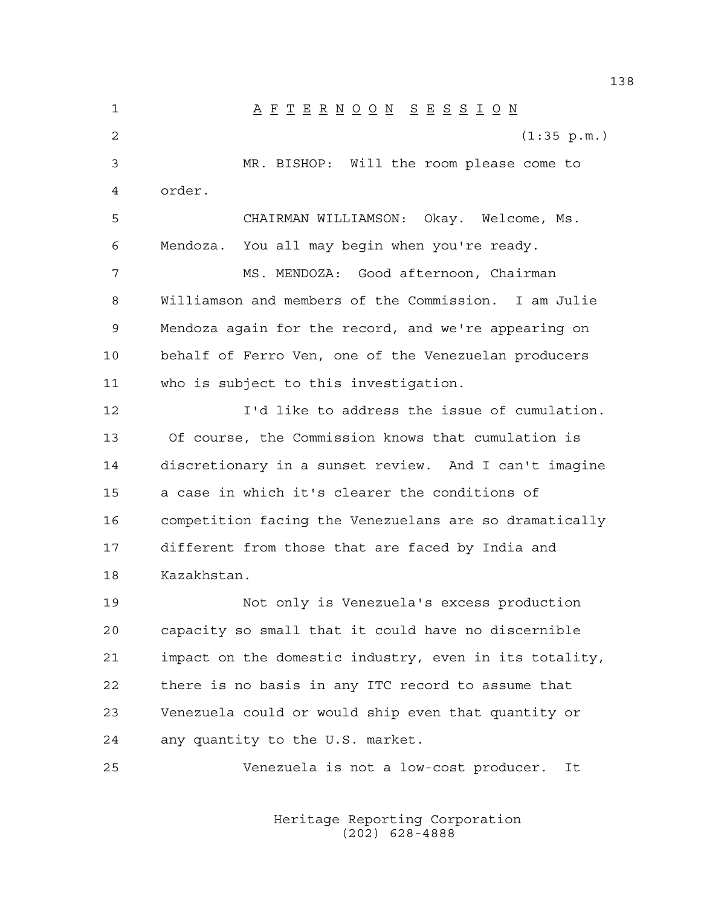1 A F T E R N O O N S E S S I O N 2 (1:35 p.m.) 3 MR. BISHOP: Will the room please come to 4 order. 5 CHAIRMAN WILLIAMSON: Okay. Welcome, Ms. 6 Mendoza. You all may begin when you're ready. 7 MS. MENDOZA: Good afternoon, Chairman 8 Williamson and members of the Commission. I am Julie 9 Mendoza again for the record, and we're appearing on 10 behalf of Ferro Ven, one of the Venezuelan producers 11 who is subject to this investigation. 12 I'd like to address the issue of cumulation. 13 Of course, the Commission knows that cumulation is 14 discretionary in a sunset review. And I can't imagine 15 a case in which it's clearer the conditions of 16 competition facing the Venezuelans are so dramatically 17 different from those that are faced by India and 18 Kazakhstan. 19 Not only is Venezuela's excess production 20 capacity so small that it could have no discernible 21 impact on the domestic industry, even in its totality, 22 there is no basis in any ITC record to assume that 23 Venezuela could or would ship even that quantity or 24 any quantity to the U.S. market. 25 Venezuela is not a low-cost producer. It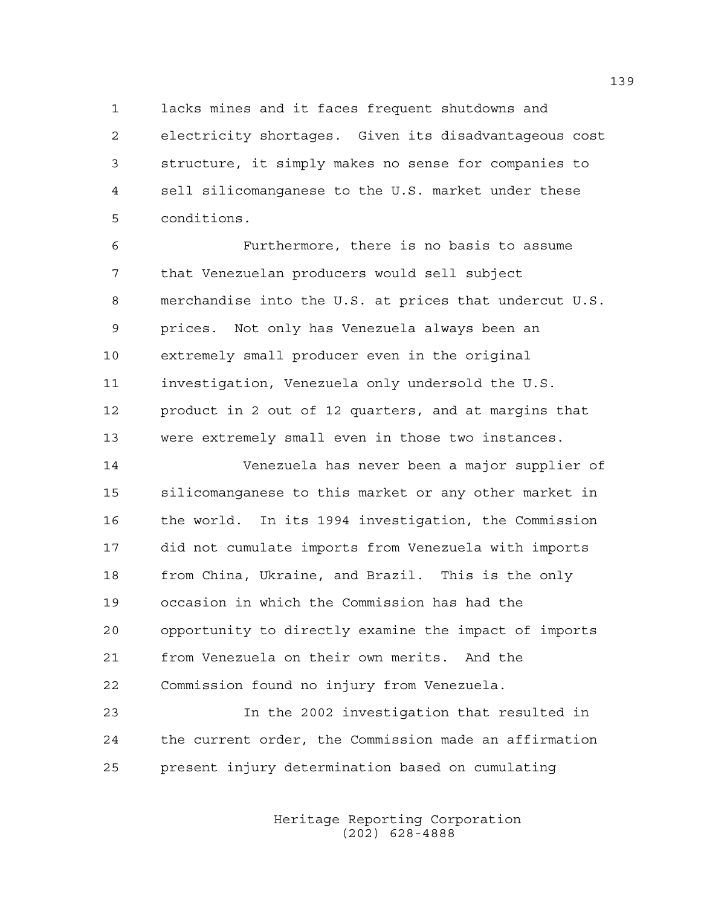1 lacks mines and it faces frequent shutdowns and 2 electricity shortages. Given its disadvantageous cost 3 structure, it simply makes no sense for companies to 4 sell silicomanganese to the U.S. market under these 5 conditions.

6 Furthermore, there is no basis to assume 7 that Venezuelan producers would sell subject 8 merchandise into the U.S. at prices that undercut U.S. 9 prices. Not only has Venezuela always been an 10 extremely small producer even in the original 11 investigation, Venezuela only undersold the U.S. 12 product in 2 out of 12 quarters, and at margins that 13 were extremely small even in those two instances.

14 Venezuela has never been a major supplier of 15 silicomanganese to this market or any other market in 16 the world. In its 1994 investigation, the Commission 17 did not cumulate imports from Venezuela with imports 18 from China, Ukraine, and Brazil. This is the only 19 occasion in which the Commission has had the 20 opportunity to directly examine the impact of imports 21 from Venezuela on their own merits. And the 22 Commission found no injury from Venezuela.

23 In the 2002 investigation that resulted in 24 the current order, the Commission made an affirmation 25 present injury determination based on cumulating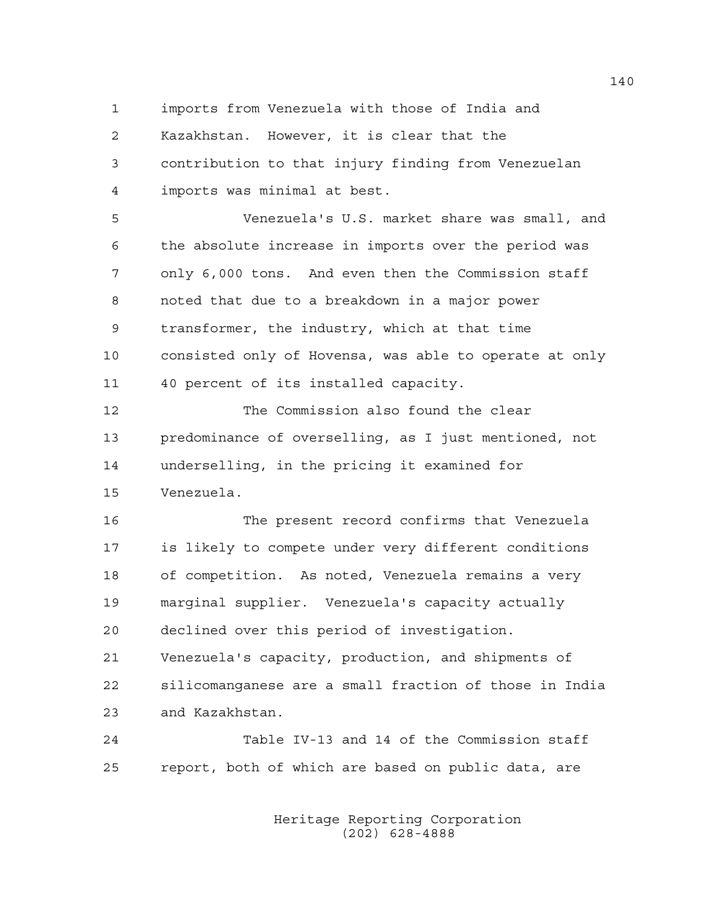1 imports from Venezuela with those of India and

2 Kazakhstan. However, it is clear that the 3 contribution to that injury finding from Venezuelan 4 imports was minimal at best.

5 Venezuela's U.S. market share was small, and 6 the absolute increase in imports over the period was 7 only 6,000 tons. And even then the Commission staff 8 noted that due to a breakdown in a major power 9 transformer, the industry, which at that time 10 consisted only of Hovensa, was able to operate at only 11 40 percent of its installed capacity.

12 The Commission also found the clear 13 predominance of overselling, as I just mentioned, not 14 underselling, in the pricing it examined for 15 Venezuela.

16 The present record confirms that Venezuela 17 is likely to compete under very different conditions 18 of competition. As noted, Venezuela remains a very 19 marginal supplier. Venezuela's capacity actually 20 declined over this period of investigation. 21 Venezuela's capacity, production, and shipments of 22 silicomanganese are a small fraction of those in India

23 and Kazakhstan.

24 Table IV-13 and 14 of the Commission staff 25 report, both of which are based on public data, are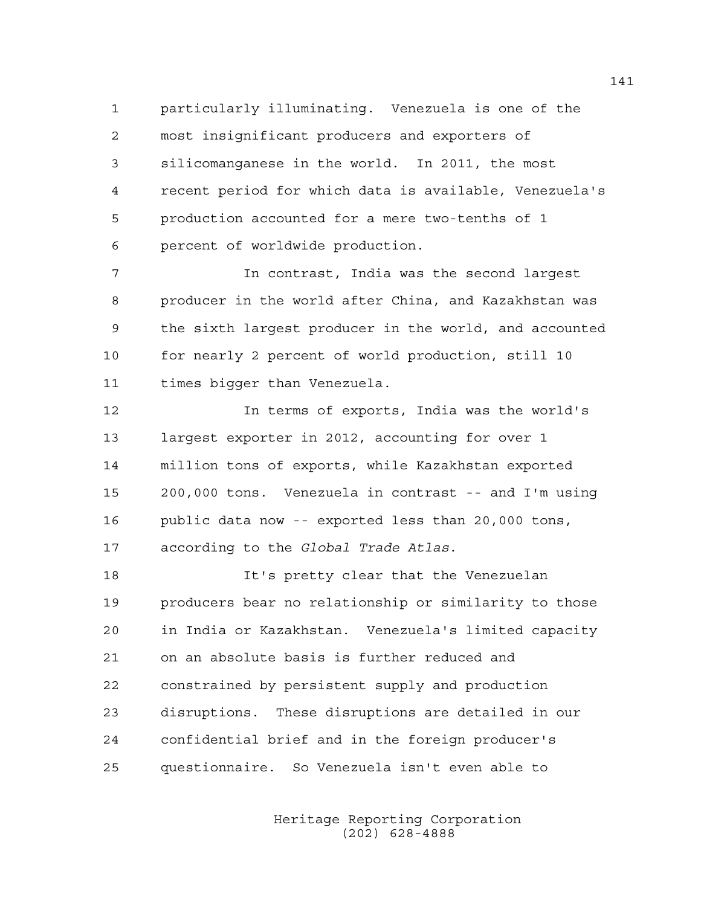1 particularly illuminating. Venezuela is one of the 2 most insignificant producers and exporters of 3 silicomanganese in the world. In 2011, the most 4 recent period for which data is available, Venezuela's 5 production accounted for a mere two-tenths of 1 6 percent of worldwide production.

7 In contrast, India was the second largest 8 producer in the world after China, and Kazakhstan was 9 the sixth largest producer in the world, and accounted 10 for nearly 2 percent of world production, still 10 11 times bigger than Venezuela.

12 In terms of exports, India was the world's 13 largest exporter in 2012, accounting for over 1 14 million tons of exports, while Kazakhstan exported 15 200,000 tons. Venezuela in contrast -- and I'm using 16 public data now -- exported less than 20,000 tons, 17 according to the *Global Trade Atlas*.

18 It's pretty clear that the Venezuelan 19 producers bear no relationship or similarity to those 20 in India or Kazakhstan. Venezuela's limited capacity 21 on an absolute basis is further reduced and 22 constrained by persistent supply and production 23 disruptions. These disruptions are detailed in our 24 confidential brief and in the foreign producer's 25 questionnaire. So Venezuela isn't even able to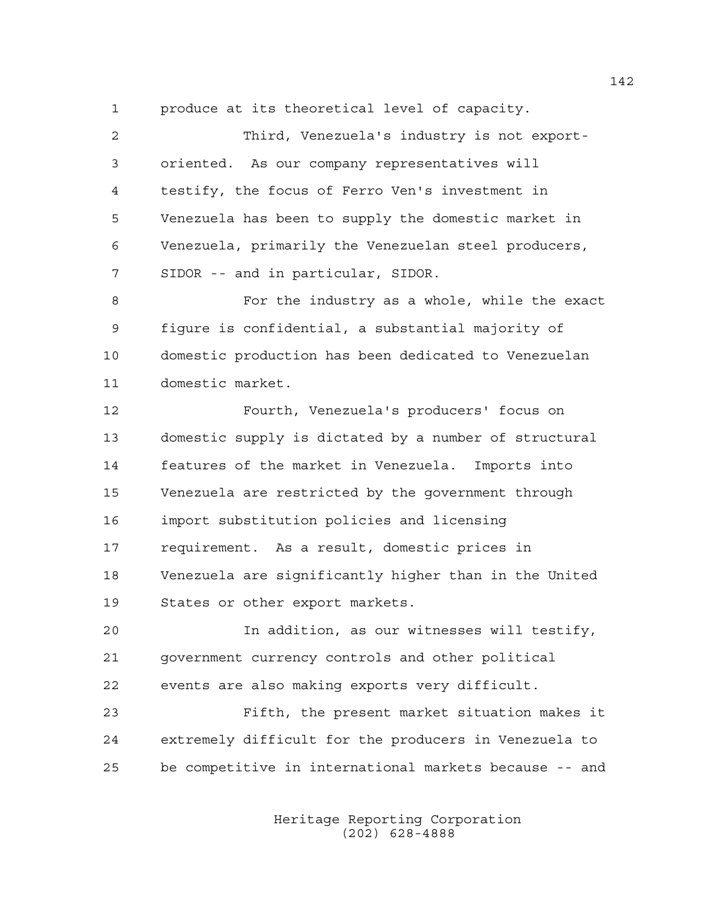1 produce at its theoretical level of capacity.

2 Third, Venezuela's industry is not export-3 oriented. As our company representatives will 4 testify, the focus of Ferro Ven's investment in 5 Venezuela has been to supply the domestic market in 6 Venezuela, primarily the Venezuelan steel producers, 7 SIDOR -- and in particular, SIDOR. 8 For the industry as a whole, while the exact 9 figure is confidential, a substantial majority of 10 domestic production has been dedicated to Venezuelan 11 domestic market. 12 Fourth, Venezuela's producers' focus on 13 domestic supply is dictated by a number of structural 14 features of the market in Venezuela. Imports into 15 Venezuela are restricted by the government through 16 import substitution policies and licensing 17 requirement. As a result, domestic prices in 18 Venezuela are significantly higher than in the United 19 States or other export markets. 20 In addition, as our witnesses will testify, 21 government currency controls and other political 22 events are also making exports very difficult.

23 Fifth, the present market situation makes it 24 extremely difficult for the producers in Venezuela to 25 be competitive in international markets because -- and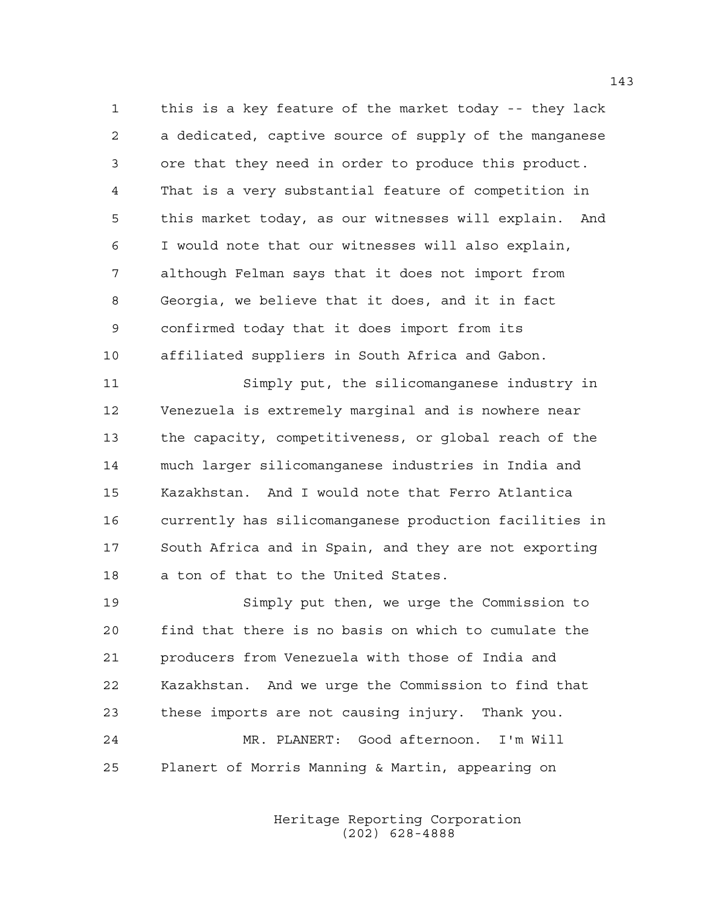1 this is a key feature of the market today -- they lack 2 a dedicated, captive source of supply of the manganese 3 ore that they need in order to produce this product. 4 That is a very substantial feature of competition in 5 this market today, as our witnesses will explain. And 6 I would note that our witnesses will also explain, 7 although Felman says that it does not import from 8 Georgia, we believe that it does, and it in fact 9 confirmed today that it does import from its 10 affiliated suppliers in South Africa and Gabon.

11 Simply put, the silicomanganese industry in 12 Venezuela is extremely marginal and is nowhere near 13 the capacity, competitiveness, or global reach of the 14 much larger silicomanganese industries in India and 15 Kazakhstan. And I would note that Ferro Atlantica 16 currently has silicomanganese production facilities in 17 South Africa and in Spain, and they are not exporting 18 a ton of that to the United States.

19 Simply put then, we urge the Commission to 20 find that there is no basis on which to cumulate the 21 producers from Venezuela with those of India and 22 Kazakhstan. And we urge the Commission to find that 23 these imports are not causing injury. Thank you. 24 MR. PLANERT: Good afternoon. I'm Will 25 Planert of Morris Manning & Martin, appearing on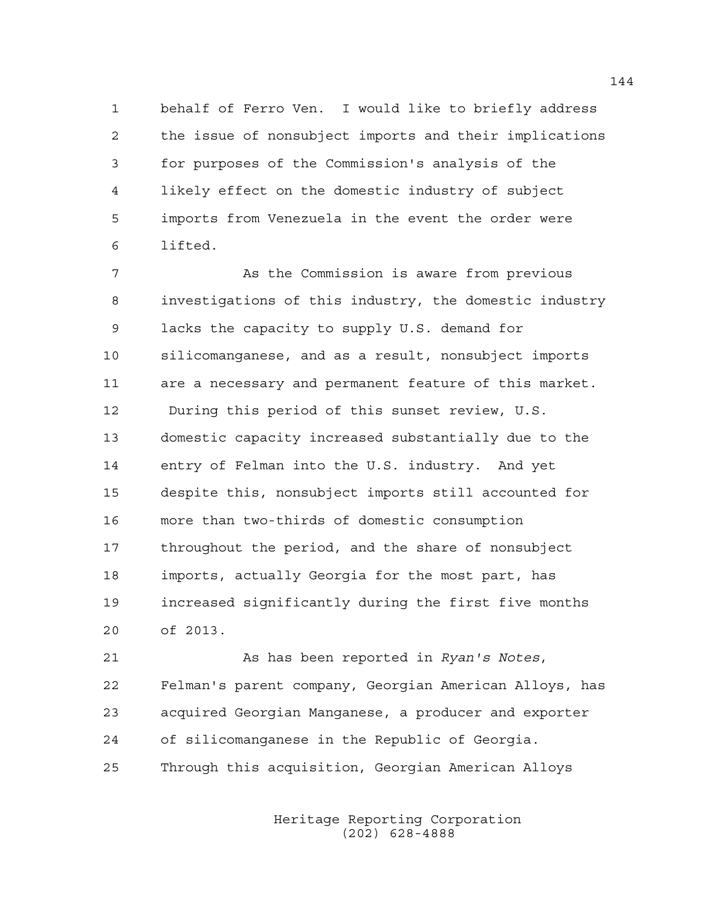1 behalf of Ferro Ven. I would like to briefly address 2 the issue of nonsubject imports and their implications 3 for purposes of the Commission's analysis of the 4 likely effect on the domestic industry of subject 5 imports from Venezuela in the event the order were 6 lifted.

7 As the Commission is aware from previous 8 investigations of this industry, the domestic industry 9 lacks the capacity to supply U.S. demand for 10 silicomanganese, and as a result, nonsubject imports 11 are a necessary and permanent feature of this market. 12 During this period of this sunset review, U.S. 13 domestic capacity increased substantially due to the 14 entry of Felman into the U.S. industry. And yet 15 despite this, nonsubject imports still accounted for 16 more than two-thirds of domestic consumption 17 throughout the period, and the share of nonsubject 18 imports, actually Georgia for the most part, has 19 increased significantly during the first five months 20 of 2013.

21 As has been reported in *Ryan's Notes*, 22 Felman's parent company, Georgian American Alloys, has 23 acquired Georgian Manganese, a producer and exporter 24 of silicomanganese in the Republic of Georgia. 25 Through this acquisition, Georgian American Alloys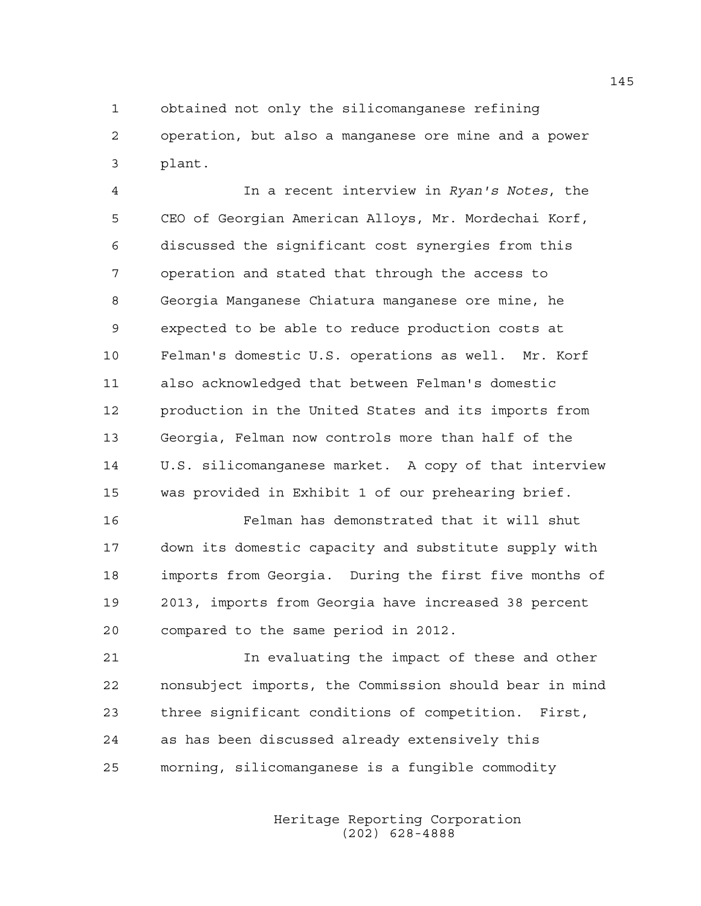1 obtained not only the silicomanganese refining 2 operation, but also a manganese ore mine and a power 3 plant.

4 In a recent interview in *Ryan's Notes*, the 5 CEO of Georgian American Alloys, Mr. Mordechai Korf, 6 discussed the significant cost synergies from this 7 operation and stated that through the access to 8 Georgia Manganese Chiatura manganese ore mine, he 9 expected to be able to reduce production costs at 10 Felman's domestic U.S. operations as well. Mr. Korf 11 also acknowledged that between Felman's domestic 12 production in the United States and its imports from 13 Georgia, Felman now controls more than half of the 14 U.S. silicomanganese market. A copy of that interview 15 was provided in Exhibit 1 of our prehearing brief.

16 Felman has demonstrated that it will shut 17 down its domestic capacity and substitute supply with 18 imports from Georgia. During the first five months of 19 2013, imports from Georgia have increased 38 percent 20 compared to the same period in 2012.

21 In evaluating the impact of these and other 22 nonsubject imports, the Commission should bear in mind 23 three significant conditions of competition. First, 24 as has been discussed already extensively this 25 morning, silicomanganese is a fungible commodity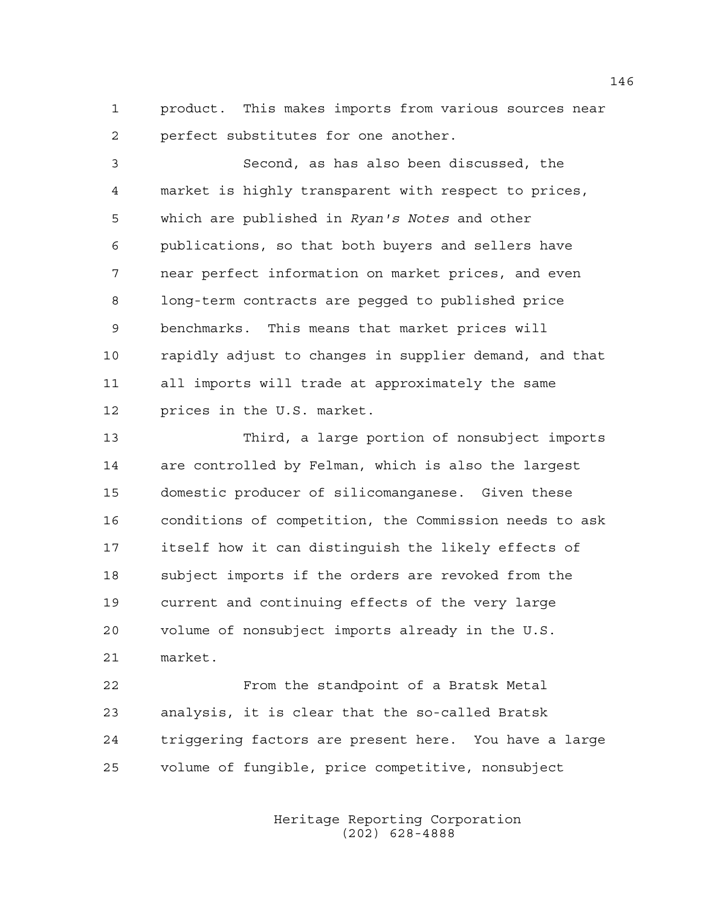1 product. This makes imports from various sources near 2 perfect substitutes for one another.

3 Second, as has also been discussed, the 4 market is highly transparent with respect to prices, 5 which are published in *Ryan's Notes* and other 6 publications, so that both buyers and sellers have 7 near perfect information on market prices, and even 8 long-term contracts are pegged to published price 9 benchmarks. This means that market prices will 10 rapidly adjust to changes in supplier demand, and that 11 all imports will trade at approximately the same 12 prices in the U.S. market.

13 Third, a large portion of nonsubject imports 14 are controlled by Felman, which is also the largest 15 domestic producer of silicomanganese. Given these 16 conditions of competition, the Commission needs to ask 17 itself how it can distinguish the likely effects of 18 subject imports if the orders are revoked from the 19 current and continuing effects of the very large 20 volume of nonsubject imports already in the U.S. 21 market.

22 From the standpoint of a Bratsk Metal 23 analysis, it is clear that the so-called Bratsk 24 triggering factors are present here. You have a large 25 volume of fungible, price competitive, nonsubject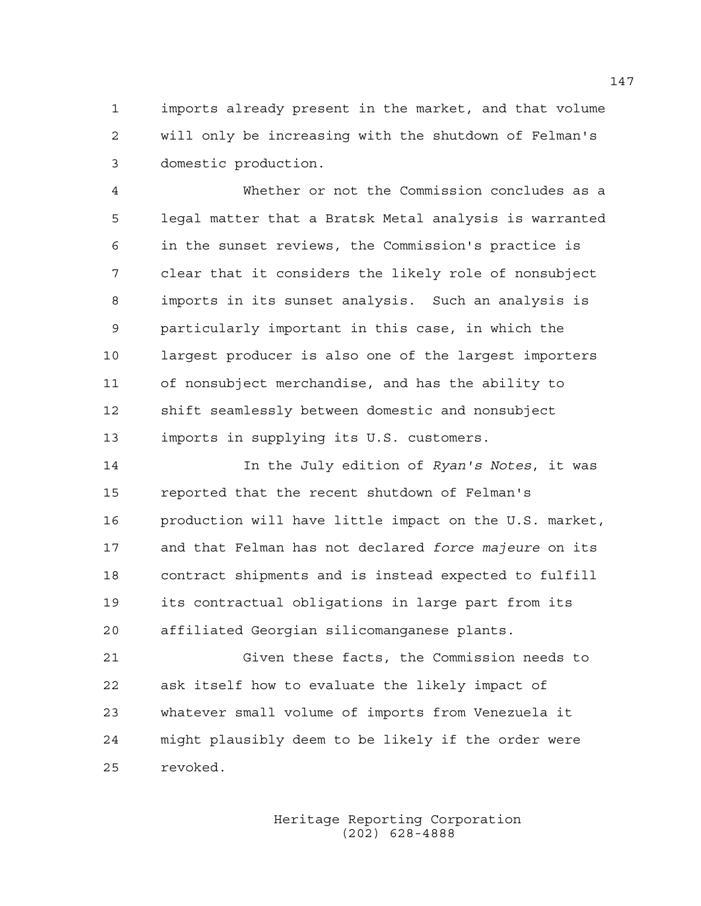1 imports already present in the market, and that volume 2 will only be increasing with the shutdown of Felman's 3 domestic production.

4 Whether or not the Commission concludes as a 5 legal matter that a Bratsk Metal analysis is warranted 6 in the sunset reviews, the Commission's practice is 7 clear that it considers the likely role of nonsubject 8 imports in its sunset analysis. Such an analysis is 9 particularly important in this case, in which the 10 largest producer is also one of the largest importers 11 of nonsubject merchandise, and has the ability to 12 shift seamlessly between domestic and nonsubject 13 imports in supplying its U.S. customers.

14 In the July edition of *Ryan's Notes*, it was 15 reported that the recent shutdown of Felman's 16 production will have little impact on the U.S. market, 17 and that Felman has not declared *force majeure* on its 18 contract shipments and is instead expected to fulfill 19 its contractual obligations in large part from its 20 affiliated Georgian silicomanganese plants.

21 Given these facts, the Commission needs to 22 ask itself how to evaluate the likely impact of 23 whatever small volume of imports from Venezuela it 24 might plausibly deem to be likely if the order were 25 revoked.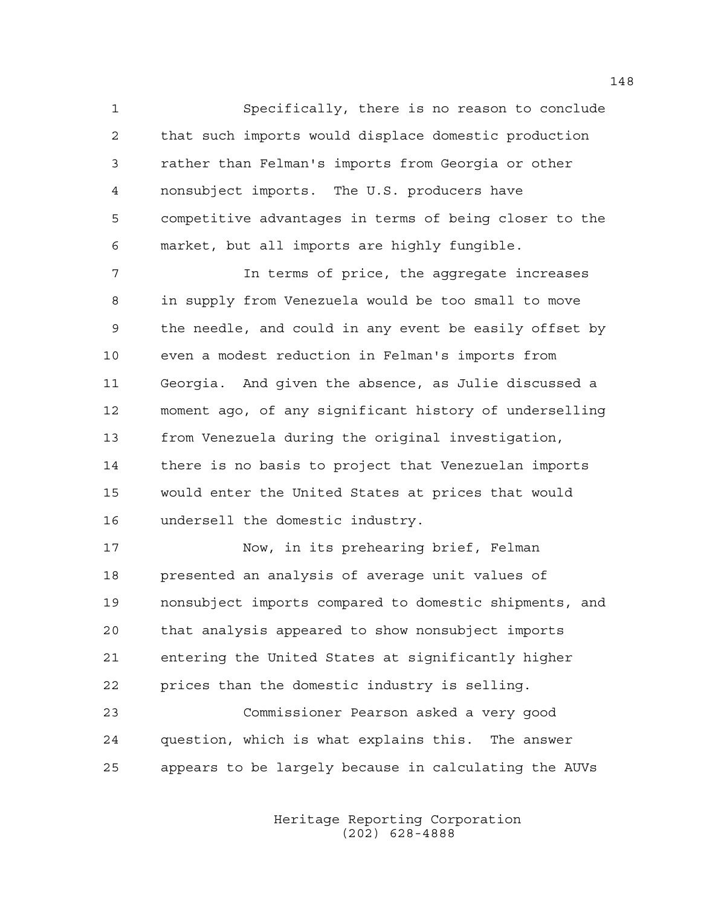1 Specifically, there is no reason to conclude 2 that such imports would displace domestic production 3 rather than Felman's imports from Georgia or other 4 nonsubject imports. The U.S. producers have 5 competitive advantages in terms of being closer to the 6 market, but all imports are highly fungible.

7 12 In terms of price, the aggregate increases 8 in supply from Venezuela would be too small to move 9 the needle, and could in any event be easily offset by 10 even a modest reduction in Felman's imports from 11 Georgia. And given the absence, as Julie discussed a 12 moment ago, of any significant history of underselling 13 from Venezuela during the original investigation, 14 there is no basis to project that Venezuelan imports 15 would enter the United States at prices that would 16 undersell the domestic industry.

17 Now, in its prehearing brief, Felman 18 presented an analysis of average unit values of 19 nonsubject imports compared to domestic shipments, and 20 that analysis appeared to show nonsubject imports 21 entering the United States at significantly higher 22 prices than the domestic industry is selling.

23 Commissioner Pearson asked a very good 24 question, which is what explains this. The answer 25 appears to be largely because in calculating the AUVs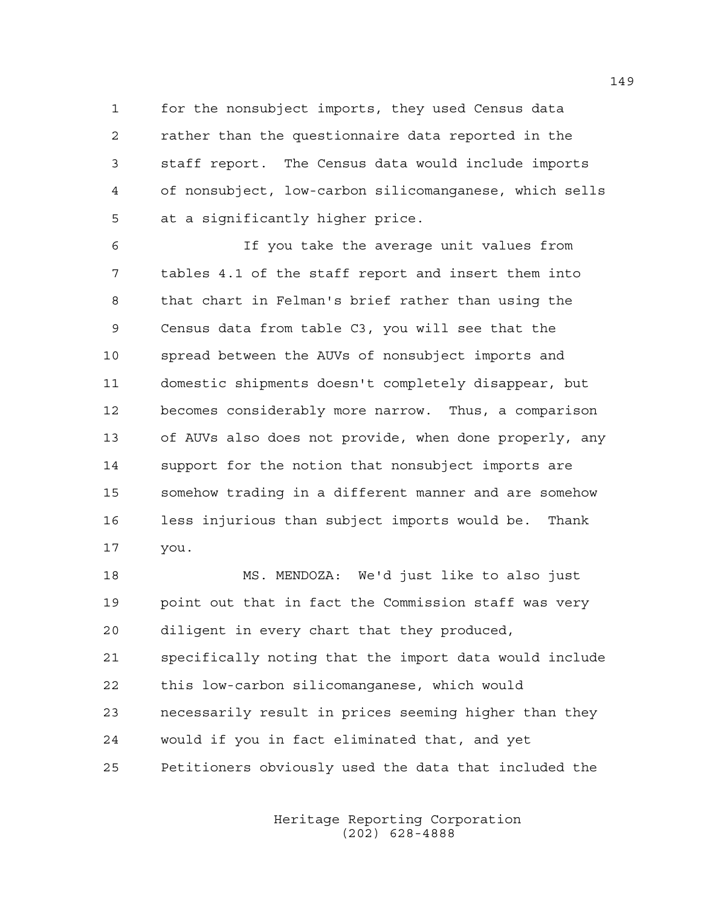1 for the nonsubject imports, they used Census data 2 rather than the questionnaire data reported in the 3 staff report. The Census data would include imports 4 of nonsubject, low-carbon silicomanganese, which sells 5 at a significantly higher price.

6 If you take the average unit values from 7 tables 4.1 of the staff report and insert them into 8 that chart in Felman's brief rather than using the 9 Census data from table C3, you will see that the 10 spread between the AUVs of nonsubject imports and 11 domestic shipments doesn't completely disappear, but 12 becomes considerably more narrow. Thus, a comparison 13 of AUVs also does not provide, when done properly, any 14 support for the notion that nonsubject imports are 15 somehow trading in a different manner and are somehow 16 less injurious than subject imports would be. Thank 17 you.

18 MS. MENDOZA: We'd just like to also just 19 point out that in fact the Commission staff was very 20 diligent in every chart that they produced, 21 specifically noting that the import data would include 22 this low-carbon silicomanganese, which would 23 necessarily result in prices seeming higher than they 24 would if you in fact eliminated that, and yet 25 Petitioners obviously used the data that included the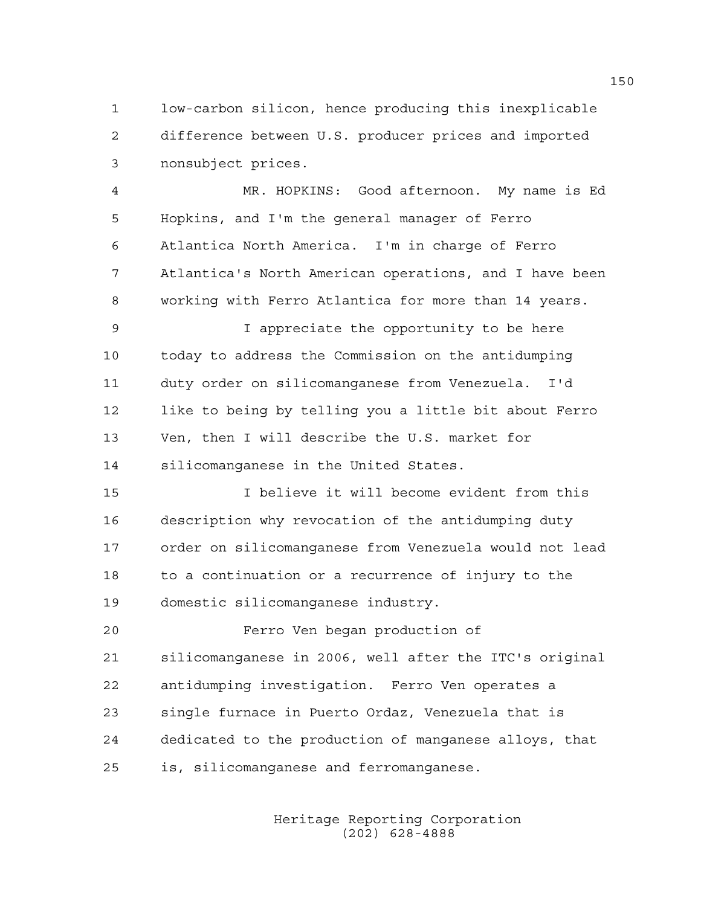1 low-carbon silicon, hence producing this inexplicable 2 difference between U.S. producer prices and imported 3 nonsubject prices.

4 MR. HOPKINS: Good afternoon. My name is Ed 5 Hopkins, and I'm the general manager of Ferro 6 Atlantica North America. I'm in charge of Ferro 7 Atlantica's North American operations, and I have been 8 working with Ferro Atlantica for more than 14 years.

9 I appreciate the opportunity to be here 10 today to address the Commission on the antidumping 11 duty order on silicomanganese from Venezuela. I'd 12 like to being by telling you a little bit about Ferro 13 Ven, then I will describe the U.S. market for 14 silicomanganese in the United States.

15 I believe it will become evident from this 16 description why revocation of the antidumping duty 17 order on silicomanganese from Venezuela would not lead 18 to a continuation or a recurrence of injury to the 19 domestic silicomanganese industry.

20 Ferro Ven began production of 21 silicomanganese in 2006, well after the ITC's original 22 antidumping investigation. Ferro Ven operates a 23 single furnace in Puerto Ordaz, Venezuela that is 24 dedicated to the production of manganese alloys, that 25 is, silicomanganese and ferromanganese.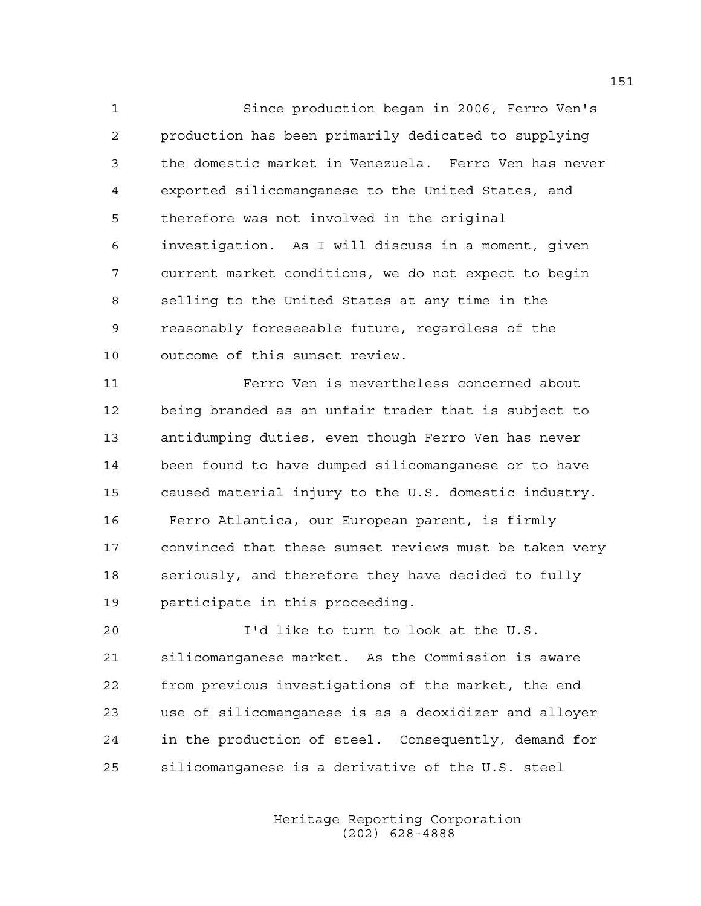1 Since production began in 2006, Ferro Ven's 2 production has been primarily dedicated to supplying 3 the domestic market in Venezuela. Ferro Ven has never 4 exported silicomanganese to the United States, and 5 therefore was not involved in the original 6 investigation. As I will discuss in a moment, given 7 current market conditions, we do not expect to begin 8 selling to the United States at any time in the 9 reasonably foreseeable future, regardless of the 10 outcome of this sunset review.

11 Ferro Ven is nevertheless concerned about 12 being branded as an unfair trader that is subject to 13 antidumping duties, even though Ferro Ven has never 14 been found to have dumped silicomanganese or to have 15 caused material injury to the U.S. domestic industry. 16 Ferro Atlantica, our European parent, is firmly 17 convinced that these sunset reviews must be taken very 18 seriously, and therefore they have decided to fully 19 participate in this proceeding.

20 I'd like to turn to look at the U.S. 21 silicomanganese market. As the Commission is aware 22 from previous investigations of the market, the end 23 use of silicomanganese is as a deoxidizer and alloyer 24 in the production of steel. Consequently, demand for 25 silicomanganese is a derivative of the U.S. steel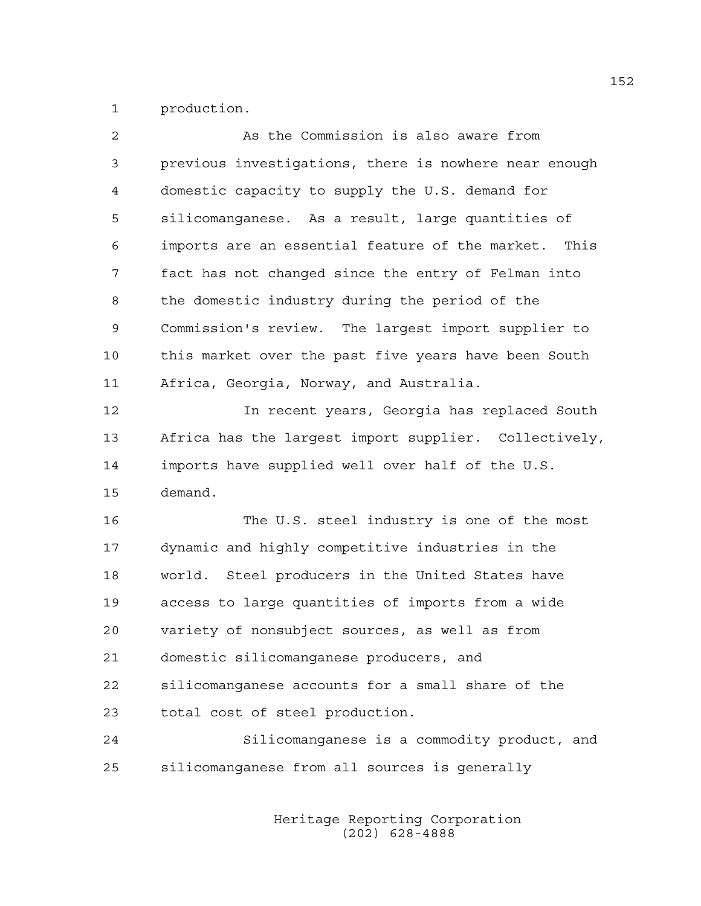1 production.

| 2  | As the Commission is also aware from                    |
|----|---------------------------------------------------------|
| 3  | previous investigations, there is nowhere near enough   |
| 4  | domestic capacity to supply the U.S. demand for         |
| 5  | silicomanganese. As a result, large quantities of       |
| 6  | imports are an essential feature of the market.<br>This |
| 7  | fact has not changed since the entry of Felman into     |
| 8  | the domestic industry during the period of the          |
| 9  | Commission's review. The largest import supplier to     |
| 10 | this market over the past five years have been South    |
| 11 | Africa, Georgia, Norway, and Australia.                 |
| 12 | In recent years, Georgia has replaced South             |
| 13 | Africa has the largest import supplier. Collectively,   |
| 14 | imports have supplied well over half of the U.S.        |
| 15 | demand.                                                 |
| 16 | The U.S. steel industry is one of the most              |
| 17 | dynamic and highly competitive industries in the        |
| 18 | world. Steel producers in the United States have        |
| 19 | access to large quantities of imports from a wide       |
| 20 | variety of nonsubject sources, as well as from          |
| 21 | domestic silicomanganese producers, and                 |
| 22 | silicomanganese accounts for a small share of the       |
| 23 | total cost of steel production.                         |
| 24 | Silicomanganese is a commodity product, and             |
| 25 | silicomanganese from all sources is generally           |
|    |                                                         |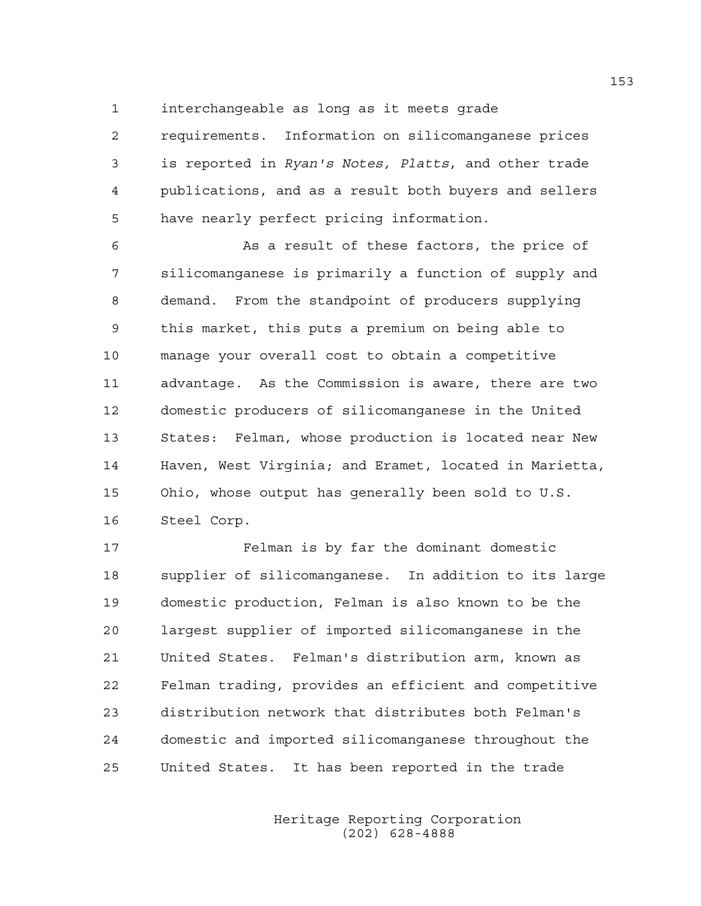1 interchangeable as long as it meets grade

2 requirements. Information on silicomanganese prices 3 is reported in *Ryan's Notes, Platts*, and other trade 4 publications, and as a result both buyers and sellers 5 have nearly perfect pricing information.

6 As a result of these factors, the price of 7 silicomanganese is primarily a function of supply and 8 demand. From the standpoint of producers supplying 9 this market, this puts a premium on being able to 10 manage your overall cost to obtain a competitive 11 advantage. As the Commission is aware, there are two 12 domestic producers of silicomanganese in the United 13 States: Felman, whose production is located near New 14 Haven, West Virginia; and Eramet, located in Marietta, 15 Ohio, whose output has generally been sold to U.S. 16 Steel Corp.

17 Felman is by far the dominant domestic 18 supplier of silicomanganese. In addition to its large 19 domestic production, Felman is also known to be the 20 largest supplier of imported silicomanganese in the 21 United States. Felman's distribution arm, known as 22 Felman trading, provides an efficient and competitive 23 distribution network that distributes both Felman's 24 domestic and imported silicomanganese throughout the 25 United States. It has been reported in the trade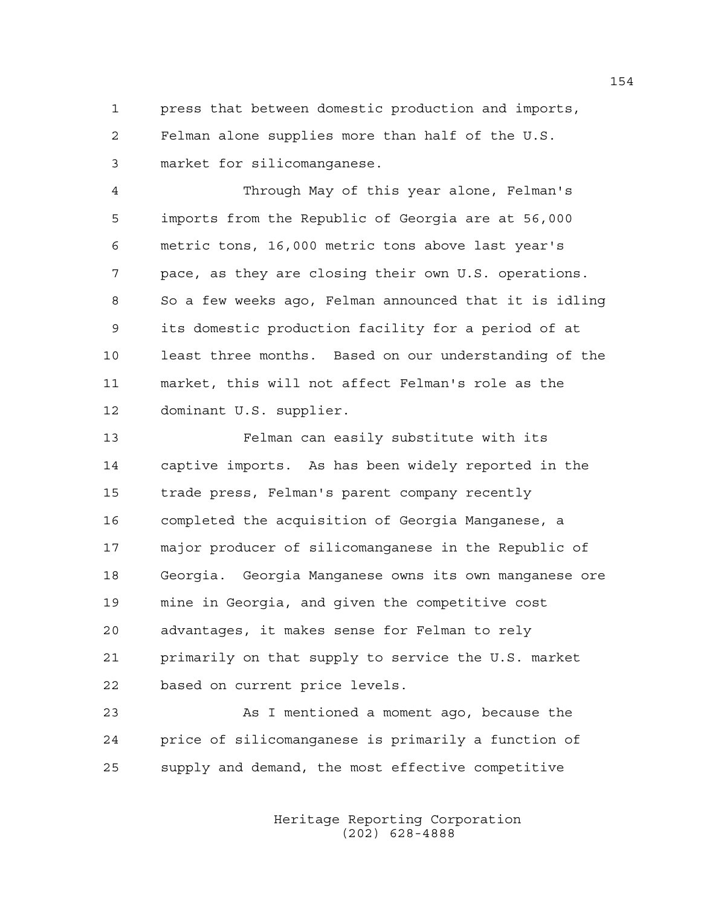1 press that between domestic production and imports, 2 Felman alone supplies more than half of the U.S. 3 market for silicomanganese.

4 Through May of this year alone, Felman's 5 imports from the Republic of Georgia are at 56,000 6 metric tons, 16,000 metric tons above last year's 7 pace, as they are closing their own U.S. operations. 8 So a few weeks ago, Felman announced that it is idling 9 its domestic production facility for a period of at 10 least three months. Based on our understanding of the 11 market, this will not affect Felman's role as the 12 dominant U.S. supplier.

13 Felman can easily substitute with its 14 captive imports. As has been widely reported in the 15 trade press, Felman's parent company recently 16 completed the acquisition of Georgia Manganese, a 17 major producer of silicomanganese in the Republic of 18 Georgia. Georgia Manganese owns its own manganese ore 19 mine in Georgia, and given the competitive cost 20 advantages, it makes sense for Felman to rely 21 primarily on that supply to service the U.S. market 22 based on current price levels.

23 As I mentioned a moment ago, because the 24 price of silicomanganese is primarily a function of 25 supply and demand, the most effective competitive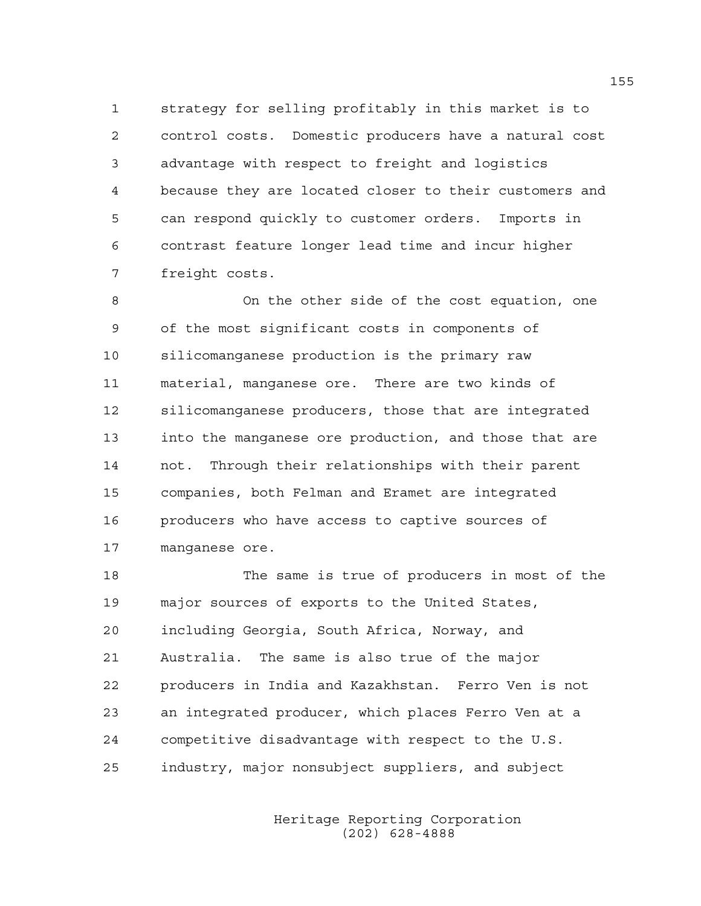1 strategy for selling profitably in this market is to 2 control costs. Domestic producers have a natural cost 3 advantage with respect to freight and logistics 4 because they are located closer to their customers and 5 can respond quickly to customer orders. Imports in 6 contrast feature longer lead time and incur higher 7 freight costs.

8 On the other side of the cost equation, one 9 of the most significant costs in components of 10 silicomanganese production is the primary raw 11 material, manganese ore. There are two kinds of 12 silicomanganese producers, those that are integrated 13 into the manganese ore production, and those that are 14 not. Through their relationships with their parent 15 companies, both Felman and Eramet are integrated 16 producers who have access to captive sources of 17 manganese ore.

18 The same is true of producers in most of the 19 major sources of exports to the United States, 20 including Georgia, South Africa, Norway, and 21 Australia. The same is also true of the major 22 producers in India and Kazakhstan. Ferro Ven is not 23 an integrated producer, which places Ferro Ven at a 24 competitive disadvantage with respect to the U.S. 25 industry, major nonsubject suppliers, and subject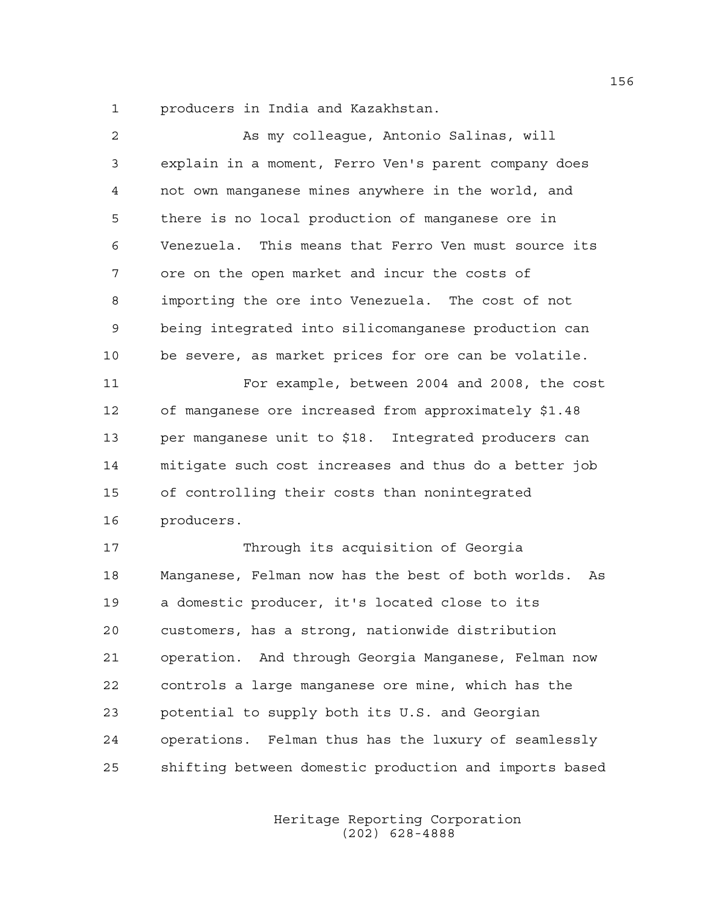1 producers in India and Kazakhstan.

| 2  | As my colleague, Antonio Salinas, will                   |
|----|----------------------------------------------------------|
| 3  | explain in a moment, Ferro Ven's parent company does     |
| 4  | not own manganese mines anywhere in the world, and       |
| 5  | there is no local production of manganese ore in         |
| 6  | Venezuela. This means that Ferro Ven must source its     |
| 7  | ore on the open market and incur the costs of            |
| 8  | importing the ore into Venezuela. The cost of not        |
| 9  | being integrated into silicomanganese production can     |
| 10 | be severe, as market prices for ore can be volatile.     |
| 11 | For example, between 2004 and 2008, the cost             |
| 12 | of manganese ore increased from approximately \$1.48     |
| 13 | per manganese unit to \$18. Integrated producers can     |
| 14 | mitigate such cost increases and thus do a better job    |
| 15 | of controlling their costs than nonintegrated            |
| 16 | producers.                                               |
| 17 | Through its acquisition of Georgia                       |
| 18 | Manganese, Felman now has the best of both worlds.<br>As |
| 19 | a domestic producer, it's located close to its           |
| 20 | customers, has a strong, nationwide distribution         |
| 21 | operation. And through Georgia Manganese, Felman now     |
| 22 | controls a large manganese ore mine, which has the       |
| 23 | potential to supply both its U.S. and Georgian           |
| 24 | operations. Felman thus has the luxury of seamlessly     |
| 25 | shifting between domestic production and imports based   |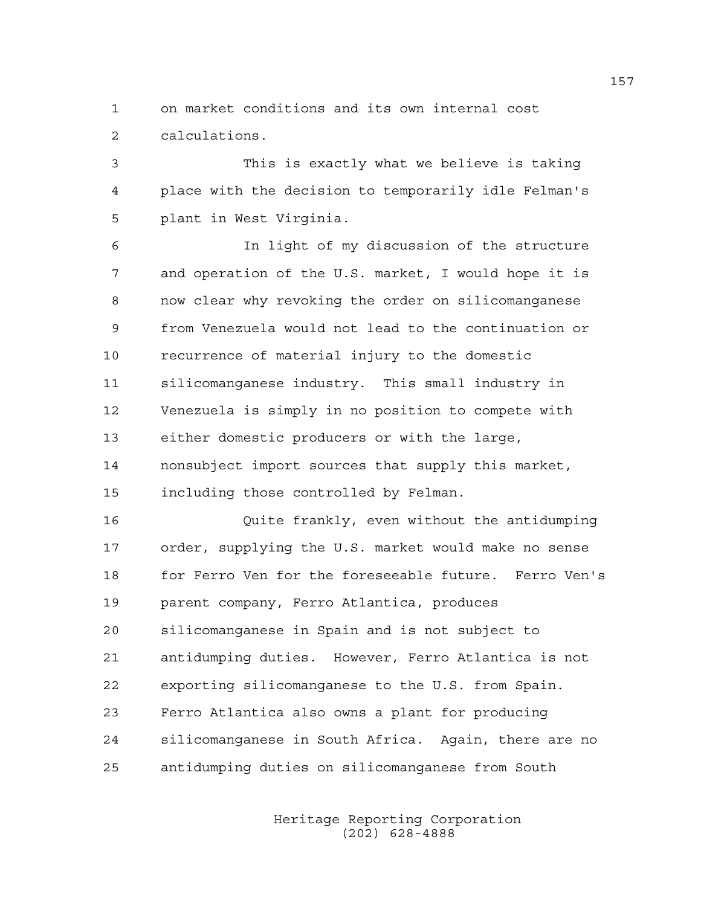1 on market conditions and its own internal cost 2 calculations.

3 This is exactly what we believe is taking 4 place with the decision to temporarily idle Felman's 5 plant in West Virginia.

6 In light of my discussion of the structure 7 and operation of the U.S. market, I would hope it is 8 now clear why revoking the order on silicomanganese 9 from Venezuela would not lead to the continuation or 10 recurrence of material injury to the domestic 11 silicomanganese industry. This small industry in 12 Venezuela is simply in no position to compete with 13 either domestic producers or with the large, 14 nonsubject import sources that supply this market, 15 including those controlled by Felman.

16 Quite frankly, even without the antidumping 17 order, supplying the U.S. market would make no sense 18 for Ferro Ven for the foreseeable future. Ferro Ven's 19 parent company, Ferro Atlantica, produces 20 silicomanganese in Spain and is not subject to 21 antidumping duties. However, Ferro Atlantica is not 22 exporting silicomanganese to the U.S. from Spain. 23 Ferro Atlantica also owns a plant for producing 24 silicomanganese in South Africa. Again, there are no 25 antidumping duties on silicomanganese from South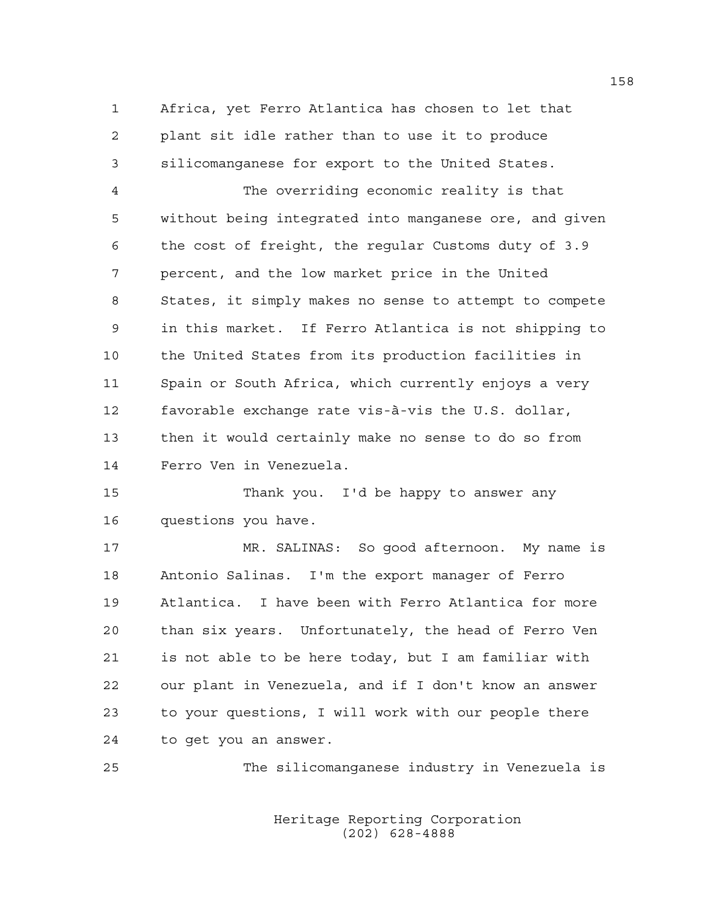1 Africa, yet Ferro Atlantica has chosen to let that 2 plant sit idle rather than to use it to produce 3 silicomanganese for export to the United States.

4 The overriding economic reality is that 5 without being integrated into manganese ore, and given 6 the cost of freight, the regular Customs duty of 3.9 7 percent, and the low market price in the United 8 States, it simply makes no sense to attempt to compete 9 in this market. If Ferro Atlantica is not shipping to 10 the United States from its production facilities in 11 Spain or South Africa, which currently enjoys a very 12 favorable exchange rate vis-à-vis the U.S. dollar, 13 then it would certainly make no sense to do so from 14 Ferro Ven in Venezuela.

15 Thank you. I'd be happy to answer any 16 questions you have.

17 MR. SALINAS: So good afternoon. My name is 18 Antonio Salinas. I'm the export manager of Ferro 19 Atlantica. I have been with Ferro Atlantica for more 20 than six years. Unfortunately, the head of Ferro Ven 21 is not able to be here today, but I am familiar with 22 our plant in Venezuela, and if I don't know an answer 23 to your questions, I will work with our people there 24 to get you an answer.

25 The silicomanganese industry in Venezuela is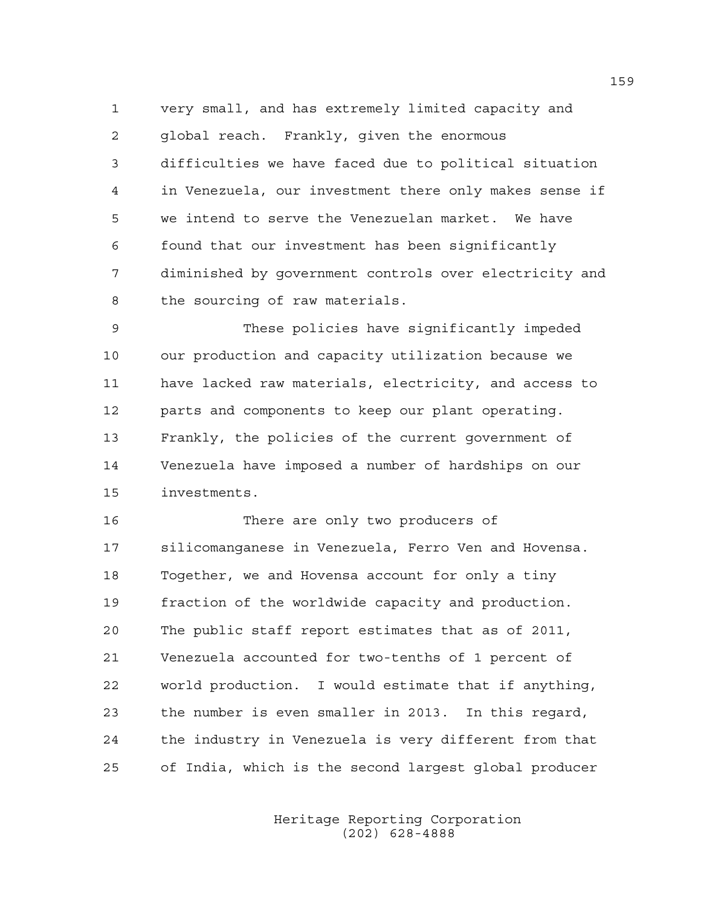1 very small, and has extremely limited capacity and 2 global reach. Frankly, given the enormous 3 difficulties we have faced due to political situation 4 in Venezuela, our investment there only makes sense if 5 we intend to serve the Venezuelan market. We have 6 found that our investment has been significantly 7 diminished by government controls over electricity and 8 the sourcing of raw materials.

9 These policies have significantly impeded 10 our production and capacity utilization because we 11 have lacked raw materials, electricity, and access to 12 parts and components to keep our plant operating. 13 Frankly, the policies of the current government of 14 Venezuela have imposed a number of hardships on our 15 investments.

16 There are only two producers of 17 silicomanganese in Venezuela, Ferro Ven and Hovensa. 18 Together, we and Hovensa account for only a tiny 19 fraction of the worldwide capacity and production. 20 The public staff report estimates that as of 2011, 21 Venezuela accounted for two-tenths of 1 percent of 22 world production. I would estimate that if anything, 23 the number is even smaller in 2013. In this regard, 24 the industry in Venezuela is very different from that 25 of India, which is the second largest global producer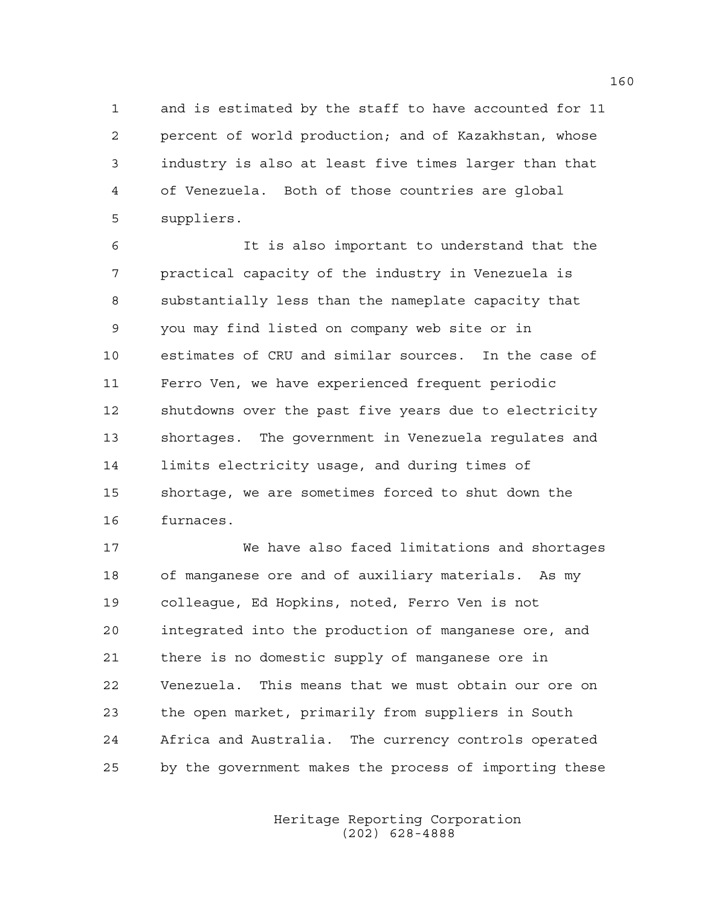1 and is estimated by the staff to have accounted for 11 2 percent of world production; and of Kazakhstan, whose 3 industry is also at least five times larger than that 4 of Venezuela. Both of those countries are global 5 suppliers.

6 It is also important to understand that the 7 practical capacity of the industry in Venezuela is 8 substantially less than the nameplate capacity that 9 you may find listed on company web site or in 10 estimates of CRU and similar sources. In the case of 11 Ferro Ven, we have experienced frequent periodic 12 shutdowns over the past five years due to electricity 13 shortages. The government in Venezuela regulates and 14 limits electricity usage, and during times of 15 shortage, we are sometimes forced to shut down the 16 furnaces.

17 We have also faced limitations and shortages 18 of manganese ore and of auxiliary materials. As my 19 colleague, Ed Hopkins, noted, Ferro Ven is not 20 integrated into the production of manganese ore, and 21 there is no domestic supply of manganese ore in 22 Venezuela. This means that we must obtain our ore on 23 the open market, primarily from suppliers in South 24 Africa and Australia. The currency controls operated 25 by the government makes the process of importing these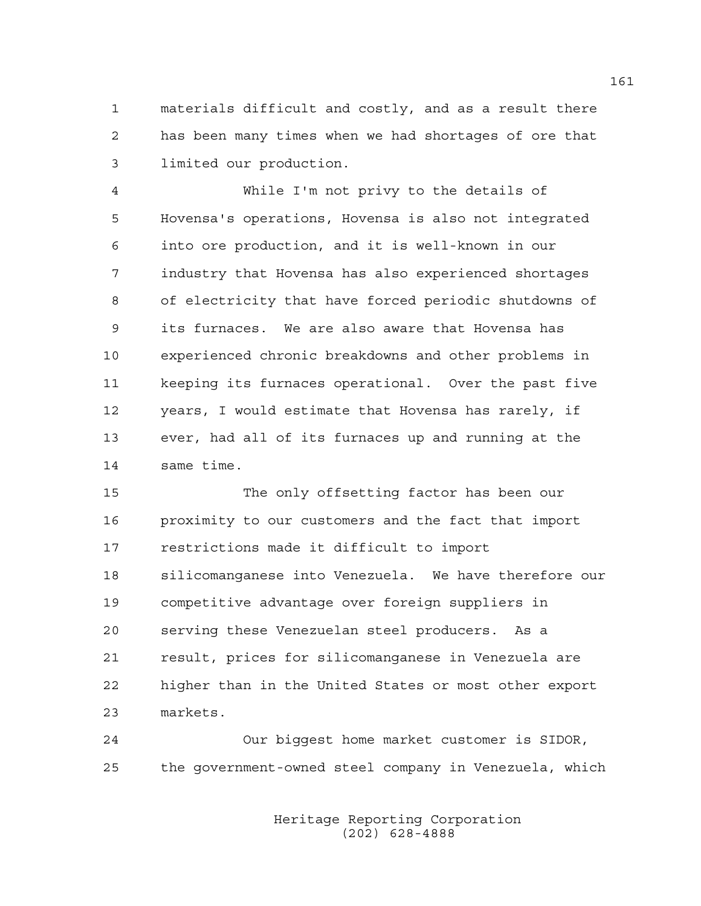1 materials difficult and costly, and as a result there 2 has been many times when we had shortages of ore that 3 limited our production.

4 While I'm not privy to the details of 5 Hovensa's operations, Hovensa is also not integrated 6 into ore production, and it is well-known in our 7 industry that Hovensa has also experienced shortages 8 of electricity that have forced periodic shutdowns of 9 its furnaces. We are also aware that Hovensa has 10 experienced chronic breakdowns and other problems in 11 keeping its furnaces operational. Over the past five 12 years, I would estimate that Hovensa has rarely, if 13 ever, had all of its furnaces up and running at the 14 same time.

15 The only offsetting factor has been our 16 proximity to our customers and the fact that import 17 restrictions made it difficult to import 18 silicomanganese into Venezuela. We have therefore our 19 competitive advantage over foreign suppliers in 20 serving these Venezuelan steel producers. As a 21 result, prices for silicomanganese in Venezuela are 22 higher than in the United States or most other export 23 markets.

24 Our biggest home market customer is SIDOR, 25 the government-owned steel company in Venezuela, which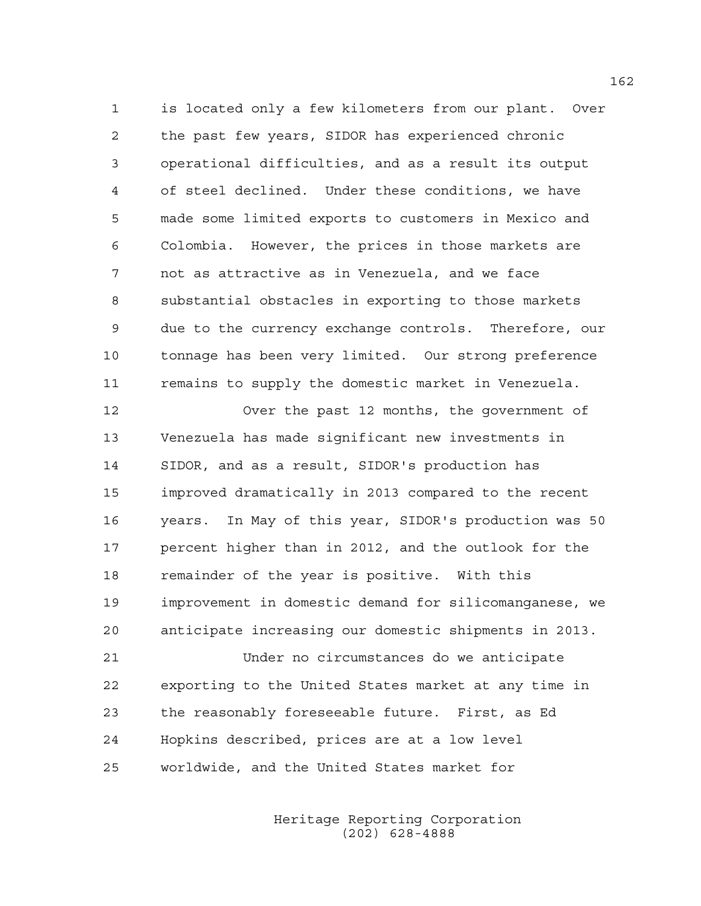1 is located only a few kilometers from our plant. Over 2 the past few years, SIDOR has experienced chronic 3 operational difficulties, and as a result its output 4 of steel declined. Under these conditions, we have 5 made some limited exports to customers in Mexico and 6 Colombia. However, the prices in those markets are 7 not as attractive as in Venezuela, and we face 8 substantial obstacles in exporting to those markets 9 due to the currency exchange controls. Therefore, our 10 tonnage has been very limited. Our strong preference 11 remains to supply the domestic market in Venezuela.

12 Over the past 12 months, the government of 13 Venezuela has made significant new investments in 14 SIDOR, and as a result, SIDOR's production has 15 improved dramatically in 2013 compared to the recent 16 years. In May of this year, SIDOR's production was 50 17 percent higher than in 2012, and the outlook for the 18 remainder of the year is positive. With this 19 improvement in domestic demand for silicomanganese, we 20 anticipate increasing our domestic shipments in 2013.

21 Under no circumstances do we anticipate 22 exporting to the United States market at any time in 23 the reasonably foreseeable future. First, as Ed 24 Hopkins described, prices are at a low level 25 worldwide, and the United States market for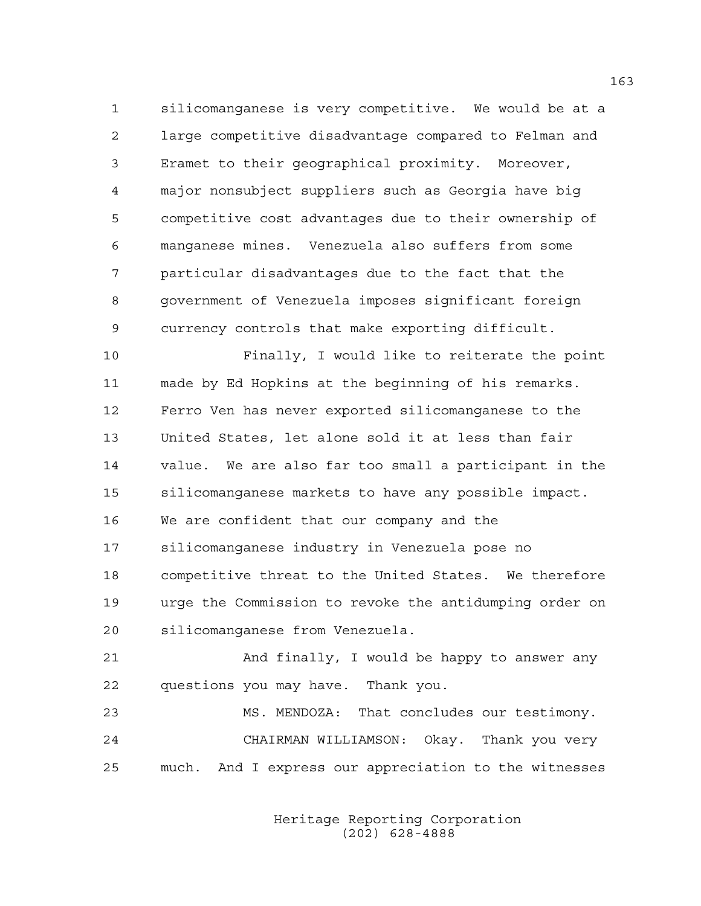1 silicomanganese is very competitive. We would be at a 2 large competitive disadvantage compared to Felman and 3 Eramet to their geographical proximity. Moreover, 4 major nonsubject suppliers such as Georgia have big 5 competitive cost advantages due to their ownership of 6 manganese mines. Venezuela also suffers from some 7 particular disadvantages due to the fact that the 8 government of Venezuela imposes significant foreign 9 currency controls that make exporting difficult.

10 Finally, I would like to reiterate the point 11 made by Ed Hopkins at the beginning of his remarks. 12 Ferro Ven has never exported silicomanganese to the 13 United States, let alone sold it at less than fair 14 value. We are also far too small a participant in the 15 silicomanganese markets to have any possible impact. 16 We are confident that our company and the 17 silicomanganese industry in Venezuela pose no 18 competitive threat to the United States. We therefore 19 urge the Commission to revoke the antidumping order on 20 silicomanganese from Venezuela.

21 And finally, I would be happy to answer any 22 questions you may have. Thank you.

23 MS. MENDOZA: That concludes our testimony. 24 CHAIRMAN WILLIAMSON: Okay. Thank you very 25 much. And I express our appreciation to the witnesses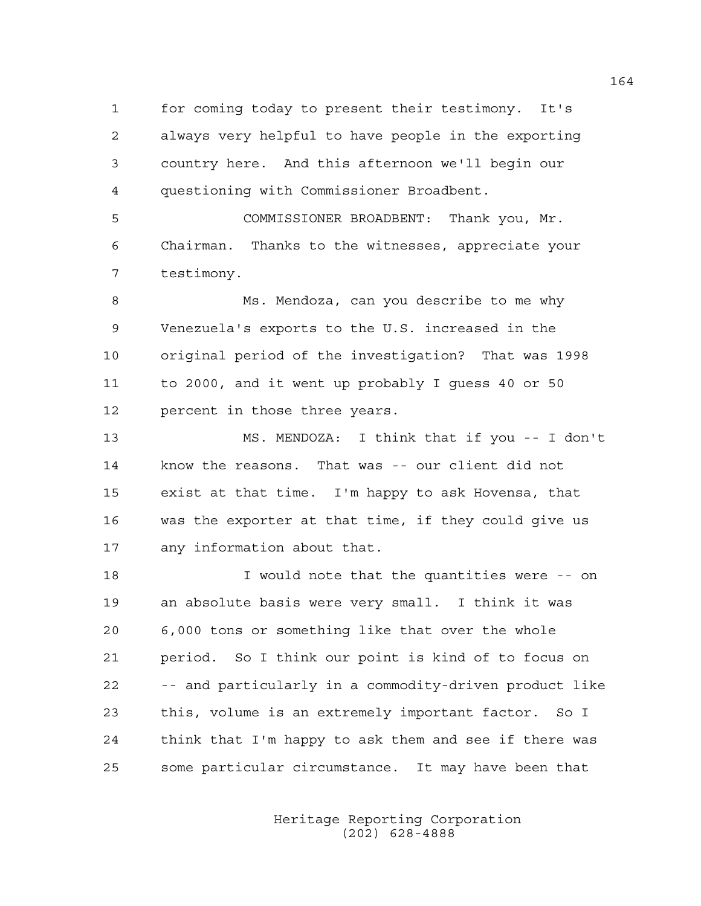1 for coming today to present their testimony. It's 2 always very helpful to have people in the exporting 3 country here. And this afternoon we'll begin our 4 questioning with Commissioner Broadbent.

5 COMMISSIONER BROADBENT: Thank you, Mr. 6 Chairman. Thanks to the witnesses, appreciate your 7 testimony.

8 Ms. Mendoza, can you describe to me why 9 Venezuela's exports to the U.S. increased in the 10 original period of the investigation? That was 1998 11 to 2000, and it went up probably I guess 40 or 50 12 percent in those three years.

13 MS. MENDOZA: I think that if you -- I don't 14 know the reasons. That was -- our client did not 15 exist at that time. I'm happy to ask Hovensa, that 16 was the exporter at that time, if they could give us 17 any information about that.

18 I would note that the quantities were -- on 19 an absolute basis were very small. I think it was 20 6,000 tons or something like that over the whole 21 period. So I think our point is kind of to focus on 22 -- and particularly in a commodity-driven product like 23 this, volume is an extremely important factor. So I 24 think that I'm happy to ask them and see if there was 25 some particular circumstance. It may have been that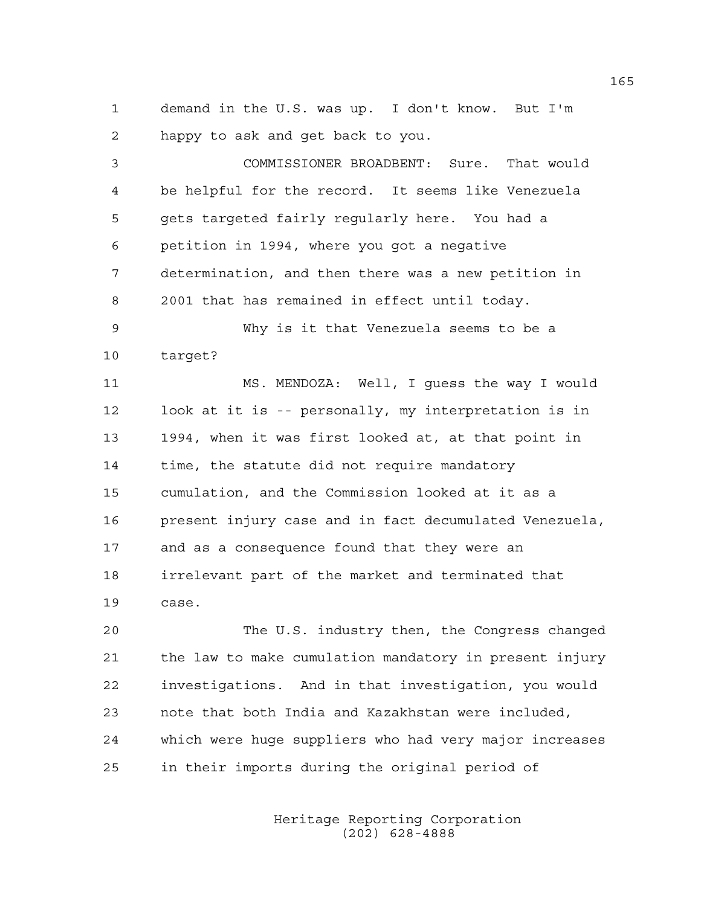1 demand in the U.S. was up. I don't know. But I'm 2 happy to ask and get back to you.

3 COMMISSIONER BROADBENT: Sure. That would 4 be helpful for the record. It seems like Venezuela 5 gets targeted fairly regularly here. You had a 6 petition in 1994, where you got a negative 7 determination, and then there was a new petition in 8 2001 that has remained in effect until today. 9 Why is it that Venezuela seems to be a 10 target? 11 MS. MENDOZA: Well, I guess the way I would 12 look at it is -- personally, my interpretation is in 13 1994, when it was first looked at, at that point in 14 time, the statute did not require mandatory 15 cumulation, and the Commission looked at it as a 16 present injury case and in fact decumulated Venezuela, 17 and as a consequence found that they were an 18 irrelevant part of the market and terminated that 19 case.

20 The U.S. industry then, the Congress changed 21 the law to make cumulation mandatory in present injury 22 investigations. And in that investigation, you would 23 note that both India and Kazakhstan were included, 24 which were huge suppliers who had very major increases 25 in their imports during the original period of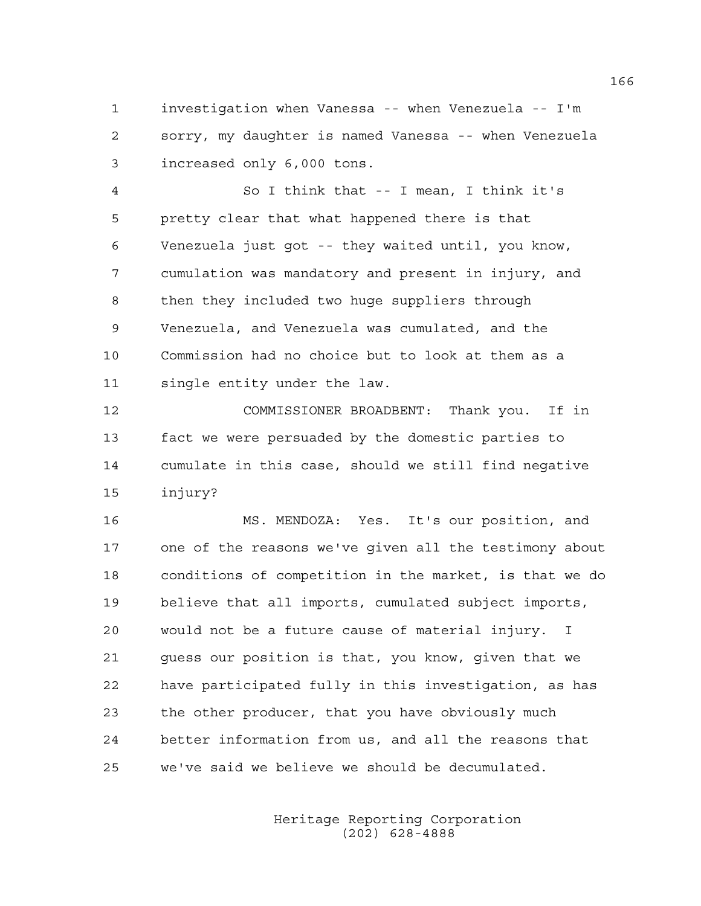1 investigation when Vanessa -- when Venezuela -- I'm 2 sorry, my daughter is named Vanessa -- when Venezuela 3 increased only 6,000 tons.

4 So I think that -- I mean, I think it's 5 pretty clear that what happened there is that 6 Venezuela just got -- they waited until, you know, 7 cumulation was mandatory and present in injury, and 8 then they included two huge suppliers through 9 Venezuela, and Venezuela was cumulated, and the 10 Commission had no choice but to look at them as a 11 single entity under the law.

12 COMMISSIONER BROADBENT: Thank you. If in 13 fact we were persuaded by the domestic parties to 14 cumulate in this case, should we still find negative 15 injury?

16 MS. MENDOZA: Yes. It's our position, and 17 one of the reasons we've given all the testimony about 18 conditions of competition in the market, is that we do 19 believe that all imports, cumulated subject imports, 20 would not be a future cause of material injury. I 21 guess our position is that, you know, given that we 22 have participated fully in this investigation, as has 23 the other producer, that you have obviously much 24 better information from us, and all the reasons that 25 we've said we believe we should be decumulated.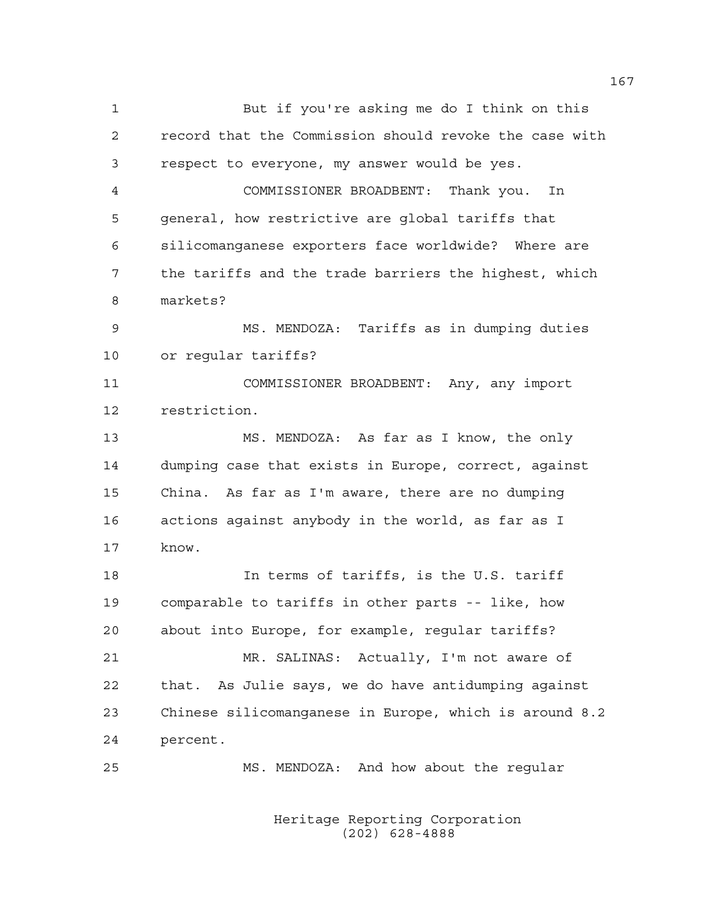1 But if you're asking me do I think on this 2 record that the Commission should revoke the case with 3 respect to everyone, my answer would be yes. 4 COMMISSIONER BROADBENT: Thank you. In 5 general, how restrictive are global tariffs that 6 silicomanganese exporters face worldwide? Where are 7 the tariffs and the trade barriers the highest, which 8 markets? 9 MS. MENDOZA: Tariffs as in dumping duties 10 or regular tariffs? 11 COMMISSIONER BROADBENT: Any, any import 12 restriction. 13 MS. MENDOZA: As far as I know, the only 14 dumping case that exists in Europe, correct, against 15 China. As far as I'm aware, there are no dumping 16 actions against anybody in the world, as far as I 17 know. 18 In terms of tariffs, is the U.S. tariff 19 comparable to tariffs in other parts -- like, how 20 about into Europe, for example, regular tariffs? 21 MR. SALINAS: Actually, I'm not aware of 22 that. As Julie says, we do have antidumping against 23 Chinese silicomanganese in Europe, which is around 8.2 24 percent.

> Heritage Reporting Corporation (202) 628-4888

25 MS. MENDOZA: And how about the regular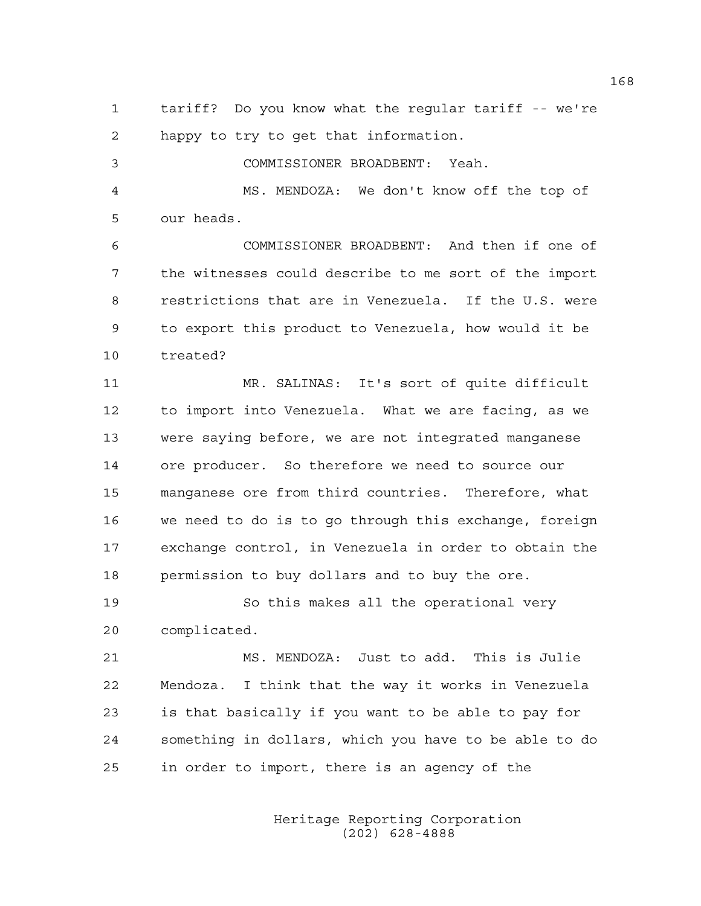1 tariff? Do you know what the regular tariff -- we're 2 happy to try to get that information.

3 COMMISSIONER BROADBENT: Yeah. 4 MS. MENDOZA: We don't know off the top of 5 our heads.

6 COMMISSIONER BROADBENT: And then if one of 7 the witnesses could describe to me sort of the import 8 restrictions that are in Venezuela. If the U.S. were 9 to export this product to Venezuela, how would it be 10 treated?

11 MR. SALINAS: It's sort of quite difficult 12 to import into Venezuela. What we are facing, as we 13 were saying before, we are not integrated manganese 14 ore producer. So therefore we need to source our 15 manganese ore from third countries. Therefore, what 16 we need to do is to go through this exchange, foreign 17 exchange control, in Venezuela in order to obtain the 18 permission to buy dollars and to buy the ore.

19 So this makes all the operational very 20 complicated.

21 MS. MENDOZA: Just to add. This is Julie 22 Mendoza. I think that the way it works in Venezuela 23 is that basically if you want to be able to pay for 24 something in dollars, which you have to be able to do 25 in order to import, there is an agency of the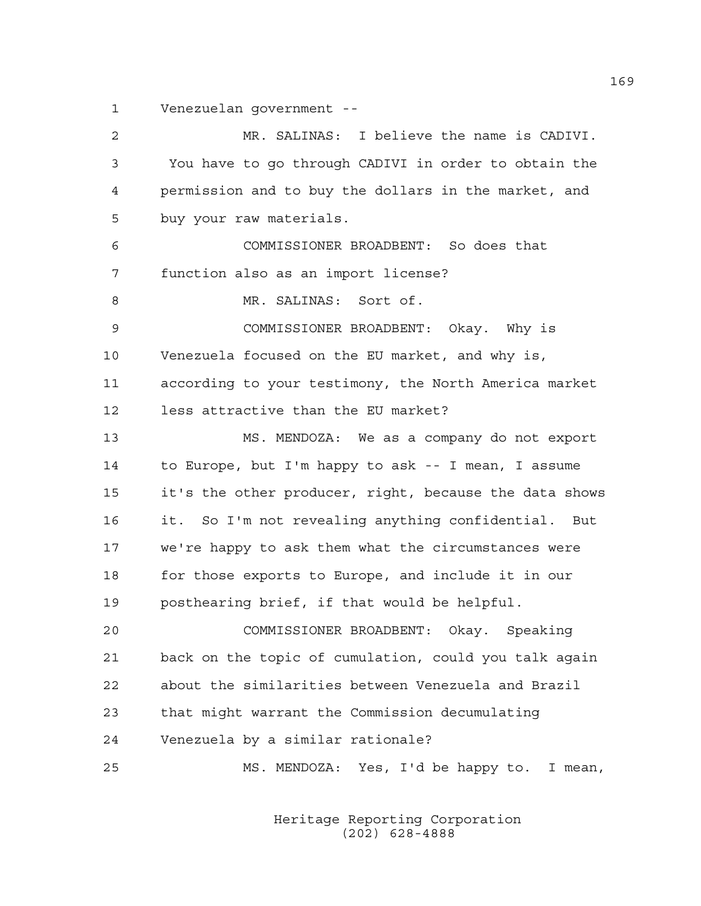1 Venezuelan government --

| 2  | MR. SALINAS: I believe the name is CADIVI.             |
|----|--------------------------------------------------------|
| 3  | You have to go through CADIVI in order to obtain the   |
| 4  | permission and to buy the dollars in the market, and   |
| 5  | buy your raw materials.                                |
| 6  | COMMISSIONER BROADBENT: So does that                   |
| 7  | function also as an import license?                    |
| 8  | MR. SALINAS: Sort of.                                  |
| 9  | COMMISSIONER BROADBENT: Okay. Why is                   |
| 10 | Venezuela focused on the EU market, and why is,        |
| 11 | according to your testimony, the North America market  |
| 12 | less attractive than the EU market?                    |
| 13 | MS. MENDOZA: We as a company do not export             |
| 14 | to Europe, but I'm happy to ask -- I mean, I assume    |
| 15 | it's the other producer, right, because the data shows |
| 16 | it. So I'm not revealing anything confidential. But    |
| 17 | we're happy to ask them what the circumstances were    |
| 18 | for those exports to Europe, and include it in our     |
| 19 | posthearing brief, if that would be helpful.           |
| 20 | COMMISSIONER BROADBENT: Okay. Speaking                 |
| 21 | back on the topic of cumulation, could you talk again  |
| 22 | about the similarities between Venezuela and Brazil    |
| 23 | that might warrant the Commission decumulating         |
| 24 | Venezuela by a similar rationale?                      |
| 25 | MS. MENDOZA: Yes, I'd be happy to. I mean,             |
|    |                                                        |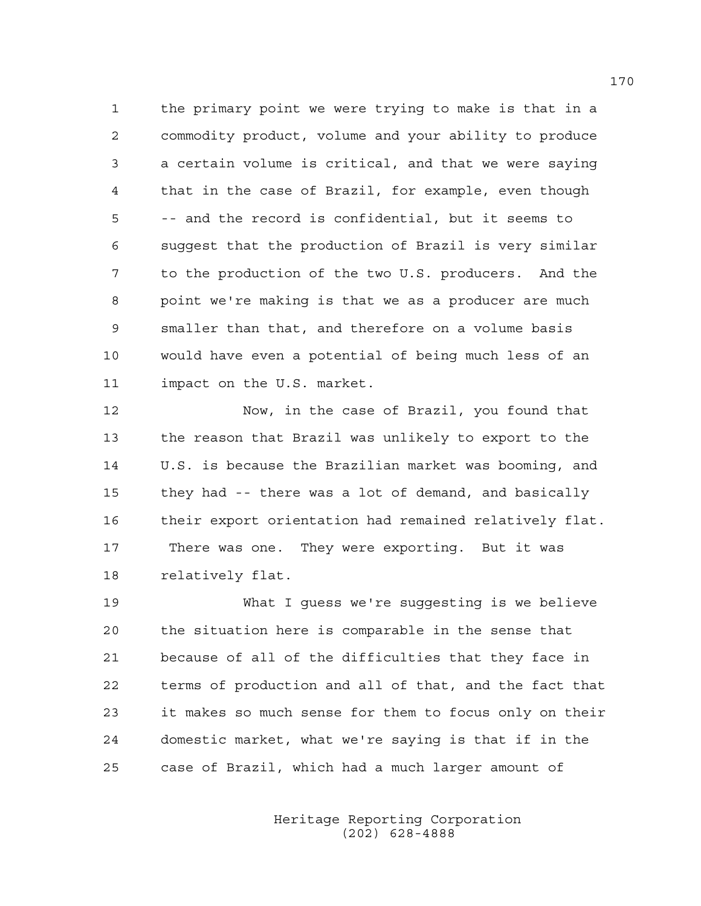1 the primary point we were trying to make is that in a 2 commodity product, volume and your ability to produce 3 a certain volume is critical, and that we were saying 4 that in the case of Brazil, for example, even though 5 -- and the record is confidential, but it seems to 6 suggest that the production of Brazil is very similar 7 to the production of the two U.S. producers. And the 8 point we're making is that we as a producer are much 9 smaller than that, and therefore on a volume basis 10 would have even a potential of being much less of an 11 impact on the U.S. market.

12 Now, in the case of Brazil, you found that 13 the reason that Brazil was unlikely to export to the 14 U.S. is because the Brazilian market was booming, and 15 they had -- there was a lot of demand, and basically 16 their export orientation had remained relatively flat. 17 There was one. They were exporting. But it was 18 relatively flat.

19 What I guess we're suggesting is we believe 20 the situation here is comparable in the sense that 21 because of all of the difficulties that they face in 22 terms of production and all of that, and the fact that 23 it makes so much sense for them to focus only on their 24 domestic market, what we're saying is that if in the 25 case of Brazil, which had a much larger amount of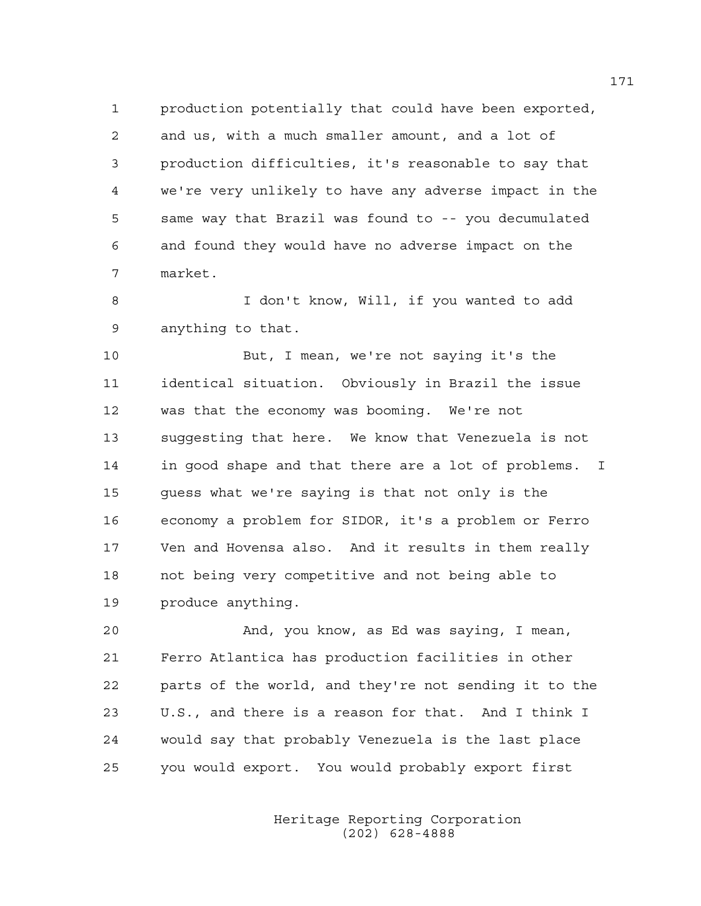1 production potentially that could have been exported, 2 and us, with a much smaller amount, and a lot of 3 production difficulties, it's reasonable to say that 4 we're very unlikely to have any adverse impact in the 5 same way that Brazil was found to -- you decumulated 6 and found they would have no adverse impact on the 7 market.

8 I don't know, Will, if you wanted to add 9 anything to that.

10 But, I mean, we're not saying it's the 11 identical situation. Obviously in Brazil the issue 12 was that the economy was booming. We're not 13 suggesting that here. We know that Venezuela is not 14 in good shape and that there are a lot of problems. I 15 guess what we're saying is that not only is the 16 economy a problem for SIDOR, it's a problem or Ferro 17 Ven and Hovensa also. And it results in them really 18 not being very competitive and not being able to 19 produce anything.

20 And, you know, as Ed was saying, I mean, 21 Ferro Atlantica has production facilities in other 22 parts of the world, and they're not sending it to the 23 U.S., and there is a reason for that. And I think I 24 would say that probably Venezuela is the last place 25 you would export. You would probably export first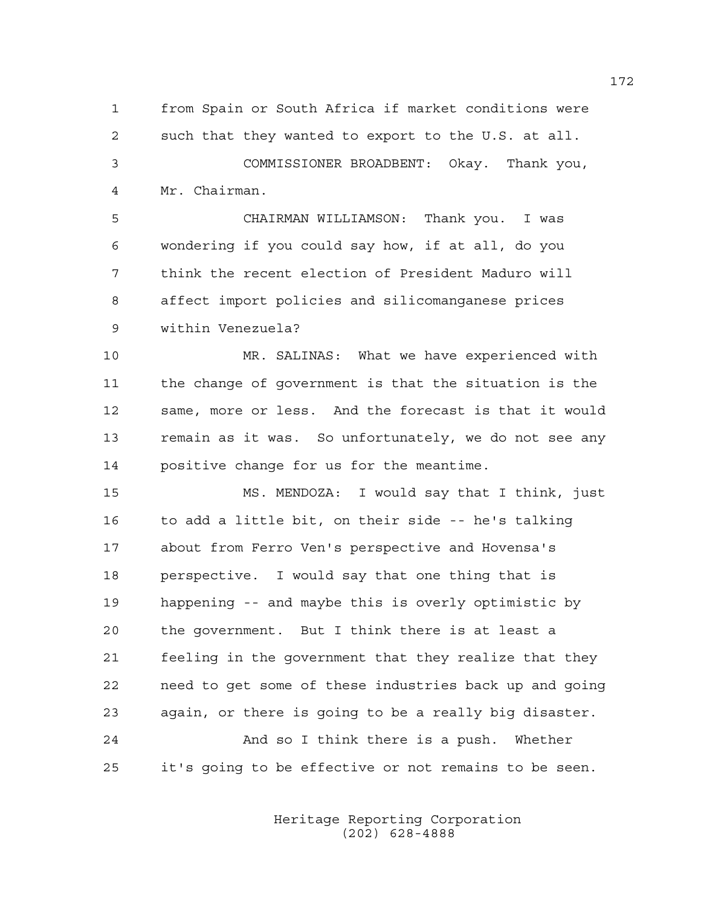1 from Spain or South Africa if market conditions were 2 such that they wanted to export to the U.S. at all. 3 COMMISSIONER BROADBENT: Okay. Thank you,

4 Mr. Chairman.

5 CHAIRMAN WILLIAMSON: Thank you. I was 6 wondering if you could say how, if at all, do you 7 think the recent election of President Maduro will 8 affect import policies and silicomanganese prices 9 within Venezuela?

10 MR. SALINAS: What we have experienced with 11 the change of government is that the situation is the 12 same, more or less. And the forecast is that it would 13 remain as it was. So unfortunately, we do not see any 14 positive change for us for the meantime.

15 MS. MENDOZA: I would say that I think, just 16 to add a little bit, on their side -- he's talking 17 about from Ferro Ven's perspective and Hovensa's 18 perspective. I would say that one thing that is 19 happening -- and maybe this is overly optimistic by 20 the government. But I think there is at least a 21 feeling in the government that they realize that they 22 need to get some of these industries back up and going 23 again, or there is going to be a really big disaster. 24 And so I think there is a push. Whether 25 it's going to be effective or not remains to be seen.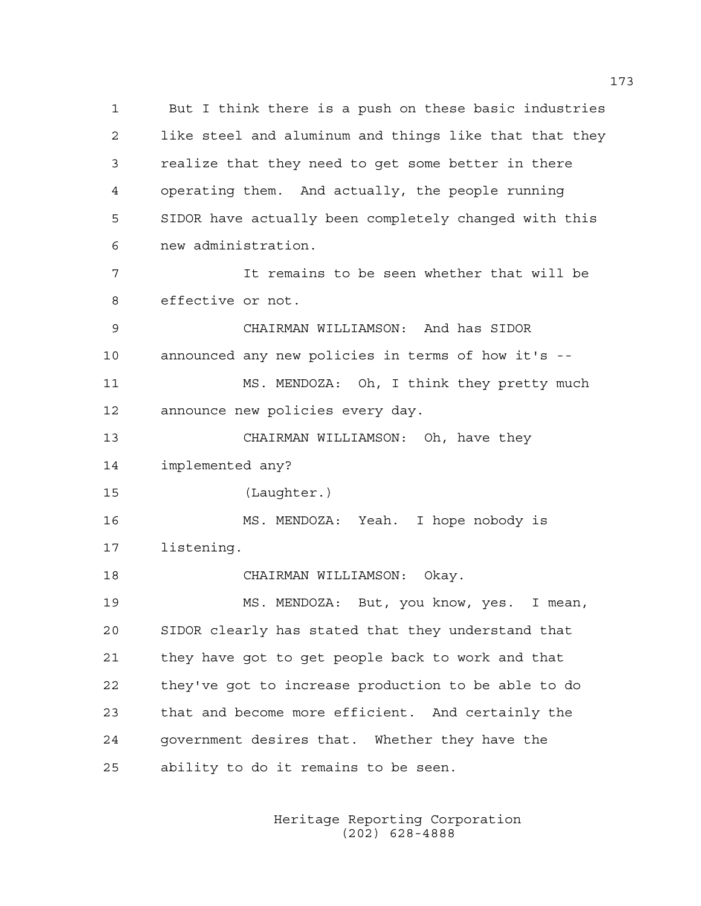1 But I think there is a push on these basic industries 2 like steel and aluminum and things like that that they 3 realize that they need to get some better in there 4 operating them. And actually, the people running 5 SIDOR have actually been completely changed with this 6 new administration. 7 It remains to be seen whether that will be 8 effective or not. 9 CHAIRMAN WILLIAMSON: And has SIDOR 10 announced any new policies in terms of how it's -- 11 MS. MENDOZA: Oh, I think they pretty much 12 announce new policies every day. 13 CHAIRMAN WILLIAMSON: Oh, have they 14 implemented any? 15 (Laughter.) 16 MS. MENDOZA: Yeah. I hope nobody is 17 listening. 18 CHAIRMAN WILLIAMSON: Okay. 19 MS. MENDOZA: But, you know, yes. I mean, 20 SIDOR clearly has stated that they understand that 21 they have got to get people back to work and that 22 they've got to increase production to be able to do 23 that and become more efficient. And certainly the 24 government desires that. Whether they have the 25 ability to do it remains to be seen.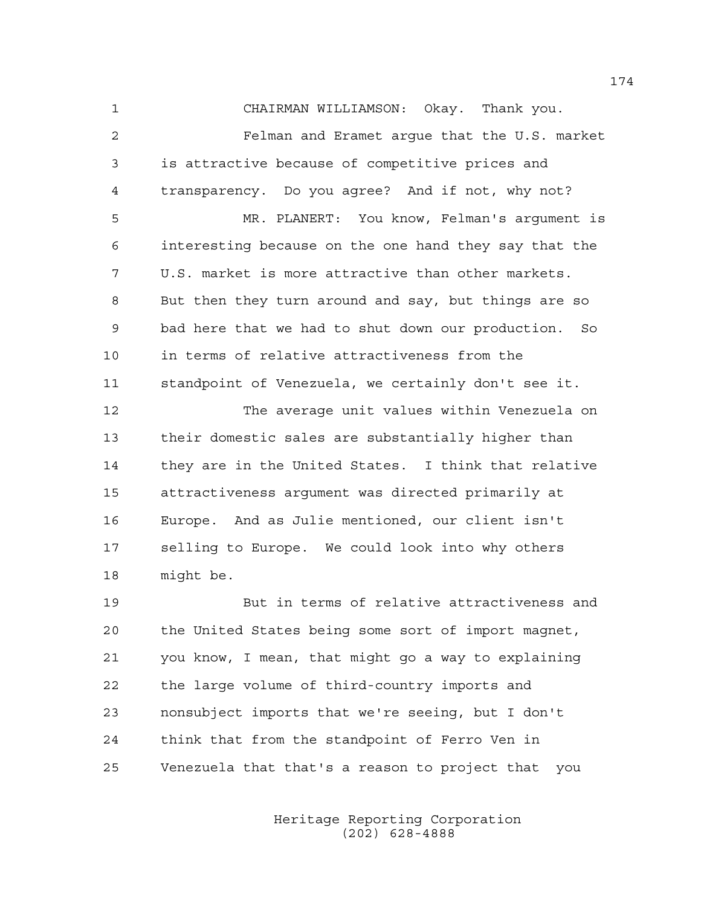1 CHAIRMAN WILLIAMSON: Okay. Thank you. 2 Felman and Eramet argue that the U.S. market 3 is attractive because of competitive prices and 4 transparency. Do you agree? And if not, why not?

5 MR. PLANERT: You know, Felman's argument is 6 interesting because on the one hand they say that the 7 U.S. market is more attractive than other markets. 8 But then they turn around and say, but things are so 9 bad here that we had to shut down our production. So 10 in terms of relative attractiveness from the 11 standpoint of Venezuela, we certainly don't see it.

12 The average unit values within Venezuela on 13 their domestic sales are substantially higher than 14 they are in the United States. I think that relative 15 attractiveness argument was directed primarily at 16 Europe. And as Julie mentioned, our client isn't 17 selling to Europe. We could look into why others 18 might be.

19 But in terms of relative attractiveness and 20 the United States being some sort of import magnet, 21 you know, I mean, that might go a way to explaining 22 the large volume of third-country imports and 23 nonsubject imports that we're seeing, but I don't 24 think that from the standpoint of Ferro Ven in 25 Venezuela that that's a reason to project that you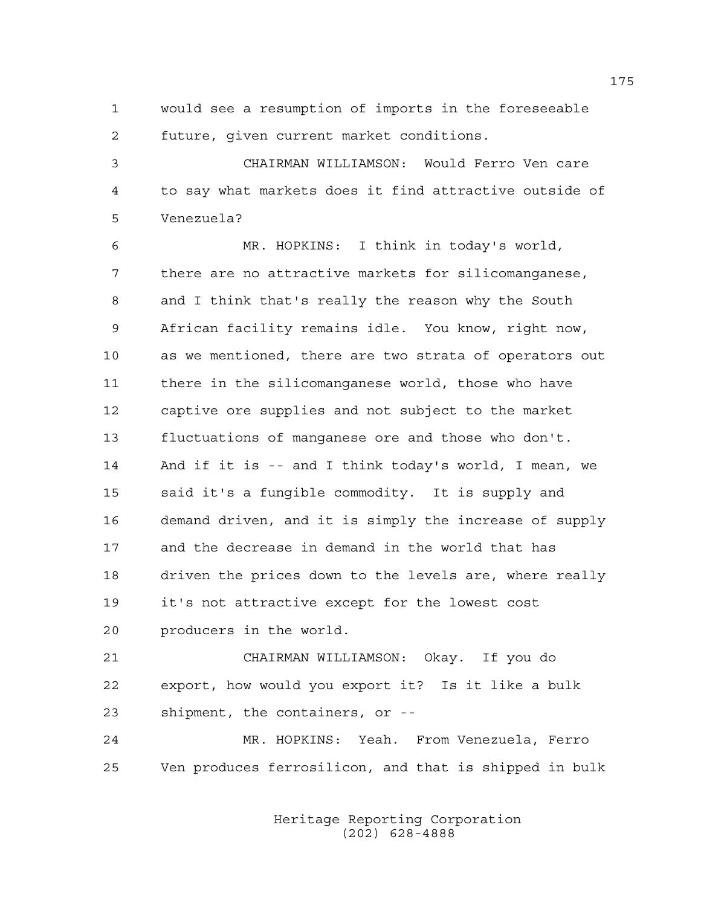1 would see a resumption of imports in the foreseeable 2 future, given current market conditions.

3 CHAIRMAN WILLIAMSON: Would Ferro Ven care 4 to say what markets does it find attractive outside of 5 Venezuela?

6 MR. HOPKINS: I think in today's world, 7 there are no attractive markets for silicomanganese, 8 and I think that's really the reason why the South 9 African facility remains idle. You know, right now, 10 as we mentioned, there are two strata of operators out 11 there in the silicomanganese world, those who have 12 captive ore supplies and not subject to the market 13 fluctuations of manganese ore and those who don't. 14 And if it is -- and I think today's world, I mean, we 15 said it's a fungible commodity. It is supply and 16 demand driven, and it is simply the increase of supply 17 and the decrease in demand in the world that has 18 driven the prices down to the levels are, where really 19 it's not attractive except for the lowest cost 20 producers in the world.

21 CHAIRMAN WILLIAMSON: Okay. If you do 22 export, how would you export it? Is it like a bulk 23 shipment, the containers, or --

24 MR. HOPKINS: Yeah. From Venezuela, Ferro 25 Ven produces ferrosilicon, and that is shipped in bulk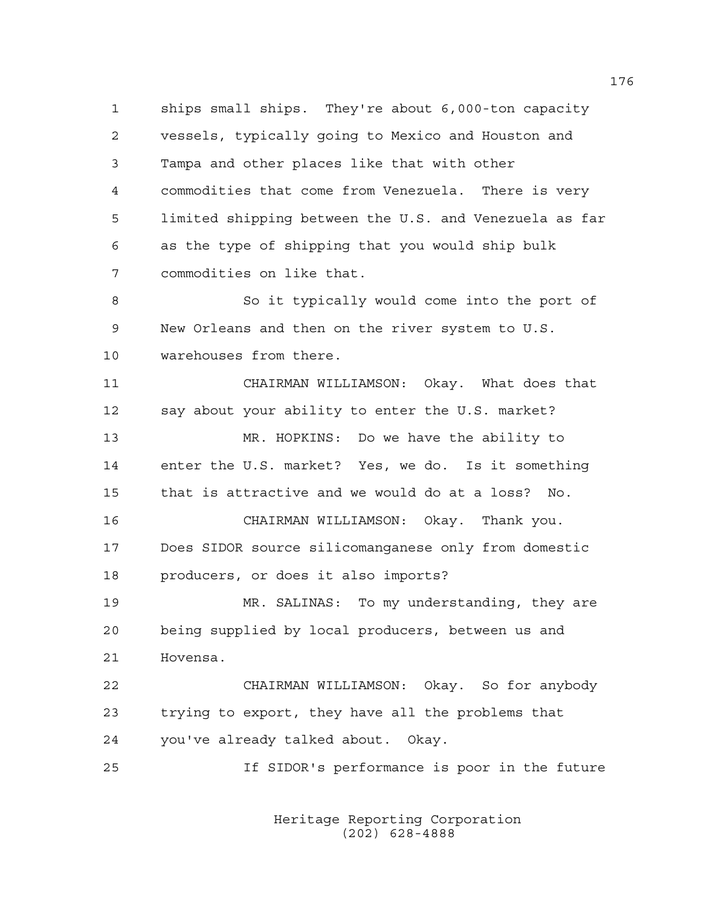1 ships small ships. They're about 6,000-ton capacity 2 vessels, typically going to Mexico and Houston and 3 Tampa and other places like that with other 4 commodities that come from Venezuela. There is very 5 limited shipping between the U.S. and Venezuela as far 6 as the type of shipping that you would ship bulk 7 commodities on like that.

8 So it typically would come into the port of 9 New Orleans and then on the river system to U.S. 10 warehouses from there.

11 CHAIRMAN WILLIAMSON: Okay. What does that 12 say about your ability to enter the U.S. market? 13 MR. HOPKINS: Do we have the ability to 14 enter the U.S. market? Yes, we do. Is it something 15 that is attractive and we would do at a loss? No. 16 CHAIRMAN WILLIAMSON: Okay. Thank you. 17 Does SIDOR source silicomanganese only from domestic 18 producers, or does it also imports? 19 MR. SALINAS: To my understanding, they are 20 being supplied by local producers, between us and 21 Hovensa. 22 CHAIRMAN WILLIAMSON: Okay. So for anybody 23 trying to export, they have all the problems that 24 you've already talked about. Okay.

25 If SIDOR's performance is poor in the future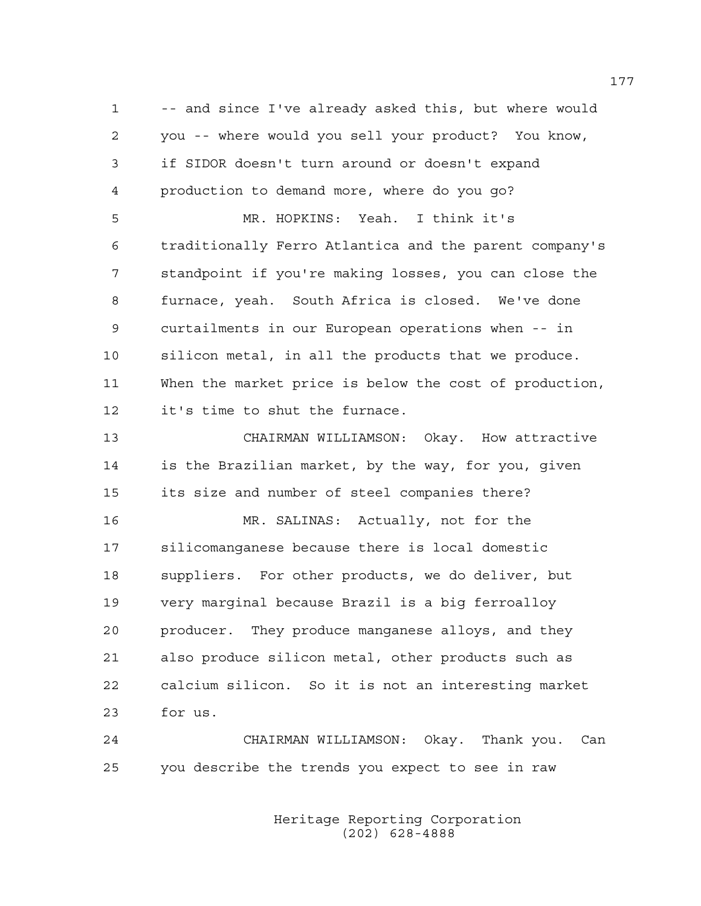1 -- and since I've already asked this, but where would 2 you -- where would you sell your product? You know, 3 if SIDOR doesn't turn around or doesn't expand 4 production to demand more, where do you go? 5 MR. HOPKINS: Yeah. I think it's 6 traditionally Ferro Atlantica and the parent company's 7 standpoint if you're making losses, you can close the 8 furnace, yeah. South Africa is closed. We've done 9 curtailments in our European operations when -- in 10 silicon metal, in all the products that we produce. 11 When the market price is below the cost of production, 12 it's time to shut the furnace. 13 CHAIRMAN WILLIAMSON: Okay. How attractive 14 is the Brazilian market, by the way, for you, given 15 its size and number of steel companies there? 16 MR. SALINAS: Actually, not for the 17 silicomanganese because there is local domestic 18 suppliers. For other products, we do deliver, but 19 very marginal because Brazil is a big ferroalloy 20 producer. They produce manganese alloys, and they 21 also produce silicon metal, other products such as 22 calcium silicon. So it is not an interesting market 23 for us.

24 CHAIRMAN WILLIAMSON: Okay. Thank you. Can 25 you describe the trends you expect to see in raw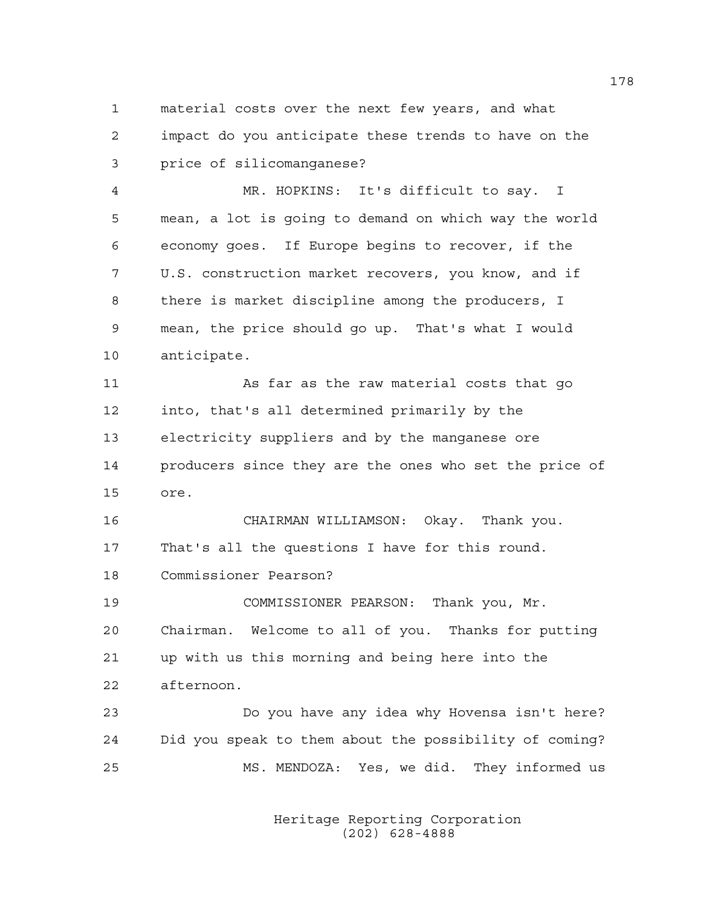1 material costs over the next few years, and what 2 impact do you anticipate these trends to have on the 3 price of silicomanganese?

4 MR. HOPKINS: It's difficult to say. I 5 mean, a lot is going to demand on which way the world 6 economy goes. If Europe begins to recover, if the 7 U.S. construction market recovers, you know, and if 8 there is market discipline among the producers, I 9 mean, the price should go up. That's what I would 10 anticipate.

11 As far as the raw material costs that go 12 into, that's all determined primarily by the 13 electricity suppliers and by the manganese ore 14 producers since they are the ones who set the price of 15 ore.

16 CHAIRMAN WILLIAMSON: Okay. Thank you. 17 That's all the questions I have for this round. 18 Commissioner Pearson?

19 COMMISSIONER PEARSON: Thank you, Mr. 20 Chairman. Welcome to all of you. Thanks for putting 21 up with us this morning and being here into the 22 afternoon.

23 Do you have any idea why Hovensa isn't here? 24 Did you speak to them about the possibility of coming? 25 MS. MENDOZA: Yes, we did. They informed us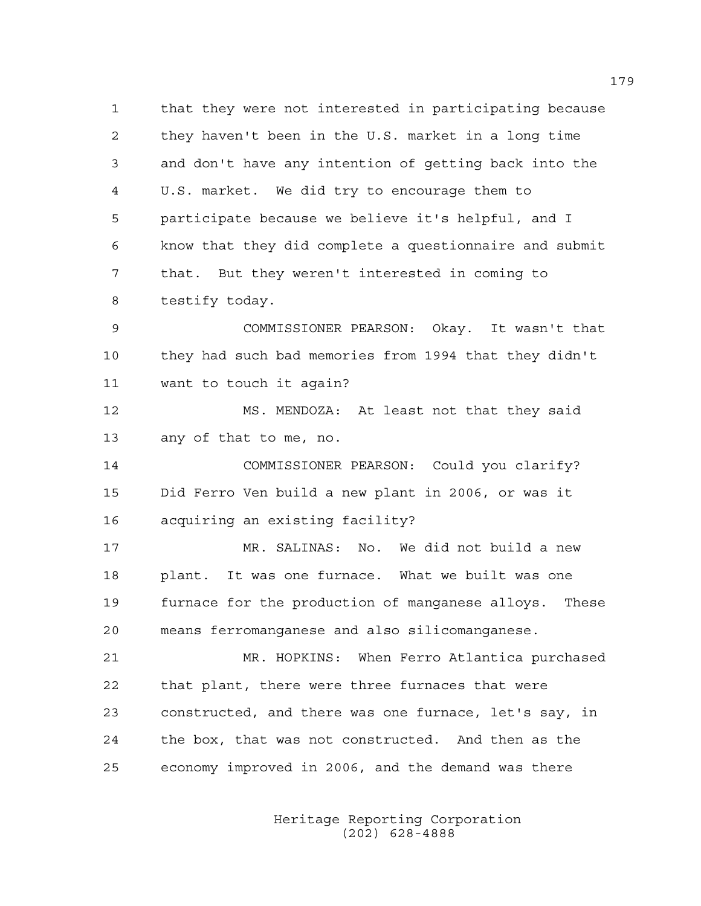1 that they were not interested in participating because 2 they haven't been in the U.S. market in a long time 3 and don't have any intention of getting back into the 4 U.S. market. We did try to encourage them to 5 participate because we believe it's helpful, and I 6 know that they did complete a questionnaire and submit 7 that. But they weren't interested in coming to 8 testify today.

9 COMMISSIONER PEARSON: Okay. It wasn't that 10 they had such bad memories from 1994 that they didn't 11 want to touch it again?

12 MS. MENDOZA: At least not that they said 13 any of that to me, no.

14 COMMISSIONER PEARSON: Could you clarify? 15 Did Ferro Ven build a new plant in 2006, or was it 16 acquiring an existing facility?

17 MR. SALINAS: No. We did not build a new 18 plant. It was one furnace. What we built was one 19 furnace for the production of manganese alloys. These 20 means ferromanganese and also silicomanganese.

21 MR. HOPKINS: When Ferro Atlantica purchased 22 that plant, there were three furnaces that were 23 constructed, and there was one furnace, let's say, in 24 the box, that was not constructed. And then as the 25 economy improved in 2006, and the demand was there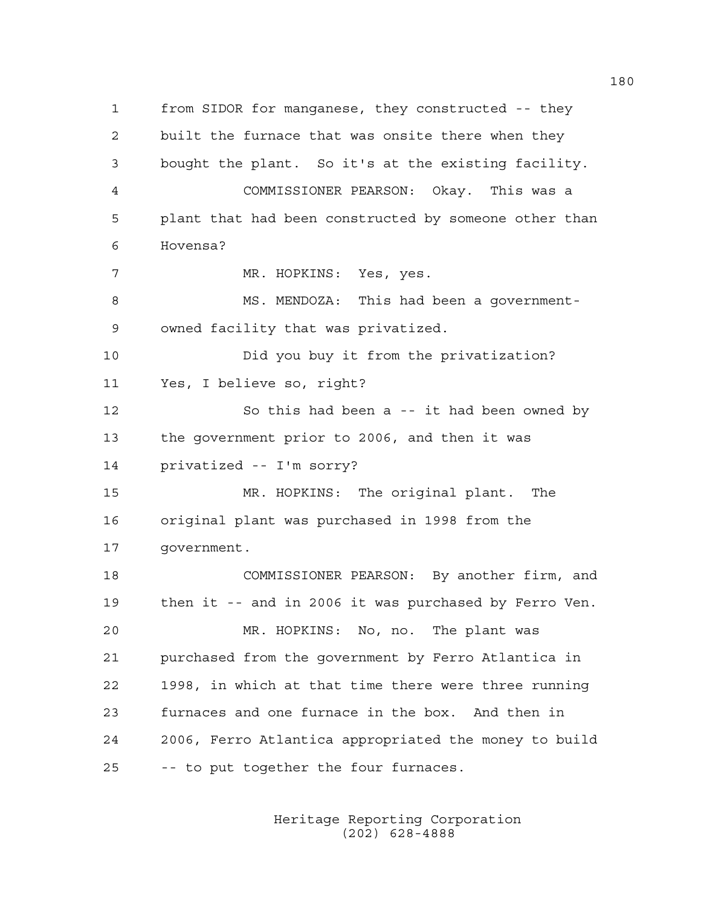1 from SIDOR for manganese, they constructed -- they 2 built the furnace that was onsite there when they 3 bought the plant. So it's at the existing facility. 4 COMMISSIONER PEARSON: Okay. This was a 5 plant that had been constructed by someone other than 6 Hovensa? 7 MR. HOPKINS: Yes, yes. 8 MS. MENDOZA: This had been a government-9 owned facility that was privatized. 10 Did you buy it from the privatization? 11 Yes, I believe so, right? 12 So this had been a -- it had been owned by 13 the government prior to 2006, and then it was 14 privatized -- I'm sorry? 15 MR. HOPKINS: The original plant. The 16 original plant was purchased in 1998 from the 17 government. 18 COMMISSIONER PEARSON: By another firm, and 19 then it -- and in 2006 it was purchased by Ferro Ven. 20 MR. HOPKINS: No, no. The plant was 21 purchased from the government by Ferro Atlantica in 22 1998, in which at that time there were three running 23 furnaces and one furnace in the box. And then in 24 2006, Ferro Atlantica appropriated the money to build 25 -- to put together the four furnaces.

> Heritage Reporting Corporation (202) 628-4888

180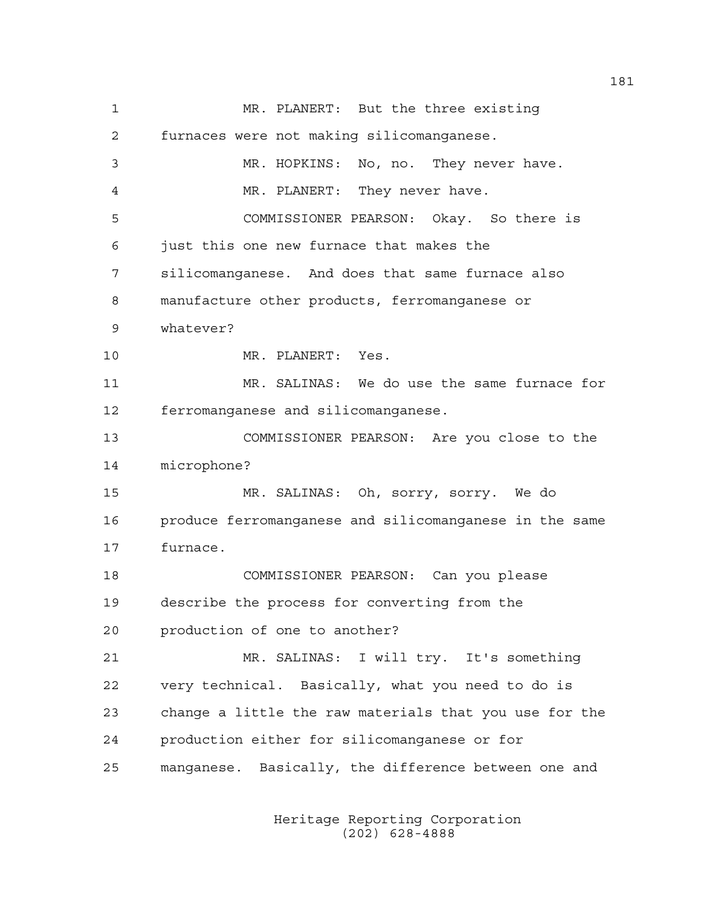1 MR. PLANERT: But the three existing 2 furnaces were not making silicomanganese. 3 MR. HOPKINS: No, no. They never have. 4 MR. PLANERT: They never have. 5 COMMISSIONER PEARSON: Okay. So there is 6 just this one new furnace that makes the 7 silicomanganese. And does that same furnace also 8 manufacture other products, ferromanganese or 9 whatever? 10 MR. PLANERT: Yes. 11 MR. SALINAS: We do use the same furnace for 12 ferromanganese and silicomanganese. 13 COMMISSIONER PEARSON: Are you close to the 14 microphone? 15 MR. SALINAS: Oh, sorry, sorry. We do 16 produce ferromanganese and silicomanganese in the same 17 furnace. 18 COMMISSIONER PEARSON: Can you please 19 describe the process for converting from the 20 production of one to another? 21 MR. SALINAS: I will try. It's something 22 very technical. Basically, what you need to do is 23 change a little the raw materials that you use for the 24 production either for silicomanganese or for 25 manganese. Basically, the difference between one and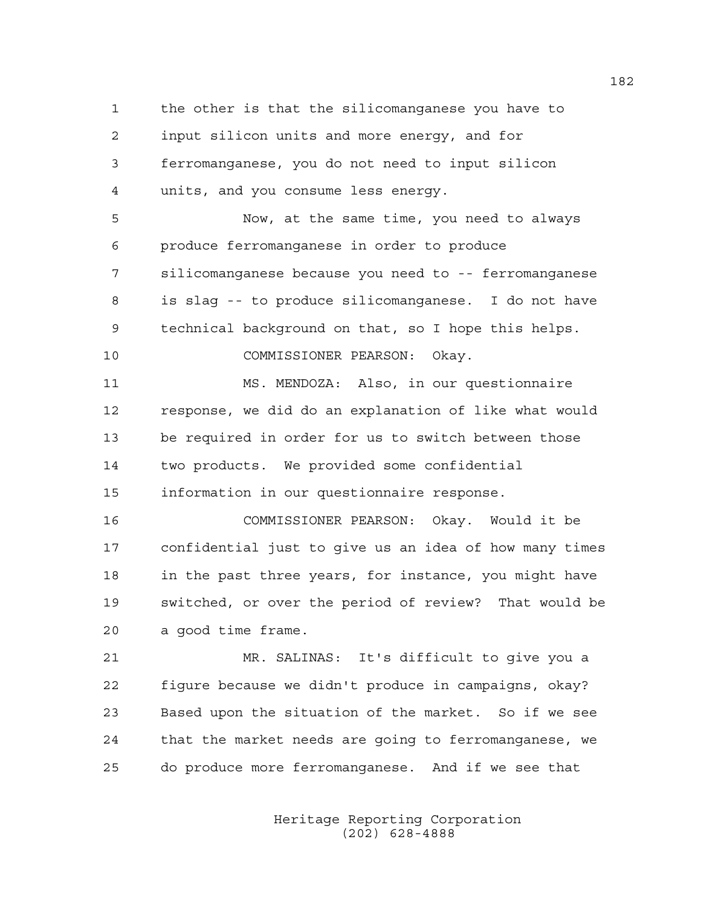1 the other is that the silicomanganese you have to 2 input silicon units and more energy, and for 3 ferromanganese, you do not need to input silicon 4 units, and you consume less energy. 5 Now, at the same time, you need to always 6 produce ferromanganese in order to produce 7 silicomanganese because you need to -- ferromanganese 8 is slag -- to produce silicomanganese. I do not have 9 technical background on that, so I hope this helps. 10 COMMISSIONER PEARSON: Okay. 11 MS. MENDOZA: Also, in our questionnaire 12 response, we did do an explanation of like what would 13 be required in order for us to switch between those 14 two products. We provided some confidential 15 information in our questionnaire response. 16 COMMISSIONER PEARSON: Okay. Would it be 17 confidential just to give us an idea of how many times 18 in the past three years, for instance, you might have 19 switched, or over the period of review? That would be 20 a good time frame. 21 MR. SALINAS: It's difficult to give you a 22 figure because we didn't produce in campaigns, okay? 23 Based upon the situation of the market. So if we see 24 that the market needs are going to ferromanganese, we

> Heritage Reporting Corporation (202) 628-4888

25 do produce more ferromanganese. And if we see that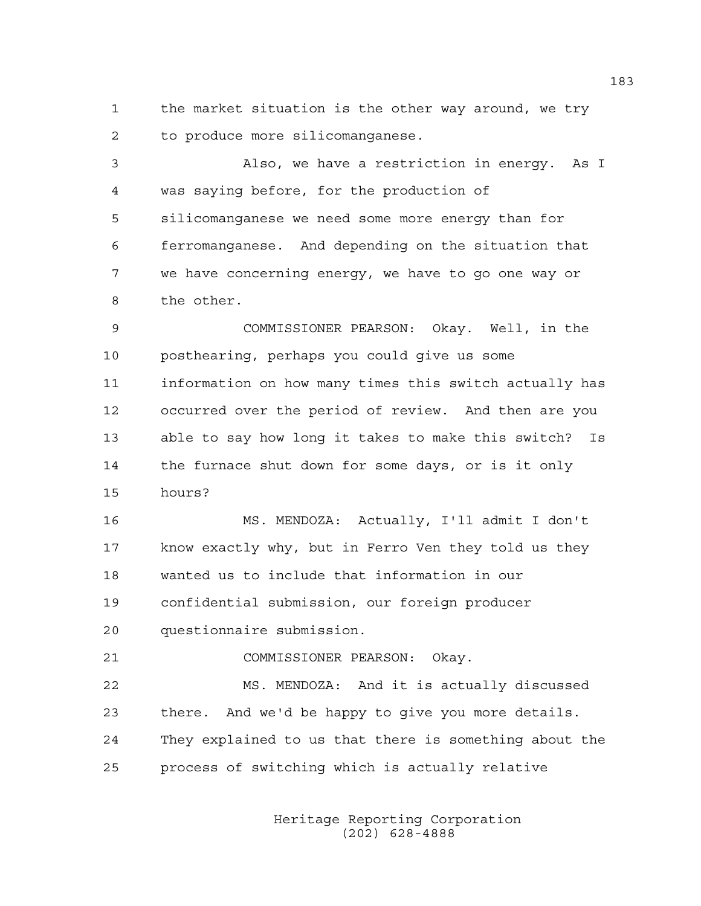1 the market situation is the other way around, we try 2 to produce more silicomanganese.

3 Also, we have a restriction in energy. As I 4 was saying before, for the production of 5 silicomanganese we need some more energy than for 6 ferromanganese. And depending on the situation that 7 we have concerning energy, we have to go one way or 8 the other.

9 COMMISSIONER PEARSON: Okay. Well, in the 10 posthearing, perhaps you could give us some 11 information on how many times this switch actually has 12 occurred over the period of review. And then are you 13 able to say how long it takes to make this switch? Is 14 the furnace shut down for some days, or is it only 15 hours?

16 MS. MENDOZA: Actually, I'll admit I don't 17 know exactly why, but in Ferro Ven they told us they 18 wanted us to include that information in our 19 confidential submission, our foreign producer 20 questionnaire submission.

21 COMMISSIONER PEARSON: Okay.

22 MS. MENDOZA: And it is actually discussed 23 there. And we'd be happy to give you more details. 24 They explained to us that there is something about the 25 process of switching which is actually relative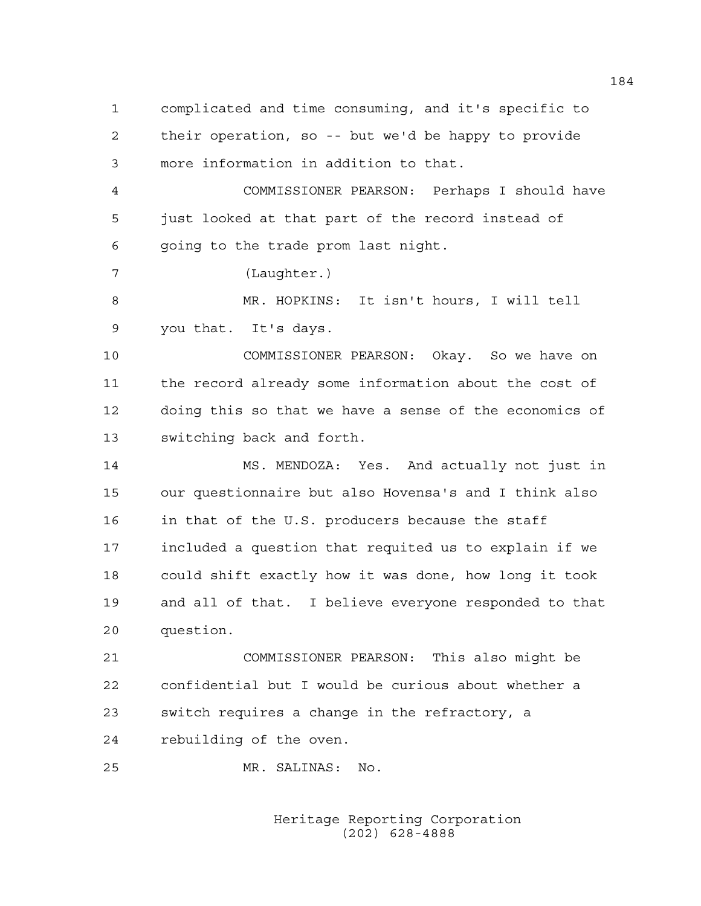1 complicated and time consuming, and it's specific to 2 their operation, so -- but we'd be happy to provide 3 more information in addition to that.

4 COMMISSIONER PEARSON: Perhaps I should have 5 just looked at that part of the record instead of 6 going to the trade prom last night.

7 (Laughter.)

8 MR. HOPKINS: It isn't hours, I will tell 9 you that. It's days.

10 COMMISSIONER PEARSON: Okay. So we have on 11 the record already some information about the cost of 12 doing this so that we have a sense of the economics of 13 switching back and forth.

14 MS. MENDOZA: Yes. And actually not just in 15 our questionnaire but also Hovensa's and I think also 16 in that of the U.S. producers because the staff 17 included a question that requited us to explain if we 18 could shift exactly how it was done, how long it took 19 and all of that. I believe everyone responded to that 20 question.

21 COMMISSIONER PEARSON: This also might be 22 confidential but I would be curious about whether a 23 switch requires a change in the refractory, a 24 rebuilding of the oven.

25 MR. SALINAS: No.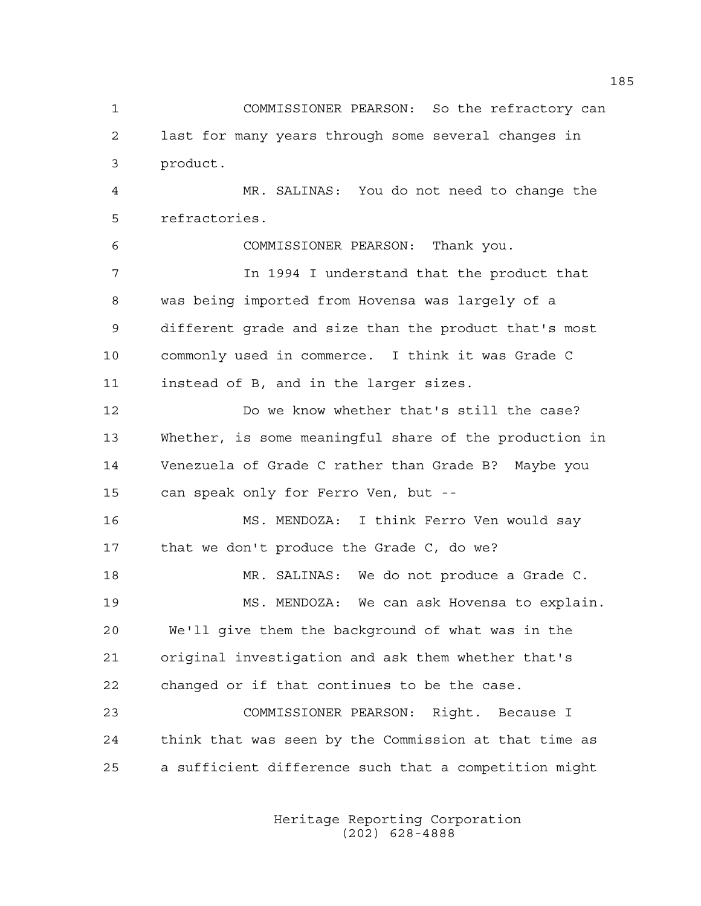1 COMMISSIONER PEARSON: So the refractory can 2 last for many years through some several changes in 3 product.

4 MR. SALINAS: You do not need to change the 5 refractories.

6 COMMISSIONER PEARSON: Thank you. 7 In 1994 I understand that the product that 8 was being imported from Hovensa was largely of a 9 different grade and size than the product that's most 10 commonly used in commerce. I think it was Grade C 11 instead of B, and in the larger sizes.

12 Do we know whether that's still the case? 13 Whether, is some meaningful share of the production in 14 Venezuela of Grade C rather than Grade B? Maybe you 15 can speak only for Ferro Ven, but --

16 MS. MENDOZA: I think Ferro Ven would say 17 that we don't produce the Grade C, do we? 18 MR. SALINAS: We do not produce a Grade C.

19 MS. MENDOZA: We can ask Hovensa to explain. 20 We'll give them the background of what was in the 21 original investigation and ask them whether that's 22 changed or if that continues to be the case.

23 COMMISSIONER PEARSON: Right. Because I 24 think that was seen by the Commission at that time as 25 a sufficient difference such that a competition might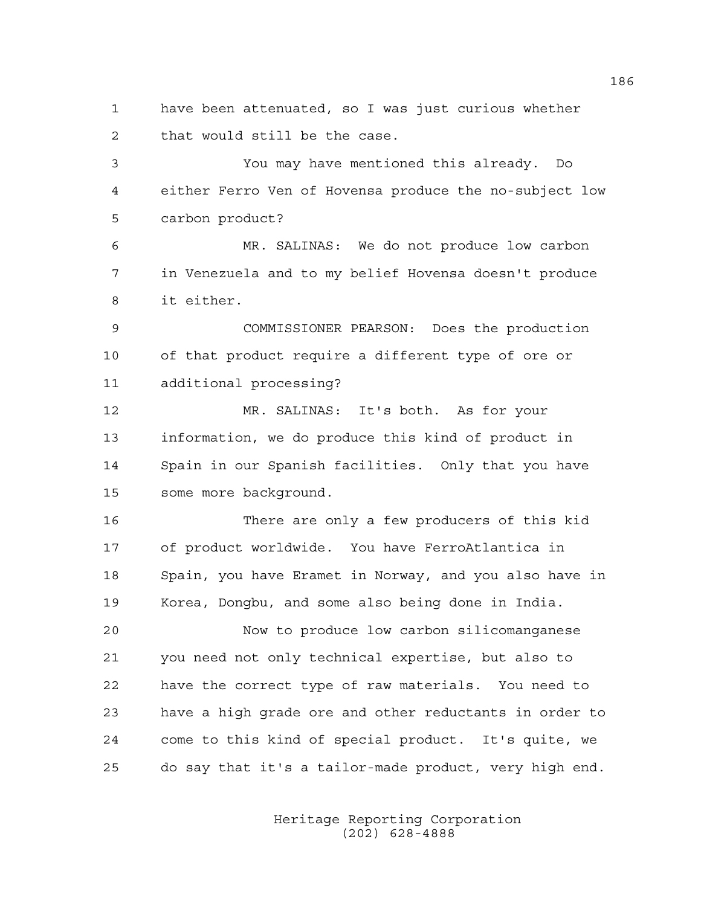1 have been attenuated, so I was just curious whether 2 that would still be the case.

3 You may have mentioned this already. Do 4 either Ferro Ven of Hovensa produce the no-subject low 5 carbon product?

6 MR. SALINAS: We do not produce low carbon 7 in Venezuela and to my belief Hovensa doesn't produce 8 it either.

9 COMMISSIONER PEARSON: Does the production 10 of that product require a different type of ore or 11 additional processing?

12 MR. SALINAS: It's both. As for your 13 information, we do produce this kind of product in 14 Spain in our Spanish facilities. Only that you have 15 some more background.

16 There are only a few producers of this kid 17 of product worldwide. You have FerroAtlantica in 18 Spain, you have Eramet in Norway, and you also have in 19 Korea, Dongbu, and some also being done in India.

20 Now to produce low carbon silicomanganese 21 you need not only technical expertise, but also to 22 have the correct type of raw materials. You need to 23 have a high grade ore and other reductants in order to 24 come to this kind of special product. It's quite, we 25 do say that it's a tailor-made product, very high end.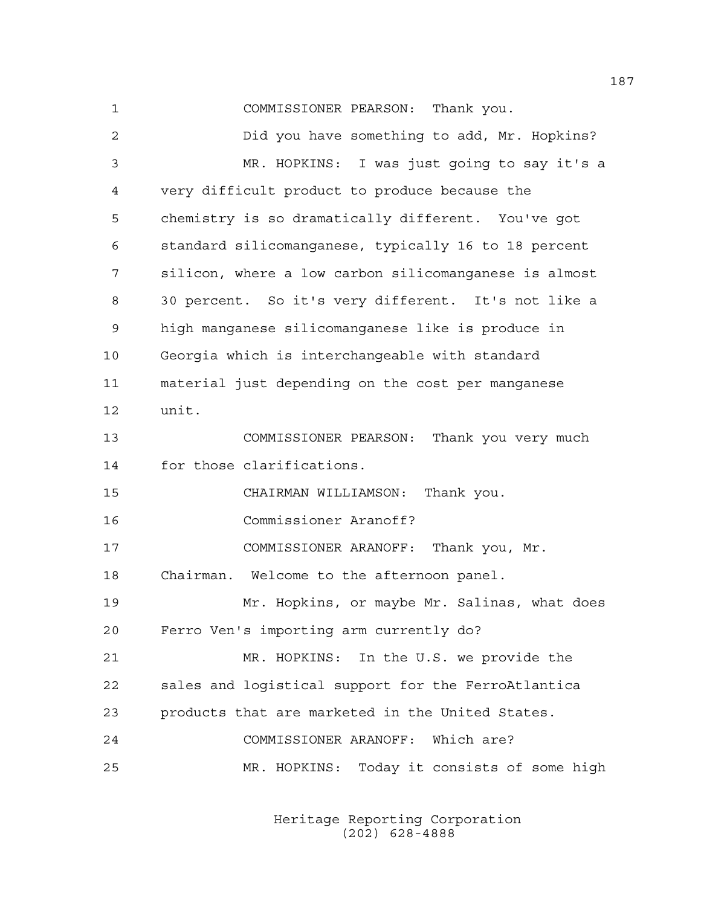1 COMMISSIONER PEARSON: Thank you. 2 Did you have something to add, Mr. Hopkins? 3 MR. HOPKINS: I was just going to say it's a 4 very difficult product to produce because the 5 chemistry is so dramatically different. You've got 6 standard silicomanganese, typically 16 to 18 percent 7 silicon, where a low carbon silicomanganese is almost 8 30 percent. So it's very different. It's not like a 9 high manganese silicomanganese like is produce in 10 Georgia which is interchangeable with standard 11 material just depending on the cost per manganese 12 unit. 13 COMMISSIONER PEARSON: Thank you very much 14 for those clarifications. 15 CHAIRMAN WILLIAMSON: Thank you. 16 Commissioner Aranoff? 17 COMMISSIONER ARANOFF: Thank you, Mr. 18 Chairman. Welcome to the afternoon panel. 19 Mr. Hopkins, or maybe Mr. Salinas, what does 20 Ferro Ven's importing arm currently do? 21 MR. HOPKINS: In the U.S. we provide the 22 sales and logistical support for the FerroAtlantica 23 products that are marketed in the United States. 24 COMMISSIONER ARANOFF: Which are? 25 MR. HOPKINS: Today it consists of some high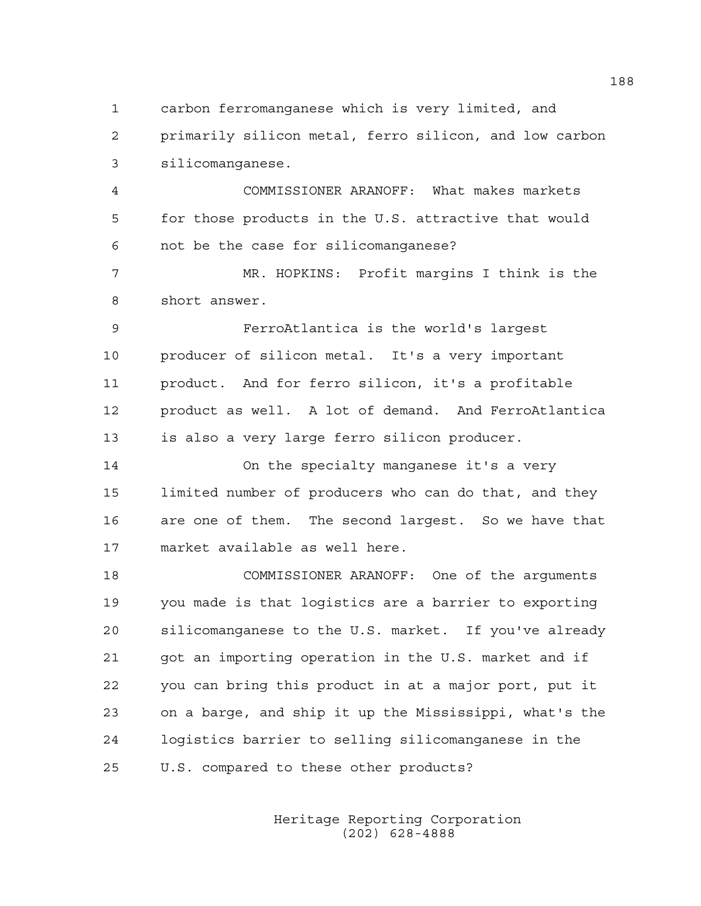1 carbon ferromanganese which is very limited, and

2 primarily silicon metal, ferro silicon, and low carbon 3 silicomanganese.

4 COMMISSIONER ARANOFF: What makes markets 5 for those products in the U.S. attractive that would 6 not be the case for silicomanganese?

7 MR. HOPKINS: Profit margins I think is the 8 short answer.

9 FerroAtlantica is the world's largest 10 producer of silicon metal. It's a very important 11 product. And for ferro silicon, it's a profitable 12 product as well. A lot of demand. And FerroAtlantica 13 is also a very large ferro silicon producer.

14 On the specialty manganese it's a very 15 limited number of producers who can do that, and they 16 are one of them. The second largest. So we have that 17 market available as well here.

18 COMMISSIONER ARANOFF: One of the arguments 19 you made is that logistics are a barrier to exporting 20 silicomanganese to the U.S. market. If you've already 21 got an importing operation in the U.S. market and if 22 you can bring this product in at a major port, put it 23 on a barge, and ship it up the Mississippi, what's the 24 logistics barrier to selling silicomanganese in the 25 U.S. compared to these other products?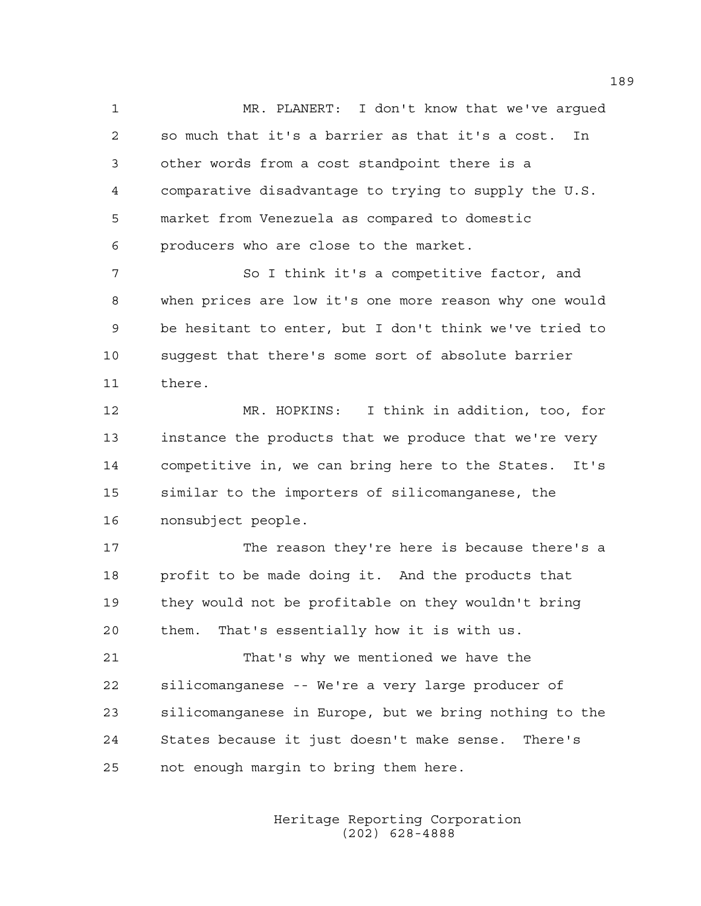1 MR. PLANERT: I don't know that we've argued 2 so much that it's a barrier as that it's a cost. In 3 other words from a cost standpoint there is a 4 comparative disadvantage to trying to supply the U.S. 5 market from Venezuela as compared to domestic 6 producers who are close to the market.

7 So I think it's a competitive factor, and 8 when prices are low it's one more reason why one would 9 be hesitant to enter, but I don't think we've tried to 10 suggest that there's some sort of absolute barrier 11 there.

12 MR. HOPKINS: I think in addition, too, for 13 instance the products that we produce that we're very 14 competitive in, we can bring here to the States. It's 15 similar to the importers of silicomanganese, the 16 nonsubject people.

17 The reason they're here is because there's a 18 profit to be made doing it. And the products that 19 they would not be profitable on they wouldn't bring 20 them. That's essentially how it is with us.

21 That's why we mentioned we have the 22 silicomanganese -- We're a very large producer of 23 silicomanganese in Europe, but we bring nothing to the 24 States because it just doesn't make sense. There's 25 not enough margin to bring them here.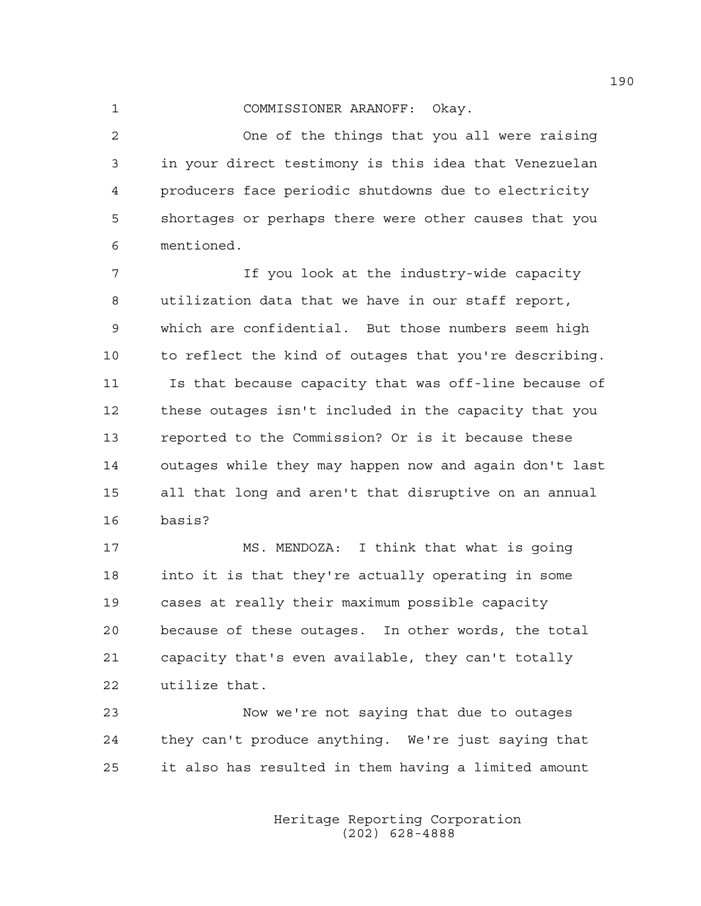1 COMMISSIONER ARANOFF: Okay.

2 One of the things that you all were raising 3 in your direct testimony is this idea that Venezuelan 4 producers face periodic shutdowns due to electricity 5 shortages or perhaps there were other causes that you 6 mentioned.

7 If you look at the industry-wide capacity 8 utilization data that we have in our staff report, 9 which are confidential. But those numbers seem high 10 to reflect the kind of outages that you're describing. 11 Is that because capacity that was off-line because of 12 these outages isn't included in the capacity that you 13 reported to the Commission? Or is it because these 14 outages while they may happen now and again don't last 15 all that long and aren't that disruptive on an annual 16 basis?

17 MS. MENDOZA: I think that what is going 18 into it is that they're actually operating in some 19 cases at really their maximum possible capacity 20 because of these outages. In other words, the total 21 capacity that's even available, they can't totally 22 utilize that.

23 Now we're not saying that due to outages 24 they can't produce anything. We're just saying that 25 it also has resulted in them having a limited amount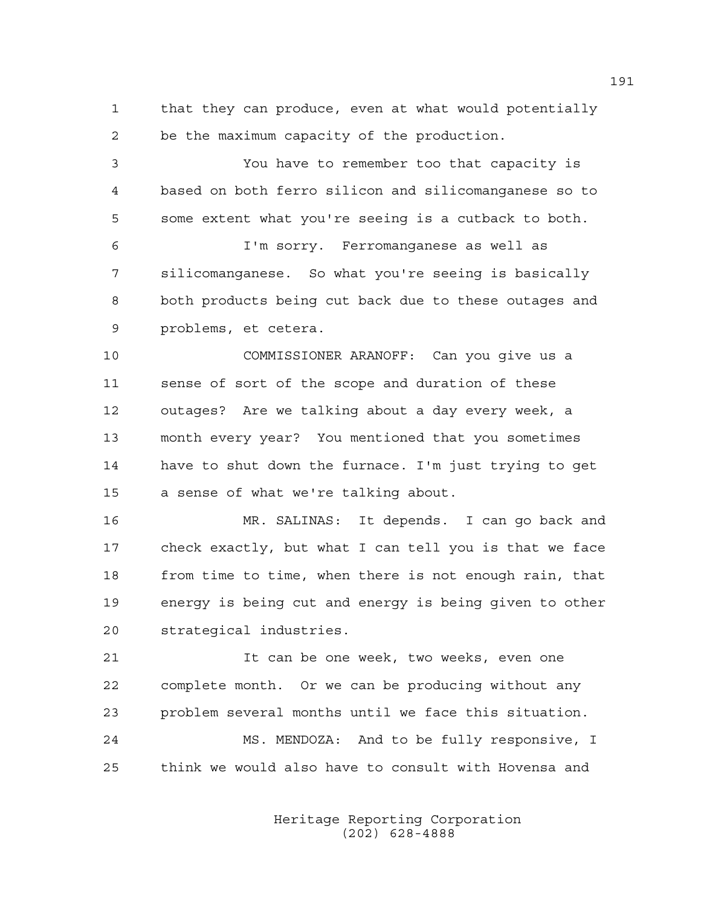1 that they can produce, even at what would potentially 2 be the maximum capacity of the production.

3 You have to remember too that capacity is 4 based on both ferro silicon and silicomanganese so to 5 some extent what you're seeing is a cutback to both.

6 I'm sorry. Ferromanganese as well as 7 silicomanganese. So what you're seeing is basically 8 both products being cut back due to these outages and 9 problems, et cetera.

10 COMMISSIONER ARANOFF: Can you give us a 11 sense of sort of the scope and duration of these 12 outages? Are we talking about a day every week, a 13 month every year? You mentioned that you sometimes 14 have to shut down the furnace. I'm just trying to get 15 a sense of what we're talking about.

16 MR. SALINAS: It depends. I can go back and 17 check exactly, but what I can tell you is that we face 18 from time to time, when there is not enough rain, that 19 energy is being cut and energy is being given to other 20 strategical industries.

21 It can be one week, two weeks, even one 22 complete month. Or we can be producing without any 23 problem several months until we face this situation. 24 MS. MENDOZA: And to be fully responsive, I 25 think we would also have to consult with Hovensa and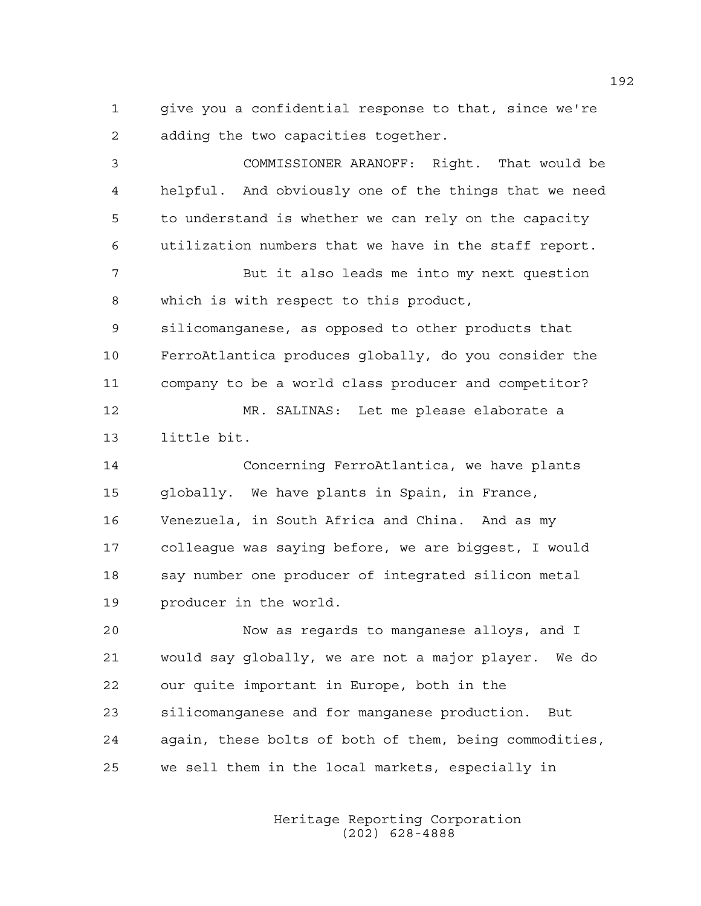1 give you a confidential response to that, since we're 2 adding the two capacities together.

3 COMMISSIONER ARANOFF: Right. That would be 4 helpful. And obviously one of the things that we need 5 to understand is whether we can rely on the capacity 6 utilization numbers that we have in the staff report. 7 But it also leads me into my next question 8 which is with respect to this product, 9 silicomanganese, as opposed to other products that 10 FerroAtlantica produces globally, do you consider the 11 company to be a world class producer and competitor? 12 MR. SALINAS: Let me please elaborate a 13 little bit. 14 Concerning FerroAtlantica, we have plants 15 globally. We have plants in Spain, in France, 16 Venezuela, in South Africa and China. And as my 17 colleague was saying before, we are biggest, I would 18 say number one producer of integrated silicon metal 19 producer in the world. 20 Now as regards to manganese alloys, and I 21 would say globally, we are not a major player. We do 22 our quite important in Europe, both in the

23 silicomanganese and for manganese production. But 24 again, these bolts of both of them, being commodities, 25 we sell them in the local markets, especially in

> Heritage Reporting Corporation (202) 628-4888

192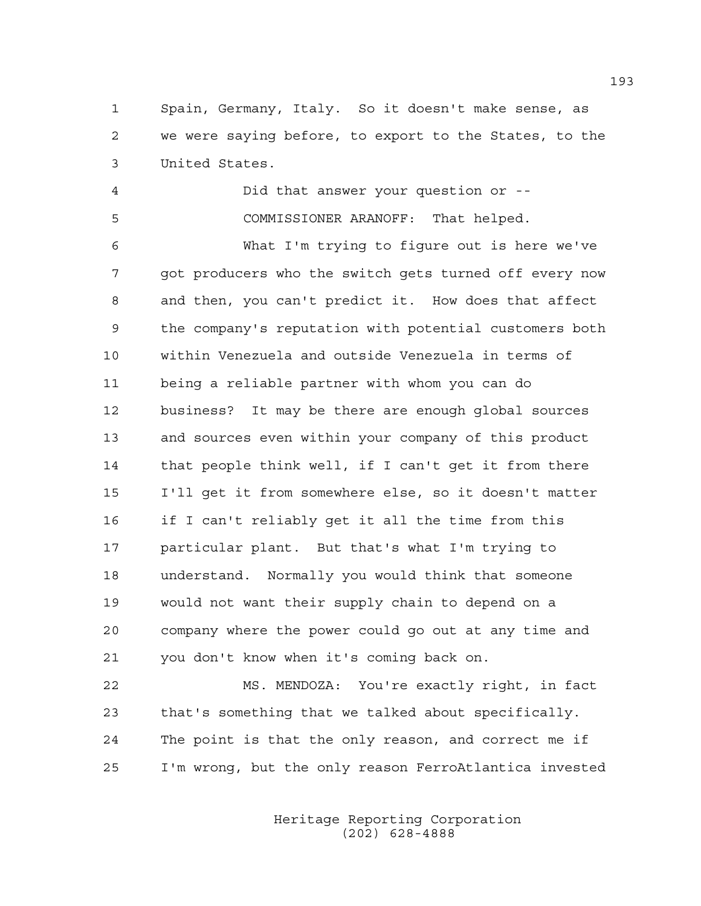1 Spain, Germany, Italy. So it doesn't make sense, as 2 we were saying before, to export to the States, to the 3 United States.

4 Did that answer your question or -- 5 COMMISSIONER ARANOFF: That helped.

6 What I'm trying to figure out is here we've 7 got producers who the switch gets turned off every now 8 and then, you can't predict it. How does that affect 9 the company's reputation with potential customers both 10 within Venezuela and outside Venezuela in terms of 11 being a reliable partner with whom you can do 12 business? It may be there are enough global sources 13 and sources even within your company of this product 14 that people think well, if I can't get it from there 15 I'll get it from somewhere else, so it doesn't matter 16 if I can't reliably get it all the time from this 17 particular plant. But that's what I'm trying to 18 understand. Normally you would think that someone 19 would not want their supply chain to depend on a 20 company where the power could go out at any time and 21 you don't know when it's coming back on.

22 MS. MENDOZA: You're exactly right, in fact 23 that's something that we talked about specifically. 24 The point is that the only reason, and correct me if 25 I'm wrong, but the only reason FerroAtlantica invested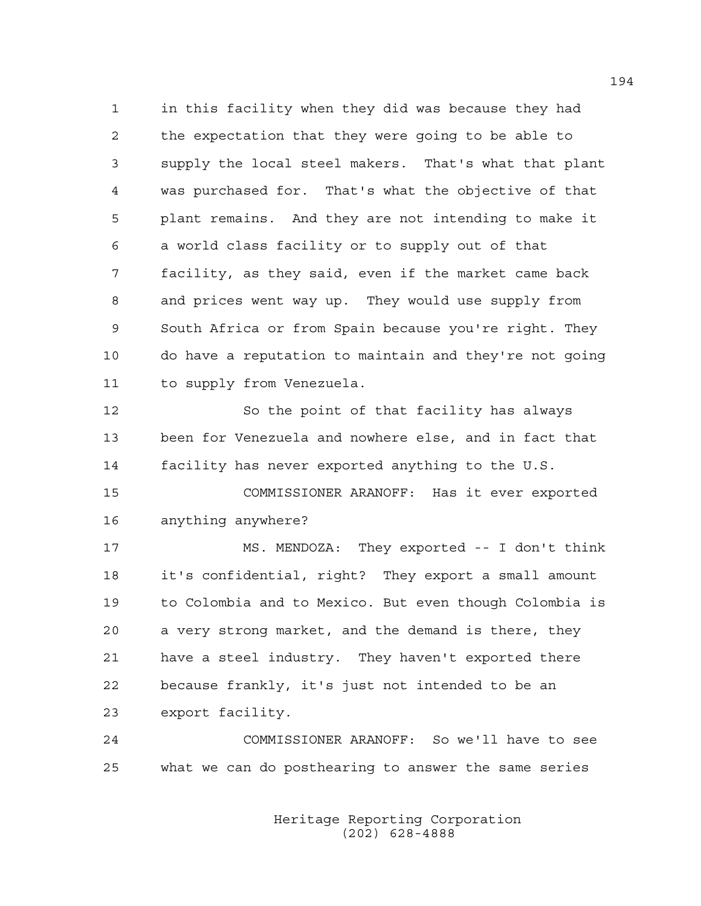1 in this facility when they did was because they had 2 the expectation that they were going to be able to 3 supply the local steel makers. That's what that plant 4 was purchased for. That's what the objective of that 5 plant remains. And they are not intending to make it 6 a world class facility or to supply out of that 7 facility, as they said, even if the market came back 8 and prices went way up. They would use supply from 9 South Africa or from Spain because you're right. They 10 do have a reputation to maintain and they're not going 11 to supply from Venezuela.

12 So the point of that facility has always 13 been for Venezuela and nowhere else, and in fact that 14 facility has never exported anything to the U.S.

15 COMMISSIONER ARANOFF: Has it ever exported 16 anything anywhere?

17 MS. MENDOZA: They exported -- I don't think 18 it's confidential, right? They export a small amount 19 to Colombia and to Mexico. But even though Colombia is 20 a very strong market, and the demand is there, they 21 have a steel industry. They haven't exported there 22 because frankly, it's just not intended to be an 23 export facility.

24 COMMISSIONER ARANOFF: So we'll have to see 25 what we can do posthearing to answer the same series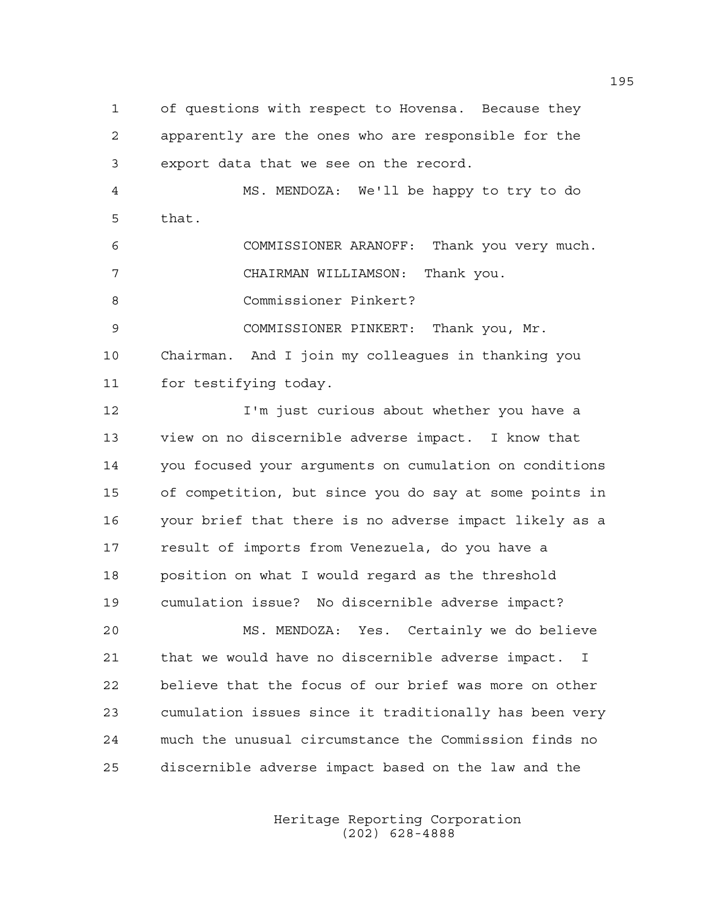1 of questions with respect to Hovensa. Because they 2 apparently are the ones who are responsible for the 3 export data that we see on the record.

4 MS. MENDOZA: We'll be happy to try to do 5 that.

6 COMMISSIONER ARANOFF: Thank you very much. 7 CHAIRMAN WILLIAMSON: Thank you. 8 Commissioner Pinkert?

9 COMMISSIONER PINKERT: Thank you, Mr.

10 Chairman. And I join my colleagues in thanking you 11 for testifying today.

12 I'm just curious about whether you have a 13 view on no discernible adverse impact. I know that 14 you focused your arguments on cumulation on conditions 15 of competition, but since you do say at some points in 16 your brief that there is no adverse impact likely as a 17 result of imports from Venezuela, do you have a 18 position on what I would regard as the threshold 19 cumulation issue? No discernible adverse impact?

20 MS. MENDOZA: Yes. Certainly we do believe 21 that we would have no discernible adverse impact. I 22 believe that the focus of our brief was more on other 23 cumulation issues since it traditionally has been very 24 much the unusual circumstance the Commission finds no 25 discernible adverse impact based on the law and the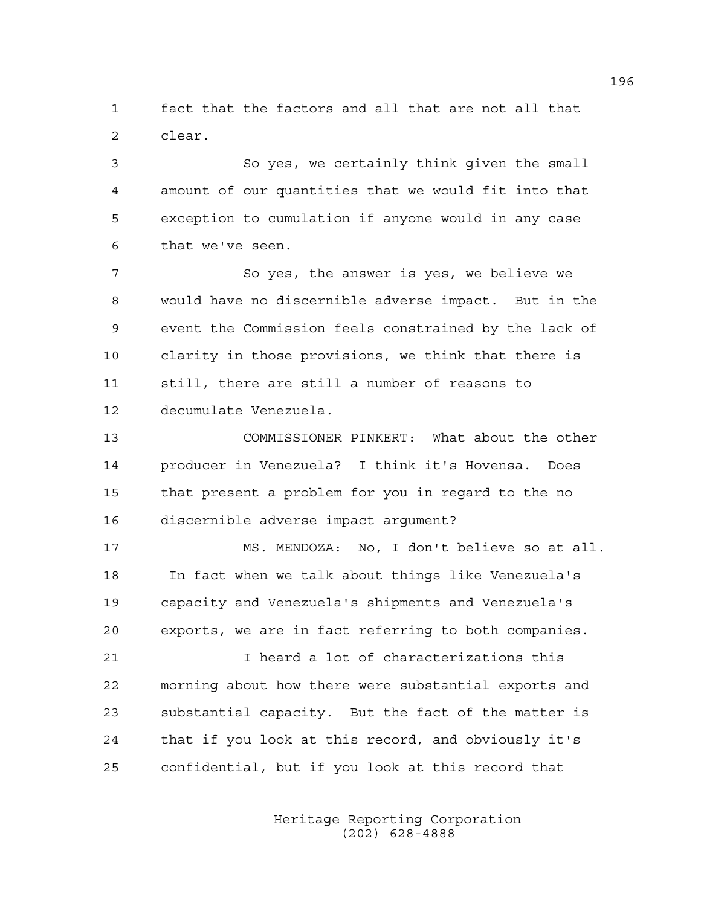1 fact that the factors and all that are not all that 2 clear.

3 So yes, we certainly think given the small 4 amount of our quantities that we would fit into that 5 exception to cumulation if anyone would in any case 6 that we've seen.

7 So yes, the answer is yes, we believe we 8 would have no discernible adverse impact. But in the 9 event the Commission feels constrained by the lack of 10 clarity in those provisions, we think that there is 11 still, there are still a number of reasons to 12 decumulate Venezuela.

13 COMMISSIONER PINKERT: What about the other 14 producer in Venezuela? I think it's Hovensa. Does 15 that present a problem for you in regard to the no 16 discernible adverse impact argument?

17 MS. MENDOZA: No, I don't believe so at all. 18 In fact when we talk about things like Venezuela's 19 capacity and Venezuela's shipments and Venezuela's 20 exports, we are in fact referring to both companies.

21 I heard a lot of characterizations this 22 morning about how there were substantial exports and 23 substantial capacity. But the fact of the matter is 24 that if you look at this record, and obviously it's 25 confidential, but if you look at this record that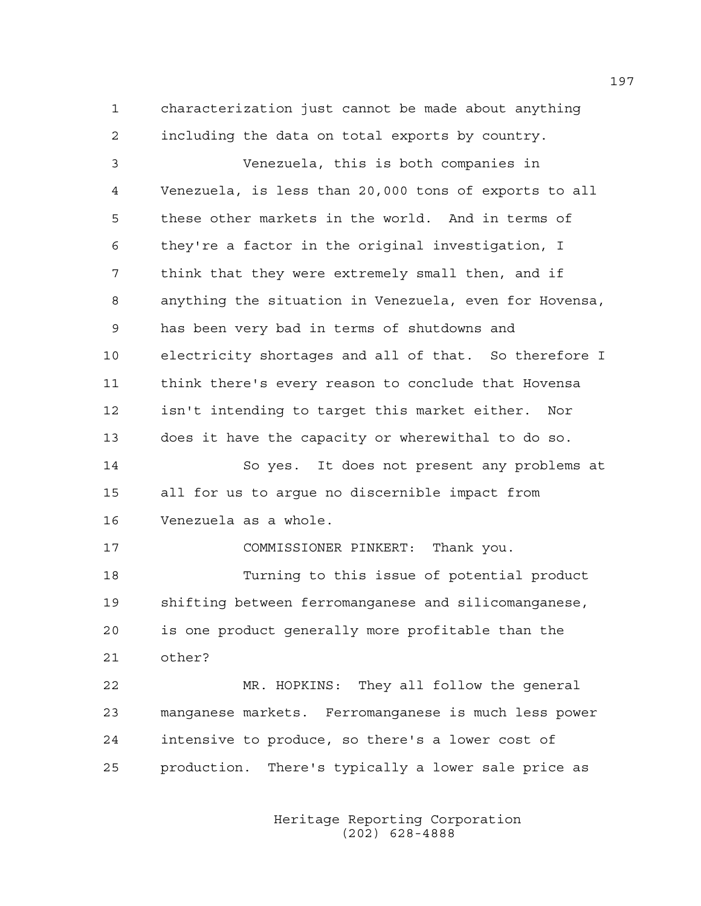1 characterization just cannot be made about anything 2 including the data on total exports by country.

3 Venezuela, this is both companies in 4 Venezuela, is less than 20,000 tons of exports to all 5 these other markets in the world. And in terms of 6 they're a factor in the original investigation, I 7 think that they were extremely small then, and if 8 anything the situation in Venezuela, even for Hovensa, 9 has been very bad in terms of shutdowns and 10 electricity shortages and all of that. So therefore I 11 think there's every reason to conclude that Hovensa 12 isn't intending to target this market either. Nor 13 does it have the capacity or wherewithal to do so. 14 So yes. It does not present any problems at 15 all for us to argue no discernible impact from 16 Venezuela as a whole. 17 COMMISSIONER PINKERT: Thank you. 18 Turning to this issue of potential product 19 shifting between ferromanganese and silicomanganese, 20 is one product generally more profitable than the 21 other?

22 MR. HOPKINS: They all follow the general 23 manganese markets. Ferromanganese is much less power 24 intensive to produce, so there's a lower cost of 25 production. There's typically a lower sale price as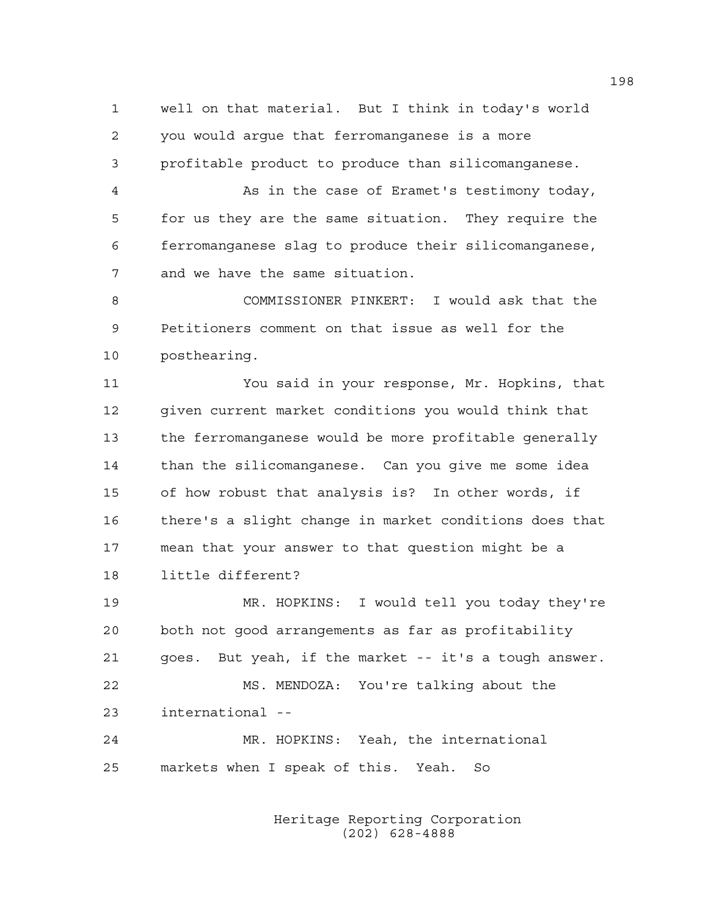1 well on that material. But I think in today's world 2 you would argue that ferromanganese is a more 3 profitable product to produce than silicomanganese.

4 As in the case of Eramet's testimony today, 5 for us they are the same situation. They require the 6 ferromanganese slag to produce their silicomanganese, 7 and we have the same situation.

8 COMMISSIONER PINKERT: I would ask that the 9 Petitioners comment on that issue as well for the 10 posthearing.

11 You said in your response, Mr. Hopkins, that 12 given current market conditions you would think that 13 the ferromanganese would be more profitable generally 14 than the silicomanganese. Can you give me some idea 15 of how robust that analysis is? In other words, if 16 there's a slight change in market conditions does that 17 mean that your answer to that question might be a 18 little different?

19 MR. HOPKINS: I would tell you today they're 20 both not good arrangements as far as profitability 21 goes. But yeah, if the market -- it's a tough answer. 22 MS. MENDOZA: You're talking about the 23 international -- 24 MR. HOPKINS: Yeah, the international 25 markets when I speak of this. Yeah. So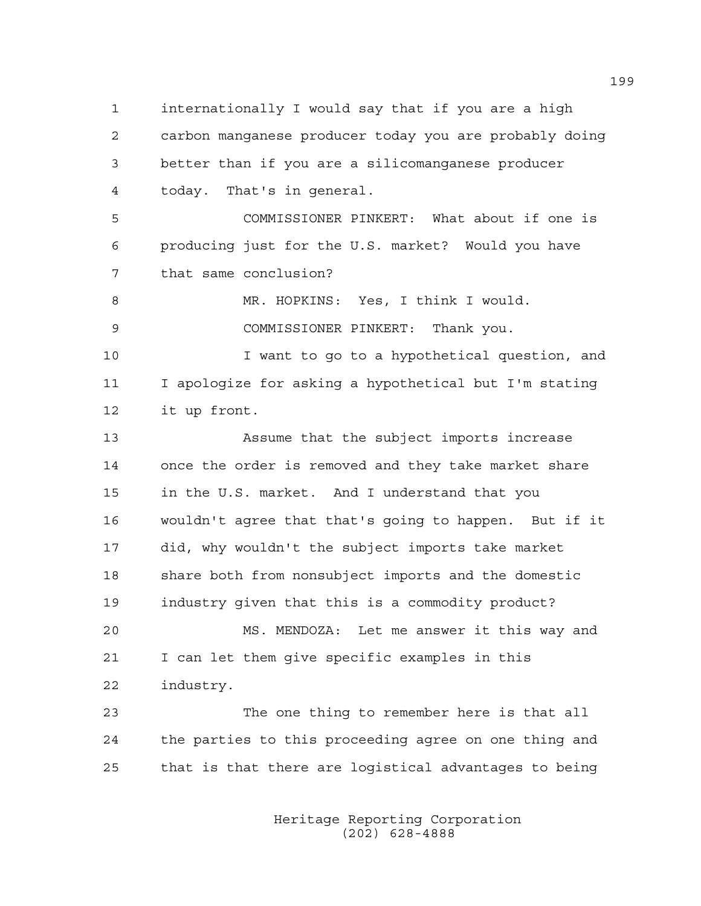1 internationally I would say that if you are a high 2 carbon manganese producer today you are probably doing 3 better than if you are a silicomanganese producer 4 today. That's in general. 5 COMMISSIONER PINKERT: What about if one is 6 producing just for the U.S. market? Would you have 7 that same conclusion? 8 MR. HOPKINS: Yes, I think I would. 9 COMMISSIONER PINKERT: Thank you. 10 I want to go to a hypothetical question, and 11 I apologize for asking a hypothetical but I'm stating 12 it up front. 13 Assume that the subject imports increase 14 once the order is removed and they take market share 15 in the U.S. market. And I understand that you 16 wouldn't agree that that's going to happen. But if it 17 did, why wouldn't the subject imports take market 18 share both from nonsubject imports and the domestic 19 industry given that this is a commodity product? 20 MS. MENDOZA: Let me answer it this way and 21 I can let them give specific examples in this 22 industry. 23 The one thing to remember here is that all 24 the parties to this proceeding agree on one thing and 25 that is that there are logistical advantages to being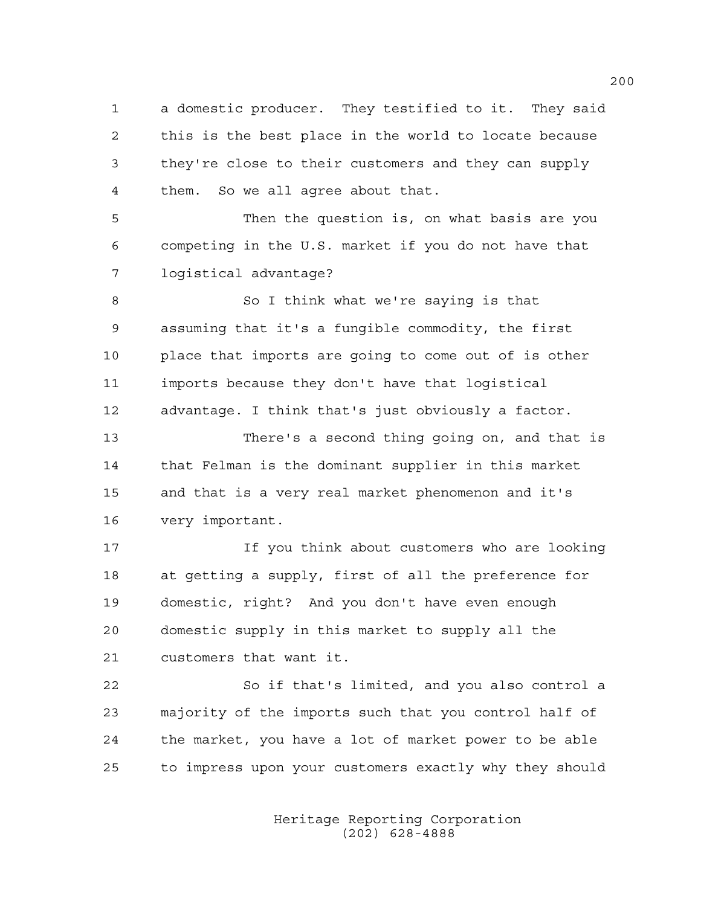1 a domestic producer. They testified to it. They said 2 this is the best place in the world to locate because 3 they're close to their customers and they can supply 4 them. So we all agree about that.

5 Then the question is, on what basis are you 6 competing in the U.S. market if you do not have that 7 logistical advantage?

8 So I think what we're saying is that 9 assuming that it's a fungible commodity, the first 10 place that imports are going to come out of is other 11 imports because they don't have that logistical 12 advantage. I think that's just obviously a factor.

13 There's a second thing going on, and that is 14 that Felman is the dominant supplier in this market 15 and that is a very real market phenomenon and it's 16 very important.

17 If you think about customers who are looking 18 at getting a supply, first of all the preference for 19 domestic, right? And you don't have even enough 20 domestic supply in this market to supply all the 21 customers that want it.

22 So if that's limited, and you also control a 23 majority of the imports such that you control half of 24 the market, you have a lot of market power to be able 25 to impress upon your customers exactly why they should

> Heritage Reporting Corporation (202) 628-4888

200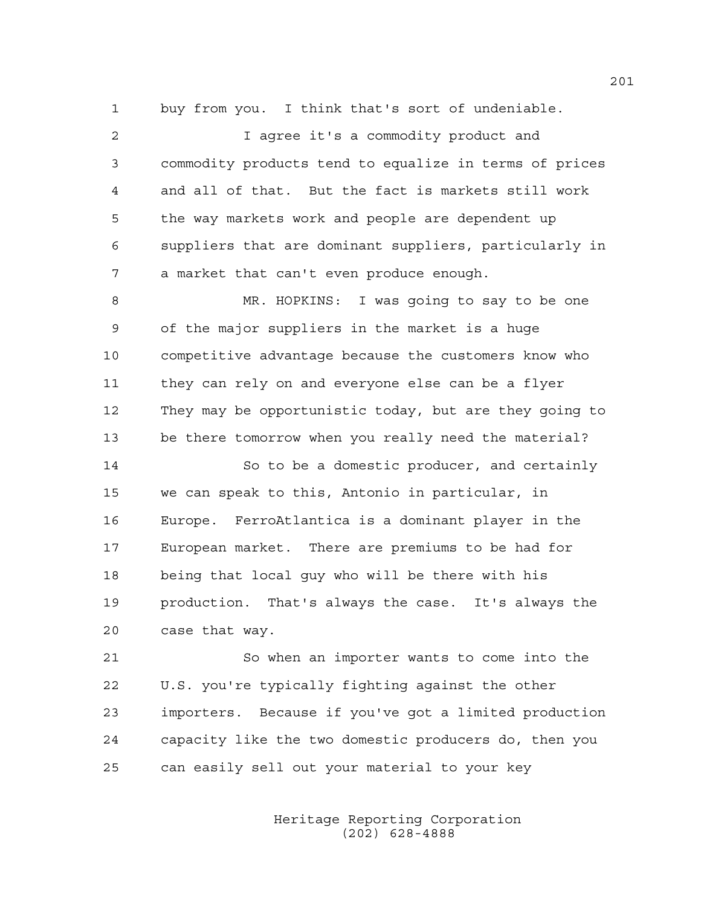1 buy from you. I think that's sort of undeniable.

2 I agree it's a commodity product and 3 commodity products tend to equalize in terms of prices 4 and all of that. But the fact is markets still work 5 the way markets work and people are dependent up 6 suppliers that are dominant suppliers, particularly in 7 a market that can't even produce enough. 8 MR. HOPKINS: I was going to say to be one 9 of the major suppliers in the market is a huge 10 competitive advantage because the customers know who 11 they can rely on and everyone else can be a flyer 12 They may be opportunistic today, but are they going to 13 be there tomorrow when you really need the material? 14 So to be a domestic producer, and certainly 15 we can speak to this, Antonio in particular, in 16 Europe. FerroAtlantica is a dominant player in the 17 European market. There are premiums to be had for 18 being that local guy who will be there with his 19 production. That's always the case. It's always the

20 case that way.

21 So when an importer wants to come into the 22 U.S. you're typically fighting against the other 23 importers. Because if you've got a limited production 24 capacity like the two domestic producers do, then you 25 can easily sell out your material to your key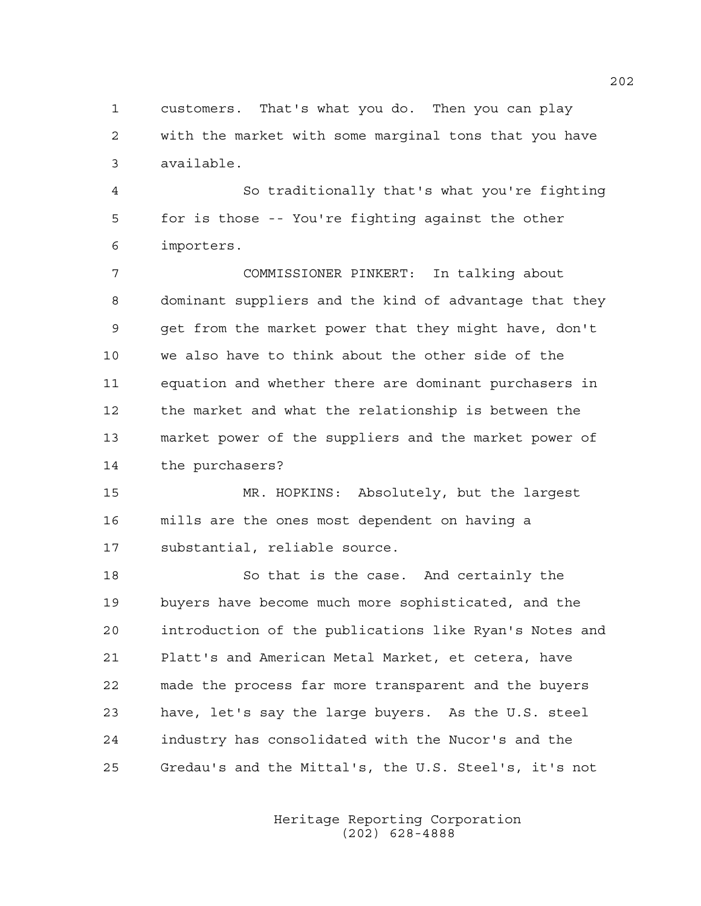1 customers. That's what you do. Then you can play 2 with the market with some marginal tons that you have 3 available.

4 So traditionally that's what you're fighting 5 for is those -- You're fighting against the other 6 importers.

7 COMMISSIONER PINKERT: In talking about 8 dominant suppliers and the kind of advantage that they 9 get from the market power that they might have, don't 10 we also have to think about the other side of the 11 equation and whether there are dominant purchasers in 12 the market and what the relationship is between the 13 market power of the suppliers and the market power of 14 the purchasers?

15 MR. HOPKINS: Absolutely, but the largest 16 mills are the ones most dependent on having a 17 substantial, reliable source.

18 So that is the case. And certainly the 19 buyers have become much more sophisticated, and the 20 introduction of the publications like Ryan's Notes and 21 Platt's and American Metal Market, et cetera, have 22 made the process far more transparent and the buyers 23 have, let's say the large buyers. As the U.S. steel 24 industry has consolidated with the Nucor's and the 25 Gredau's and the Mittal's, the U.S. Steel's, it's not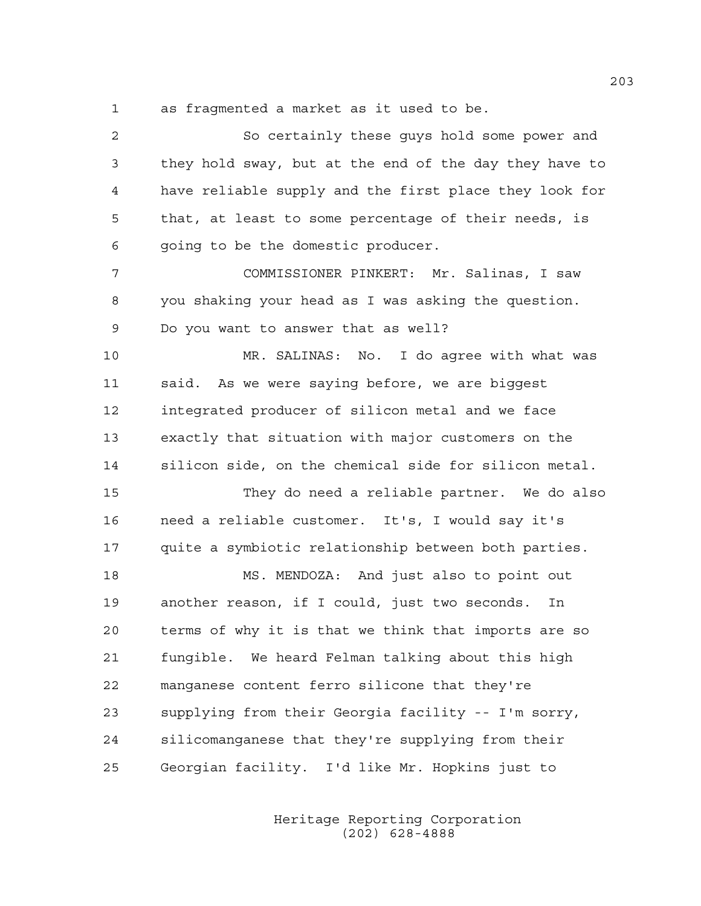1 as fragmented a market as it used to be.

| $\overline{a}$ | So certainly these guys hold some power and            |
|----------------|--------------------------------------------------------|
| 3              | they hold sway, but at the end of the day they have to |
| 4              | have reliable supply and the first place they look for |
| 5              | that, at least to some percentage of their needs, is   |
| 6              | going to be the domestic producer.                     |
| 7              | COMMISSIONER PINKERT: Mr. Salinas, I saw               |
| 8              | you shaking your head as I was asking the question.    |
| 9              | Do you want to answer that as well?                    |
| 10             | MR. SALINAS: No. I do agree with what was              |
| 11             | said. As we were saying before, we are biggest         |
| 12             | integrated producer of silicon metal and we face       |
| 13             | exactly that situation with major customers on the     |
| 14             | silicon side, on the chemical side for silicon metal.  |
| 15             | They do need a reliable partner. We do also            |
| 16             | need a reliable customer. It's, I would say it's       |
| 17             | quite a symbiotic relationship between both parties.   |
| 18             | MS. MENDOZA: And just also to point out                |
| 19             | another reason, if I could, just two seconds. In       |
| 20             | terms of why it is that we think that imports are so   |
| 21             | fungible. We heard Felman talking about this high      |
| 22             | manganese content ferro silicone that they're          |
| 23             | supplying from their Georgia facility -- I'm sorry,    |
| 24             | silicomanganese that they're supplying from their      |
| 25             | Georgian facility. I'd like Mr. Hopkins just to        |
|                |                                                        |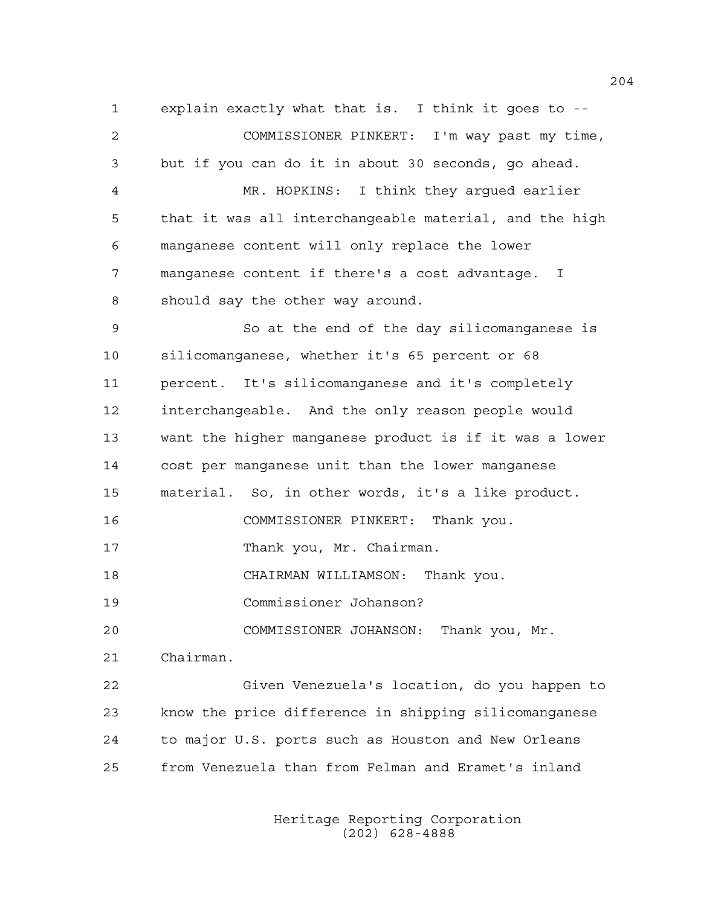1 explain exactly what that is. I think it goes to -- 2 COMMISSIONER PINKERT: I'm way past my time, 3 but if you can do it in about 30 seconds, go ahead. 4 MR. HOPKINS: I think they argued earlier 5 that it was all interchangeable material, and the high 6 manganese content will only replace the lower 7 manganese content if there's a cost advantage. I 8 should say the other way around. 9 So at the end of the day silicomanganese is 10 silicomanganese, whether it's 65 percent or 68 11 percent. It's silicomanganese and it's completely 12 interchangeable. And the only reason people would 13 want the higher manganese product is if it was a lower 14 cost per manganese unit than the lower manganese 15 material. So, in other words, it's a like product. 16 COMMISSIONER PINKERT: Thank you. 17 Thank you, Mr. Chairman. 18 CHAIRMAN WILLIAMSON: Thank you. 19 Commissioner Johanson? 20 COMMISSIONER JOHANSON: Thank you, Mr. 21 Chairman. 22 Given Venezuela's location, do you happen to 23 know the price difference in shipping silicomanganese 24 to major U.S. ports such as Houston and New Orleans 25 from Venezuela than from Felman and Eramet's inland

> Heritage Reporting Corporation (202) 628-4888

204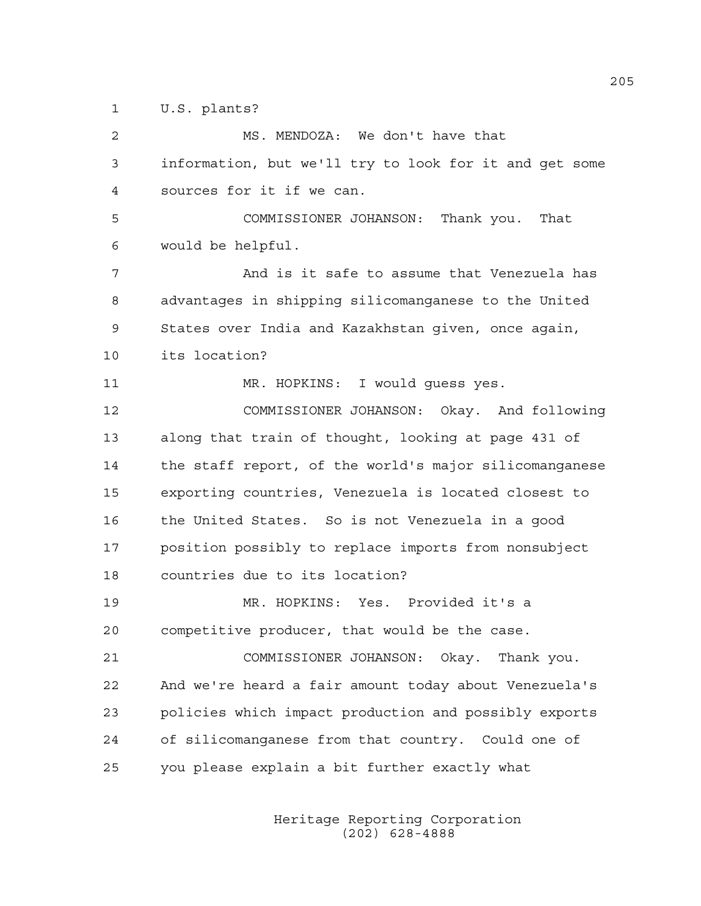1 U.S. plants?

2 MS. MENDOZA: We don't have that 3 information, but we'll try to look for it and get some 4 sources for it if we can. 5 COMMISSIONER JOHANSON: Thank you. That 6 would be helpful. 7 And is it safe to assume that Venezuela has 8 advantages in shipping silicomanganese to the United 9 States over India and Kazakhstan given, once again, 10 its location? 11 MR. HOPKINS: I would guess yes. 12 COMMISSIONER JOHANSON: Okay. And following 13 along that train of thought, looking at page 431 of 14 the staff report, of the world's major silicomanganese 15 exporting countries, Venezuela is located closest to 16 the United States. So is not Venezuela in a good 17 position possibly to replace imports from nonsubject 18 countries due to its location? 19 MR. HOPKINS: Yes. Provided it's a 20 competitive producer, that would be the case. 21 COMMISSIONER JOHANSON: Okay. Thank you. 22 And we're heard a fair amount today about Venezuela's 23 policies which impact production and possibly exports 24 of silicomanganese from that country. Could one of 25 you please explain a bit further exactly what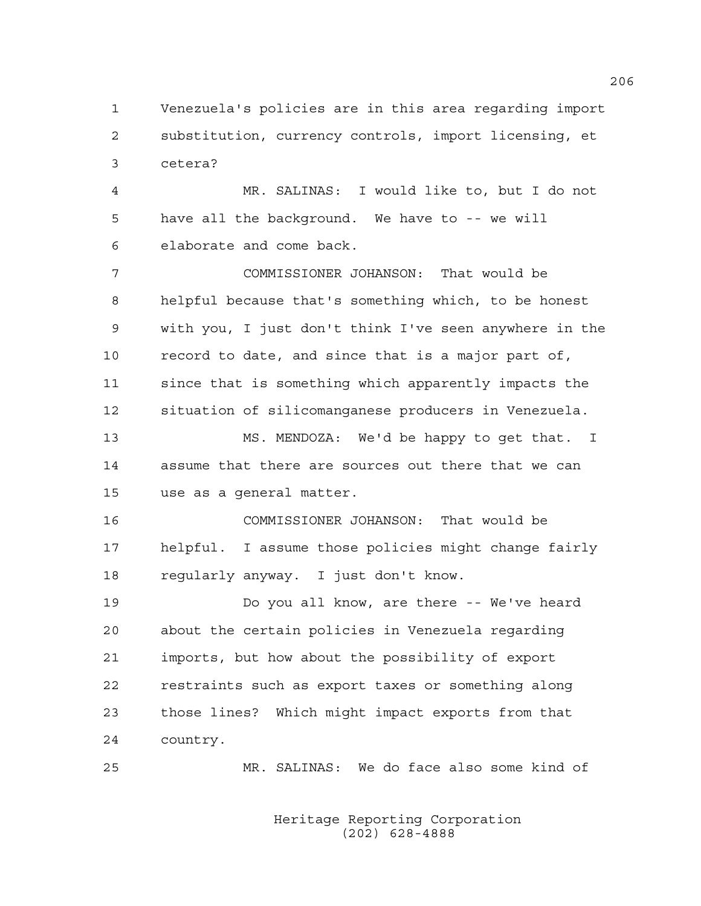1 Venezuela's policies are in this area regarding import 2 substitution, currency controls, import licensing, et 3 cetera?

4 MR. SALINAS: I would like to, but I do not 5 have all the background. We have to -- we will 6 elaborate and come back.

7 COMMISSIONER JOHANSON: That would be 8 helpful because that's something which, to be honest 9 with you, I just don't think I've seen anywhere in the 10 record to date, and since that is a major part of, 11 since that is something which apparently impacts the 12 situation of silicomanganese producers in Venezuela.

13 MS. MENDOZA: We'd be happy to get that. I 14 assume that there are sources out there that we can 15 use as a general matter.

16 COMMISSIONER JOHANSON: That would be 17 helpful. I assume those policies might change fairly 18 regularly anyway. I just don't know.

19 Do you all know, are there -- We've heard 20 about the certain policies in Venezuela regarding 21 imports, but how about the possibility of export 22 restraints such as export taxes or something along 23 those lines? Which might impact exports from that 24 country.

25 MR. SALINAS: We do face also some kind of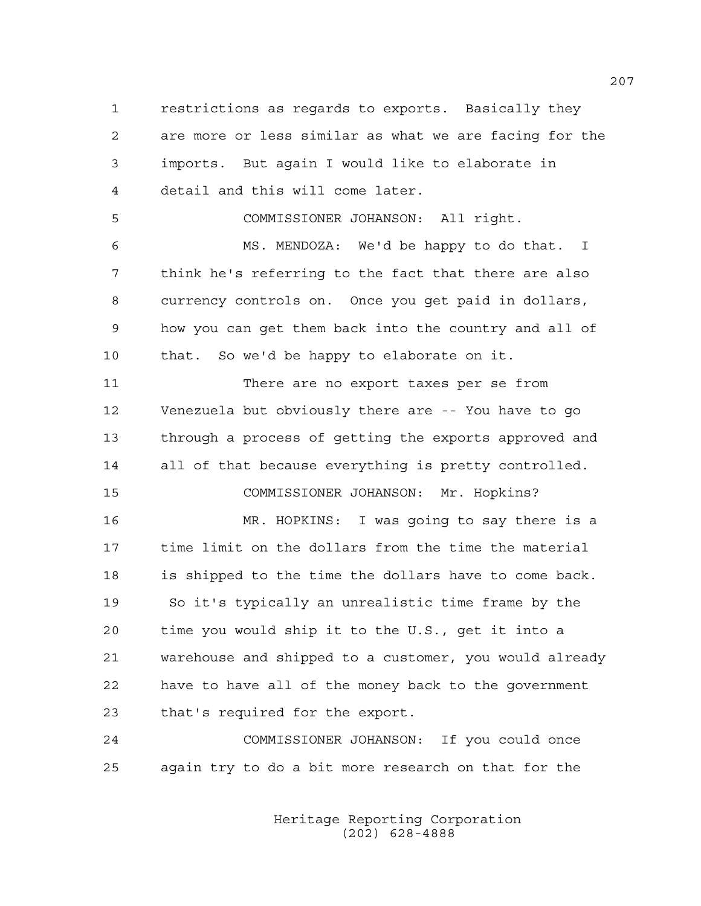1 restrictions as regards to exports. Basically they 2 are more or less similar as what we are facing for the 3 imports. But again I would like to elaborate in 4 detail and this will come later.

5 COMMISSIONER JOHANSON: All right.

6 MS. MENDOZA: We'd be happy to do that. I 7 think he's referring to the fact that there are also 8 currency controls on. Once you get paid in dollars, 9 how you can get them back into the country and all of 10 that. So we'd be happy to elaborate on it.

11 There are no export taxes per se from 12 Venezuela but obviously there are -- You have to go 13 through a process of getting the exports approved and 14 all of that because everything is pretty controlled. 15 COMMISSIONER JOHANSON: Mr. Hopkins?

16 MR. HOPKINS: I was going to say there is a 17 time limit on the dollars from the time the material 18 is shipped to the time the dollars have to come back. 19 So it's typically an unrealistic time frame by the 20 time you would ship it to the U.S., get it into a 21 warehouse and shipped to a customer, you would already 22 have to have all of the money back to the government 23 that's required for the export.

24 COMMISSIONER JOHANSON: If you could once 25 again try to do a bit more research on that for the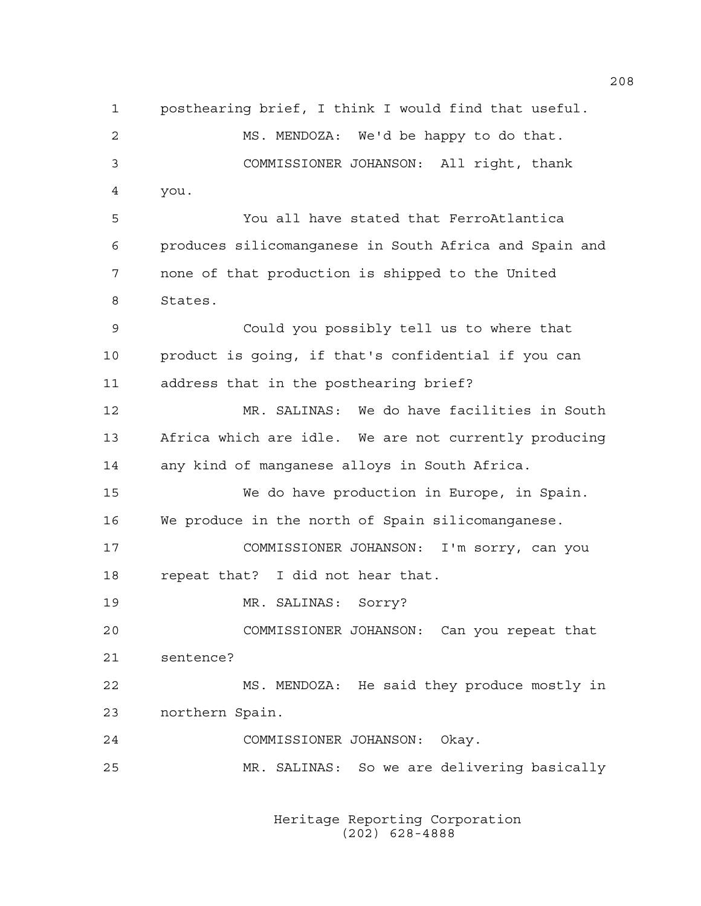1 posthearing brief, I think I would find that useful. 2 MS. MENDOZA: We'd be happy to do that. 3 COMMISSIONER JOHANSON: All right, thank 4 you. 5 You all have stated that FerroAtlantica 6 produces silicomanganese in South Africa and Spain and 7 none of that production is shipped to the United 8 States. 9 Could you possibly tell us to where that 10 product is going, if that's confidential if you can 11 address that in the posthearing brief? 12 MR. SALINAS: We do have facilities in South 13 Africa which are idle. We are not currently producing 14 any kind of manganese alloys in South Africa. 15 We do have production in Europe, in Spain. 16 We produce in the north of Spain silicomanganese. 17 COMMISSIONER JOHANSON: I'm sorry, can you 18 repeat that? I did not hear that. 19 MR. SALINAS: Sorry? 20 COMMISSIONER JOHANSON: Can you repeat that 21 sentence? 22 MS. MENDOZA: He said they produce mostly in 23 northern Spain. 24 COMMISSIONER JOHANSON: Okay. 25 MR. SALINAS: So we are delivering basically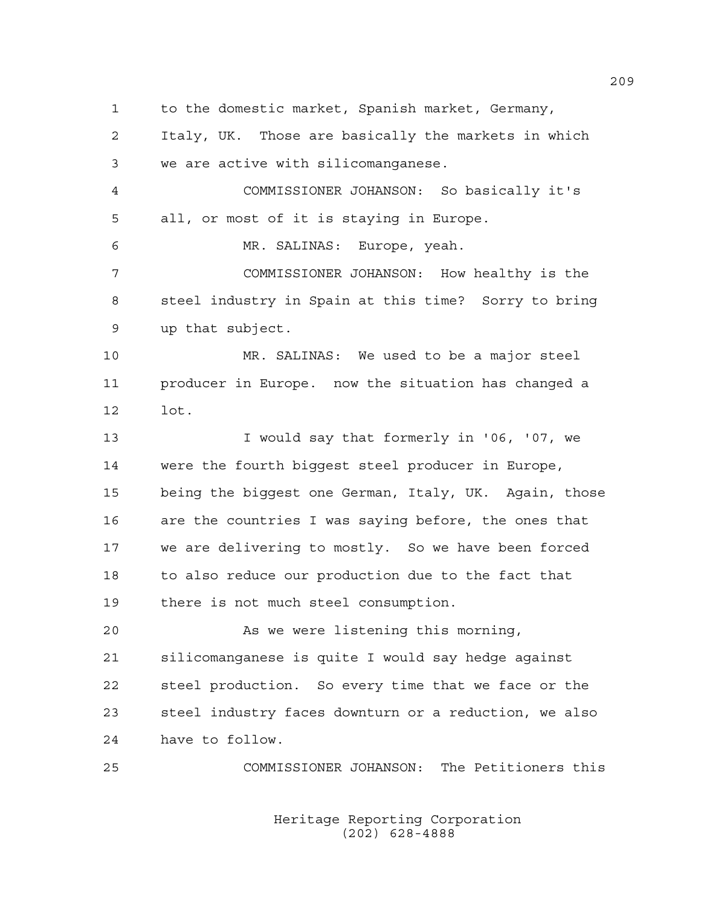1 to the domestic market, Spanish market, Germany,

2 Italy, UK. Those are basically the markets in which 3 we are active with silicomanganese.

4 COMMISSIONER JOHANSON: So basically it's 5 all, or most of it is staying in Europe.

6 MR. SALINAS: Europe, yeah.

7 COMMISSIONER JOHANSON: How healthy is the 8 steel industry in Spain at this time? Sorry to bring 9 up that subject.

10 MR. SALINAS: We used to be a major steel 11 producer in Europe. now the situation has changed a 12 lot.

13 I would say that formerly in '06, '07, we 14 were the fourth biggest steel producer in Europe, 15 being the biggest one German, Italy, UK. Again, those 16 are the countries I was saying before, the ones that 17 we are delivering to mostly. So we have been forced 18 to also reduce our production due to the fact that 19 there is not much steel consumption.

20 As we were listening this morning, 21 silicomanganese is quite I would say hedge against 22 steel production. So every time that we face or the 23 steel industry faces downturn or a reduction, we also 24 have to follow.

25 COMMISSIONER JOHANSON: The Petitioners this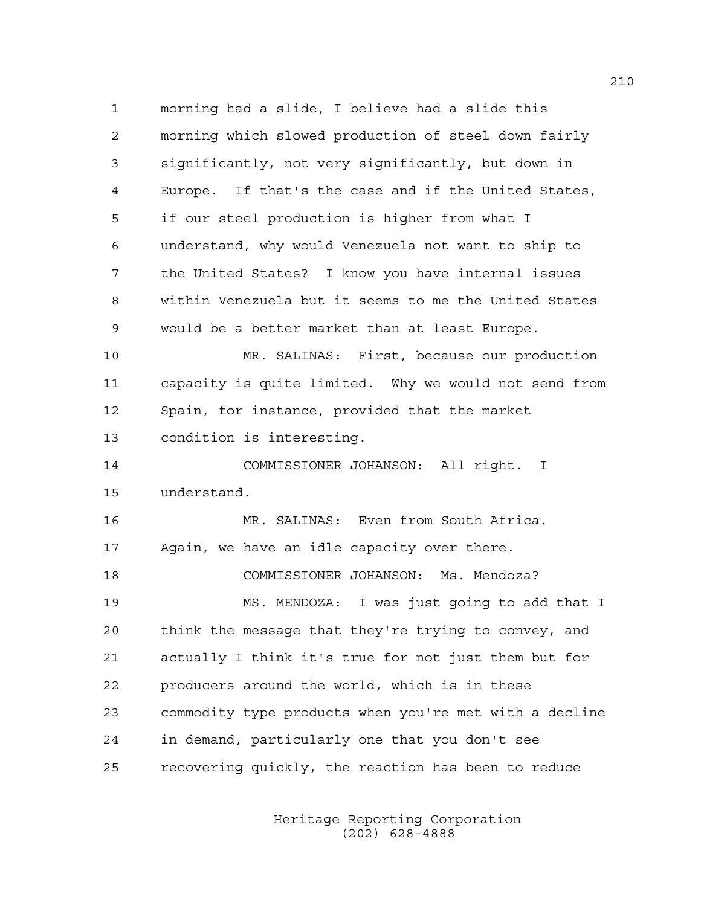1 morning had a slide, I believe had a slide this 2 morning which slowed production of steel down fairly 3 significantly, not very significantly, but down in 4 Europe. If that's the case and if the United States, 5 if our steel production is higher from what I 6 understand, why would Venezuela not want to ship to 7 the United States? I know you have internal issues 8 within Venezuela but it seems to me the United States 9 would be a better market than at least Europe. 10 MR. SALINAS: First, because our production 11 capacity is quite limited. Why we would not send from 12 Spain, for instance, provided that the market 13 condition is interesting. 14 COMMISSIONER JOHANSON: All right. I 15 understand. 16 MR. SALINAS: Even from South Africa. 17 Again, we have an idle capacity over there. 18 COMMISSIONER JOHANSON: Ms. Mendoza? 19 MS. MENDOZA: I was just going to add that I 20 think the message that they're trying to convey, and 21 actually I think it's true for not just them but for 22 producers around the world, which is in these 23 commodity type products when you're met with a decline 24 in demand, particularly one that you don't see 25 recovering quickly, the reaction has been to reduce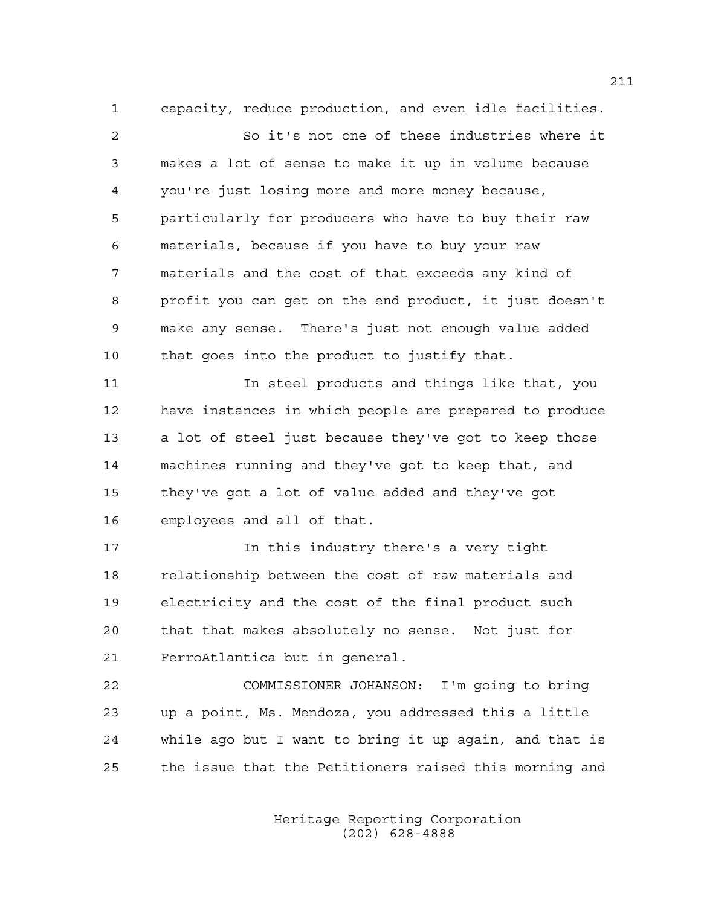1 capacity, reduce production, and even idle facilities.

2 So it's not one of these industries where it 3 makes a lot of sense to make it up in volume because 4 you're just losing more and more money because, 5 particularly for producers who have to buy their raw 6 materials, because if you have to buy your raw 7 materials and the cost of that exceeds any kind of 8 profit you can get on the end product, it just doesn't 9 make any sense. There's just not enough value added 10 that goes into the product to justify that.

11 In steel products and things like that, you 12 have instances in which people are prepared to produce 13 a lot of steel just because they've got to keep those 14 machines running and they've got to keep that, and 15 they've got a lot of value added and they've got 16 employees and all of that.

17 17 In this industry there's a very tight 18 relationship between the cost of raw materials and 19 electricity and the cost of the final product such 20 that that makes absolutely no sense. Not just for 21 FerroAtlantica but in general.

22 COMMISSIONER JOHANSON: I'm going to bring 23 up a point, Ms. Mendoza, you addressed this a little 24 while ago but I want to bring it up again, and that is 25 the issue that the Petitioners raised this morning and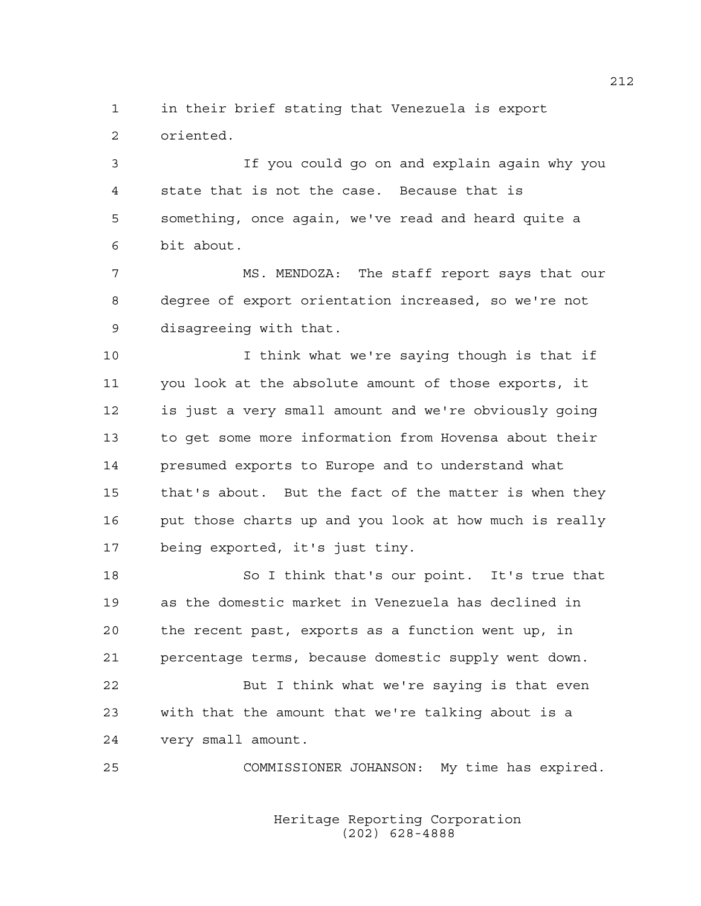1 in their brief stating that Venezuela is export 2 oriented.

3 If you could go on and explain again why you 4 state that is not the case. Because that is 5 something, once again, we've read and heard quite a 6 bit about.

7 MS. MENDOZA: The staff report says that our 8 degree of export orientation increased, so we're not 9 disagreeing with that.

10 I think what we're saying though is that if 11 you look at the absolute amount of those exports, it 12 is just a very small amount and we're obviously going 13 to get some more information from Hovensa about their 14 presumed exports to Europe and to understand what 15 that's about. But the fact of the matter is when they 16 put those charts up and you look at how much is really 17 being exported, it's just tiny.

18 So I think that's our point. It's true that 19 as the domestic market in Venezuela has declined in 20 the recent past, exports as a function went up, in 21 percentage terms, because domestic supply went down. 22 But I think what we're saying is that even

23 with that the amount that we're talking about is a 24 very small amount.

25 COMMISSIONER JOHANSON: My time has expired.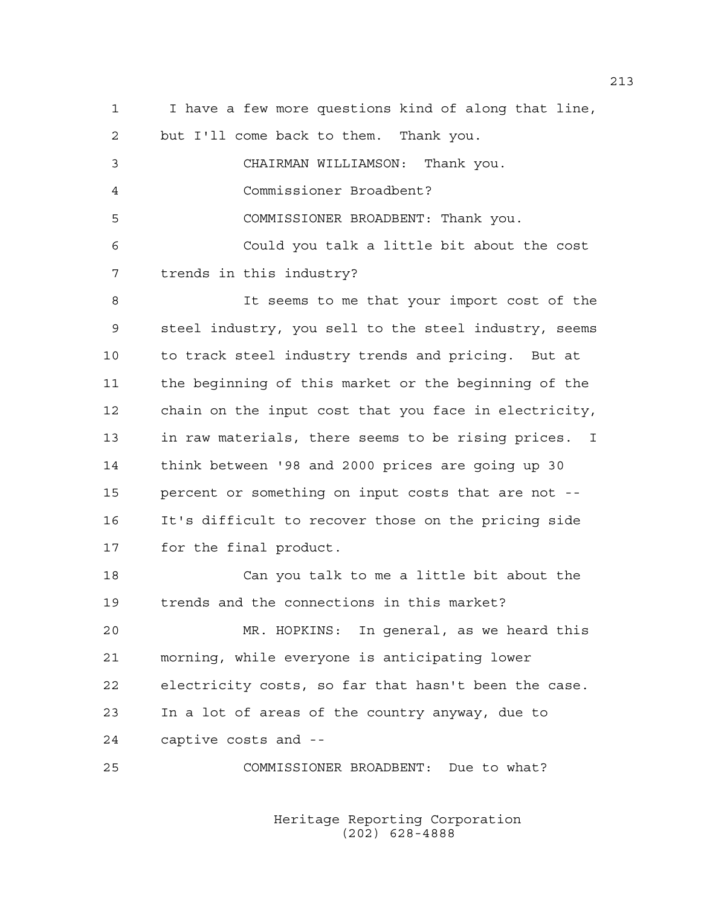1 I have a few more questions kind of along that line, 2 but I'll come back to them. Thank you. 3 CHAIRMAN WILLIAMSON: Thank you. 4 Commissioner Broadbent? 5 COMMISSIONER BROADBENT: Thank you. 6 Could you talk a little bit about the cost 7 trends in this industry? 8 It seems to me that your import cost of the 9 steel industry, you sell to the steel industry, seems 10 to track steel industry trends and pricing. But at 11 the beginning of this market or the beginning of the 12 chain on the input cost that you face in electricity, 13 in raw materials, there seems to be rising prices. I 14 think between '98 and 2000 prices are going up 30 15 percent or something on input costs that are not -- 16 It's difficult to recover those on the pricing side 17 for the final product. 18 Can you talk to me a little bit about the 19 trends and the connections in this market? 20 MR. HOPKINS: In general, as we heard this 21 morning, while everyone is anticipating lower 22 electricity costs, so far that hasn't been the case. 23 In a lot of areas of the country anyway, due to 24 captive costs and -- 25 COMMISSIONER BROADBENT: Due to what?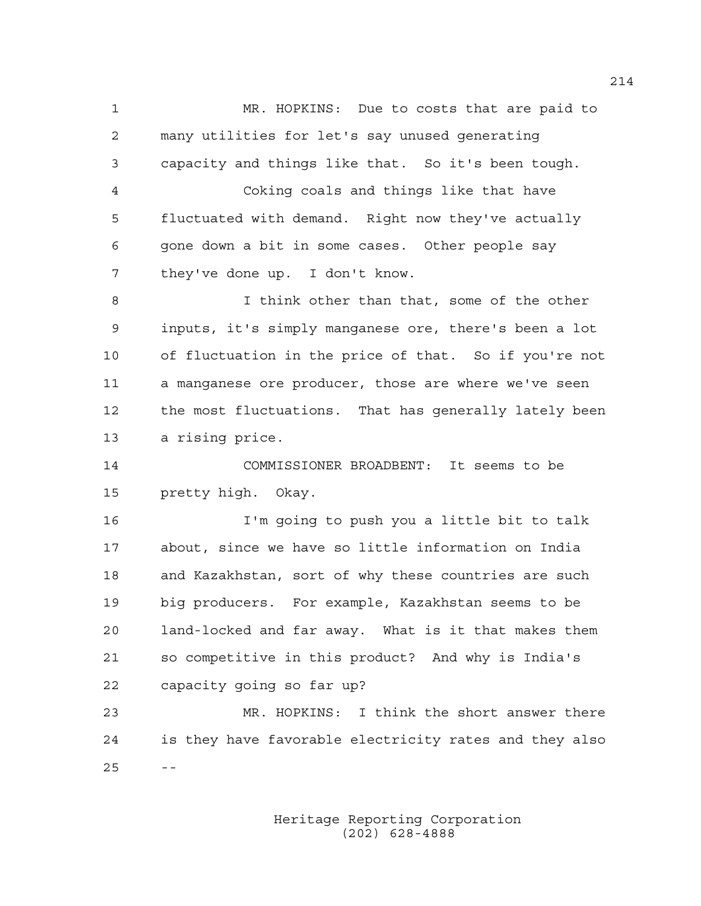1 MR. HOPKINS: Due to costs that are paid to 2 many utilities for let's say unused generating 3 capacity and things like that. So it's been tough. 4 Coking coals and things like that have 5 fluctuated with demand. Right now they've actually 6 gone down a bit in some cases. Other people say 7 they've done up. I don't know. 8 I think other than that, some of the other 9 inputs, it's simply manganese ore, there's been a lot 10 of fluctuation in the price of that. So if you're not 11 a manganese ore producer, those are where we've seen 12 the most fluctuations. That has generally lately been 13 a rising price.

14 COMMISSIONER BROADBENT: It seems to be 15 pretty high. Okay.

16 I'm going to push you a little bit to talk 17 about, since we have so little information on India 18 and Kazakhstan, sort of why these countries are such 19 big producers. For example, Kazakhstan seems to be 20 land-locked and far away. What is it that makes them 21 so competitive in this product? And why is India's 22 capacity going so far up?

23 MR. HOPKINS: I think the short answer there 24 is they have favorable electricity rates and they also  $25 - -$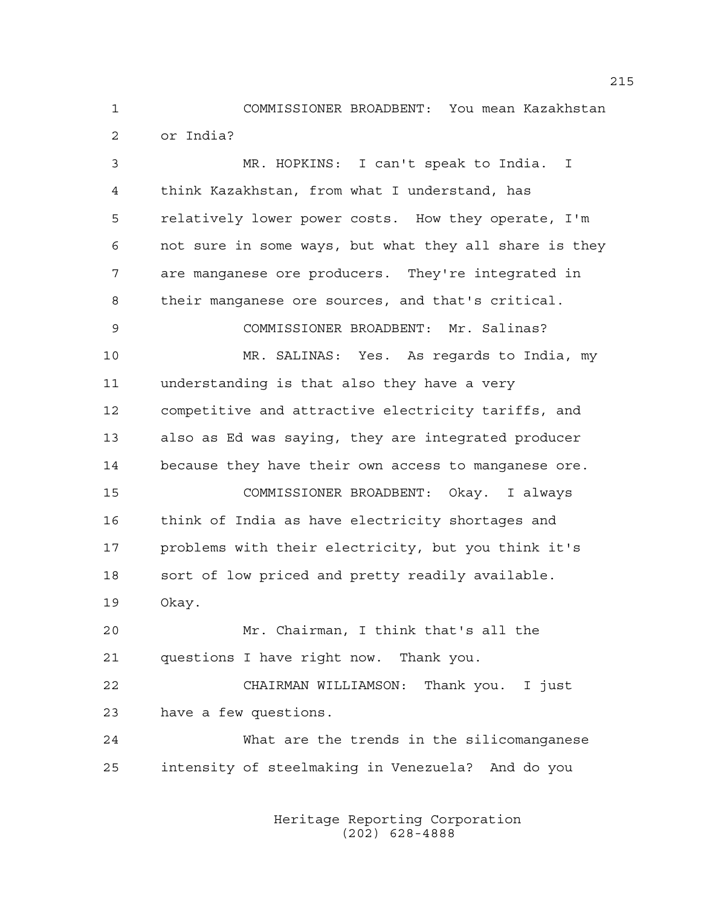1 COMMISSIONER BROADBENT: You mean Kazakhstan 2 or India?

3 MR. HOPKINS: I can't speak to India. I 4 think Kazakhstan, from what I understand, has 5 relatively lower power costs. How they operate, I'm 6 not sure in some ways, but what they all share is they 7 are manganese ore producers. They're integrated in 8 their manganese ore sources, and that's critical. 9 COMMISSIONER BROADBENT: Mr. Salinas? 10 MR. SALINAS: Yes. As regards to India, my 11 understanding is that also they have a very 12 competitive and attractive electricity tariffs, and 13 also as Ed was saying, they are integrated producer 14 because they have their own access to manganese ore. 15 COMMISSIONER BROADBENT: Okay. I always 16 think of India as have electricity shortages and 17 problems with their electricity, but you think it's 18 sort of low priced and pretty readily available. 19 Okay. 20 Mr. Chairman, I think that's all the 21 questions I have right now. Thank you. 22 CHAIRMAN WILLIAMSON: Thank you. I just 23 have a few questions. 24 What are the trends in the silicomanganese 25 intensity of steelmaking in Venezuela? And do you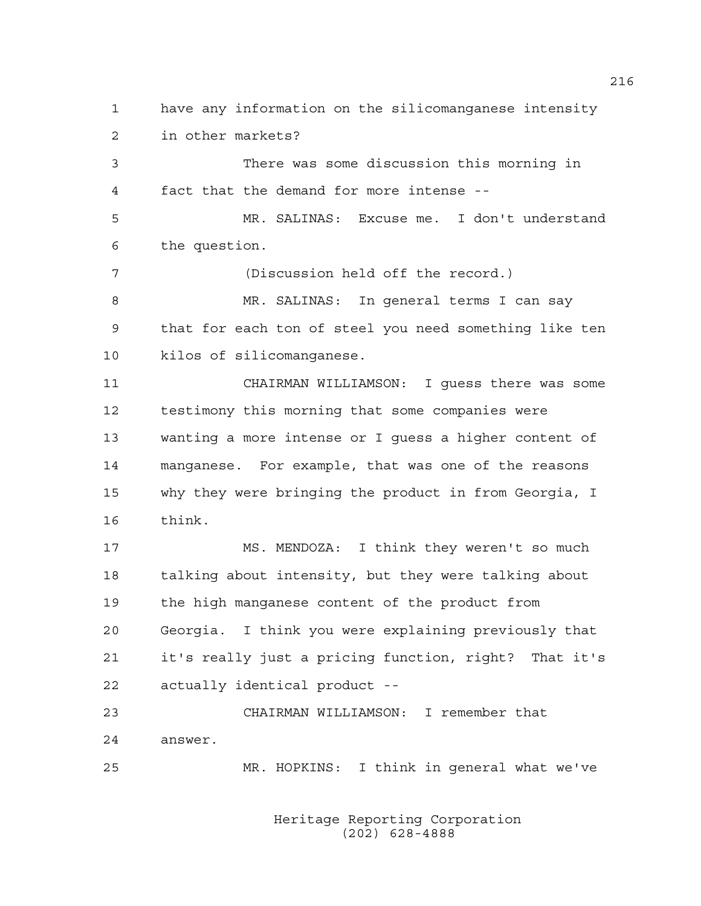1 have any information on the silicomanganese intensity 2 in other markets?

3 There was some discussion this morning in 4 fact that the demand for more intense --

5 MR. SALINAS: Excuse me. I don't understand 6 the question.

7 (Discussion held off the record.) 8 MR. SALINAS: In general terms I can say 9 that for each ton of steel you need something like ten 10 kilos of silicomanganese.

11 CHAIRMAN WILLIAMSON: I guess there was some 12 testimony this morning that some companies were 13 wanting a more intense or I guess a higher content of 14 manganese. For example, that was one of the reasons 15 why they were bringing the product in from Georgia, I 16 think.

17 MS. MENDOZA: I think they weren't so much 18 talking about intensity, but they were talking about 19 the high manganese content of the product from 20 Georgia. I think you were explaining previously that 21 it's really just a pricing function, right? That it's 22 actually identical product --

23 CHAIRMAN WILLIAMSON: I remember that 24 answer.

25 MR. HOPKINS: I think in general what we've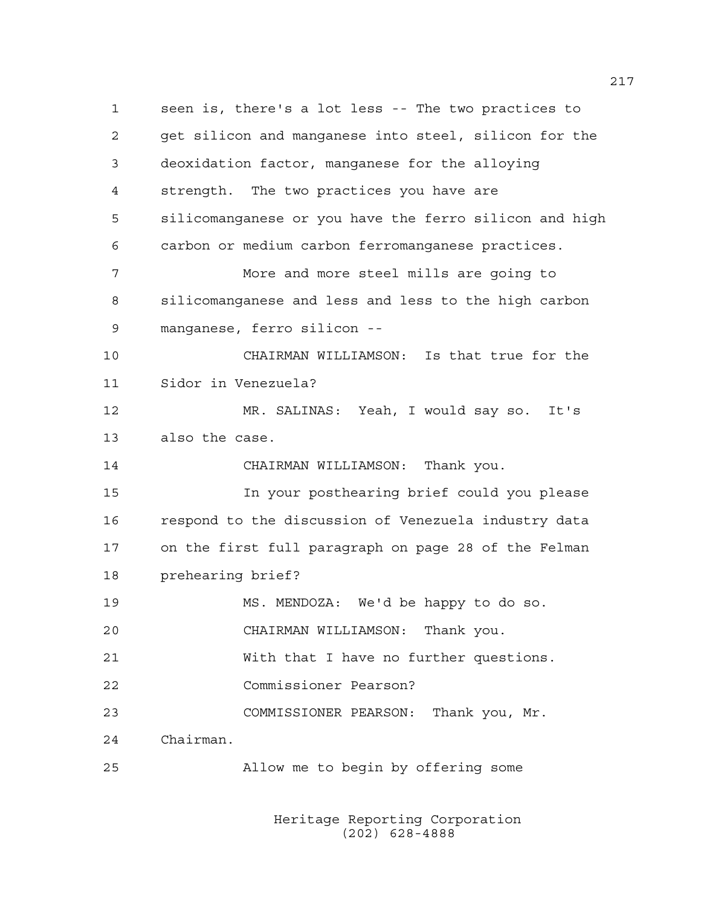1 seen is, there's a lot less -- The two practices to 2 get silicon and manganese into steel, silicon for the 3 deoxidation factor, manganese for the alloying 4 strength. The two practices you have are 5 silicomanganese or you have the ferro silicon and high 6 carbon or medium carbon ferromanganese practices. 7 More and more steel mills are going to 8 silicomanganese and less and less to the high carbon 9 manganese, ferro silicon -- 10 CHAIRMAN WILLIAMSON: Is that true for the 11 Sidor in Venezuela? 12 MR. SALINAS: Yeah, I would say so. It's 13 also the case. 14 CHAIRMAN WILLIAMSON: Thank you. 15 In your posthearing brief could you please 16 respond to the discussion of Venezuela industry data 17 on the first full paragraph on page 28 of the Felman 18 prehearing brief? 19 MS. MENDOZA: We'd be happy to do so. 20 CHAIRMAN WILLIAMSON: Thank you. 21 With that I have no further questions. 22 Commissioner Pearson? 23 COMMISSIONER PEARSON: Thank you, Mr. 24 Chairman. 25 Allow me to begin by offering some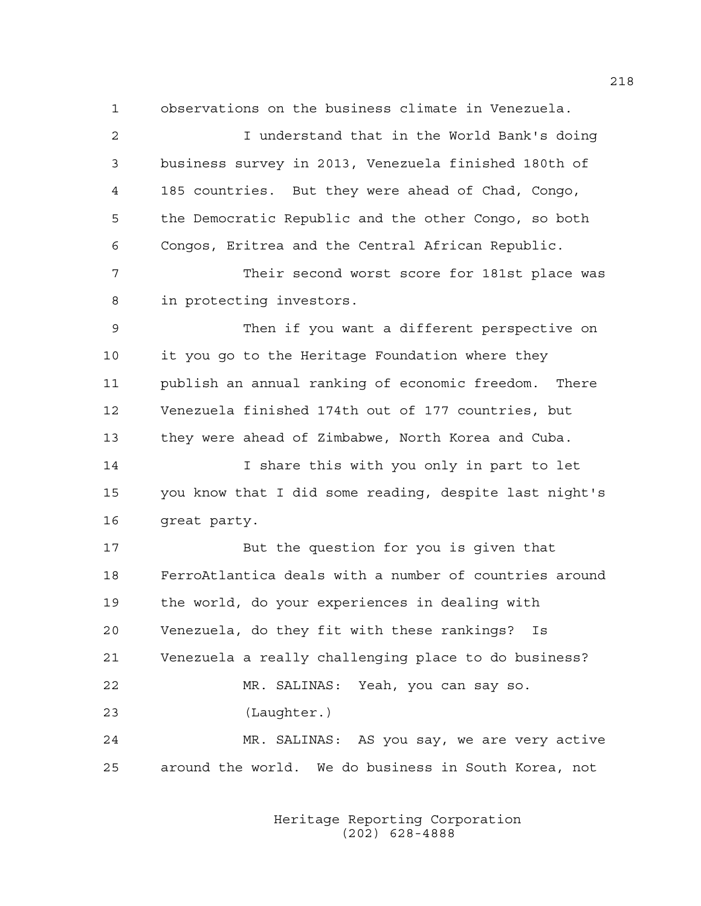1 observations on the business climate in Venezuela.

| 2  | I understand that in the World Bank's doing            |
|----|--------------------------------------------------------|
| 3  | business survey in 2013, Venezuela finished 180th of   |
| 4  | 185 countries. But they were ahead of Chad, Congo,     |
| 5  | the Democratic Republic and the other Congo, so both   |
| 6  | Congos, Eritrea and the Central African Republic.      |
| 7  | Their second worst score for 181st place was           |
| 8  | in protecting investors.                               |
| 9  | Then if you want a different perspective on            |
| 10 | it you go to the Heritage Foundation where they        |
| 11 | publish an annual ranking of economic freedom. There   |
| 12 | Venezuela finished 174th out of 177 countries, but     |
|    |                                                        |
| 13 | they were ahead of Zimbabwe, North Korea and Cuba.     |
| 14 | I share this with you only in part to let              |
| 15 | you know that I did some reading, despite last night's |
| 16 | great party.                                           |
| 17 | But the question for you is given that                 |
| 18 | FerroAtlantica deals with a number of countries around |
| 19 | the world, do your experiences in dealing with         |
| 20 | Venezuela, do they fit with these rankings? Is         |
| 21 | Venezuela a really challenging place to do business?   |
| 22 | MR. SALINAS: Yeah, you can say so.                     |
| 23 | (Laughter.)                                            |
| 24 | MR. SALINAS: AS you say, we are very active            |
| 25 | around the world. We do business in South Korea, not   |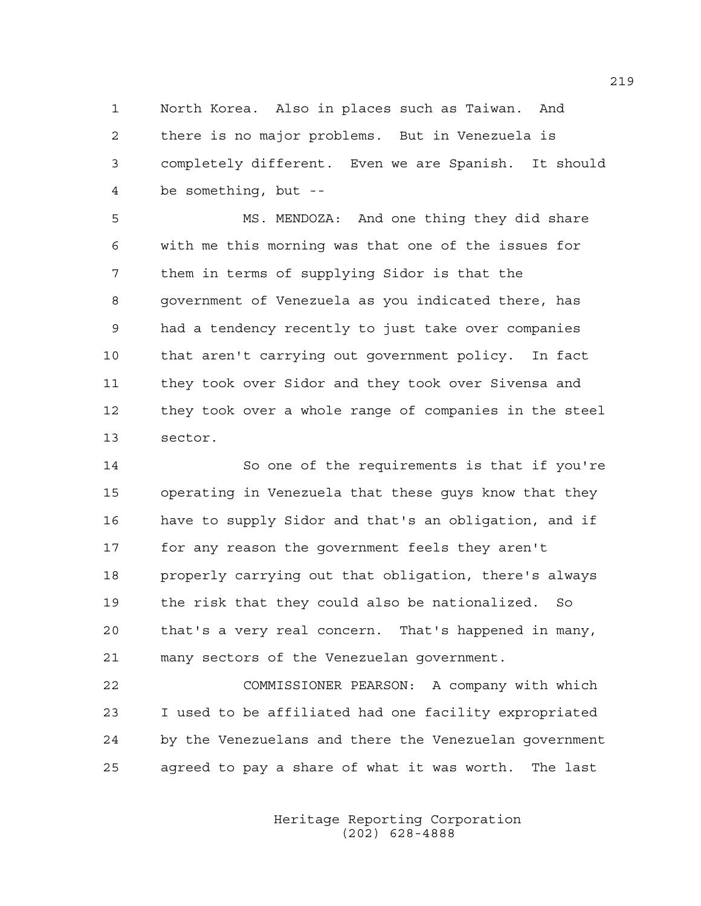1 North Korea. Also in places such as Taiwan. And 2 there is no major problems. But in Venezuela is 3 completely different. Even we are Spanish. It should 4 be something, but --

5 MS. MENDOZA: And one thing they did share 6 with me this morning was that one of the issues for 7 them in terms of supplying Sidor is that the 8 government of Venezuela as you indicated there, has 9 had a tendency recently to just take over companies 10 that aren't carrying out government policy. In fact 11 they took over Sidor and they took over Sivensa and 12 they took over a whole range of companies in the steel 13 sector.

14 So one of the requirements is that if you're 15 operating in Venezuela that these guys know that they 16 have to supply Sidor and that's an obligation, and if 17 for any reason the government feels they aren't 18 properly carrying out that obligation, there's always 19 the risk that they could also be nationalized. So 20 that's a very real concern. That's happened in many, 21 many sectors of the Venezuelan government.

22 COMMISSIONER PEARSON: A company with which 23 I used to be affiliated had one facility expropriated 24 by the Venezuelans and there the Venezuelan government 25 agreed to pay a share of what it was worth. The last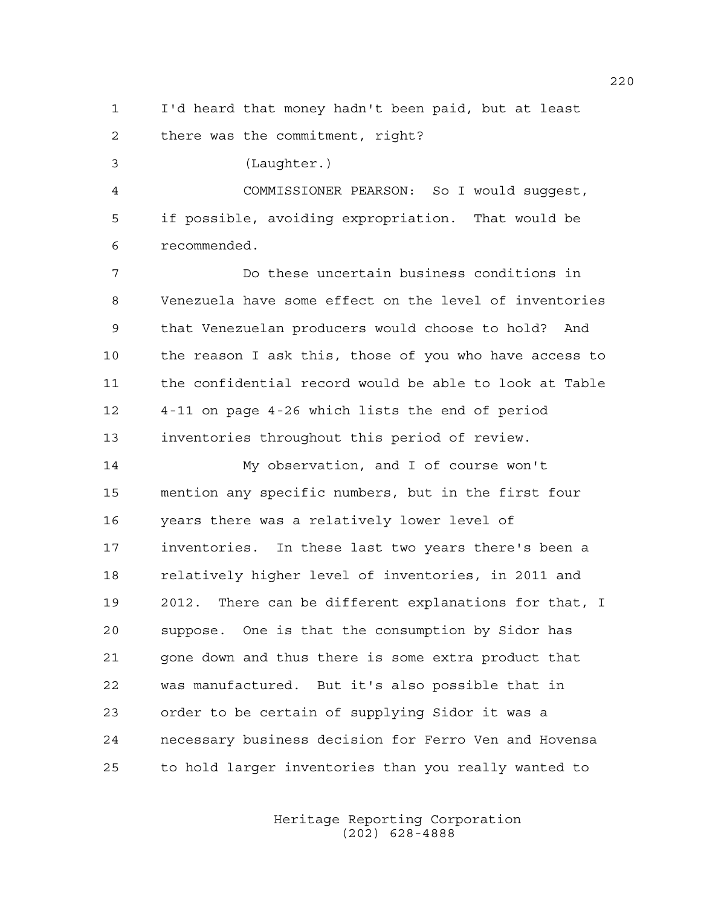1 I'd heard that money hadn't been paid, but at least 2 there was the commitment, right?

3 (Laughter.)

4 COMMISSIONER PEARSON: So I would suggest, 5 if possible, avoiding expropriation. That would be 6 recommended.

7 Do these uncertain business conditions in 8 Venezuela have some effect on the level of inventories 9 that Venezuelan producers would choose to hold? And 10 the reason I ask this, those of you who have access to 11 the confidential record would be able to look at Table 12 4-11 on page 4-26 which lists the end of period 13 inventories throughout this period of review.

14 My observation, and I of course won't 15 mention any specific numbers, but in the first four 16 years there was a relatively lower level of 17 inventories. In these last two years there's been a 18 relatively higher level of inventories, in 2011 and 19 2012. There can be different explanations for that, I 20 suppose. One is that the consumption by Sidor has 21 gone down and thus there is some extra product that 22 was manufactured. But it's also possible that in 23 order to be certain of supplying Sidor it was a 24 necessary business decision for Ferro Ven and Hovensa 25 to hold larger inventories than you really wanted to

> Heritage Reporting Corporation (202) 628-4888

220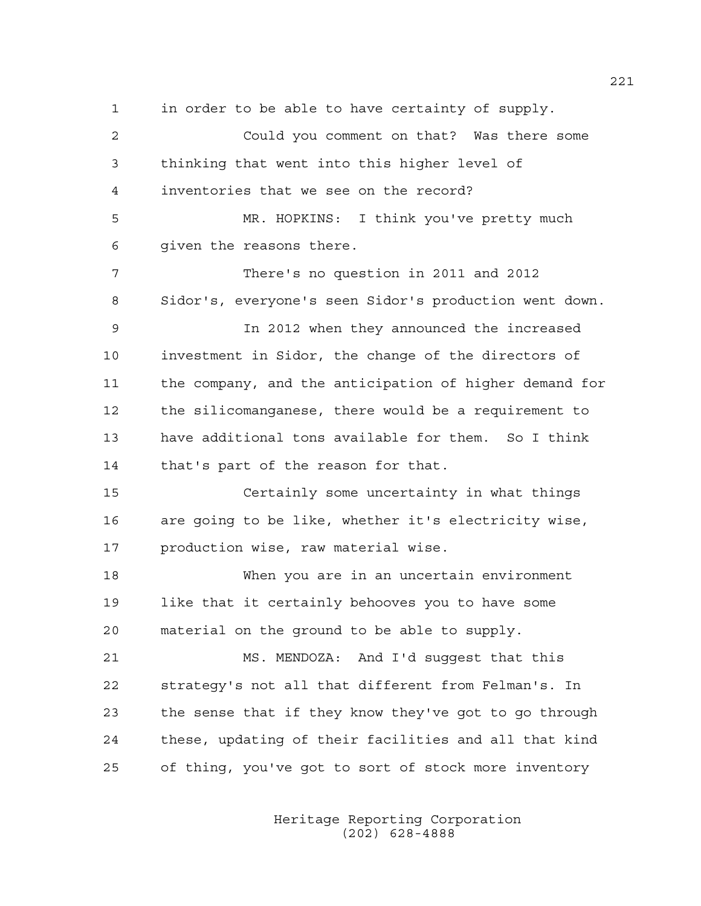1 in order to be able to have certainty of supply. 2 Could you comment on that? Was there some 3 thinking that went into this higher level of 4 inventories that we see on the record? 5 MR. HOPKINS: I think you've pretty much 6 given the reasons there. 7 There's no question in 2011 and 2012 8 Sidor's, everyone's seen Sidor's production went down. 9 In 2012 when they announced the increased 10 investment in Sidor, the change of the directors of 11 the company, and the anticipation of higher demand for 12 the silicomanganese, there would be a requirement to 13 have additional tons available for them. So I think 14 that's part of the reason for that. 15 Certainly some uncertainty in what things 16 are going to be like, whether it's electricity wise, 17 production wise, raw material wise. 18 When you are in an uncertain environment 19 like that it certainly behooves you to have some 20 material on the ground to be able to supply. 21 MS. MENDOZA: And I'd suggest that this 22 strategy's not all that different from Felman's. In 23 the sense that if they know they've got to go through 24 these, updating of their facilities and all that kind 25 of thing, you've got to sort of stock more inventory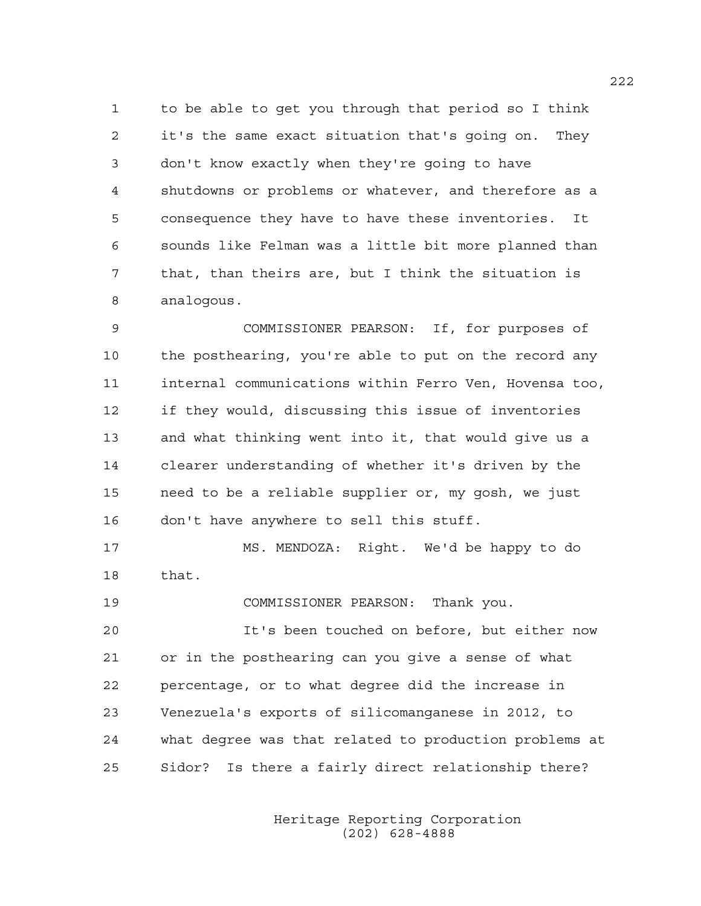1 to be able to get you through that period so I think 2 it's the same exact situation that's going on. They 3 don't know exactly when they're going to have 4 shutdowns or problems or whatever, and therefore as a 5 consequence they have to have these inventories. It 6 sounds like Felman was a little bit more planned than 7 that, than theirs are, but I think the situation is 8 analogous.

9 COMMISSIONER PEARSON: If, for purposes of 10 the posthearing, you're able to put on the record any 11 internal communications within Ferro Ven, Hovensa too, 12 if they would, discussing this issue of inventories 13 and what thinking went into it, that would give us a 14 clearer understanding of whether it's driven by the 15 need to be a reliable supplier or, my gosh, we just 16 don't have anywhere to sell this stuff.

17 MS. MENDOZA: Right. We'd be happy to do 18 that.

19 COMMISSIONER PEARSON: Thank you.

20 It's been touched on before, but either now 21 or in the posthearing can you give a sense of what 22 percentage, or to what degree did the increase in 23 Venezuela's exports of silicomanganese in 2012, to 24 what degree was that related to production problems at 25 Sidor? Is there a fairly direct relationship there?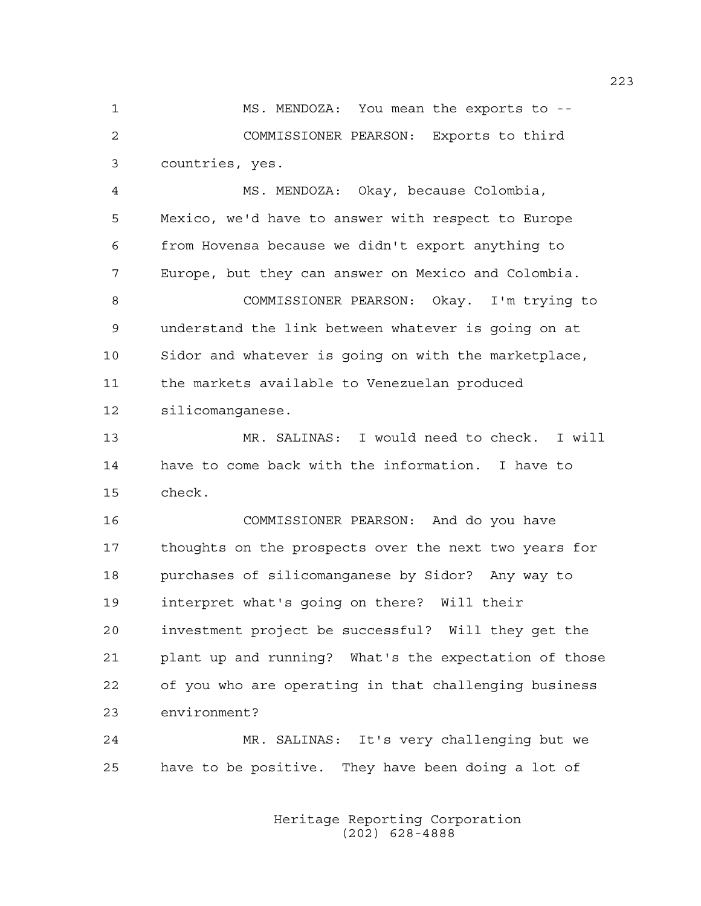1 MS. MENDOZA: You mean the exports to -- 2 COMMISSIONER PEARSON: Exports to third 3 countries, yes.

4 MS. MENDOZA: Okay, because Colombia, 5 Mexico, we'd have to answer with respect to Europe 6 from Hovensa because we didn't export anything to 7 Europe, but they can answer on Mexico and Colombia.

8 COMMISSIONER PEARSON: Okay. I'm trying to 9 understand the link between whatever is going on at 10 Sidor and whatever is going on with the marketplace, 11 the markets available to Venezuelan produced 12 silicomanganese.

13 MR. SALINAS: I would need to check. I will 14 have to come back with the information. I have to 15 check.

16 COMMISSIONER PEARSON: And do you have 17 thoughts on the prospects over the next two years for 18 purchases of silicomanganese by Sidor? Any way to 19 interpret what's going on there? Will their 20 investment project be successful? Will they get the 21 plant up and running? What's the expectation of those 22 of you who are operating in that challenging business 23 environment?

24 MR. SALINAS: It's very challenging but we 25 have to be positive. They have been doing a lot of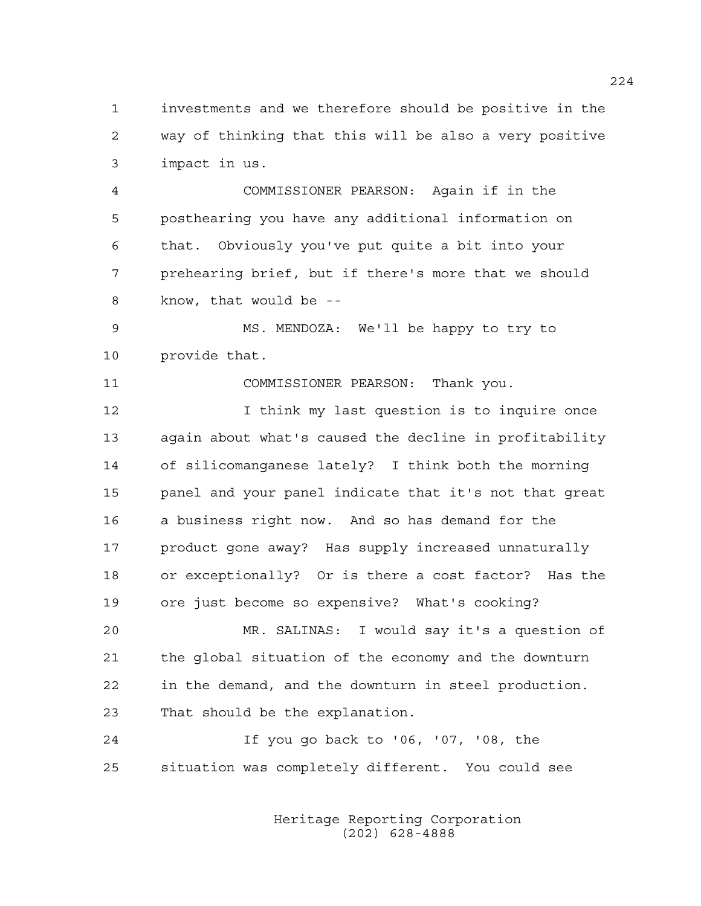1 investments and we therefore should be positive in the 2 way of thinking that this will be also a very positive 3 impact in us.

4 COMMISSIONER PEARSON: Again if in the 5 posthearing you have any additional information on 6 that. Obviously you've put quite a bit into your 7 prehearing brief, but if there's more that we should 8 know, that would be --

9 MS. MENDOZA: We'll be happy to try to 10 provide that.

11 COMMISSIONER PEARSON: Thank you.

12 I think my last question is to inquire once 13 again about what's caused the decline in profitability 14 of silicomanganese lately? I think both the morning 15 panel and your panel indicate that it's not that great 16 a business right now. And so has demand for the 17 product gone away? Has supply increased unnaturally 18 or exceptionally? Or is there a cost factor? Has the 19 ore just become so expensive? What's cooking?

20 MR. SALINAS: I would say it's a question of 21 the global situation of the economy and the downturn 22 in the demand, and the downturn in steel production. 23 That should be the explanation.

24 If you go back to '06, '07, '08, the 25 situation was completely different. You could see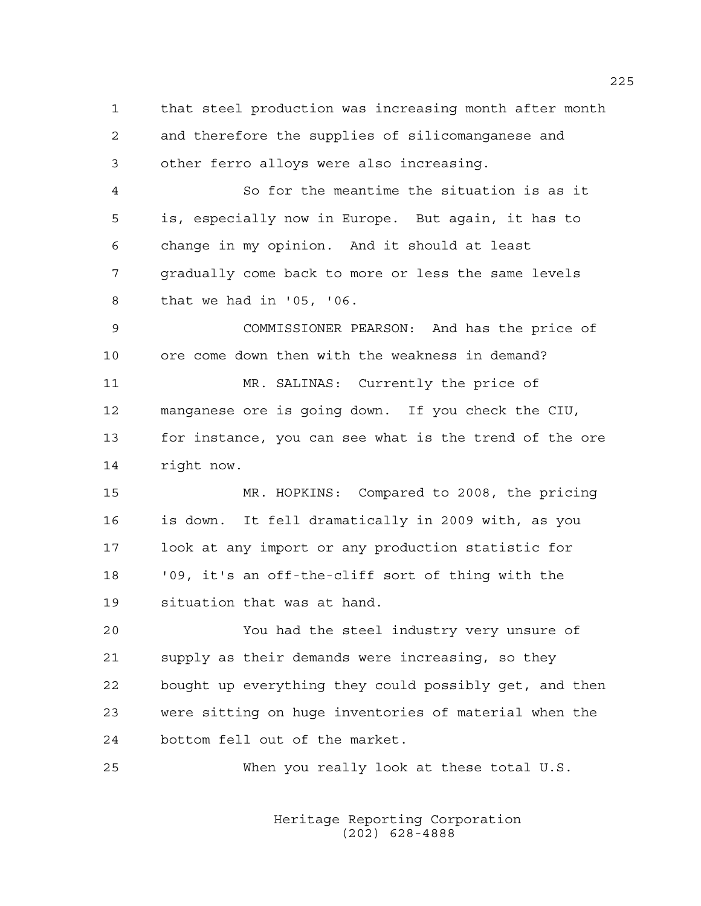1 that steel production was increasing month after month 2 and therefore the supplies of silicomanganese and 3 other ferro alloys were also increasing. 4 So for the meantime the situation is as it 5 is, especially now in Europe. But again, it has to 6 change in my opinion. And it should at least 7 gradually come back to more or less the same levels 8 that we had in '05, '06. 9 COMMISSIONER PEARSON: And has the price of 10 ore come down then with the weakness in demand? 11 MR. SALINAS: Currently the price of 12 manganese ore is going down. If you check the CIU, 13 for instance, you can see what is the trend of the ore 14 right now. 15 MR. HOPKINS: Compared to 2008, the pricing 16 is down. It fell dramatically in 2009 with, as you 17 look at any import or any production statistic for 18 '09, it's an off-the-cliff sort of thing with the 19 situation that was at hand. 20 You had the steel industry very unsure of 21 supply as their demands were increasing, so they 22 bought up everything they could possibly get, and then 23 were sitting on huge inventories of material when the 24 bottom fell out of the market. 25 When you really look at these total U.S.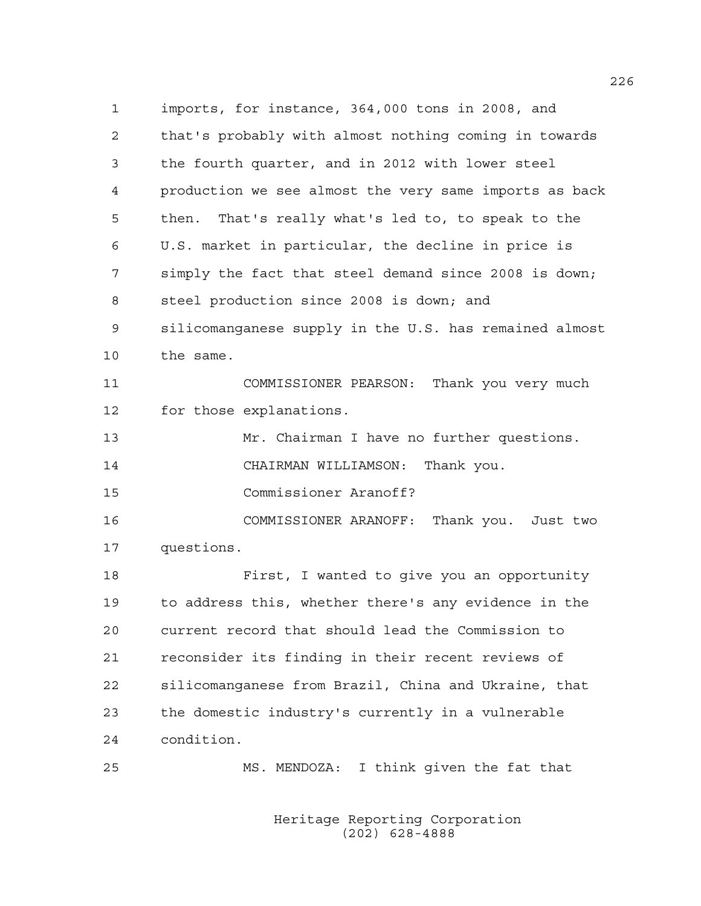1 imports, for instance, 364,000 tons in 2008, and 2 that's probably with almost nothing coming in towards 3 the fourth quarter, and in 2012 with lower steel 4 production we see almost the very same imports as back 5 then. That's really what's led to, to speak to the 6 U.S. market in particular, the decline in price is 7 simply the fact that steel demand since 2008 is down; 8 steel production since 2008 is down; and 9 silicomanganese supply in the U.S. has remained almost 10 the same. 11 COMMISSIONER PEARSON: Thank you very much 12 for those explanations. 13 Mr. Chairman I have no further questions. 14 CHAIRMAN WILLIAMSON: Thank you. 15 Commissioner Aranoff? 16 COMMISSIONER ARANOFF: Thank you. Just two 17 questions. 18 First, I wanted to give you an opportunity 19 to address this, whether there's any evidence in the 20 current record that should lead the Commission to 21 reconsider its finding in their recent reviews of 22 silicomanganese from Brazil, China and Ukraine, that 23 the domestic industry's currently in a vulnerable 24 condition. 25 MS. MENDOZA: I think given the fat that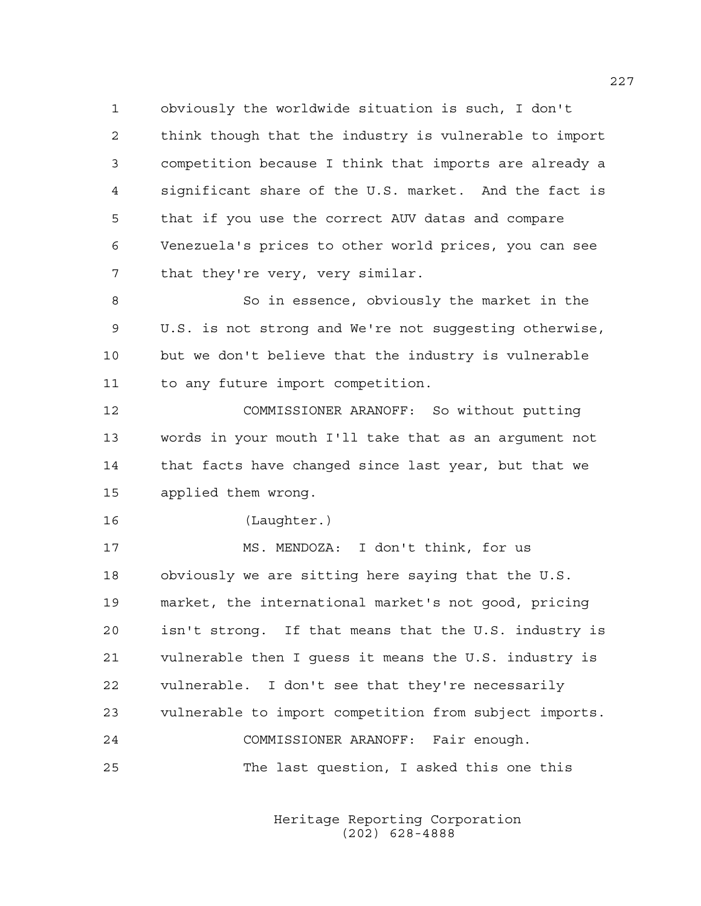1 obviously the worldwide situation is such, I don't 2 think though that the industry is vulnerable to import 3 competition because I think that imports are already a 4 significant share of the U.S. market. And the fact is 5 that if you use the correct AUV datas and compare 6 Venezuela's prices to other world prices, you can see 7 that they're very, very similar.

8 So in essence, obviously the market in the 9 U.S. is not strong and We're not suggesting otherwise, 10 but we don't believe that the industry is vulnerable 11 to any future import competition.

12 COMMISSIONER ARANOFF: So without putting 13 words in your mouth I'll take that as an argument not 14 that facts have changed since last year, but that we 15 applied them wrong.

16 (Laughter.)

17 MS. MENDOZA: I don't think, for us 18 obviously we are sitting here saying that the U.S. 19 market, the international market's not good, pricing 20 isn't strong. If that means that the U.S. industry is 21 vulnerable then I guess it means the U.S. industry is 22 vulnerable. I don't see that they're necessarily 23 vulnerable to import competition from subject imports. 24 COMMISSIONER ARANOFF: Fair enough. 25 The last question, I asked this one this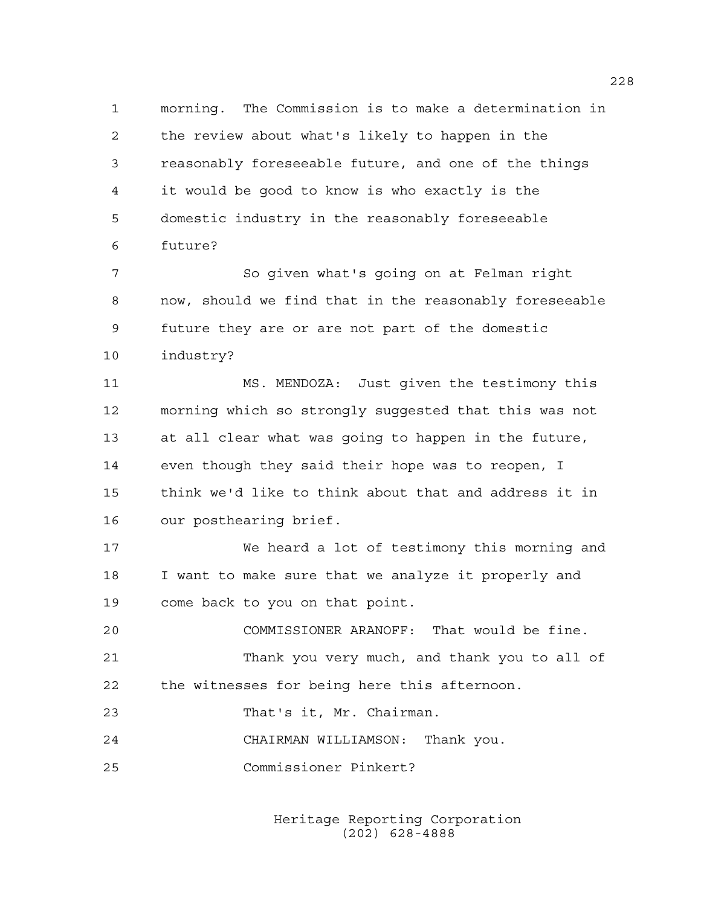1 morning. The Commission is to make a determination in 2 the review about what's likely to happen in the 3 reasonably foreseeable future, and one of the things 4 it would be good to know is who exactly is the 5 domestic industry in the reasonably foreseeable 6 future?

7 So given what's going on at Felman right 8 now, should we find that in the reasonably foreseeable 9 future they are or are not part of the domestic 10 industry?

11 MS. MENDOZA: Just given the testimony this 12 morning which so strongly suggested that this was not 13 at all clear what was going to happen in the future, 14 even though they said their hope was to reopen, I 15 think we'd like to think about that and address it in 16 our posthearing brief.

17 We heard a lot of testimony this morning and 18 I want to make sure that we analyze it properly and 19 come back to you on that point.

20 COMMISSIONER ARANOFF: That would be fine. 21 Thank you very much, and thank you to all of 22 the witnesses for being here this afternoon.

23 That's it, Mr. Chairman.

24 CHAIRMAN WILLIAMSON: Thank you.

25 Commissioner Pinkert?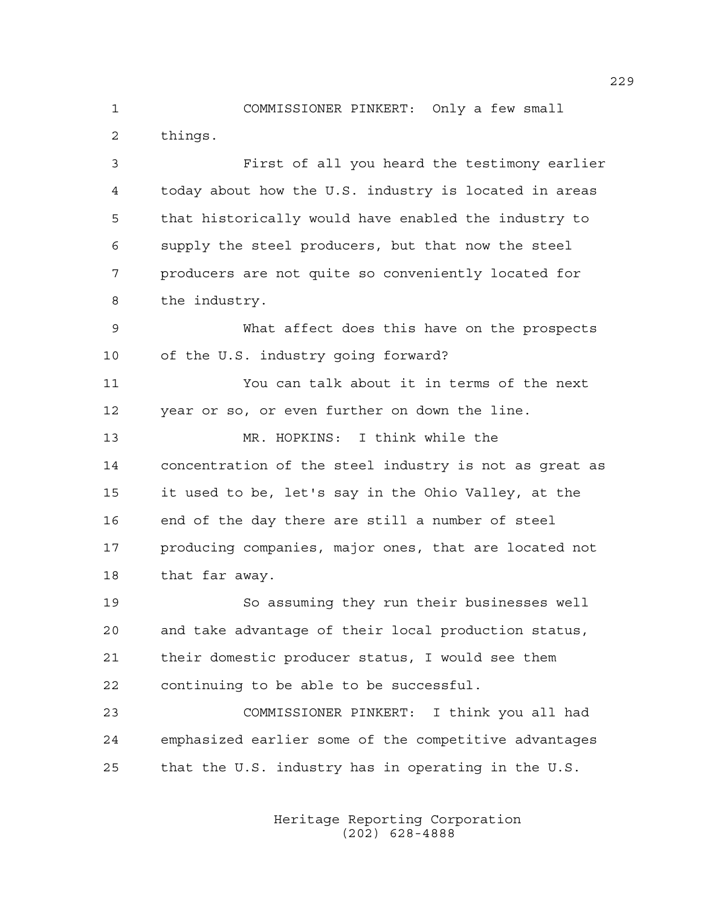1 COMMISSIONER PINKERT: Only a few small 2 things.

3 First of all you heard the testimony earlier 4 today about how the U.S. industry is located in areas 5 that historically would have enabled the industry to 6 supply the steel producers, but that now the steel 7 producers are not quite so conveniently located for 8 the industry. 9 What affect does this have on the prospects 10 of the U.S. industry going forward? 11 You can talk about it in terms of the next 12 year or so, or even further on down the line. 13 MR. HOPKINS: I think while the 14 concentration of the steel industry is not as great as 15 it used to be, let's say in the Ohio Valley, at the 16 end of the day there are still a number of steel 17 producing companies, major ones, that are located not 18 that far away.

19 So assuming they run their businesses well 20 and take advantage of their local production status, 21 their domestic producer status, I would see them 22 continuing to be able to be successful.

23 COMMISSIONER PINKERT: I think you all had 24 emphasized earlier some of the competitive advantages 25 that the U.S. industry has in operating in the U.S.

> Heritage Reporting Corporation (202) 628-4888

229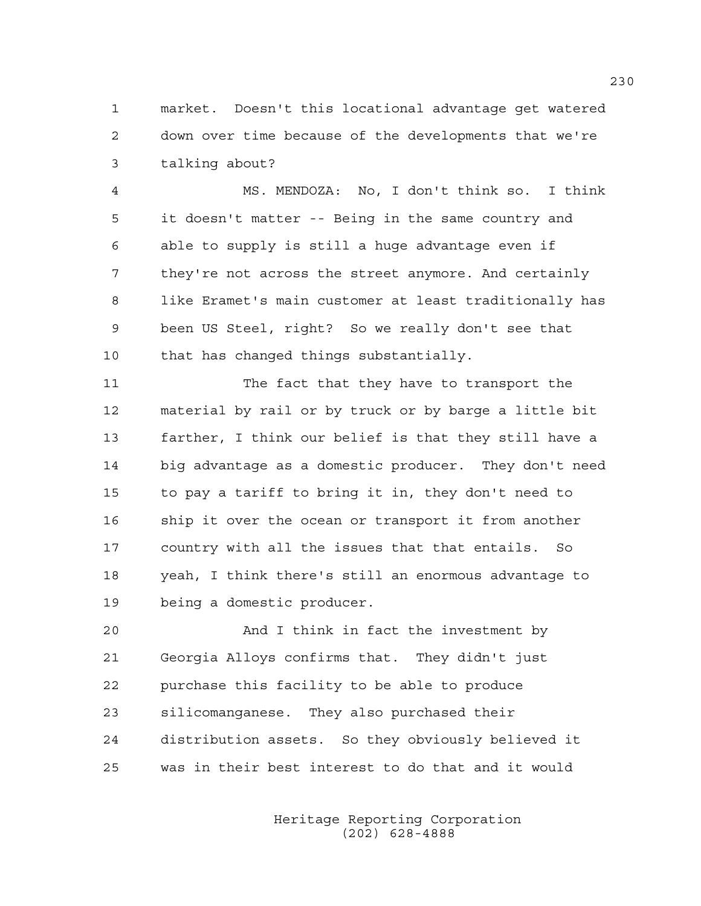1 market. Doesn't this locational advantage get watered 2 down over time because of the developments that we're 3 talking about?

4 MS. MENDOZA: No, I don't think so. I think 5 it doesn't matter -- Being in the same country and 6 able to supply is still a huge advantage even if 7 they're not across the street anymore. And certainly 8 like Eramet's main customer at least traditionally has 9 been US Steel, right? So we really don't see that 10 that has changed things substantially.

11 The fact that they have to transport the 12 material by rail or by truck or by barge a little bit 13 farther, I think our belief is that they still have a 14 big advantage as a domestic producer. They don't need 15 to pay a tariff to bring it in, they don't need to 16 ship it over the ocean or transport it from another 17 country with all the issues that that entails. So 18 yeah, I think there's still an enormous advantage to 19 being a domestic producer.

20 And I think in fact the investment by 21 Georgia Alloys confirms that. They didn't just 22 purchase this facility to be able to produce 23 silicomanganese. They also purchased their 24 distribution assets. So they obviously believed it 25 was in their best interest to do that and it would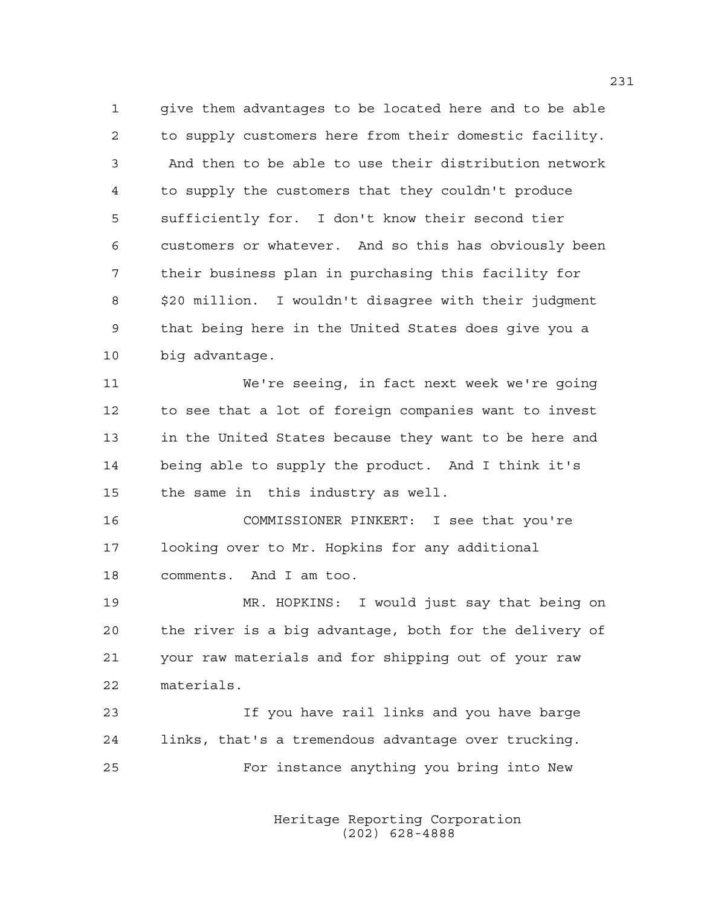1 give them advantages to be located here and to be able 2 to supply customers here from their domestic facility. 3 And then to be able to use their distribution network 4 to supply the customers that they couldn't produce 5 sufficiently for. I don't know their second tier 6 customers or whatever. And so this has obviously been 7 their business plan in purchasing this facility for 8 \$20 million. I wouldn't disagree with their judgment 9 that being here in the United States does give you a 10 big advantage.

11 We're seeing, in fact next week we're going 12 to see that a lot of foreign companies want to invest 13 in the United States because they want to be here and 14 being able to supply the product. And I think it's 15 the same in this industry as well.

16 COMMISSIONER PINKERT: I see that you're 17 looking over to Mr. Hopkins for any additional 18 comments. And I am too.

19 MR. HOPKINS: I would just say that being on 20 the river is a big advantage, both for the delivery of 21 your raw materials and for shipping out of your raw 22 materials.

23 If you have rail links and you have barge 24 links, that's a tremendous advantage over trucking. 25 For instance anything you bring into New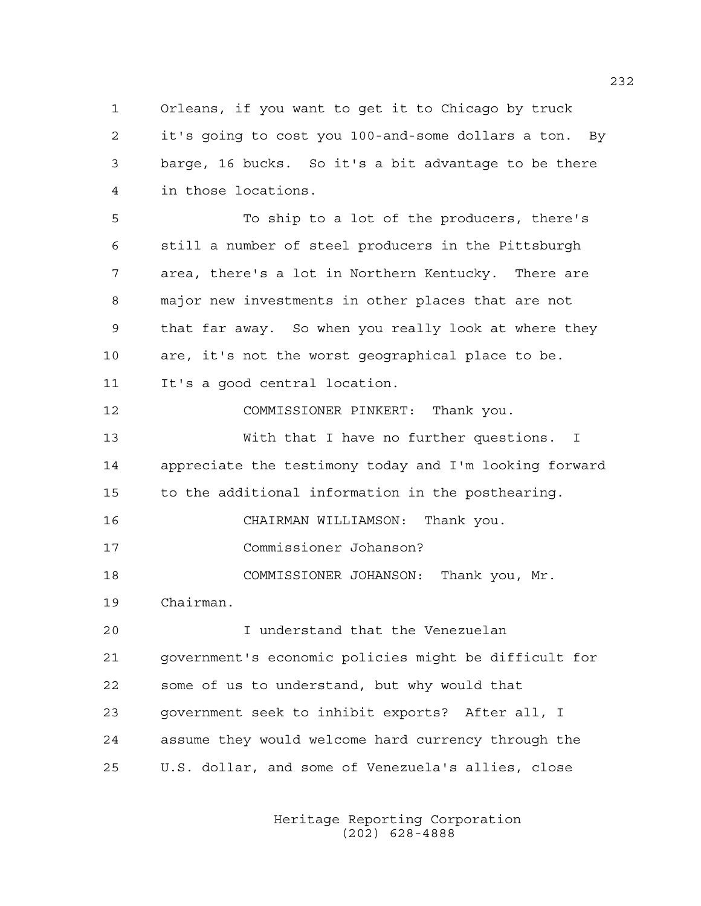1 Orleans, if you want to get it to Chicago by truck 2 it's going to cost you 100-and-some dollars a ton. By 3 barge, 16 bucks. So it's a bit advantage to be there 4 in those locations.

5 To ship to a lot of the producers, there's 6 still a number of steel producers in the Pittsburgh 7 area, there's a lot in Northern Kentucky. There are 8 major new investments in other places that are not 9 that far away. So when you really look at where they 10 are, it's not the worst geographical place to be. 11 It's a good central location.

12 COMMISSIONER PINKERT: Thank you.

13 With that I have no further questions. I 14 appreciate the testimony today and I'm looking forward 15 to the additional information in the posthearing.

16 CHAIRMAN WILLIAMSON: Thank you.

17 Commissioner Johanson?

18 COMMISSIONER JOHANSON: Thank you, Mr.

19 Chairman.

20 I understand that the Venezuelan 21 government's economic policies might be difficult for 22 some of us to understand, but why would that 23 government seek to inhibit exports? After all, I 24 assume they would welcome hard currency through the 25 U.S. dollar, and some of Venezuela's allies, close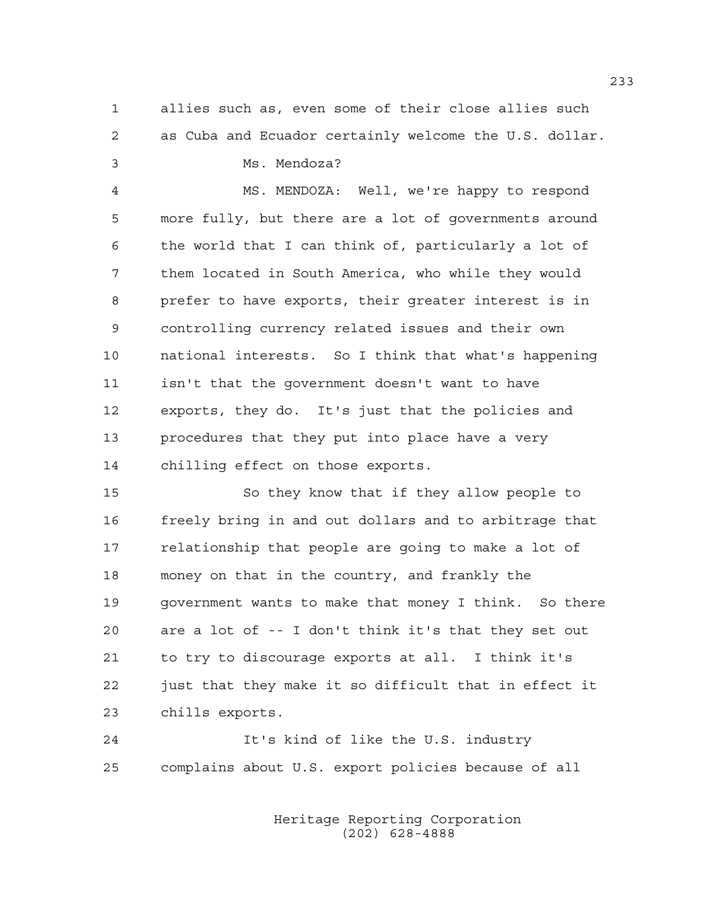1 allies such as, even some of their close allies such 2 as Cuba and Ecuador certainly welcome the U.S. dollar.

3 Ms. Mendoza?

4 MS. MENDOZA: Well, we're happy to respond 5 more fully, but there are a lot of governments around 6 the world that I can think of, particularly a lot of 7 them located in South America, who while they would 8 prefer to have exports, their greater interest is in 9 controlling currency related issues and their own 10 national interests. So I think that what's happening 11 isn't that the government doesn't want to have 12 exports, they do. It's just that the policies and 13 procedures that they put into place have a very 14 chilling effect on those exports.

15 So they know that if they allow people to 16 freely bring in and out dollars and to arbitrage that 17 relationship that people are going to make a lot of 18 money on that in the country, and frankly the 19 government wants to make that money I think. So there 20 are a lot of -- I don't think it's that they set out 21 to try to discourage exports at all. I think it's 22 just that they make it so difficult that in effect it 23 chills exports.

24 It's kind of like the U.S. industry 25 complains about U.S. export policies because of all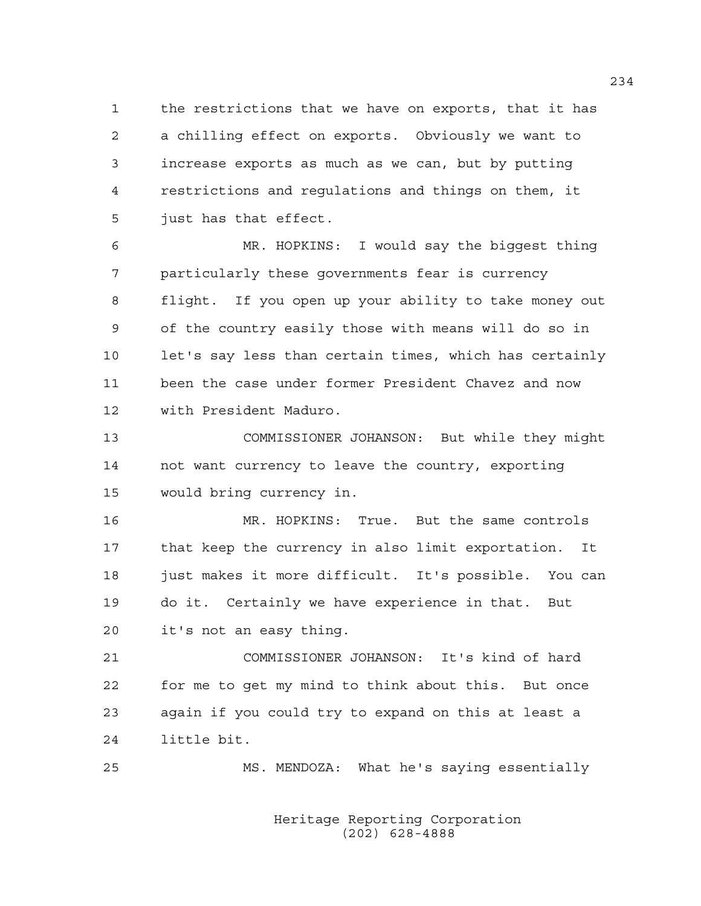1 the restrictions that we have on exports, that it has 2 a chilling effect on exports. Obviously we want to 3 increase exports as much as we can, but by putting 4 restrictions and regulations and things on them, it 5 just has that effect.

6 MR. HOPKINS: I would say the biggest thing 7 particularly these governments fear is currency 8 flight. If you open up your ability to take money out 9 of the country easily those with means will do so in 10 let's say less than certain times, which has certainly 11 been the case under former President Chavez and now 12 with President Maduro.

13 COMMISSIONER JOHANSON: But while they might 14 not want currency to leave the country, exporting 15 would bring currency in.

16 MR. HOPKINS: True. But the same controls 17 that keep the currency in also limit exportation. It 18 just makes it more difficult. It's possible. You can 19 do it. Certainly we have experience in that. But 20 it's not an easy thing.

21 COMMISSIONER JOHANSON: It's kind of hard 22 for me to get my mind to think about this. But once 23 again if you could try to expand on this at least a 24 little bit.

25 MS. MENDOZA: What he's saying essentially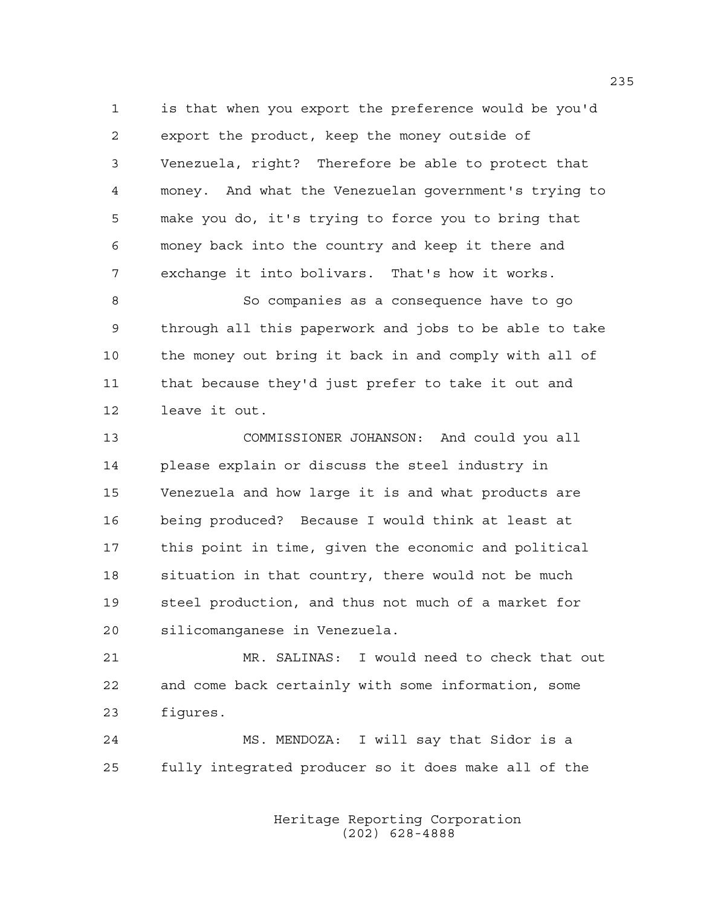1 is that when you export the preference would be you'd 2 export the product, keep the money outside of 3 Venezuela, right? Therefore be able to protect that 4 money. And what the Venezuelan government's trying to 5 make you do, it's trying to force you to bring that 6 money back into the country and keep it there and 7 exchange it into bolivars. That's how it works.

8 So companies as a consequence have to go 9 through all this paperwork and jobs to be able to take 10 the money out bring it back in and comply with all of 11 that because they'd just prefer to take it out and 12 leave it out.

13 COMMISSIONER JOHANSON: And could you all 14 please explain or discuss the steel industry in 15 Venezuela and how large it is and what products are 16 being produced? Because I would think at least at 17 this point in time, given the economic and political 18 situation in that country, there would not be much 19 steel production, and thus not much of a market for 20 silicomanganese in Venezuela.

21 MR. SALINAS: I would need to check that out 22 and come back certainly with some information, some 23 figures.

24 MS. MENDOZA: I will say that Sidor is a 25 fully integrated producer so it does make all of the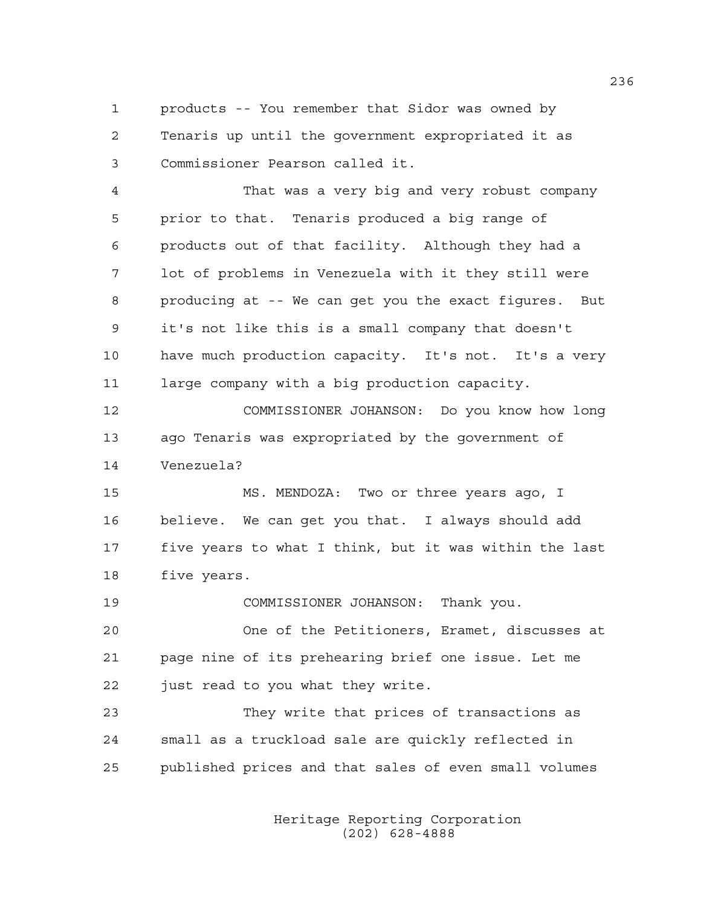1 products -- You remember that Sidor was owned by 2 Tenaris up until the government expropriated it as 3 Commissioner Pearson called it.

4 That was a very big and very robust company 5 prior to that. Tenaris produced a big range of 6 products out of that facility. Although they had a 7 lot of problems in Venezuela with it they still were 8 producing at -- We can get you the exact figures. But 9 it's not like this is a small company that doesn't 10 have much production capacity. It's not. It's a very 11 large company with a big production capacity.

12 COMMISSIONER JOHANSON: Do you know how long 13 ago Tenaris was expropriated by the government of 14 Venezuela?

15 MS. MENDOZA: Two or three years ago, I 16 believe. We can get you that. I always should add 17 five years to what I think, but it was within the last 18 five years.

19 COMMISSIONER JOHANSON: Thank you. 20 One of the Petitioners, Eramet, discusses at 21 page nine of its prehearing brief one issue. Let me 22 just read to you what they write.

23 They write that prices of transactions as 24 small as a truckload sale are quickly reflected in 25 published prices and that sales of even small volumes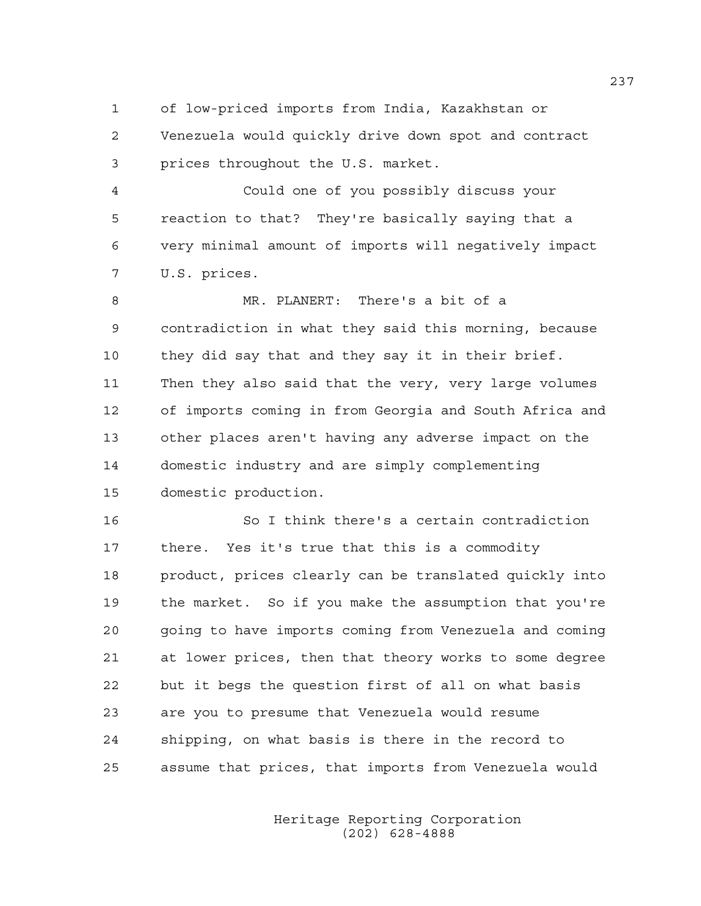1 of low-priced imports from India, Kazakhstan or

2 Venezuela would quickly drive down spot and contract 3 prices throughout the U.S. market.

4 Could one of you possibly discuss your 5 reaction to that? They're basically saying that a 6 very minimal amount of imports will negatively impact 7 U.S. prices.

8 MR. PLANERT: There's a bit of a 9 contradiction in what they said this morning, because 10 they did say that and they say it in their brief. 11 Then they also said that the very, very large volumes 12 of imports coming in from Georgia and South Africa and 13 other places aren't having any adverse impact on the 14 domestic industry and are simply complementing 15 domestic production.

16 So I think there's a certain contradiction 17 there. Yes it's true that this is a commodity 18 product, prices clearly can be translated quickly into 19 the market. So if you make the assumption that you're 20 going to have imports coming from Venezuela and coming 21 at lower prices, then that theory works to some degree 22 but it begs the question first of all on what basis 23 are you to presume that Venezuela would resume 24 shipping, on what basis is there in the record to 25 assume that prices, that imports from Venezuela would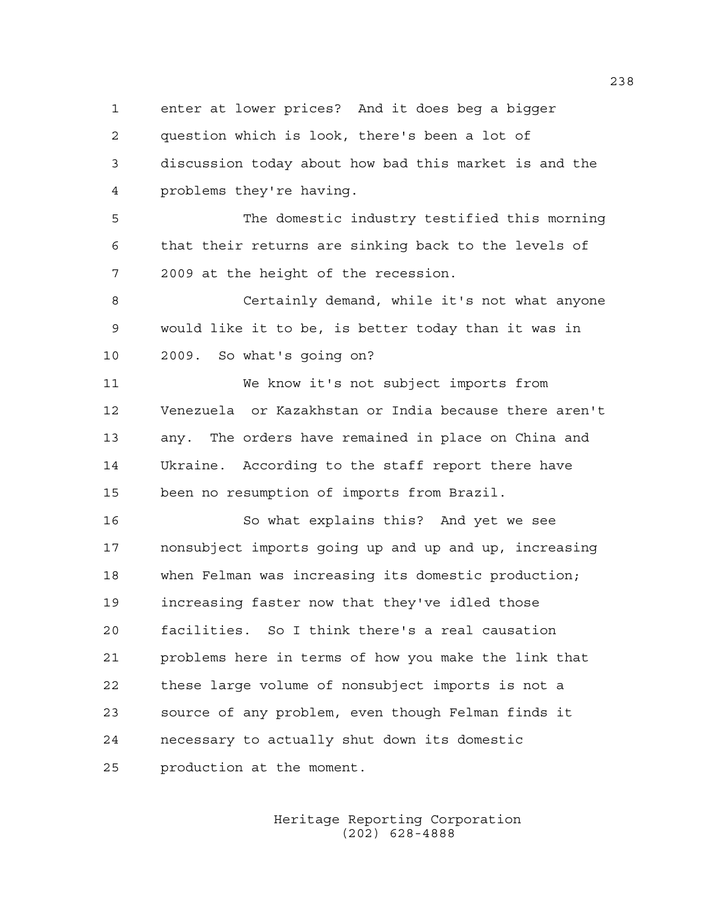1 enter at lower prices? And it does beg a bigger 2 question which is look, there's been a lot of 3 discussion today about how bad this market is and the 4 problems they're having.

5 The domestic industry testified this morning 6 that their returns are sinking back to the levels of 7 2009 at the height of the recession.

8 Certainly demand, while it's not what anyone 9 would like it to be, is better today than it was in 10 2009. So what's going on?

11 We know it's not subject imports from 12 Venezuela or Kazakhstan or India because there aren't 13 any. The orders have remained in place on China and 14 Ukraine. According to the staff report there have 15 been no resumption of imports from Brazil.

16 So what explains this? And yet we see 17 nonsubject imports going up and up and up, increasing 18 when Felman was increasing its domestic production; 19 increasing faster now that they've idled those 20 facilities. So I think there's a real causation 21 problems here in terms of how you make the link that 22 these large volume of nonsubject imports is not a 23 source of any problem, even though Felman finds it 24 necessary to actually shut down its domestic 25 production at the moment.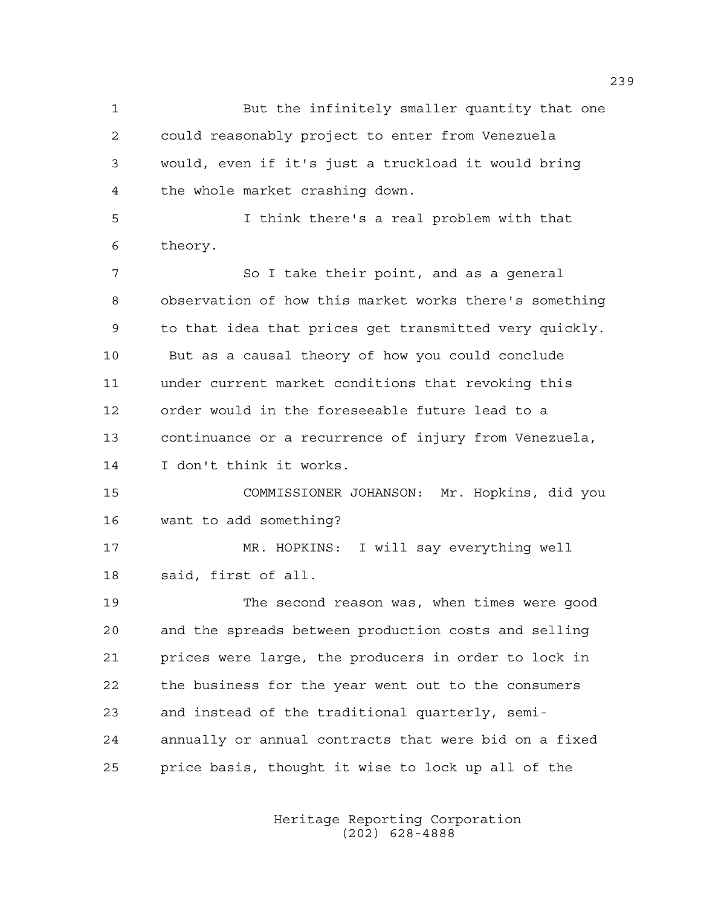1 But the infinitely smaller quantity that one 2 could reasonably project to enter from Venezuela 3 would, even if it's just a truckload it would bring 4 the whole market crashing down. 5 I think there's a real problem with that 6 theory. 7 So I take their point, and as a general 8 observation of how this market works there's something 9 to that idea that prices get transmitted very quickly. 10 But as a causal theory of how you could conclude 11 under current market conditions that revoking this 12 order would in the foreseeable future lead to a 13 continuance or a recurrence of injury from Venezuela, 14 I don't think it works. 15 COMMISSIONER JOHANSON: Mr. Hopkins, did you 16 want to add something? 17 MR. HOPKINS: I will say everything well 18 said, first of all. 19 The second reason was, when times were good 20 and the spreads between production costs and selling 21 prices were large, the producers in order to lock in 22 the business for the year went out to the consumers 23 and instead of the traditional quarterly, semi-24 annually or annual contracts that were bid on a fixed 25 price basis, thought it wise to lock up all of the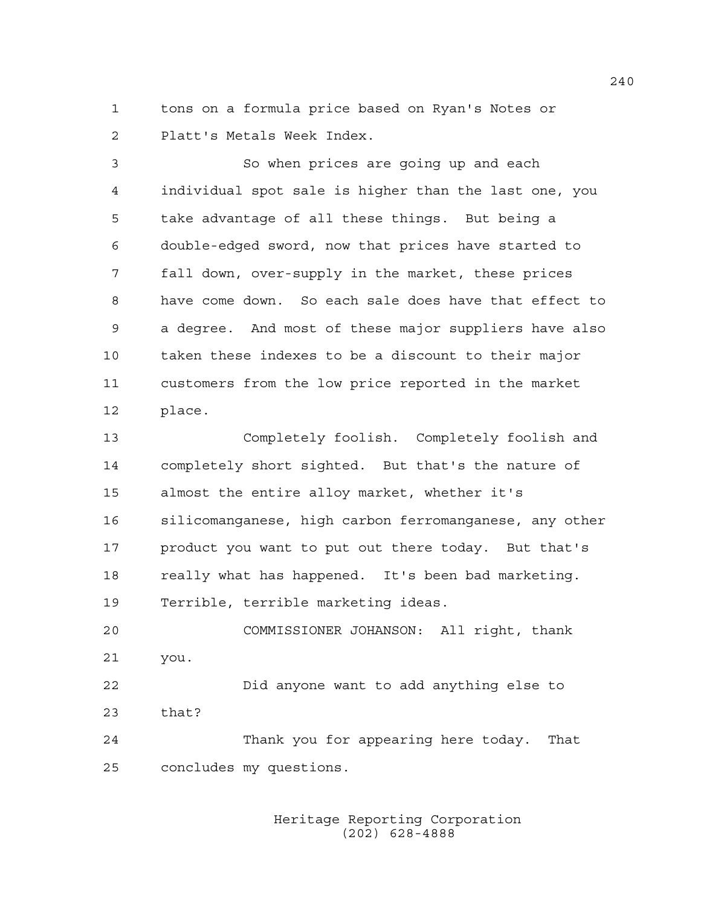1 tons on a formula price based on Ryan's Notes or 2 Platt's Metals Week Index.

3 So when prices are going up and each 4 individual spot sale is higher than the last one, you 5 take advantage of all these things. But being a 6 double-edged sword, now that prices have started to 7 fall down, over-supply in the market, these prices 8 have come down. So each sale does have that effect to 9 a degree. And most of these major suppliers have also 10 taken these indexes to be a discount to their major 11 customers from the low price reported in the market 12 place.

13 Completely foolish. Completely foolish and 14 completely short sighted. But that's the nature of 15 almost the entire alloy market, whether it's 16 silicomanganese, high carbon ferromanganese, any other 17 product you want to put out there today. But that's 18 really what has happened. It's been bad marketing. 19 Terrible, terrible marketing ideas.

20 COMMISSIONER JOHANSON: All right, thank 21 you. 22 Did anyone want to add anything else to 23 that?

24 Thank you for appearing here today. That 25 concludes my questions.

> Heritage Reporting Corporation (202) 628-4888

240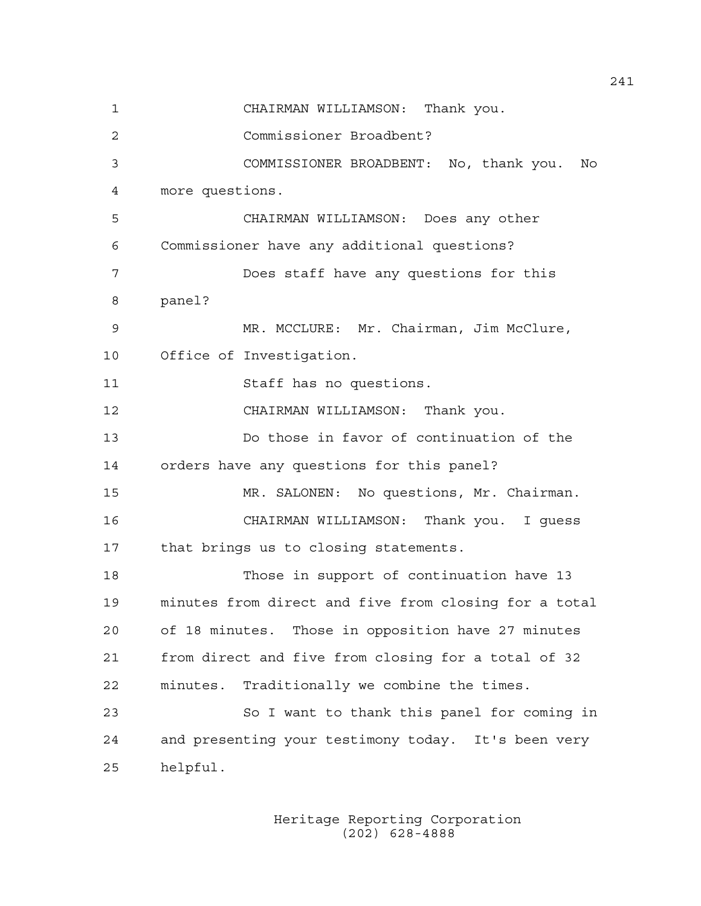1 CHAIRMAN WILLIAMSON: Thank you. 2 Commissioner Broadbent? 3 COMMISSIONER BROADBENT: No, thank you. No 4 more questions. 5 CHAIRMAN WILLIAMSON: Does any other 6 Commissioner have any additional questions? 7 Does staff have any questions for this 8 panel? 9 MR. MCCLURE: Mr. Chairman, Jim McClure, 10 Office of Investigation. 11 Staff has no questions. 12 CHAIRMAN WILLIAMSON: Thank you. 13 Do those in favor of continuation of the 14 orders have any questions for this panel? 15 MR. SALONEN: No questions, Mr. Chairman. 16 CHAIRMAN WILLIAMSON: Thank you. I guess 17 that brings us to closing statements. 18 Those in support of continuation have 13 19 minutes from direct and five from closing for a total 20 of 18 minutes. Those in opposition have 27 minutes 21 from direct and five from closing for a total of 32 22 minutes. Traditionally we combine the times. 23 So I want to thank this panel for coming in 24 and presenting your testimony today. It's been very 25 helpful.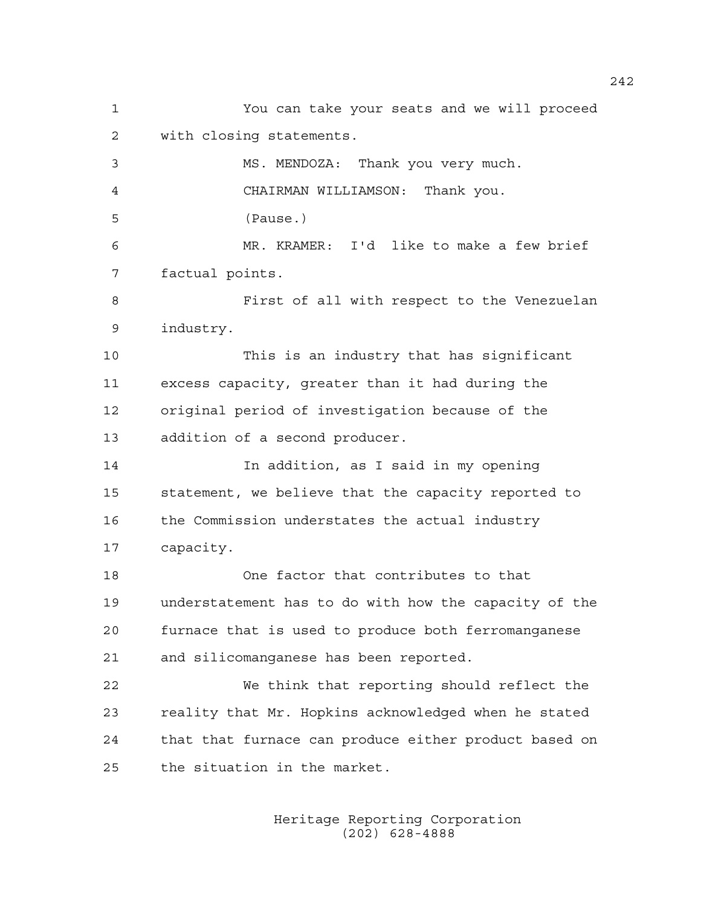1 You can take your seats and we will proceed 2 with closing statements. 3 MS. MENDOZA: Thank you very much. 4 CHAIRMAN WILLIAMSON: Thank you. 5 (Pause.) 6 MR. KRAMER: I'd like to make a few brief 7 factual points. 8 First of all with respect to the Venezuelan 9 industry. 10 This is an industry that has significant 11 excess capacity, greater than it had during the 12 original period of investigation because of the 13 addition of a second producer. 14 In addition, as I said in my opening 15 statement, we believe that the capacity reported to 16 the Commission understates the actual industry 17 capacity. 18 One factor that contributes to that 19 understatement has to do with how the capacity of the 20 furnace that is used to produce both ferromanganese 21 and silicomanganese has been reported. 22 We think that reporting should reflect the 23 reality that Mr. Hopkins acknowledged when he stated 24 that that furnace can produce either product based on 25 the situation in the market.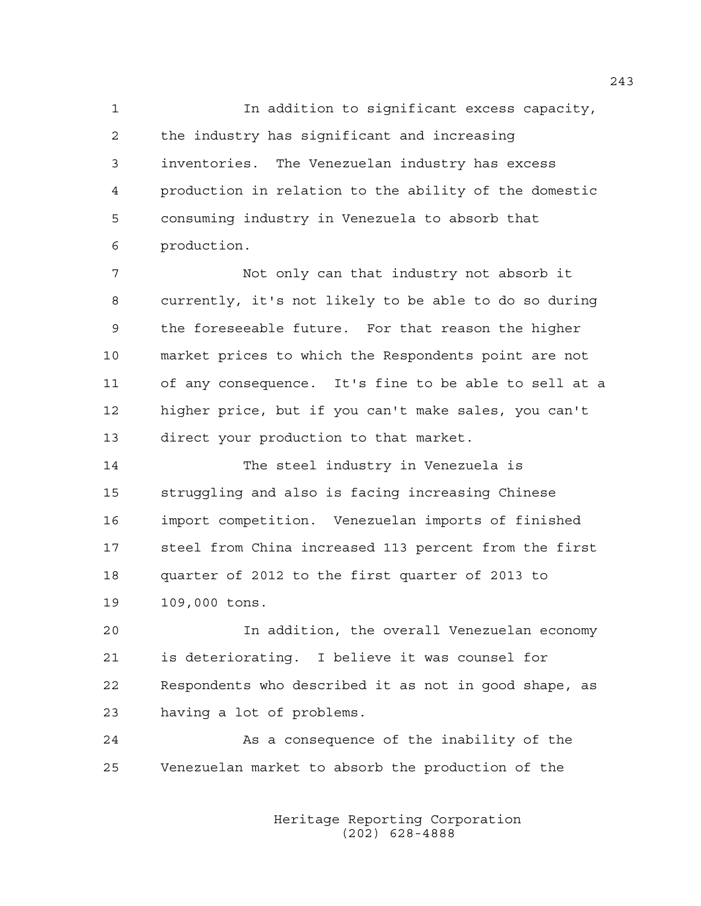1 In addition to significant excess capacity, 2 the industry has significant and increasing 3 inventories. The Venezuelan industry has excess 4 production in relation to the ability of the domestic 5 consuming industry in Venezuela to absorb that 6 production.

7 Not only can that industry not absorb it 8 currently, it's not likely to be able to do so during 9 the foreseeable future. For that reason the higher 10 market prices to which the Respondents point are not 11 of any consequence. It's fine to be able to sell at a 12 higher price, but if you can't make sales, you can't 13 direct your production to that market.

14 The steel industry in Venezuela is 15 struggling and also is facing increasing Chinese 16 import competition. Venezuelan imports of finished 17 steel from China increased 113 percent from the first 18 quarter of 2012 to the first quarter of 2013 to 19 109,000 tons.

20 In addition, the overall Venezuelan economy 21 is deteriorating. I believe it was counsel for 22 Respondents who described it as not in good shape, as 23 having a lot of problems.

24 As a consequence of the inability of the 25 Venezuelan market to absorb the production of the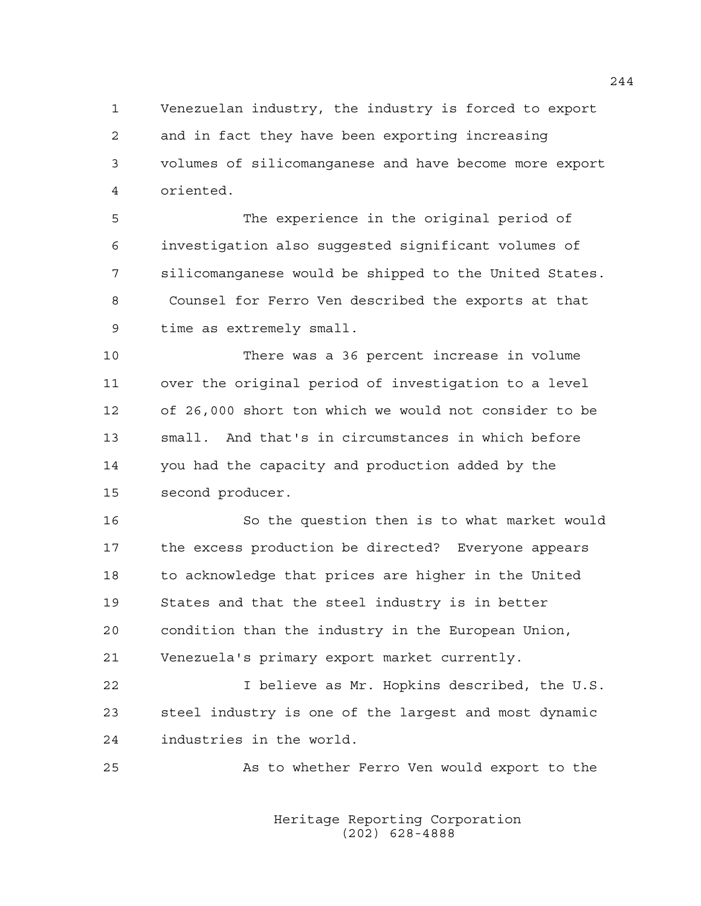1 Venezuelan industry, the industry is forced to export 2 and in fact they have been exporting increasing 3 volumes of silicomanganese and have become more export 4 oriented.

5 The experience in the original period of 6 investigation also suggested significant volumes of 7 silicomanganese would be shipped to the United States. 8 Counsel for Ferro Ven described the exports at that 9 time as extremely small.

10 There was a 36 percent increase in volume 11 over the original period of investigation to a level 12 of 26,000 short ton which we would not consider to be 13 small. And that's in circumstances in which before 14 you had the capacity and production added by the 15 second producer.

16 So the question then is to what market would 17 the excess production be directed? Everyone appears 18 to acknowledge that prices are higher in the United 19 States and that the steel industry is in better 20 condition than the industry in the European Union, 21 Venezuela's primary export market currently.

22 I believe as Mr. Hopkins described, the U.S. 23 steel industry is one of the largest and most dynamic 24 industries in the world.

25 As to whether Ferro Ven would export to the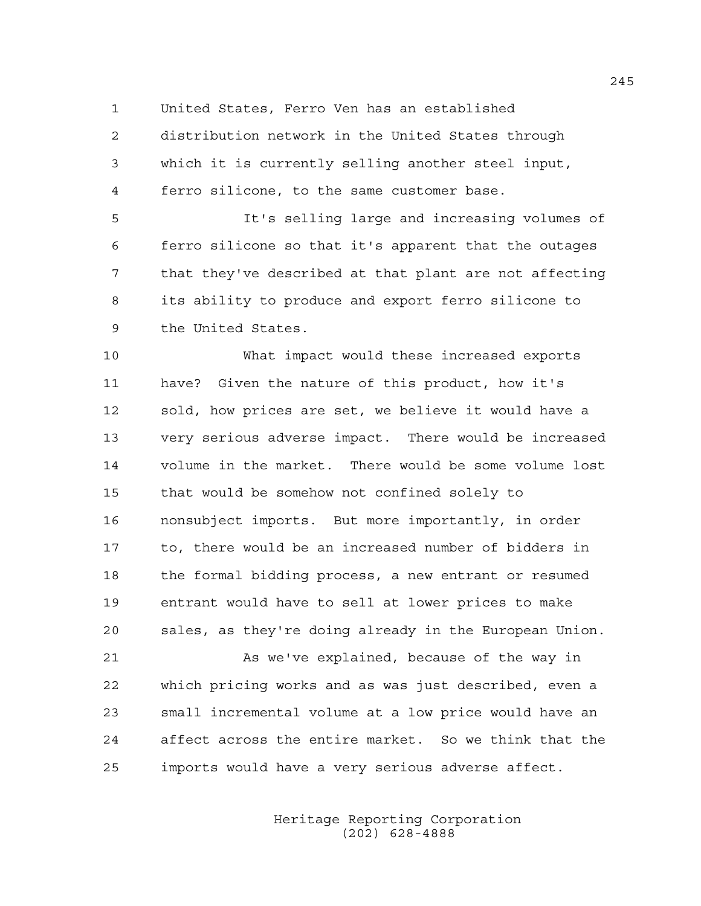1 United States, Ferro Ven has an established

2 distribution network in the United States through 3 which it is currently selling another steel input, 4 ferro silicone, to the same customer base.

5 It's selling large and increasing volumes of 6 ferro silicone so that it's apparent that the outages 7 that they've described at that plant are not affecting 8 its ability to produce and export ferro silicone to 9 the United States.

10 What impact would these increased exports 11 have? Given the nature of this product, how it's 12 sold, how prices are set, we believe it would have a 13 very serious adverse impact. There would be increased 14 volume in the market. There would be some volume lost 15 that would be somehow not confined solely to 16 nonsubject imports. But more importantly, in order 17 to, there would be an increased number of bidders in 18 the formal bidding process, a new entrant or resumed 19 entrant would have to sell at lower prices to make 20 sales, as they're doing already in the European Union.

21 As we've explained, because of the way in 22 which pricing works and as was just described, even a 23 small incremental volume at a low price would have an 24 affect across the entire market. So we think that the 25 imports would have a very serious adverse affect.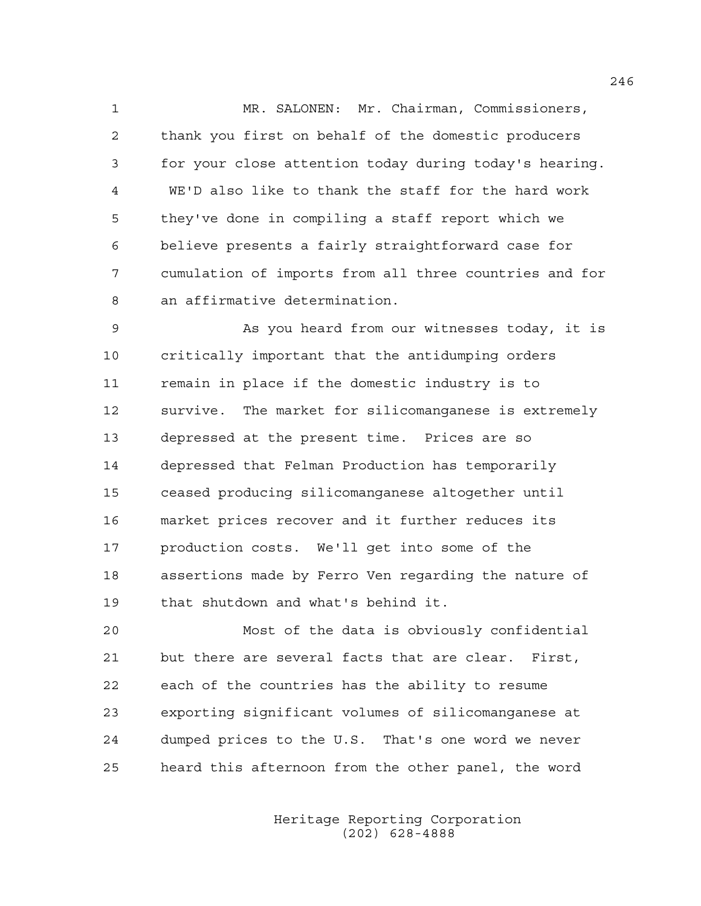1 MR. SALONEN: Mr. Chairman, Commissioners, 2 thank you first on behalf of the domestic producers 3 for your close attention today during today's hearing. 4 WE'D also like to thank the staff for the hard work 5 they've done in compiling a staff report which we 6 believe presents a fairly straightforward case for 7 cumulation of imports from all three countries and for 8 an affirmative determination.

9 As you heard from our witnesses today, it is 10 critically important that the antidumping orders 11 remain in place if the domestic industry is to 12 survive. The market for silicomanganese is extremely 13 depressed at the present time. Prices are so 14 depressed that Felman Production has temporarily 15 ceased producing silicomanganese altogether until 16 market prices recover and it further reduces its 17 production costs. We'll get into some of the 18 assertions made by Ferro Ven regarding the nature of 19 that shutdown and what's behind it.

20 Most of the data is obviously confidential 21 but there are several facts that are clear. First, 22 each of the countries has the ability to resume 23 exporting significant volumes of silicomanganese at 24 dumped prices to the U.S. That's one word we never 25 heard this afternoon from the other panel, the word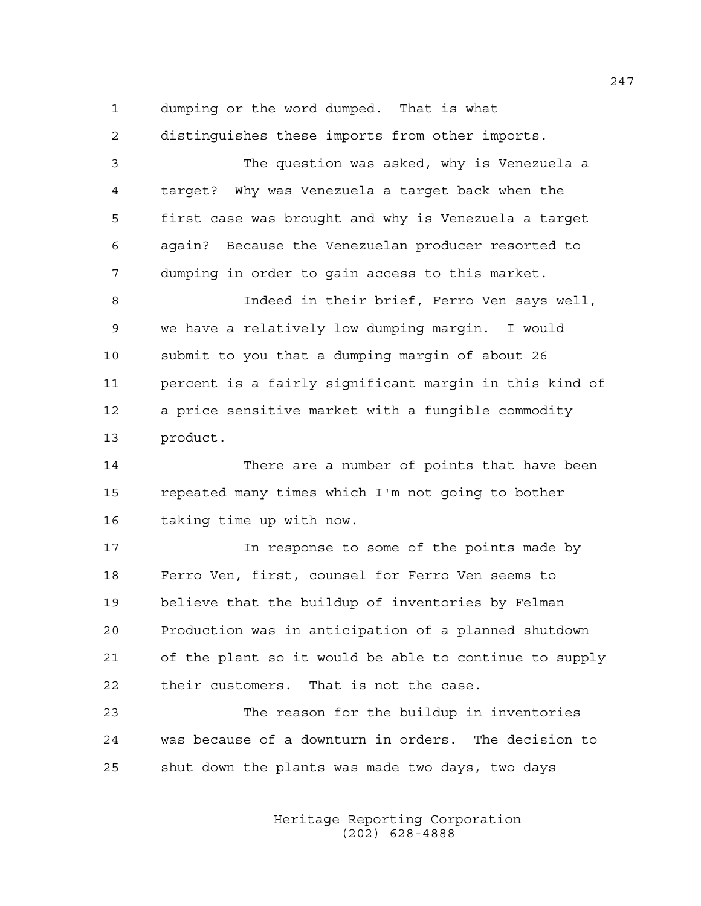1 dumping or the word dumped. That is what

2 distinguishes these imports from other imports.

3 The question was asked, why is Venezuela a 4 target? Why was Venezuela a target back when the 5 first case was brought and why is Venezuela a target 6 again? Because the Venezuelan producer resorted to 7 dumping in order to gain access to this market.

8 Indeed in their brief, Ferro Ven says well, 9 we have a relatively low dumping margin. I would 10 submit to you that a dumping margin of about 26 11 percent is a fairly significant margin in this kind of 12 a price sensitive market with a fungible commodity 13 product.

14 There are a number of points that have been 15 repeated many times which I'm not going to bother 16 taking time up with now.

17 17 In response to some of the points made by 18 Ferro Ven, first, counsel for Ferro Ven seems to 19 believe that the buildup of inventories by Felman 20 Production was in anticipation of a planned shutdown 21 of the plant so it would be able to continue to supply 22 their customers. That is not the case.

23 The reason for the buildup in inventories 24 was because of a downturn in orders. The decision to 25 shut down the plants was made two days, two days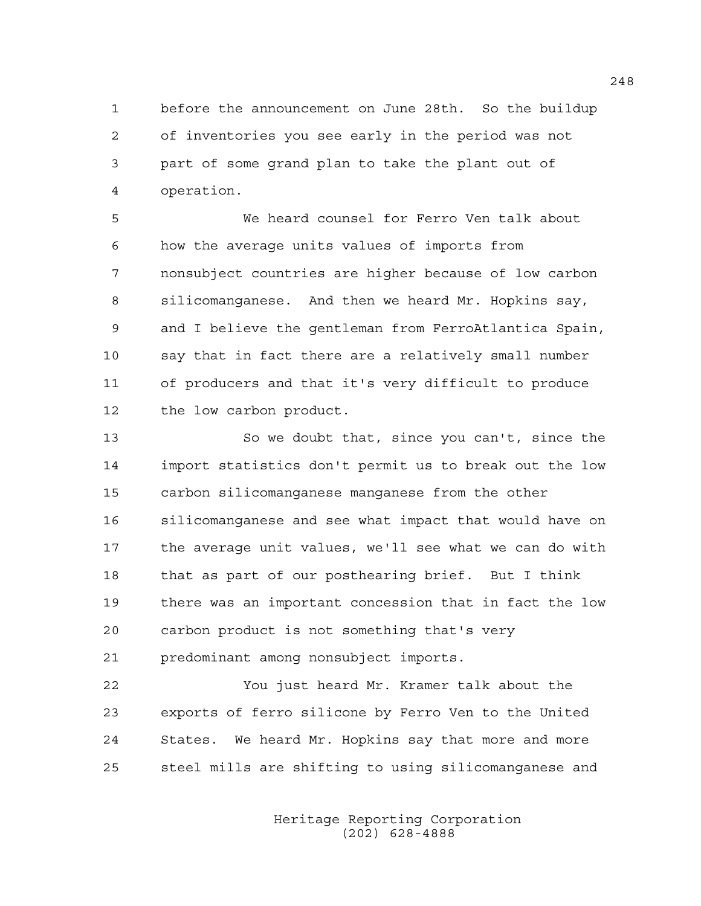1 before the announcement on June 28th. So the buildup 2 of inventories you see early in the period was not 3 part of some grand plan to take the plant out of 4 operation.

5 We heard counsel for Ferro Ven talk about 6 how the average units values of imports from 7 nonsubject countries are higher because of low carbon 8 silicomanganese. And then we heard Mr. Hopkins say, 9 and I believe the gentleman from FerroAtlantica Spain, 10 say that in fact there are a relatively small number 11 of producers and that it's very difficult to produce 12 the low carbon product.

13 So we doubt that, since you can't, since the 14 import statistics don't permit us to break out the low 15 carbon silicomanganese manganese from the other 16 silicomanganese and see what impact that would have on 17 the average unit values, we'll see what we can do with 18 that as part of our posthearing brief. But I think 19 there was an important concession that in fact the low 20 carbon product is not something that's very 21 predominant among nonsubject imports.

22 You just heard Mr. Kramer talk about the 23 exports of ferro silicone by Ferro Ven to the United 24 States. We heard Mr. Hopkins say that more and more 25 steel mills are shifting to using silicomanganese and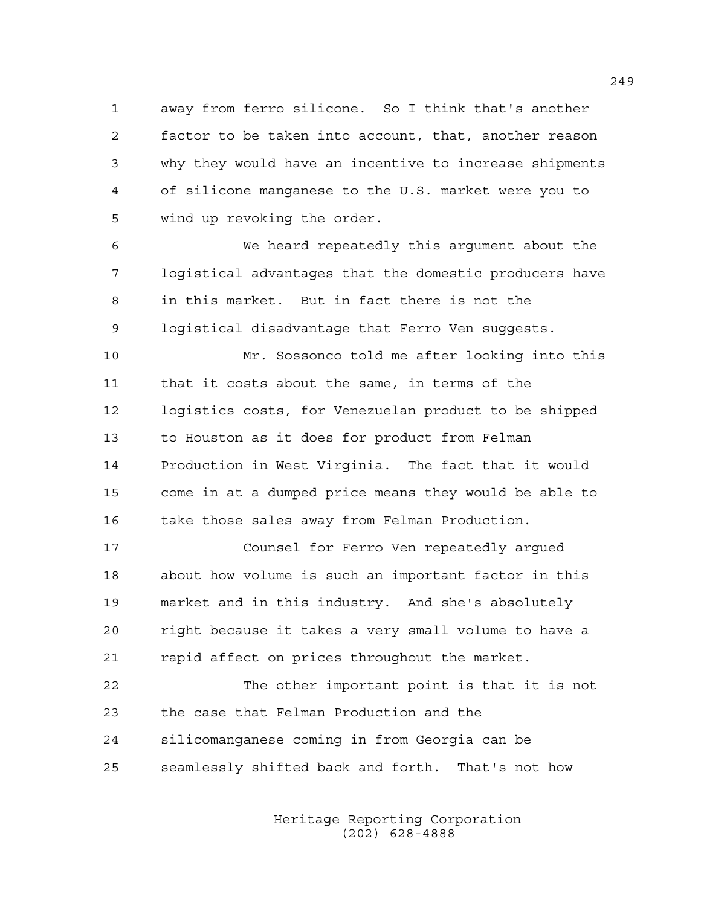1 away from ferro silicone. So I think that's another 2 factor to be taken into account, that, another reason 3 why they would have an incentive to increase shipments 4 of silicone manganese to the U.S. market were you to 5 wind up revoking the order.

6 We heard repeatedly this argument about the 7 logistical advantages that the domestic producers have 8 in this market. But in fact there is not the 9 logistical disadvantage that Ferro Ven suggests.

10 Mr. Sossonco told me after looking into this 11 that it costs about the same, in terms of the 12 logistics costs, for Venezuelan product to be shipped 13 to Houston as it does for product from Felman 14 Production in West Virginia. The fact that it would 15 come in at a dumped price means they would be able to 16 take those sales away from Felman Production.

17 Counsel for Ferro Ven repeatedly argued 18 about how volume is such an important factor in this 19 market and in this industry. And she's absolutely 20 right because it takes a very small volume to have a 21 rapid affect on prices throughout the market.

22 The other important point is that it is not 23 the case that Felman Production and the 24 silicomanganese coming in from Georgia can be 25 seamlessly shifted back and forth. That's not how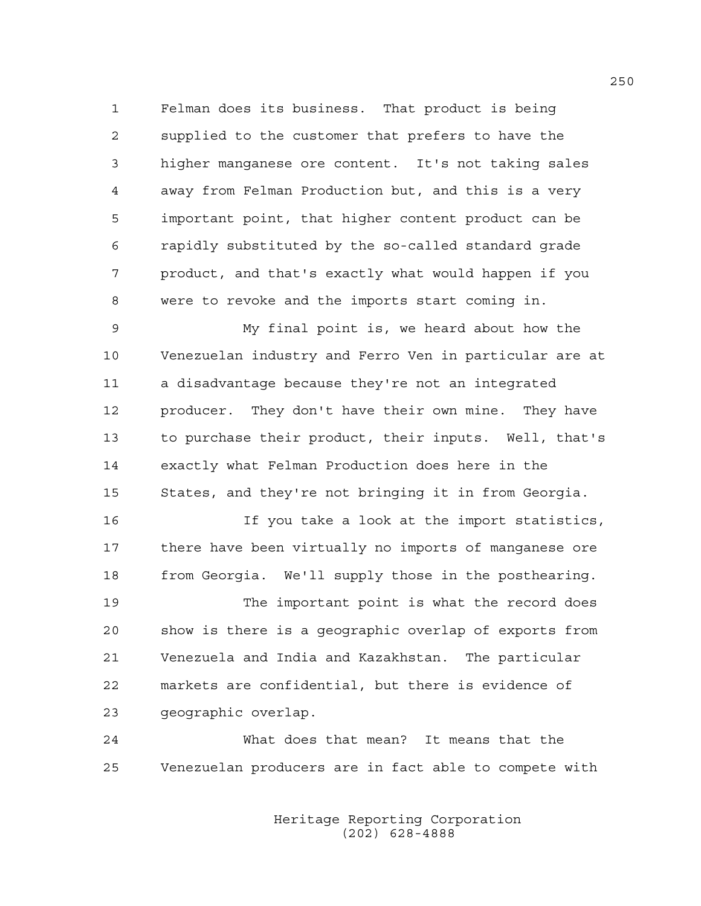1 Felman does its business. That product is being 2 supplied to the customer that prefers to have the 3 higher manganese ore content. It's not taking sales 4 away from Felman Production but, and this is a very 5 important point, that higher content product can be 6 rapidly substituted by the so-called standard grade 7 product, and that's exactly what would happen if you 8 were to revoke and the imports start coming in.

9 My final point is, we heard about how the 10 Venezuelan industry and Ferro Ven in particular are at 11 a disadvantage because they're not an integrated 12 producer. They don't have their own mine. They have 13 to purchase their product, their inputs. Well, that's 14 exactly what Felman Production does here in the 15 States, and they're not bringing it in from Georgia.

16 If you take a look at the import statistics, 17 there have been virtually no imports of manganese ore 18 from Georgia. We'll supply those in the posthearing.

19 The important point is what the record does 20 show is there is a geographic overlap of exports from 21 Venezuela and India and Kazakhstan. The particular 22 markets are confidential, but there is evidence of 23 geographic overlap.

24 What does that mean? It means that the 25 Venezuelan producers are in fact able to compete with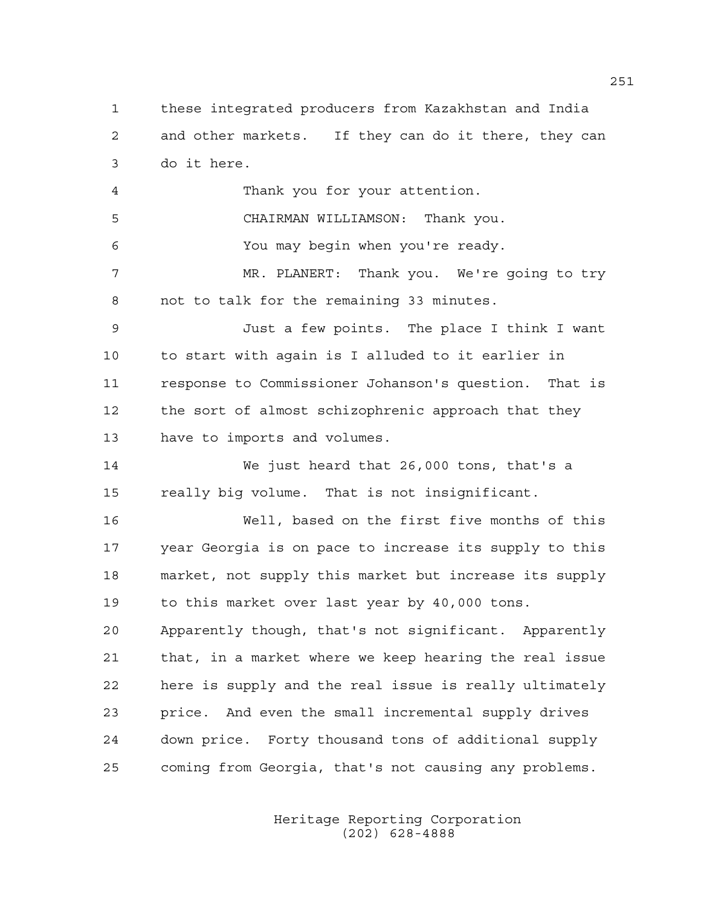1 these integrated producers from Kazakhstan and India 2 and other markets. If they can do it there, they can 3 do it here.

4 Thank you for your attention. 5 CHAIRMAN WILLIAMSON: Thank you. 6 You may begin when you're ready. 7 MR. PLANERT: Thank you. We're going to try 8 not to talk for the remaining 33 minutes. 9 Just a few points. The place I think I want 10 to start with again is I alluded to it earlier in 11 response to Commissioner Johanson's question. That is 12 the sort of almost schizophrenic approach that they 13 have to imports and volumes.

14 We just heard that 26,000 tons, that's a 15 really big volume. That is not insignificant.

16 Well, based on the first five months of this 17 year Georgia is on pace to increase its supply to this 18 market, not supply this market but increase its supply 19 to this market over last year by 40,000 tons.

20 Apparently though, that's not significant. Apparently 21 that, in a market where we keep hearing the real issue 22 here is supply and the real issue is really ultimately 23 price. And even the small incremental supply drives 24 down price. Forty thousand tons of additional supply 25 coming from Georgia, that's not causing any problems.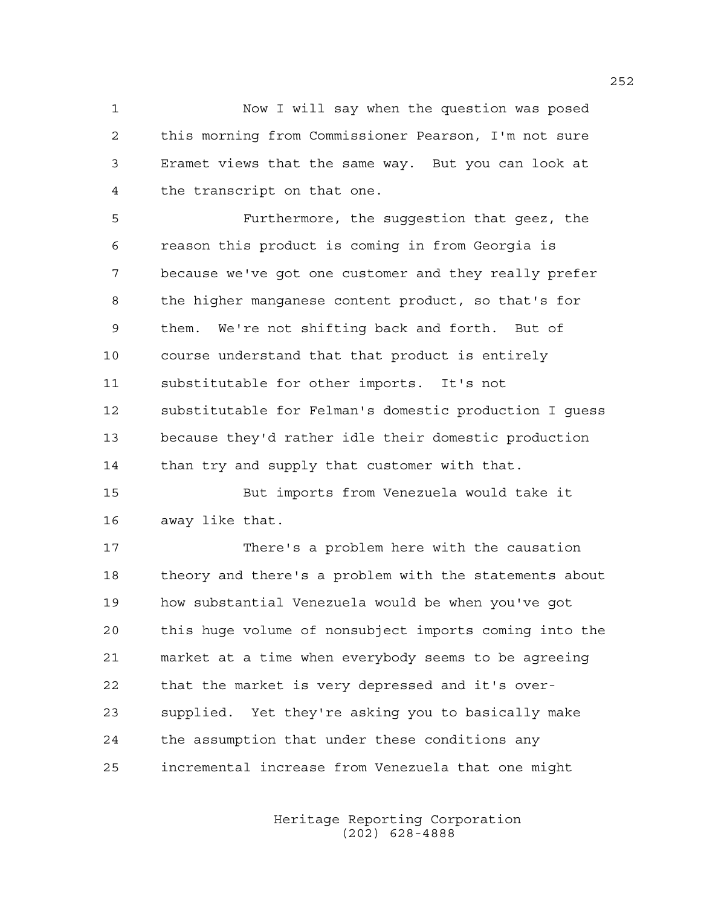1 Now I will say when the question was posed 2 this morning from Commissioner Pearson, I'm not sure 3 Eramet views that the same way. But you can look at 4 the transcript on that one.

5 Furthermore, the suggestion that geez, the 6 reason this product is coming in from Georgia is 7 because we've got one customer and they really prefer 8 the higher manganese content product, so that's for 9 them. We're not shifting back and forth. But of 10 course understand that that product is entirely 11 substitutable for other imports. It's not 12 substitutable for Felman's domestic production I guess 13 because they'd rather idle their domestic production 14 than try and supply that customer with that.

15 But imports from Venezuela would take it 16 away like that.

17 There's a problem here with the causation 18 theory and there's a problem with the statements about 19 how substantial Venezuela would be when you've got 20 this huge volume of nonsubject imports coming into the 21 market at a time when everybody seems to be agreeing 22 that the market is very depressed and it's over-23 supplied. Yet they're asking you to basically make 24 the assumption that under these conditions any 25 incremental increase from Venezuela that one might

> Heritage Reporting Corporation (202) 628-4888

252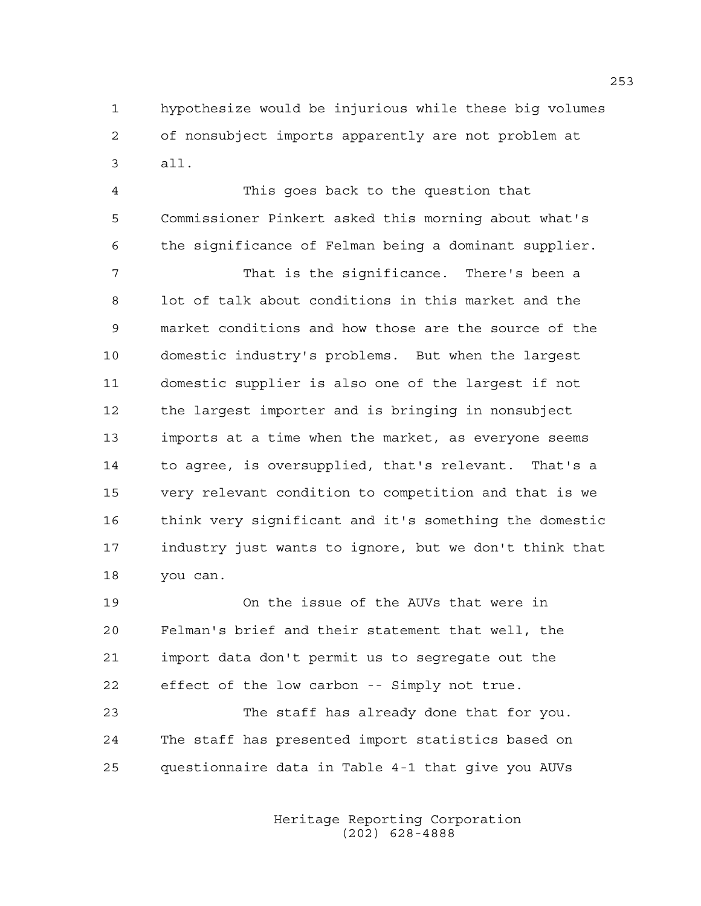1 hypothesize would be injurious while these big volumes 2 of nonsubject imports apparently are not problem at 3 all.

4 This goes back to the question that 5 Commissioner Pinkert asked this morning about what's 6 the significance of Felman being a dominant supplier.

7 That is the significance. There's been a 8 lot of talk about conditions in this market and the 9 market conditions and how those are the source of the 10 domestic industry's problems. But when the largest 11 domestic supplier is also one of the largest if not 12 the largest importer and is bringing in nonsubject 13 imports at a time when the market, as everyone seems 14 to agree, is oversupplied, that's relevant. That's a 15 very relevant condition to competition and that is we 16 think very significant and it's something the domestic 17 industry just wants to ignore, but we don't think that 18 you can.

19 On the issue of the AUVs that were in 20 Felman's brief and their statement that well, the 21 import data don't permit us to segregate out the 22 effect of the low carbon -- Simply not true.

23 The staff has already done that for you. 24 The staff has presented import statistics based on 25 questionnaire data in Table 4-1 that give you AUVs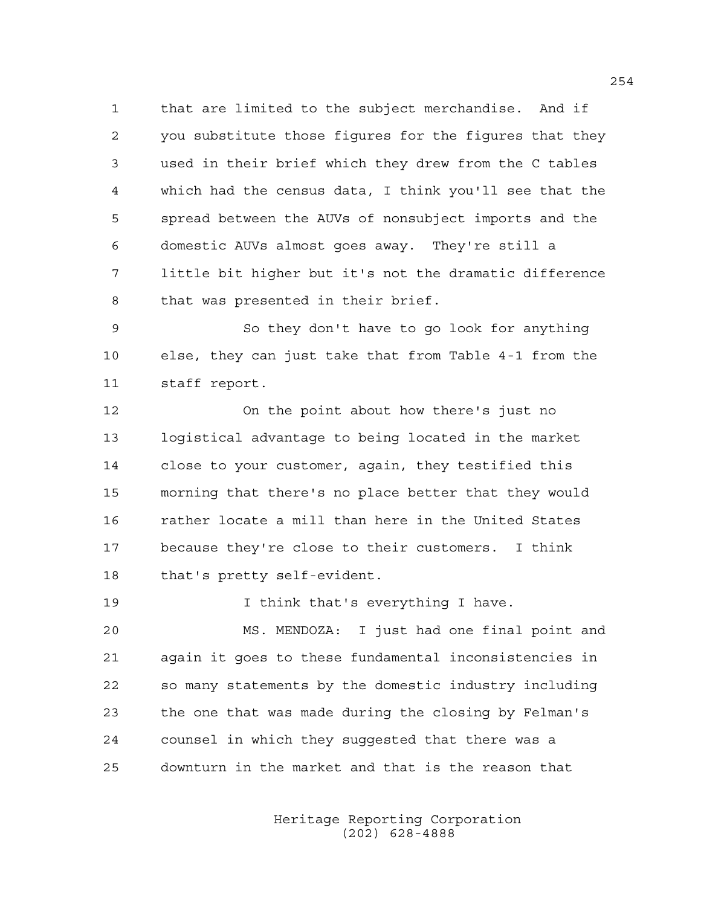1 that are limited to the subject merchandise. And if 2 you substitute those figures for the figures that they 3 used in their brief which they drew from the C tables 4 which had the census data, I think you'll see that the 5 spread between the AUVs of nonsubject imports and the 6 domestic AUVs almost goes away. They're still a 7 little bit higher but it's not the dramatic difference 8 that was presented in their brief.

9 So they don't have to go look for anything 10 else, they can just take that from Table 4-1 from the 11 staff report.

12 On the point about how there's just no 13 logistical advantage to being located in the market 14 close to your customer, again, they testified this 15 morning that there's no place better that they would 16 rather locate a mill than here in the United States 17 because they're close to their customers. I think 18 that's pretty self-evident.

19 19 I think that's everything I have.

20 MS. MENDOZA: I just had one final point and 21 again it goes to these fundamental inconsistencies in 22 so many statements by the domestic industry including 23 the one that was made during the closing by Felman's 24 counsel in which they suggested that there was a 25 downturn in the market and that is the reason that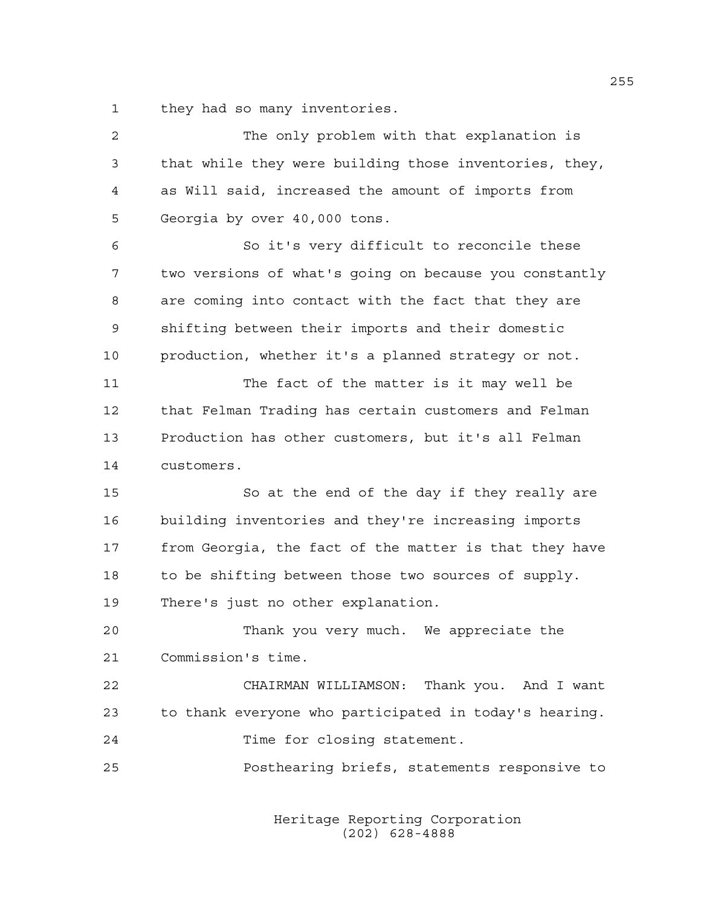1 they had so many inventories.

| $\overline{c}$ | The only problem with that explanation is              |
|----------------|--------------------------------------------------------|
| 3              | that while they were building those inventories, they, |
| 4              | as Will said, increased the amount of imports from     |
| 5              | Georgia by over 40,000 tons.                           |
| 6              | So it's very difficult to reconcile these              |
| 7              | two versions of what's going on because you constantly |
| 8              | are coming into contact with the fact that they are    |
| 9              | shifting between their imports and their domestic      |
| 10             | production, whether it's a planned strategy or not.    |
| 11             | The fact of the matter is it may well be               |
| 12             | that Felman Trading has certain customers and Felman   |
| 13             | Production has other customers, but it's all Felman    |
| 14             | customers.                                             |
| 15             | So at the end of the day if they really are            |
| 16             | building inventories and they're increasing imports    |
| 17             | from Georgia, the fact of the matter is that they have |
| 18             | to be shifting between those two sources of supply.    |
| 19             | There's just no other explanation.                     |
| 20             | Thank you very much. We appreciate the                 |
| 21             | Commission's time.                                     |
| 22             | CHAIRMAN WILLIAMSON: Thank you. And I want             |
| 23             | to thank everyone who participated in today's hearing. |
| 24             | Time for closing statement.                            |
| 25             | Posthearing briefs, statements responsive to           |
|                |                                                        |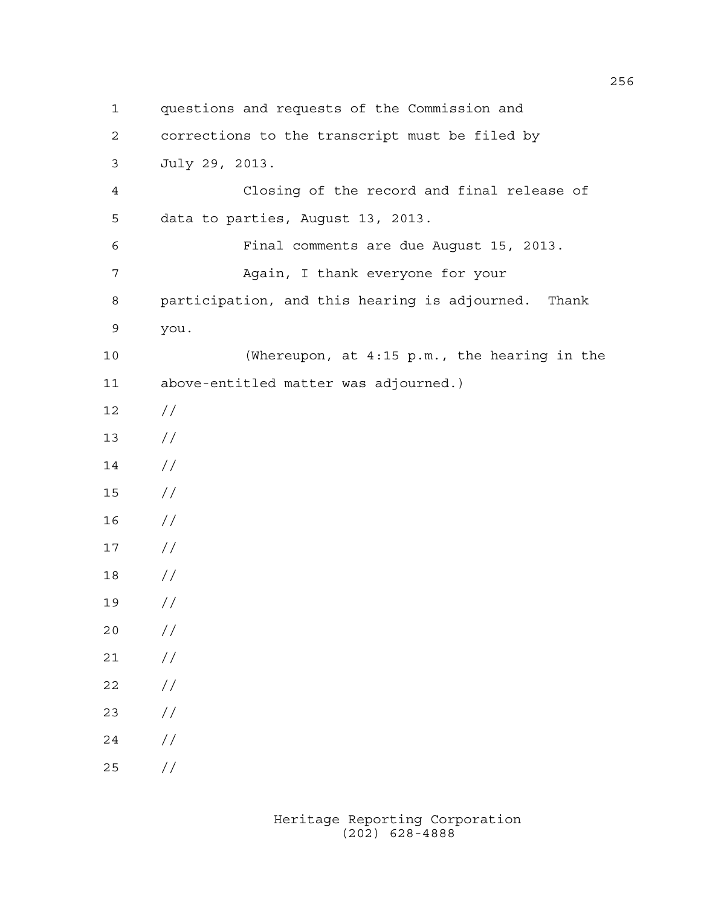1 questions and requests of the Commission and 2 corrections to the transcript must be filed by 3 July 29, 2013. 4 Closing of the record and final release of 5 data to parties, August 13, 2013. 6 Final comments are due August 15, 2013. 7 Again, I thank everyone for your 8 participation, and this hearing is adjourned. Thank 9 you. 10 (Whereupon, at 4:15 p.m., the hearing in the 11 above-entitled matter was adjourned.) 12 // 13 //  $14 /$ 15 // 16 // 17 // 18 // 19 // 20 // 21 //  $22 / /$ 23 // 24 // 25 //